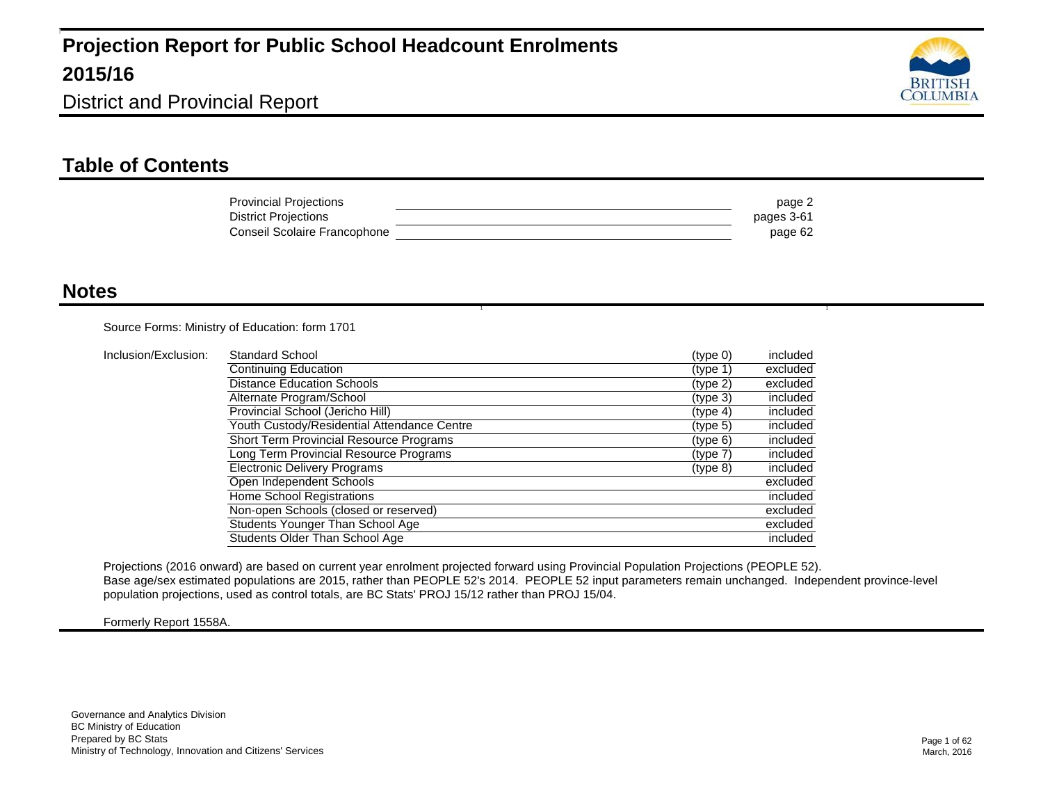

#### **Table of Contents**

| <b>Provincial Projections</b> | page 2     |
|-------------------------------|------------|
| District Projections          | pages 3-61 |
| Conseil Scolaire Francophone  | page 62    |

1 and 1 and 1 and 1 and 1 and 1 and 1 and 1 and 1 and 1 and 1  $\alpha$ 

#### **Notes**

Source Forms: Ministry of Education: form 1701

| Inclusion/Exclusion: | <b>Standard School</b>                         | (type 0) | included |
|----------------------|------------------------------------------------|----------|----------|
|                      | Continuing Education                           | (type 1) | excluded |
|                      | <b>Distance Education Schools</b>              | (type 2) | excluded |
|                      | Alternate Program/School                       | (type 3) | included |
|                      | Provincial School (Jericho Hill)               | (type 4) | included |
|                      | Youth Custody/Residential Attendance Centre    | (type 5) | included |
|                      | <b>Short Term Provincial Resource Programs</b> | (type 6) | included |
|                      | Long Term Provincial Resource Programs         | (type 7) | included |
|                      | <b>Electronic Delivery Programs</b>            | (type 8) | included |
|                      | Open Independent Schools                       |          | excluded |
|                      | Home School Registrations                      |          | included |
|                      | Non-open Schools (closed or reserved)          |          | excluded |
|                      | Students Younger Than School Age               |          | excluded |
|                      | Students Older Than School Age                 |          | included |

Projections (2016 onward) are based on current year enrolment projected forward using Provincial Population Projections (PEOPLE 52). Base age/sex estimated populations are 2015, rather than PEOPLE 52's 2014. PEOPLE 52 input parameters remain unchanged. Independent province-level population projections, used as control totals, are BC Stats' PROJ 15/12 rather than PROJ 15/04.

Formerly Report 1558A.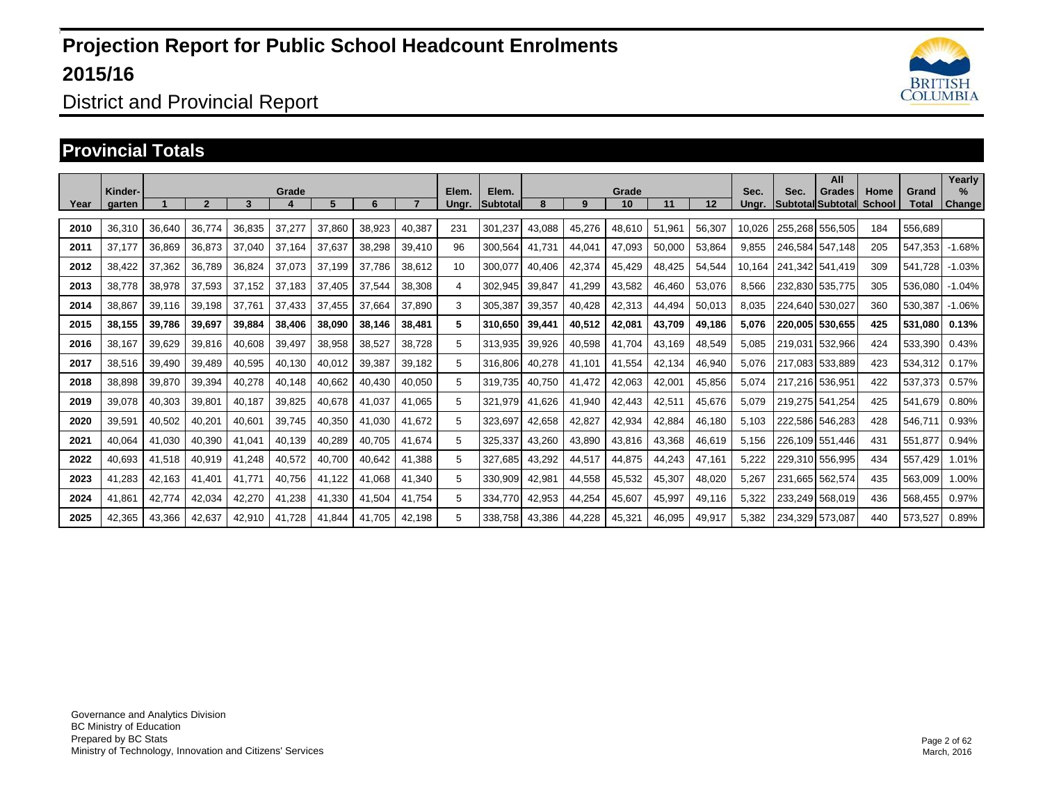

#### District and Provincial Report

#### **Provincial Totals**

| Year | Kinder-<br>garten |        | $\overline{2}$ | 3      | Grade  | 5      | 6      |        | Elem.<br>Unar. | Elem.<br><b>Subtotal</b> | 8      | 9      | Grade<br>10 | 11     | 12     | Sec.<br>Unar. | Sec.    | All<br><b>Grades</b><br><b>Subtotal Subtotal</b> | Home<br><b>School</b> | Grand<br>Total | Yearly<br>%<br><b>Change</b> |
|------|-------------------|--------|----------------|--------|--------|--------|--------|--------|----------------|--------------------------|--------|--------|-------------|--------|--------|---------------|---------|--------------------------------------------------|-----------------------|----------------|------------------------------|
| 2010 | 36,310            | 36,640 | 36,774         | 36,835 | 37,277 | 37,860 | 38,923 | 40,387 | 231            | 301,237                  | 43,088 | 45,276 | 48,610      | 51,961 | 56,307 | 10,026        | 255.268 | 556,505                                          | 184                   | 556,689        |                              |
| 2011 | 37,177            | 36,869 | 36,873         | 37,040 | 37,164 | 37,637 | 38,298 | 39,410 | 96             | 300,564                  | 41,731 | 44,041 | 47,093      | 50,000 | 53,864 | 9,855         | 246.584 | 547.148                                          | 205                   | 547,353        | $-1.68%$                     |
| 2012 | 38,422            | 37,362 | 36,789         | 36,824 | 37,073 | 37.199 | 37,786 | 38,612 | 10             | 300,077                  | 40,406 | 42,374 | 45,429      | 48,425 | 54,544 | 10,164        | 241.342 | 541.419                                          | 309                   | 541,728        | $-1.03%$                     |
| 2013 | 38,778            | 38,978 | 37,593         | 37,152 | 37,183 | 37,405 | 37,544 | 38,308 | 4              | 302,945                  | 39,847 | 41,299 | 43,582      | 46,460 | 53,076 | 8,566         | 232,830 | 535,775                                          | 305                   | 536,080        | $-1.04%$                     |
| 2014 | 38,867            | 39,116 | 39,198         | 37,761 | 37,433 | 37,455 | 37,664 | 37,890 | 3              | 305,387                  | 39,357 | 40,428 | 42,313      | 44,494 | 50,013 | 8,035         | 224,640 | 530.027                                          | 360                   | 530,387        | $-1.06%$                     |
| 2015 | 38.155            | 39,786 | 39,697         | 39,884 | 38,406 | 38,090 | 38,146 | 38,481 | 5              | 310.650                  | 39.441 | 40,512 | 42,081      | 43,709 | 49,186 | 5,076         |         | 220.005 530.655                                  | 425                   | 531,080        | 0.13%                        |
| 2016 | 38,167            | 39,629 | 39,816         | 40,608 | 39,497 | 38,958 | 38,527 | 38,728 | 5              | 313,935                  | 39,926 | 40,598 | 41,704      | 43.169 | 48,549 | 5,085         | 219.031 | 532,966                                          | 424                   | 533,390        | 0.43%                        |
| 2017 | 38,516            | 39,490 | 39,489         | 40,595 | 40,130 | 40,012 | 39,387 | 39,182 | 5              | 316,806                  | 40,278 | 41.101 | 41,554      | 42,134 | 46,940 | 5,076         | 217.083 | 533,889                                          | 423                   | 534,312        | 0.17%                        |
| 2018 | 38,898            | 39,870 | 39,394         | 40,278 | 40,148 | 40,662 | 40,430 | 40,050 | 5              | 319,735                  | 40.750 | 41.472 | 42,063      | 42,001 | 45,856 | 5,074         | 217.216 | 536.951                                          | 422                   | 537,373        | 0.57%                        |
| 2019 | 39,078            | 40,303 | 39,801         | 40,187 | 39,825 | 40,678 | 41,037 | 41,065 | 5              | 321.979                  | 41.626 | 41.940 | 42.443      | 42,511 | 45,676 | 5,079         |         | 219.275 541.254                                  | 425                   | 541,679        | 0.80%                        |
| 2020 | 39,591            | 40,502 | 40,201         | 40,601 | 39,745 | 40,350 | 41,030 | 41,672 | 5              | 323,697                  | 42,658 | 42,827 | 42,934      | 42,884 | 46,180 | 5,103         | 222,586 | 546,283                                          | 428                   | 546,711        | 0.93%                        |
| 2021 | 40.064            | 41.030 | 40,390         | 41.041 | 40,139 | 40,289 | 40.705 | 41.674 | 5              | 325,337                  | 43,260 | 43.890 | 43,816      | 43.368 | 46,619 | 5.156         |         | 226.109 551.446                                  | 431                   | 551.877        | 0.94%                        |
| 2022 | 40,693            | 41,518 | 40,919         | 41,248 | 40,572 | 40.700 | 40,642 | 41.388 | 5              | 327.685                  | 43.292 | 44.517 | 44,875      | 44.243 | 47,161 | 5,222         |         | 229.310 556.995                                  | 434                   | 557,429        | 1.01%                        |
| 2023 | 41,283            | 42,163 | 41,401         | 41.771 | 40,756 | 41.122 | 41,068 | 41,340 | 5              | 330,909                  | 42,981 | 44,558 | 45,532      | 45,307 | 48,020 | 5,267         | 231.665 | 562,574                                          | 435                   | 563,009        | 1.00%                        |
| 2024 | 41,861            | 42.774 | 42,034         | 42,270 | 41,238 | 41,330 | 41,504 | 41.754 | 5              | 334.770                  | 42,953 | 44,254 | 45,607      | 45.997 | 49,116 | 5,322         |         | 233.249 568.019                                  | 436                   | 568,455        | 0.97%                        |
| 2025 | 42,365            | 43,366 | 42,637         | 42,910 | 41,728 | 41,844 | 41,705 | 42,198 | 5              | 338,758                  | 43,386 | 44,228 | 45,321      | 46,095 | 49,917 | 5,382         | 234,329 | 573,087                                          | 440                   | 573,527        | 0.89%                        |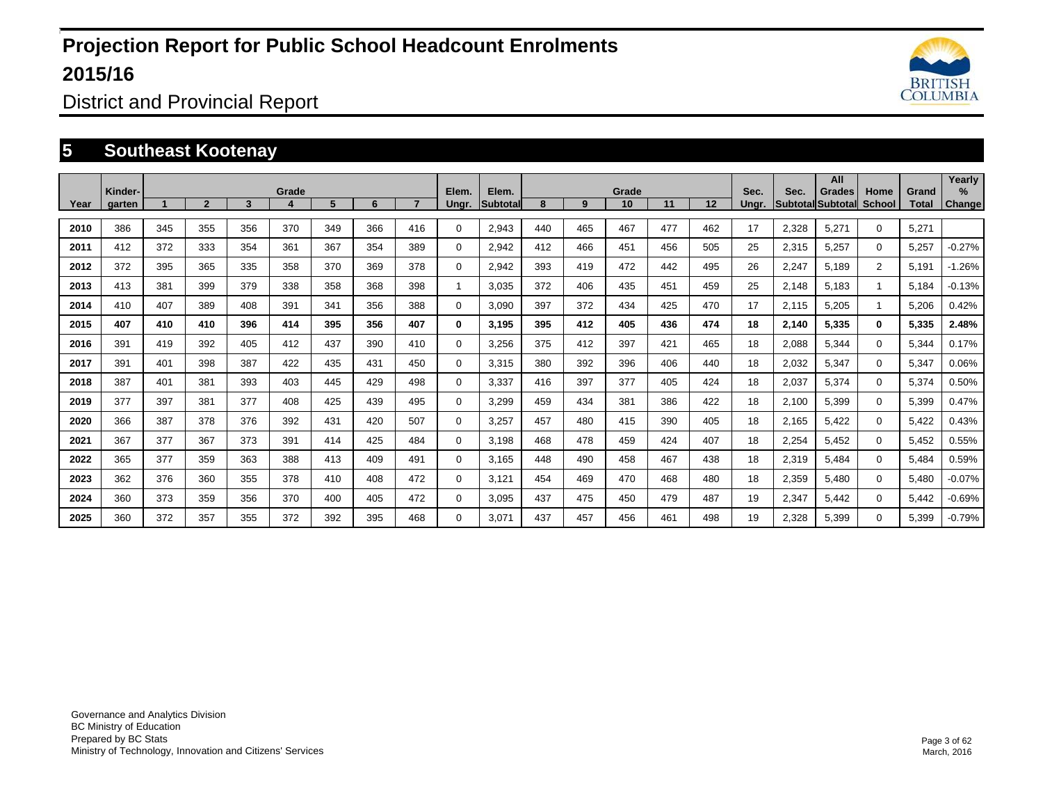

District and Provincial Report

#### **5 Southeast Kootenay**

| Year | Kinder-<br>garten |     | $\overline{2}$ | 3   | Grade | 5   | 6   |     | Elem.<br>Ungr. | Elem.<br>Subtotal | 8   | 9   | Grade<br>10 | 11  | 12  | Sec.<br>Unar. | Sec.  | All<br><b>Grades</b><br>Subtotal Subtotal | Home<br><b>School</b> | Grand<br>Total | Yearly<br>$\%$<br><b>Change</b> |
|------|-------------------|-----|----------------|-----|-------|-----|-----|-----|----------------|-------------------|-----|-----|-------------|-----|-----|---------------|-------|-------------------------------------------|-----------------------|----------------|---------------------------------|
| 2010 | 386               | 345 | 355            | 356 | 370   | 349 | 366 | 416 | $\Omega$       | 2,943             | 440 | 465 | 467         | 477 | 462 | 17            | 2,328 | 5,271                                     | $\Omega$              | 5,271          |                                 |
| 2011 | 412               | 372 | 333            | 354 | 361   | 367 | 354 | 389 | $\mathbf 0$    | 2,942             | 412 | 466 | 451         | 456 | 505 | 25            | 2,315 | 5,257                                     | $\Omega$              | 5,257          | $-0.27%$                        |
| 2012 | 372               | 395 | 365            | 335 | 358   | 370 | 369 | 378 | $\mathbf 0$    | 2,942             | 393 | 419 | 472         | 442 | 495 | 26            | 2,247 | 5,189                                     | $\overline{2}$        | 5,191          | $-1.26%$                        |
| 2013 | 413               | 381 | 399            | 379 | 338   | 358 | 368 | 398 | 1              | 3,035             | 372 | 406 | 435         | 451 | 459 | 25            | 2,148 | 5,183                                     | $\blacktriangleleft$  | 5,184          | $-0.13%$                        |
| 2014 | 410               | 407 | 389            | 408 | 391   | 341 | 356 | 388 | 0              | 3,090             | 397 | 372 | 434         | 425 | 470 | 17            | 2,115 | 5,205                                     | $\mathbf{1}$          | 5,206          | 0.42%                           |
| 2015 | 407               | 410 | 410            | 396 | 414   | 395 | 356 | 407 | $\bf{0}$       | 3,195             | 395 | 412 | 405         | 436 | 474 | 18            | 2,140 | 5,335                                     | $\mathbf 0$           | 5,335          | 2.48%                           |
| 2016 | 391               | 419 | 392            | 405 | 412   | 437 | 390 | 410 | 0              | 3,256             | 375 | 412 | 397         | 421 | 465 | 18            | 2,088 | 5,344                                     | $\mathbf 0$           | 5,344          | 0.17%                           |
| 2017 | 391               | 401 | 398            | 387 | 422   | 435 | 431 | 450 | 0              | 3,315             | 380 | 392 | 396         | 406 | 440 | 18            | 2,032 | 5,347                                     | $\mathbf 0$           | 5,347          | 0.06%                           |
| 2018 | 387               | 401 | 381            | 393 | 403   | 445 | 429 | 498 | 0              | 3,337             | 416 | 397 | 377         | 405 | 424 | 18            | 2,037 | 5,374                                     | $\mathbf 0$           | 5,374          | 0.50%                           |
| 2019 | 377               | 397 | 381            | 377 | 408   | 425 | 439 | 495 | 0              | 3.299             | 459 | 434 | 381         | 386 | 422 | 18            | 2,100 | 5,399                                     | $\mathbf 0$           | 5,399          | 0.47%                           |
| 2020 | 366               | 387 | 378            | 376 | 392   | 431 | 420 | 507 | $\mathbf 0$    | 3,257             | 457 | 480 | 415         | 390 | 405 | 18            | 2,165 | 5,422                                     | $\mathbf 0$           | 5,422          | 0.43%                           |
| 2021 | 367               | 377 | 367            | 373 | 391   | 414 | 425 | 484 | 0              | 3.198             | 468 | 478 | 459         | 424 | 407 | 18            | 2,254 | 5,452                                     | $\mathbf 0$           | 5,452          | 0.55%                           |
| 2022 | 365               | 377 | 359            | 363 | 388   | 413 | 409 | 491 | 0              | 3.165             | 448 | 490 | 458         | 467 | 438 | 18            | 2,319 | 5,484                                     | $\mathbf 0$           | 5,484          | 0.59%                           |
| 2023 | 362               | 376 | 360            | 355 | 378   | 410 | 408 | 472 | 0              | 3,121             | 454 | 469 | 470         | 468 | 480 | 18            | 2,359 | 5,480                                     | $\mathbf 0$           | 5,480          | $-0.07%$                        |
| 2024 | 360               | 373 | 359            | 356 | 370   | 400 | 405 | 472 | 0              | 3.095             | 437 | 475 | 450         | 479 | 487 | 19            | 2,347 | 5,442                                     | $\mathbf 0$           | 5.442          | $-0.69%$                        |
| 2025 | 360               | 372 | 357            | 355 | 372   | 392 | 395 | 468 | 0              | 3,071             | 437 | 457 | 456         | 461 | 498 | 19            | 2,328 | 5,399                                     | $\Omega$              | 5,399          | $-0.79%$                        |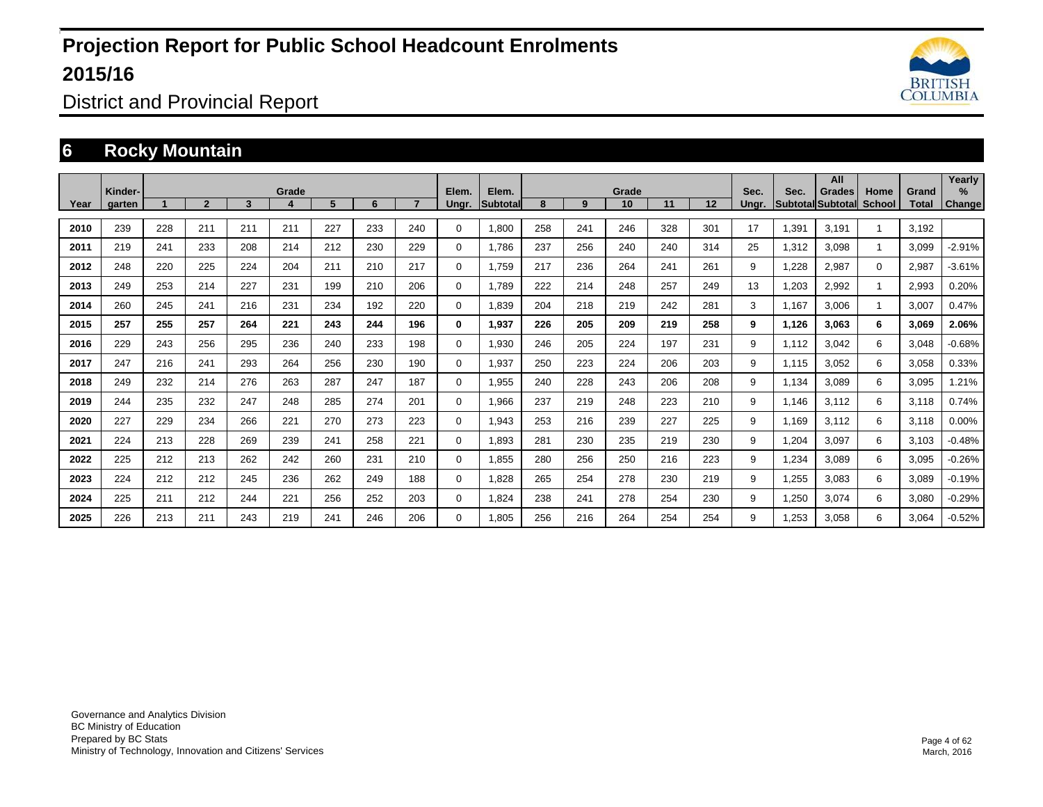

District and Provincial Report

### **6 Rocky Mountain**

|      | Kinder- |     |                |     | Grade |     |     |     | Elem.       | Elem.           |     |     | Grade |     |     | Sec.  | Sec.  | All<br><b>Grades</b>     | Home         | Grand | Yearly<br>$\%$ |
|------|---------|-----|----------------|-----|-------|-----|-----|-----|-------------|-----------------|-----|-----|-------|-----|-----|-------|-------|--------------------------|--------------|-------|----------------|
| Year | garten  |     | $\overline{2}$ | 3   |       | 5   | 6   |     | Ungr.       | <b>Subtotal</b> | 8   | 9   | 10    | 11  | 12  | Ungr. |       | <b>SubtotallSubtotal</b> | School       | Total | Change         |
| 2010 | 239     | 228 | 211            | 211 | 211   | 227 | 233 | 240 | 0           | 1,800           | 258 | 241 | 246   | 328 | 301 | 17    | 1,391 | 3,191                    |              | 3,192 |                |
| 2011 | 219     | 241 | 233            | 208 | 214   | 212 | 230 | 229 | $\mathbf 0$ | 1.786           | 237 | 256 | 240   | 240 | 314 | 25    | 1,312 | 3,098                    | $\mathbf{1}$ | 3,099 | $-2.91%$       |
| 2012 | 248     | 220 | 225            | 224 | 204   | 211 | 210 | 217 | $\mathbf 0$ | 1.759           | 217 | 236 | 264   | 241 | 261 | 9     | 1,228 | 2,987                    | $\mathbf 0$  | 2,987 | $-3.61%$       |
| 2013 | 249     | 253 | 214            | 227 | 231   | 199 | 210 | 206 | $\mathbf 0$ | 1,789           | 222 | 214 | 248   | 257 | 249 | 13    | 1,203 | 2,992                    |              | 2,993 | 0.20%          |
| 2014 | 260     | 245 | 241            | 216 | 231   | 234 | 192 | 220 | 0           | 1,839           | 204 | 218 | 219   | 242 | 281 | 3     | 1.167 | 3,006                    |              | 3,007 | 0.47%          |
| 2015 | 257     | 255 | 257            | 264 | 221   | 243 | 244 | 196 | 0           | 1,937           | 226 | 205 | 209   | 219 | 258 | 9     | 1,126 | 3,063                    | 6            | 3,069 | 2.06%          |
| 2016 | 229     | 243 | 256            | 295 | 236   | 240 | 233 | 198 | $\mathbf 0$ | 1,930           | 246 | 205 | 224   | 197 | 231 | 9     | 1.112 | 3.042                    | 6            | 3,048 | $-0.68%$       |
| 2017 | 247     | 216 | 241            | 293 | 264   | 256 | 230 | 190 | $\mathbf 0$ | 1,937           | 250 | 223 | 224   | 206 | 203 | 9     | 1,115 | 3,052                    | 6            | 3,058 | 0.33%          |
| 2018 | 249     | 232 | 214            | 276 | 263   | 287 | 247 | 187 | $\Omega$    | 1,955           | 240 | 228 | 243   | 206 | 208 | 9     | 1,134 | 3,089                    | 6            | 3,095 | 1.21%          |
| 2019 | 244     | 235 | 232            | 247 | 248   | 285 | 274 | 201 | $\mathbf 0$ | 1,966           | 237 | 219 | 248   | 223 | 210 | 9     | 1.146 | 3,112                    | 6            | 3,118 | 0.74%          |
| 2020 | 227     | 229 | 234            | 266 | 221   | 270 | 273 | 223 | $\mathbf 0$ | 1,943           | 253 | 216 | 239   | 227 | 225 | 9     | 1.169 | 3,112                    | 6            | 3,118 | 0.00%          |
| 2021 | 224     | 213 | 228            | 269 | 239   | 241 | 258 | 221 | 0           | 1,893           | 281 | 230 | 235   | 219 | 230 | 9     | 1,204 | 3,097                    | 6            | 3,103 | $-0.48%$       |
| 2022 | 225     | 212 | 213            | 262 | 242   | 260 | 231 | 210 | 0           | 1,855           | 280 | 256 | 250   | 216 | 223 | 9     | 1,234 | 3,089                    | 6            | 3,095 | $-0.26%$       |
| 2023 | 224     | 212 | 212            | 245 | 236   | 262 | 249 | 188 | 0           | 1.828           | 265 | 254 | 278   | 230 | 219 | 9     | 1,255 | 3,083                    | 6            | 3,089 | $-0.19%$       |
| 2024 | 225     | 211 | 212            | 244 | 221   | 256 | 252 | 203 | 0           | 1,824           | 238 | 241 | 278   | 254 | 230 | 9     | 1,250 | 3,074                    | 6            | 3,080 | $-0.29%$       |
| 2025 | 226     | 213 | 211            | 243 | 219   | 241 | 246 | 206 | $\Omega$    | 1.805           | 256 | 216 | 264   | 254 | 254 | 9     | 1.253 | 3,058                    | 6            | 3,064 | $-0.52%$       |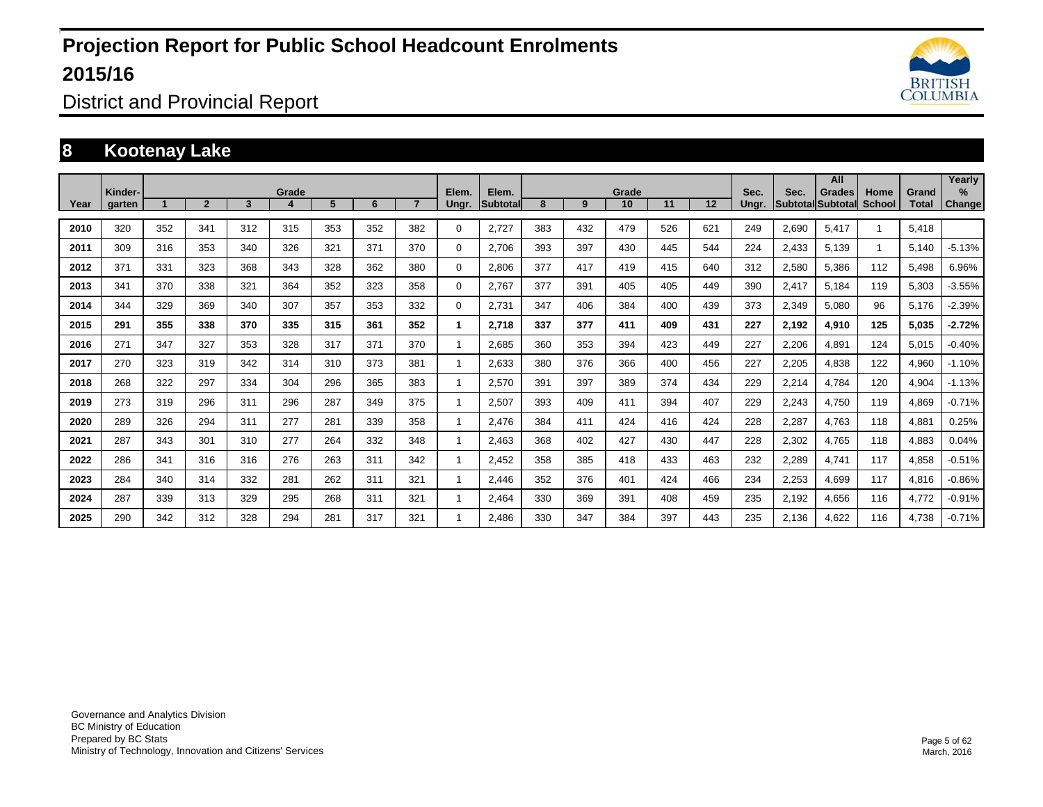

District and Provincial Report

#### **8 Kootenay Lake**

|      | Kinder- |     |                |     | Grade |     |     |     | Elem. | Elem.    |     |     | Grade |     |     | Sec.  | Sec.  | All<br><b>Grades</b> | Home   | Grand | Yearly<br>% |
|------|---------|-----|----------------|-----|-------|-----|-----|-----|-------|----------|-----|-----|-------|-----|-----|-------|-------|----------------------|--------|-------|-------------|
| Year | aarten  |     | $\overline{2}$ | 3   |       | 5   | 6   |     | Ungr. | Subtotal | 8   | 9   | 10    | 11  | 12  | Ungr. |       | Subtotal Subtotal    | School | Total | Change      |
| 2010 | 320     | 352 | 341            | 312 | 315   | 353 | 352 | 382 | 0     | 2,727    | 383 | 432 | 479   | 526 | 621 | 249   | 2,690 | 5,417                |        | 5,418 |             |
| 2011 | 309     | 316 | 353            | 340 | 326   | 321 | 371 | 370 | 0     | 2,706    | 393 | 397 | 430   | 445 | 544 | 224   | 2,433 | 5,139                |        | 5,140 | $-5.13%$    |
| 2012 | 371     | 331 | 323            | 368 | 343   | 328 | 362 | 380 | 0     | 2,806    | 377 | 417 | 419   | 415 | 640 | 312   | 2,580 | 5,386                | 112    | 5,498 | 6.96%       |
| 2013 | 341     | 370 | 338            | 321 | 364   | 352 | 323 | 358 | 0     | 2,767    | 377 | 391 | 405   | 405 | 449 | 390   | 2,417 | 5,184                | 119    | 5,303 | $-3.55%$    |
| 2014 | 344     | 329 | 369            | 340 | 307   | 357 | 353 | 332 | 0     | 2,731    | 347 | 406 | 384   | 400 | 439 | 373   | 2,349 | 5,080                | 96     | 5,176 | $-2.39%$    |
| 2015 | 291     | 355 | 338            | 370 | 335   | 315 | 361 | 352 | 1     | 2,718    | 337 | 377 | 411   | 409 | 431 | 227   | 2,192 | 4,910                | 125    | 5,035 | $-2.72%$    |
| 2016 | 271     | 347 | 327            | 353 | 328   | 317 | 371 | 370 |       | 2,685    | 360 | 353 | 394   | 423 | 449 | 227   | 2,206 | 4,891                | 124    | 5,015 | $-0.40%$    |
| 2017 | 270     | 323 | 319            | 342 | 314   | 310 | 373 | 381 |       | 2,633    | 380 | 376 | 366   | 400 | 456 | 227   | 2,205 | 4,838                | 122    | 4,960 | $-1.10%$    |
| 2018 | 268     | 322 | 297            | 334 | 304   | 296 | 365 | 383 |       | 2,570    | 391 | 397 | 389   | 374 | 434 | 229   | 2,214 | 4,784                | 120    | 4,904 | $-1.13%$    |
| 2019 | 273     | 319 | 296            | 311 | 296   | 287 | 349 | 375 |       | 2,507    | 393 | 409 | 411   | 394 | 407 | 229   | 2,243 | 4,750                | 119    | 4,869 | $-0.71%$    |
| 2020 | 289     | 326 | 294            | 311 | 277   | 281 | 339 | 358 |       | 2,476    | 384 | 411 | 424   | 416 | 424 | 228   | 2,287 | 4,763                | 118    | 4,881 | 0.25%       |
| 2021 | 287     | 343 | 301            | 310 | 277   | 264 | 332 | 348 |       | 2,463    | 368 | 402 | 427   | 430 | 447 | 228   | 2,302 | 4,765                | 118    | 4,883 | 0.04%       |
| 2022 | 286     | 341 | 316            | 316 | 276   | 263 | 311 | 342 |       | 2,452    | 358 | 385 | 418   | 433 | 463 | 232   | 2,289 | 4,741                | 117    | 4,858 | $-0.51%$    |
| 2023 | 284     | 340 | 314            | 332 | 281   | 262 | 311 | 321 |       | 2,446    | 352 | 376 | 401   | 424 | 466 | 234   | 2,253 | 4,699                | 117    | 4,816 | $-0.86%$    |
| 2024 | 287     | 339 | 313            | 329 | 295   | 268 | 311 | 321 |       | 2,464    | 330 | 369 | 391   | 408 | 459 | 235   | 2,192 | 4,656                | 116    | 4,772 | $-0.91%$    |
| 2025 | 290     | 342 | 312            | 328 | 294   | 281 | 317 | 321 |       | 2.486    | 330 | 347 | 384   | 397 | 443 | 235   | 2,136 | 4,622                | 116    | 4,738 | $-0.71%$    |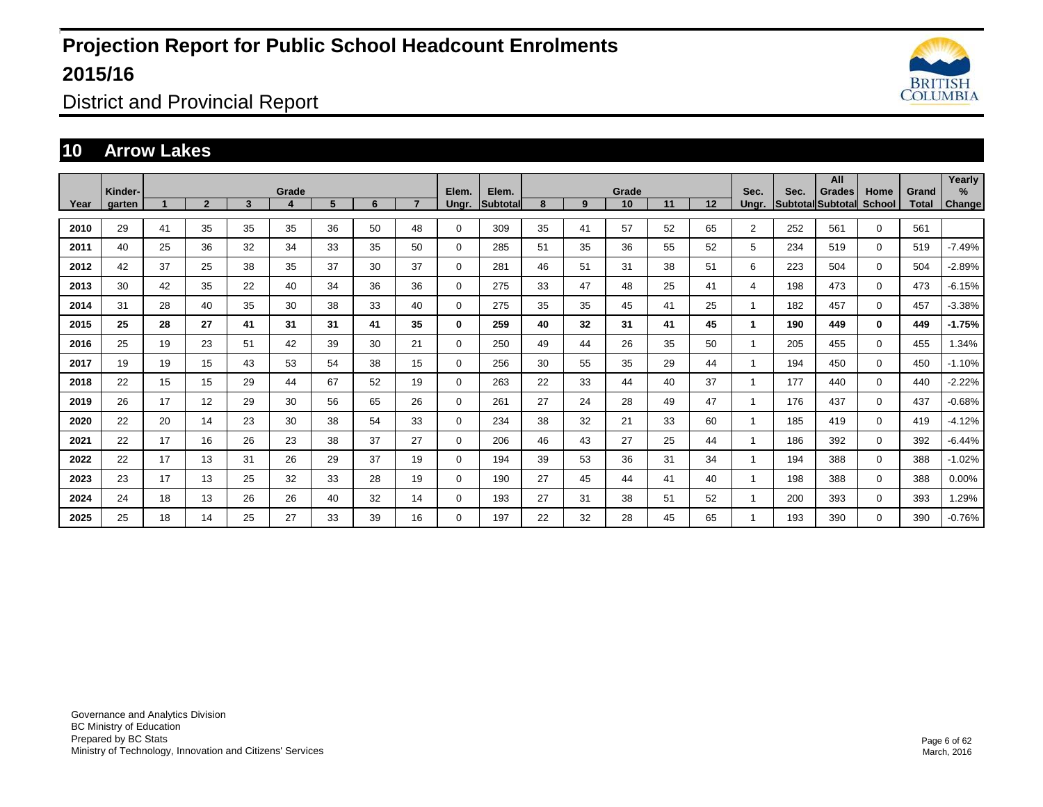

District and Provincial Report

#### **10 Arrow Lakes**

|      | Kinder- |    |                |    | Grade |    |    |    | Elem.       | Elem.           |    |    | Grade |    |    | Sec.                 | Sec. | All<br>Grades     | Home          | Grand | Yearly<br>%   |
|------|---------|----|----------------|----|-------|----|----|----|-------------|-----------------|----|----|-------|----|----|----------------------|------|-------------------|---------------|-------|---------------|
| Year | garten  |    | $\overline{2}$ | 3  | 4     | 5  | 6  |    | Ungr.       | <b>Subtotal</b> | 8  | 9  | 10    | 11 | 12 | Ungr.                |      | Subtotal Subtotal | <b>School</b> | Total | <b>Change</b> |
| 2010 | 29      | 41 | 35             | 35 | 35    | 36 | 50 | 48 | $\Omega$    | 309             | 35 | 41 | 57    | 52 | 65 | $\overline{2}$       | 252  | 561               | $\Omega$      | 561   |               |
| 2011 | 40      | 25 | 36             | 32 | 34    | 33 | 35 | 50 | 0           | 285             | 51 | 35 | 36    | 55 | 52 | 5                    | 234  | 519               | $\mathbf 0$   | 519   | $-7.49%$      |
| 2012 | 42      | 37 | 25             | 38 | 35    | 37 | 30 | 37 | 0           | 281             | 46 | 51 | 31    | 38 | 51 | 6                    | 223  | 504               | $\mathbf 0$   | 504   | $-2.89%$      |
| 2013 | 30      | 42 | 35             | 22 | 40    | 34 | 36 | 36 | $\mathbf 0$ | 275             | 33 | 47 | 48    | 25 | 41 | 4                    | 198  | 473               | $\mathbf 0$   | 473   | $-6.15%$      |
| 2014 | 31      | 28 | 40             | 35 | 30    | 38 | 33 | 40 | $\mathbf 0$ | 275             | 35 | 35 | 45    | 41 | 25 | 1                    | 182  | 457               | $\Omega$      | 457   | $-3.38%$      |
| 2015 | 25      | 28 | 27             | 41 | 31    | 31 | 41 | 35 | 0           | 259             | 40 | 32 | 31    | 41 | 45 | $\blacktriangleleft$ | 190  | 449               | $\mathbf{0}$  | 449   | $-1.75%$      |
| 2016 | 25      | 19 | 23             | 51 | 42    | 39 | 30 | 21 | $\mathbf 0$ | 250             | 49 | 44 | 26    | 35 | 50 | 1                    | 205  | 455               | $\Omega$      | 455   | 1.34%         |
| 2017 | 19      | 19 | 15             | 43 | 53    | 54 | 38 | 15 | $\mathbf 0$ | 256             | 30 | 55 | 35    | 29 | 44 | 1                    | 194  | 450               | $\mathbf 0$   | 450   | $-1.10%$      |
| 2018 | 22      | 15 | 15             | 29 | 44    | 67 | 52 | 19 | $\mathbf 0$ | 263             | 22 | 33 | 44    | 40 | 37 |                      | 177  | 440               | $\Omega$      | 440   | $-2.22%$      |
| 2019 | 26      | 17 | 12             | 29 | 30    | 56 | 65 | 26 | $\mathbf 0$ | 261             | 27 | 24 | 28    | 49 | 47 |                      | 176  | 437               | $\mathbf 0$   | 437   | $-0.68%$      |
| 2020 | 22      | 20 | 14             | 23 | 30    | 38 | 54 | 33 | $\mathbf 0$ | 234             | 38 | 32 | 21    | 33 | 60 |                      | 185  | 419               | $\mathbf 0$   | 419   | $-4.12%$      |
| 2021 | 22      | 17 | 16             | 26 | 23    | 38 | 37 | 27 | $\mathbf 0$ | 206             | 46 | 43 | 27    | 25 | 44 | 1                    | 186  | 392               | $\Omega$      | 392   | $-6.44%$      |
| 2022 | 22      | 17 | 13             | 31 | 26    | 29 | 37 | 19 | $\mathbf 0$ | 194             | 39 | 53 | 36    | 31 | 34 |                      | 194  | 388               | $\mathbf 0$   | 388   | $-1.02%$      |
| 2023 | 23      | 17 | 13             | 25 | 32    | 33 | 28 | 19 | $\mathbf 0$ | 190             | 27 | 45 | 44    | 41 | 40 |                      | 198  | 388               | $\mathbf 0$   | 388   | 0.00%         |
| 2024 | 24      | 18 | 13             | 26 | 26    | 40 | 32 | 14 | $\mathbf 0$ | 193             | 27 | 31 | 38    | 51 | 52 |                      | 200  | 393               | $\mathbf 0$   | 393   | 1.29%         |
| 2025 | 25      | 18 | 14             | 25 | 27    | 33 | 39 | 16 | $\mathbf 0$ | 197             | 22 | 32 | 28    | 45 | 65 |                      | 193  | 390               | $\mathbf 0$   | 390   | $-0.76%$      |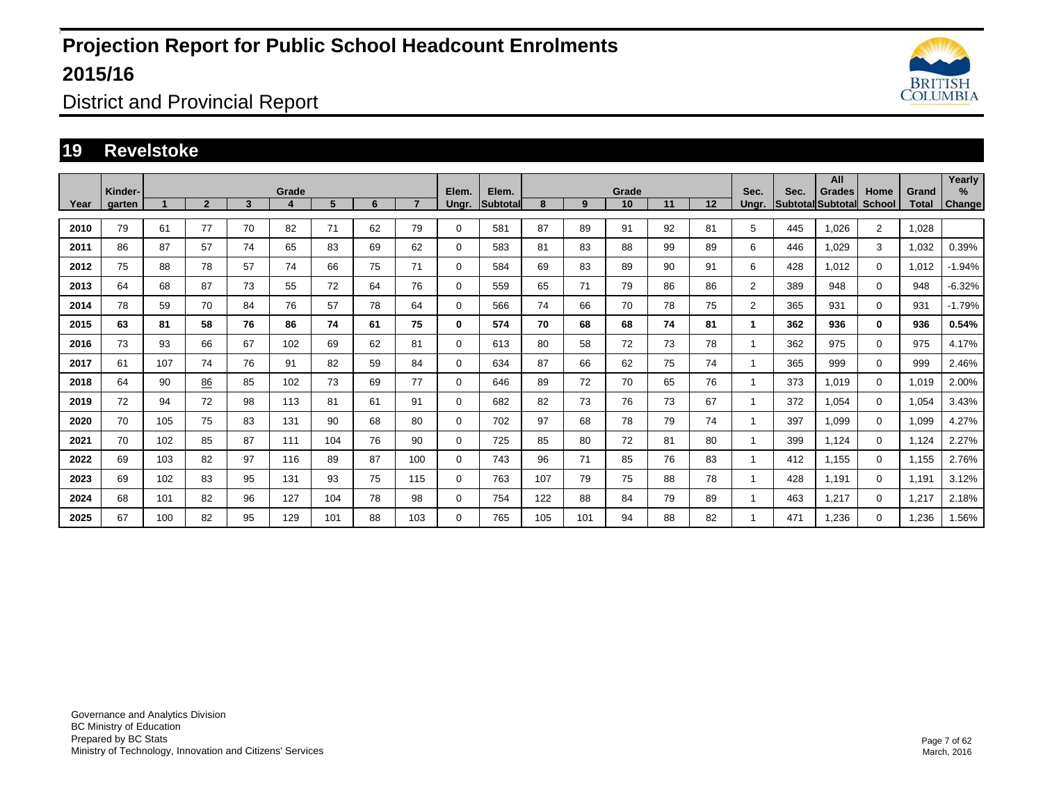

District and Provincial Report

#### **19 Revelstoke**

|      | Kinder- |     |                |    | Grade |     |    |     | Elem.       | Elem.           |     |     | Grade |    |    | Sec.           | Sec. | All<br><b>Grades</b> | Home           | Grand | Yearly<br>% |
|------|---------|-----|----------------|----|-------|-----|----|-----|-------------|-----------------|-----|-----|-------|----|----|----------------|------|----------------------|----------------|-------|-------------|
| Year | garten  |     | $\overline{2}$ | 3  | 4     | 5   | 6  |     | Ungr.       | <b>Subtotal</b> | 8   | 9   | 10    | 11 | 12 | Ungr.          |      | Subtotal Subtotal    | <b>School</b>  | Total | Change      |
| 2010 | 79      | 61  | 77             | 70 | 82    | 71  | 62 | 79  | $\Omega$    | 581             | 87  | 89  | 91    | 92 | 81 | 5              | 445  | 1.026                | $\overline{2}$ | 1,028 |             |
| 2011 | 86      | 87  | 57             | 74 | 65    | 83  | 69 | 62  | 0           | 583             | 81  | 83  | 88    | 99 | 89 | 6              | 446  | 1.029                | 3              | 1,032 | 0.39%       |
| 2012 | 75      | 88  | 78             | 57 | 74    | 66  | 75 | 71  | 0           | 584             | 69  | 83  | 89    | 90 | 91 | 6              | 428  | 1,012                | $\Omega$       | 1,012 | $-1.94%$    |
| 2013 | 64      | 68  | 87             | 73 | 55    | 72  | 64 | 76  | 0           | 559             | 65  | 71  | 79    | 86 | 86 | $\overline{2}$ | 389  | 948                  | $\mathbf 0$    | 948   | $-6.32%$    |
| 2014 | 78      | 59  | 70             | 84 | 76    | 57  | 78 | 64  | 0           | 566             | 74  | 66  | 70    | 78 | 75 | $\overline{2}$ | 365  | 931                  | $\Omega$       | 931   | $-1.79%$    |
| 2015 | 63      | 81  | 58             | 76 | 86    | 74  | 61 | 75  | 0           | 574             | 70  | 68  | 68    | 74 | 81 |                | 362  | 936                  | $\mathbf{0}$   | 936   | 0.54%       |
| 2016 | 73      | 93  | 66             | 67 | 102   | 69  | 62 | 81  | $\mathbf 0$ | 613             | 80  | 58  | 72    | 73 | 78 |                | 362  | 975                  | $\Omega$       | 975   | 4.17%       |
| 2017 | 61      | 107 | 74             | 76 | 91    | 82  | 59 | 84  | $\mathbf 0$ | 634             | 87  | 66  | 62    | 75 | 74 |                | 365  | 999                  | 0              | 999   | 2.46%       |
| 2018 | 64      | 90  | 86             | 85 | 102   | 73  | 69 | 77  | 0           | 646             | 89  | 72  | 70    | 65 | 76 |                | 373  | 1,019                | $\Omega$       | 1,019 | 2.00%       |
| 2019 | 72      | 94  | 72             | 98 | 113   | 81  | 61 | 91  | $\mathbf 0$ | 682             | 82  | 73  | 76    | 73 | 67 |                | 372  | 1,054                | 0              | 1,054 | 3.43%       |
| 2020 | 70      | 105 | 75             | 83 | 131   | 90  | 68 | 80  | $\mathbf 0$ | 702             | 97  | 68  | 78    | 79 | 74 |                | 397  | 1,099                | $\Omega$       | 1,099 | 4.27%       |
| 2021 | 70      | 102 | 85             | 87 | 111   | 104 | 76 | 90  | $\mathbf 0$ | 725             | 85  | 80  | 72    | 81 | 80 |                | 399  | 1,124                | 0              | 1,124 | 2.27%       |
| 2022 | 69      | 103 | 82             | 97 | 116   | 89  | 87 | 100 | $\mathbf 0$ | 743             | 96  | 71  | 85    | 76 | 83 |                | 412  | 1,155                | 0              | 1,155 | 2.76%       |
| 2023 | 69      | 102 | 83             | 95 | 131   | 93  | 75 | 115 | $\mathbf 0$ | 763             | 107 | 79  | 75    | 88 | 78 |                | 428  | 1,191                | 0              | 1,191 | 3.12%       |
| 2024 | 68      | 101 | 82             | 96 | 127   | 104 | 78 | 98  | $\mathbf 0$ | 754             | 122 | 88  | 84    | 79 | 89 |                | 463  | 1,217                | 0              | 1.217 | 2.18%       |
| 2025 | 67      | 100 | 82             | 95 | 129   | 101 | 88 | 103 | $\mathbf 0$ | 765             | 105 | 101 | 94    | 88 | 82 |                | 471  | 1,236                | 0              | 1,236 | 1.56%       |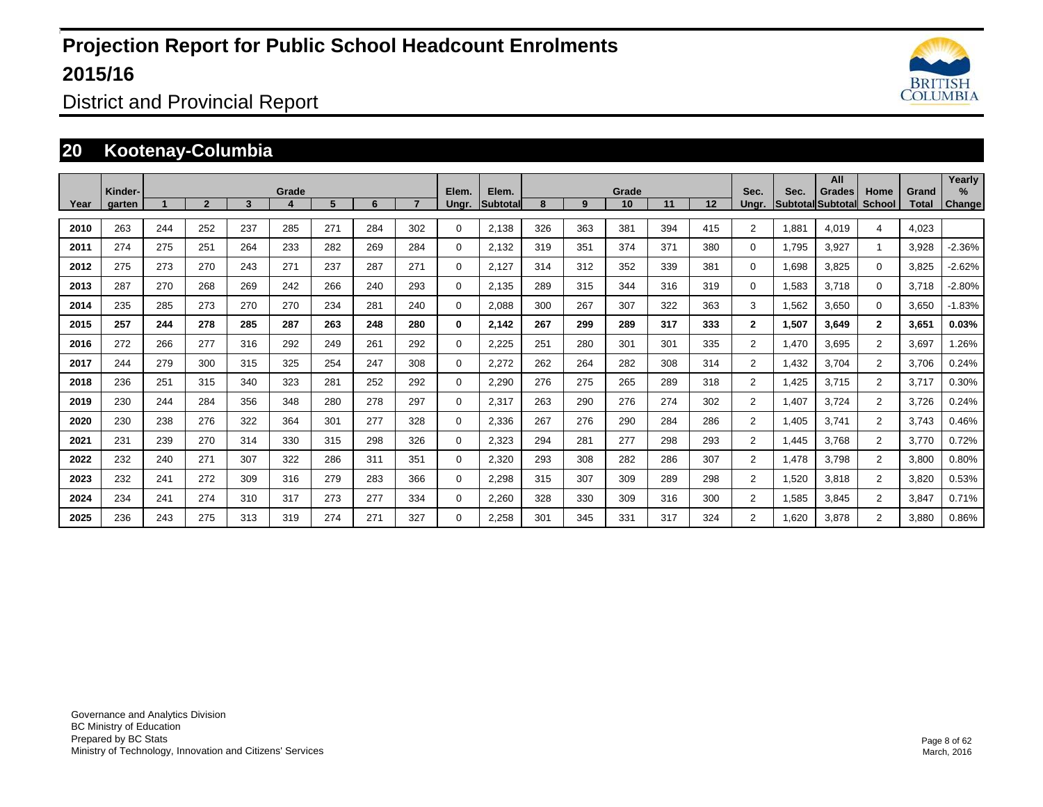

District and Provincial Report

#### **20 Kootenay-Columbia**

|      | Kinder- |     |              |     | Grade |     |     |     | Elem.       | Elem.            |     |     | Grade |     |     | Sec.           | Sec.  | All<br>Grades            | Home                 | Grand | Yearly<br>$\%$ |
|------|---------|-----|--------------|-----|-------|-----|-----|-----|-------------|------------------|-----|-----|-------|-----|-----|----------------|-------|--------------------------|----------------------|-------|----------------|
| Year | garten  |     | $\mathbf{2}$ | 3   |       | 5   | 6   |     | Ungr.       | <b>Subtotall</b> | 8   | 9   | 10    | 11  | 12  | Ungr.          |       | <b>Subtotal Subtotal</b> | School               | Total | <b>Change</b>  |
| 2010 | 263     | 244 | 252          | 237 | 285   | 271 | 284 | 302 | $\Omega$    | 2,138            | 326 | 363 | 381   | 394 | 415 | $\overline{2}$ | 1,881 | 4,019                    | 4                    | 4,023 |                |
| 2011 | 274     | 275 | 251          | 264 | 233   | 282 | 269 | 284 | $\Omega$    | 2,132            | 319 | 351 | 374   | 371 | 380 | 0              | 1,795 | 3,927                    | $\blacktriangleleft$ | 3,928 | $-2.36%$       |
| 2012 | 275     | 273 | 270          | 243 | 271   | 237 | 287 | 271 | $\Omega$    | 2.127            | 314 | 312 | 352   | 339 | 381 | 0              | 1,698 | 3,825                    | $\mathbf 0$          | 3,825 | $-2.62%$       |
| 2013 | 287     | 270 | 268          | 269 | 242   | 266 | 240 | 293 | $\Omega$    | 2,135            | 289 | 315 | 344   | 316 | 319 | 0              | 1,583 | 3,718                    | $\Omega$             | 3,718 | $-2.80%$       |
| 2014 | 235     | 285 | 273          | 270 | 270   | 234 | 281 | 240 | $\Omega$    | 2,088            | 300 | 267 | 307   | 322 | 363 | 3              | 1,562 | 3,650                    | $\Omega$             | 3,650 | $-1.83%$       |
| 2015 | 257     | 244 | 278          | 285 | 287   | 263 | 248 | 280 | 0           | 2,142            | 267 | 299 | 289   | 317 | 333 | $\mathbf{2}$   | 1,507 | 3,649                    | $\overline{2}$       | 3,651 | 0.03%          |
| 2016 | 272     | 266 | 277          | 316 | 292   | 249 | 261 | 292 | $\mathbf 0$ | 2,225            | 251 | 280 | 301   | 301 | 335 | $\overline{2}$ | 1,470 | 3,695                    | $\overline{2}$       | 3,697 | 1.26%          |
| 2017 | 244     | 279 | 300          | 315 | 325   | 254 | 247 | 308 | $\Omega$    | 2,272            | 262 | 264 | 282   | 308 | 314 | $\overline{2}$ | 1,432 | 3,704                    | $\overline{2}$       | 3,706 | 0.24%          |
| 2018 | 236     | 251 | 315          | 340 | 323   | 281 | 252 | 292 | $\mathbf 0$ | 2,290            | 276 | 275 | 265   | 289 | 318 | $\overline{2}$ | 1.425 | 3.715                    | $\overline{2}$       | 3.717 | 0.30%          |
| 2019 | 230     | 244 | 284          | 356 | 348   | 280 | 278 | 297 | 0           | 2,317            | 263 | 290 | 276   | 274 | 302 | $\overline{2}$ | 1.407 | 3.724                    | $\overline{2}$       | 3.726 | 0.24%          |
| 2020 | 230     | 238 | 276          | 322 | 364   | 301 | 277 | 328 | $\Omega$    | 2,336            | 267 | 276 | 290   | 284 | 286 | $\overline{2}$ | 1,405 | 3,741                    | 2                    | 3,743 | 0.46%          |
| 2021 | 231     | 239 | 270          | 314 | 330   | 315 | 298 | 326 | 0           | 2,323            | 294 | 281 | 277   | 298 | 293 | $\overline{2}$ | 1.445 | 3.768                    | $\overline{2}$       | 3.770 | 0.72%          |
| 2022 | 232     | 240 | 271          | 307 | 322   | 286 | 311 | 351 | 0           | 2.320            | 293 | 308 | 282   | 286 | 307 | $\overline{2}$ | 1.478 | 3,798                    | $\overline{2}$       | 3.800 | 0.80%          |
| 2023 | 232     | 241 | 272          | 309 | 316   | 279 | 283 | 366 | $\mathbf 0$ | 2,298            | 315 | 307 | 309   | 289 | 298 | $\overline{2}$ | 1,520 | 3,818                    | 2                    | 3,820 | 0.53%          |
| 2024 | 234     | 241 | 274          | 310 | 317   | 273 | 277 | 334 | 0           | 2,260            | 328 | 330 | 309   | 316 | 300 | $\overline{2}$ | 1.585 | 3,845                    | 2                    | 3.847 | 0.71%          |
| 2025 | 236     | 243 | 275          | 313 | 319   | 274 | 271 | 327 | $\Omega$    | 2,258            | 301 | 345 | 331   | 317 | 324 | $\overline{2}$ | 1.620 | 3,878                    | 2                    | 3,880 | 0.86%          |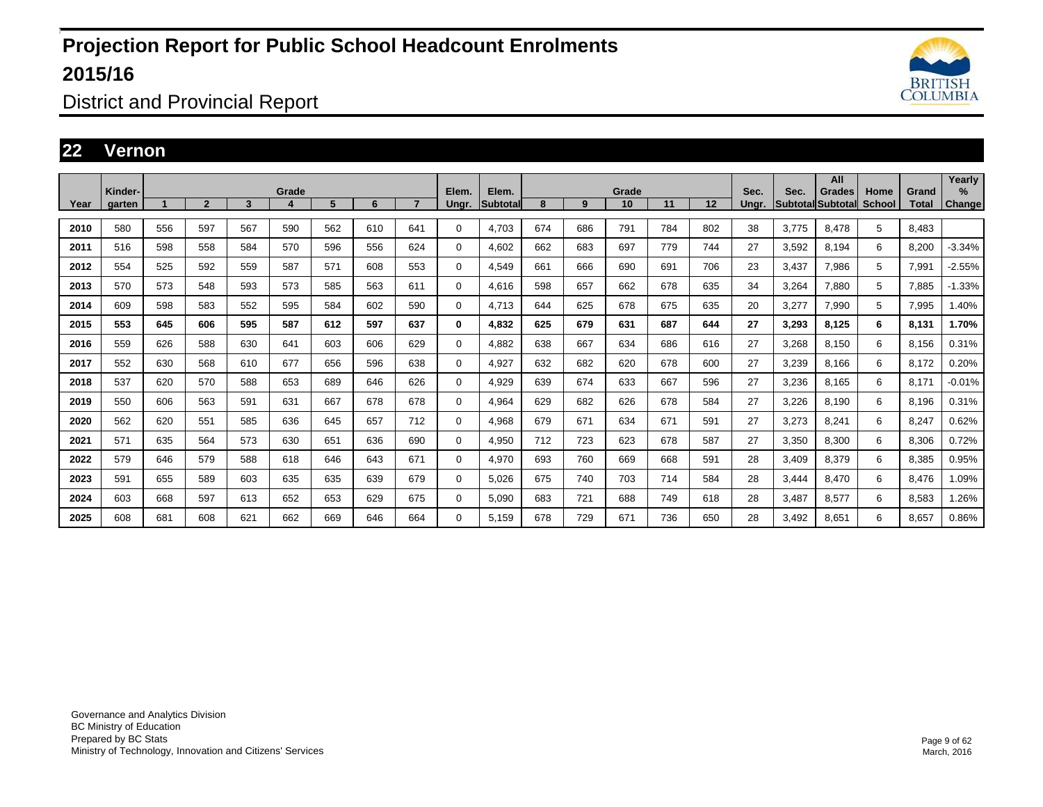

District and Provincial Report

#### **22 Vernon**

|      | Kinder- |     |                |     | Grade |     |     |     | Elem.       | Elem.           |     |     | Grade |     |     | Sec.  | Sec.  | All<br>Grades     | Home   | Grand | Yearly<br>$\%$ |
|------|---------|-----|----------------|-----|-------|-----|-----|-----|-------------|-----------------|-----|-----|-------|-----|-----|-------|-------|-------------------|--------|-------|----------------|
| Year | garten  |     | $\overline{2}$ | 3   | 4     | 5   | 6   |     | Ungr.       | <b>Subtotal</b> | 8   | 9   | 10    | 11  | 12  | Ungr. |       | Subtotal Subtotal | School | Total | Change         |
| 2010 | 580     | 556 | 597            | 567 | 590   | 562 | 610 | 641 | $\Omega$    | 4.703           | 674 | 686 | 791   | 784 | 802 | 38    | 3.775 | 8.478             | 5      | 8.483 |                |
| 2011 | 516     | 598 | 558            | 584 | 570   | 596 | 556 | 624 | 0           | 4,602           | 662 | 683 | 697   | 779 | 744 | 27    | 3,592 | 8,194             | 6      | 8,200 | $-3.34%$       |
| 2012 | 554     | 525 | 592            | 559 | 587   | 571 | 608 | 553 | $\Omega$    | 4,549           | 661 | 666 | 690   | 691 | 706 | 23    | 3,437 | 7,986             | 5      | 7,991 | $-2.55%$       |
| 2013 | 570     | 573 | 548            | 593 | 573   | 585 | 563 | 611 | 0           | 4,616           | 598 | 657 | 662   | 678 | 635 | 34    | 3,264 | 7,880             | 5      | 7,885 | $-1.33%$       |
| 2014 | 609     | 598 | 583            | 552 | 595   | 584 | 602 | 590 | $\Omega$    | 4,713           | 644 | 625 | 678   | 675 | 635 | 20    | 3,277 | 7,990             | 5      | 7,995 | 1.40%          |
| 2015 | 553     | 645 | 606            | 595 | 587   | 612 | 597 | 637 | 0           | 4,832           | 625 | 679 | 631   | 687 | 644 | 27    | 3.293 | 8,125             | 6      | 8,131 | 1.70%          |
| 2016 | 559     | 626 | 588            | 630 | 641   | 603 | 606 | 629 | 0           | 4,882           | 638 | 667 | 634   | 686 | 616 | 27    | 3,268 | 8,150             | 6      | 8,156 | 0.31%          |
| 2017 | 552     | 630 | 568            | 610 | 677   | 656 | 596 | 638 | $\Omega$    | 4,927           | 632 | 682 | 620   | 678 | 600 | 27    | 3,239 | 8,166             | 6      | 8,172 | 0.20%          |
| 2018 | 537     | 620 | 570            | 588 | 653   | 689 | 646 | 626 | 0           | 4,929           | 639 | 674 | 633   | 667 | 596 | 27    | 3,236 | 8,165             | 6      | 8,171 | $-0.01%$       |
| 2019 | 550     | 606 | 563            | 591 | 631   | 667 | 678 | 678 | $\Omega$    | 4,964           | 629 | 682 | 626   | 678 | 584 | 27    | 3,226 | 8,190             | 6      | 8,196 | 0.31%          |
| 2020 | 562     | 620 | 551            | 585 | 636   | 645 | 657 | 712 | $\mathbf 0$ | 4,968           | 679 | 671 | 634   | 671 | 591 | 27    | 3,273 | 8,241             | 6      | 8,247 | 0.62%          |
| 2021 | 571     | 635 | 564            | 573 | 630   | 651 | 636 | 690 | 0           | 4,950           | 712 | 723 | 623   | 678 | 587 | 27    | 3,350 | 8,300             | 6      | 8,306 | 0.72%          |
| 2022 | 579     | 646 | 579            | 588 | 618   | 646 | 643 | 671 | 0           | 4,970           | 693 | 760 | 669   | 668 | 591 | 28    | 3,409 | 8,379             | 6      | 8,385 | 0.95%          |
| 2023 | 591     | 655 | 589            | 603 | 635   | 635 | 639 | 679 | $\mathbf 0$ | 5.026           | 675 | 740 | 703   | 714 | 584 | 28    | 3.444 | 8,470             | 6      | 8,476 | 1.09%          |
| 2024 | 603     | 668 | 597            | 613 | 652   | 653 | 629 | 675 | 0           | 5,090           | 683 | 721 | 688   | 749 | 618 | 28    | 3,487 | 8,577             | 6      | 8,583 | 1.26%          |
| 2025 | 608     | 681 | 608            | 621 | 662   | 669 | 646 | 664 | 0           | 5,159           | 678 | 729 | 671   | 736 | 650 | 28    | 3,492 | 8,651             | 6      | 8,657 | 0.86%          |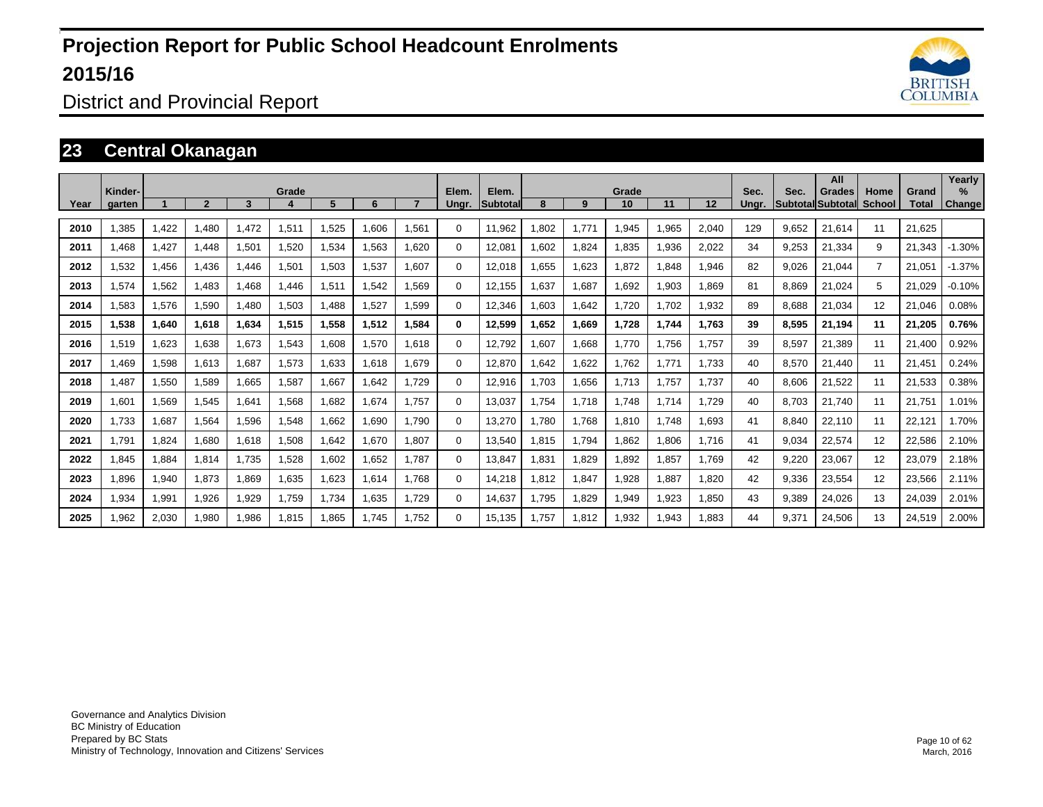

District and Provincial Report

### **23 Central Okanagan**

| Year | Kinder-<br>garten |       | $\overline{2}$ | 3     | Grade | 5     | 6     |       | Elem.<br>Unar. | Elem.<br><b>Subtotal</b> | 8     | 9     | Grade<br>10 | 11    | 12     | Sec.<br>Unar. | Sec.  | All<br>Grades<br><b>SubtotallSubtotall</b> | Home<br>School | Grand<br>Total | Yearly<br>%<br>Change |
|------|-------------------|-------|----------------|-------|-------|-------|-------|-------|----------------|--------------------------|-------|-------|-------------|-------|--------|---------------|-------|--------------------------------------------|----------------|----------------|-----------------------|
| 2010 | 1,385             | 1,422 | 1,480          | 1,472 | 1,511 | ,525  | 1,606 | 1,561 | $\Omega$       | 11,962                   | 1,802 | 1,771 | 1,945       | 1,965 | 2,040  | 129           | 9,652 | 21,614                                     | 11             | 21,625         |                       |
| 2011 | A68.              | 1,427 | 1,448          | 1,501 | 1,520 | 1,534 | 1,563 | 1,620 | $\Omega$       | 12,081                   | 1,602 | 1,824 | 1,835       | .936  | 2,022  | 34            | 9,253 | 21,334                                     | 9              | 21,343         | $-1.30%$              |
| 2012 | 1,532             | 1,456 | 1.436          | 1,446 | 1,501 | 1,503 | 1,537 | 1.607 | $\Omega$       | 12,018                   | 1,655 | 1,623 | 1,872       | .848  | 1,946  | 82            | 9.026 | 21.044                                     | $\overline{7}$ | 21,051         | $-1.37%$              |
| 2013 | 1,574             | 1,562 | 1,483          | 1,468 | 1,446 | 1,511 | 1,542 | 1,569 | $\Omega$       | 12,155                   | 1,637 | 1,687 | 1,692       | 1,903 | 869. ا | 81            | 8,869 | 21,024                                     | 5              | 21,029         | $-0.10%$              |
| 2014 | 1,583             | 1,576 | 1,590          | 1,480 | 1,503 | 1,488 | 1,527 | 1,599 | $\Omega$       | 12,346                   | 1,603 | 1,642 | 1,720       | 1,702 | 1,932  | 89            | 8,688 | 21,034                                     | 12             | 21,046         | 0.08%                 |
| 2015 | 1,538             | 1,640 | 1,618          | 1,634 | 1,515 | 1,558 | 1,512 | 1,584 | 0              | 12,599                   | ,652  | 1,669 | 1,728       | 1,744 | 1,763  | 39            | 8,595 | 21,194                                     | 11             | 21,205         | 0.76%                 |
| 2016 | 1,519             | 1,623 | 1,638          | 1,673 | .543  | 806,1 | 1,570 | 1,618 | 0              | 12,792                   | ,607  | 1,668 | 1,770       | 1.756 | 1,757  | 39            | 8,597 | 21.389                                     | 11             | 21.400         | 0.92%                 |
| 2017 | 1.469             | 1,598 | 1,613          | 1,687 | 1,573 | 1,633 | 1,618 | 1.679 | 0              | 12,870                   | 1,642 | 1,622 | 1,762       | 1.771 | 1,733  | 40            | 8,570 | 21,440                                     | 11             | 21,451         | 0.24%                 |
| 2018 | .487              | 1,550 | 1,589          | 1.665 | 1.587 | 1.667 | 1.642 | 1.729 | 0              | 12,916                   | 1,703 | 1,656 | 1,713       | 1.757 | 1,737  | 40            | 8.606 | 21,522                                     | 11             | 21,533         | 0.38%                 |
| 2019 | 1.601             | 1,569 | 1,545          | 1.641 | 1.568 | 1.682 | 1.674 | 1.757 | 0              | 13,037                   | 1.754 | 1.718 | 1.748       | 1.714 | 1.729  | 40            | 8.703 | 21.740                                     | 11             | 21.751         | 1.01%                 |
| 2020 | 1,733             | 1,687 | 1,564          | 1,596 | 1,548 | 1,662 | 1,690 | 1.790 | $\Omega$       | 13,270                   | 1,780 | 1,768 | 1,810       | 1.748 | 1,693  | 41            | 8,840 | 22,110                                     | 11             | 22,121         | 1.70%                 |
| 2021 | 1.791             | 1.824 | 1.680          | 1,618 | 1.508 | 1.642 | 1.670 | 1.807 | $\Omega$       | 13.540                   | 1,815 | 1.794 | 1.862       | 1.806 | 1.716  | 41            | 9.034 | 22,574                                     | 12             | 22,586         | 2.10%                 |
| 2022 | 1,845             | 1,884 | 1,814          | 1,735 | 1.528 | 1.602 | 1.652 | 1.787 | 0              | 13.847                   | 1.831 | 1.829 | 1.892       | 1.857 | 1.769  | 42            | 9.220 | 23,067                                     | 12             | 23,079         | 2.18%                 |
| 2023 | 1,896             | 1,940 | 1,873          | 1,869 | 1.635 | 1,623 | 1.614 | 1.768 | 0              | 14,218                   | 1,812 | 1,847 | 1,928       | .887  | 1.820  | 42            | 9,336 | 23,554                                     | 12             | 23,566         | 2.11%                 |
| 2024 | 1,934             | 1,991 | 1,926          | 1,929 | 1.759 | 1.734 | 1.635 | 1,729 | 0              | 14.637                   | 1.795 | 1.829 | 1,949       | 1,923 | 1.850  | 43            | 9.389 | 24,026                                     | 13             | 24,039         | 2.01%                 |
| 2025 | 1,962             | 2,030 | 1,980          | 1,986 | 1,815 | .865  | 1.745 | 1.752 | 0              | 15,135                   | 1,757 | 1,812 | 1,932       | .943  | 1,883  | 44            | 9,371 | 24,506                                     | 13             | 24,519         | 2.00%                 |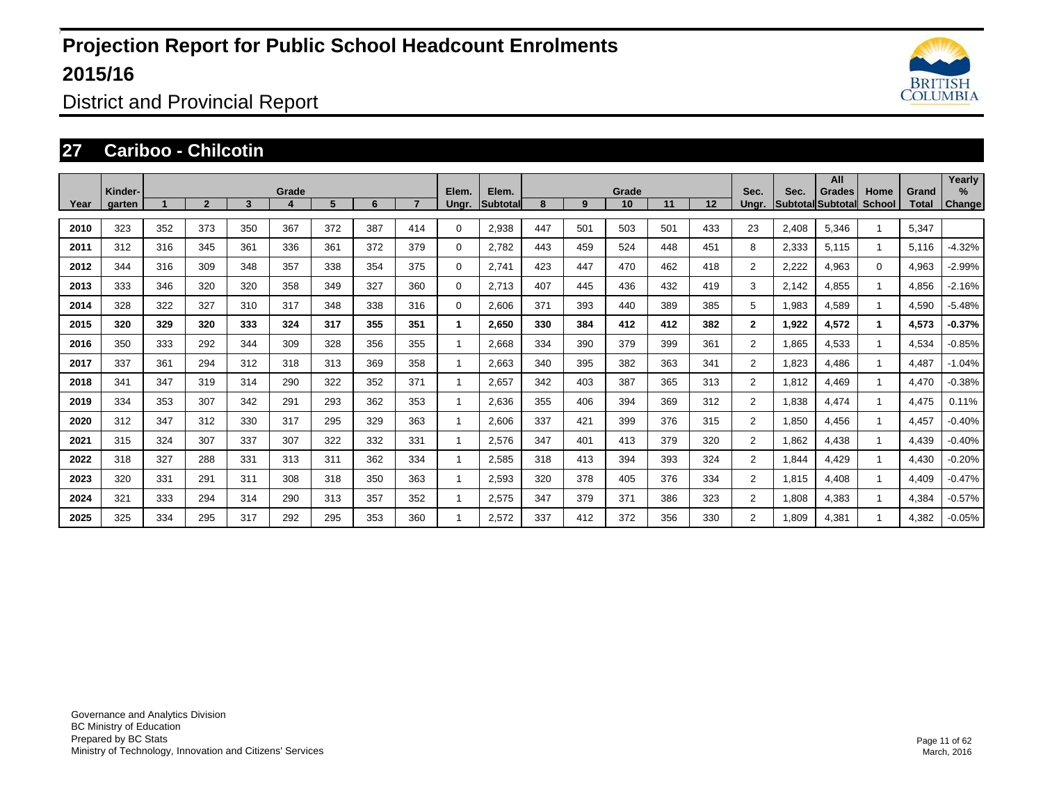

District and Provincial Report

#### **27 Cariboo - Chilcotin**

|      | Kinder- |     |              |     | Grade |     |     |     | Elem.       | Elem.    |     |     | Grade |     |     | Sec.           | Sec.  | All<br>Grades             | Home         | Grand | Yearly<br>$\%$ |
|------|---------|-----|--------------|-----|-------|-----|-----|-----|-------------|----------|-----|-----|-------|-----|-----|----------------|-------|---------------------------|--------------|-------|----------------|
| Year | aarten  |     | $\mathbf{2}$ | 3   |       | 5   | 6   |     | Unar.       | Subtotal | 8   | 9   | 10    | 11  | 12  | Unar.          |       | <b>SubtotallSubtotall</b> | School       | Total | <b>Change</b>  |
| 2010 | 323     | 352 | 373          | 350 | 367   | 372 | 387 | 414 | 0           | 2,938    | 447 | 501 | 503   | 501 | 433 | 23             | 2,408 | 5,346                     |              | 5,347 |                |
| 2011 | 312     | 316 | 345          | 361 | 336   | 361 | 372 | 379 | 0           | 2,782    | 443 | 459 | 524   | 448 | 451 | 8              | 2,333 | 5,115                     | $\mathbf{1}$ | 5,116 | $-4.32%$       |
| 2012 | 344     | 316 | 309          | 348 | 357   | 338 | 354 | 375 | $\mathbf 0$ | 2.741    | 423 | 447 | 470   | 462 | 418 | $\overline{2}$ | 2,222 | 4,963                     | $\Omega$     | 4,963 | $-2.99%$       |
| 2013 | 333     | 346 | 320          | 320 | 358   | 349 | 327 | 360 | $\mathbf 0$ | 2.713    | 407 | 445 | 436   | 432 | 419 | 3              | 2.142 | 4,855                     | $\mathbf{1}$ | 4,856 | $-2.16%$       |
| 2014 | 328     | 322 | 327          | 310 | 317   | 348 | 338 | 316 | $\mathbf 0$ | 2,606    | 371 | 393 | 440   | 389 | 385 | 5              | 1,983 | 4,589                     | $\mathbf{1}$ | 4,590 | $-5.48%$       |
| 2015 | 320     | 329 | 320          | 333 | 324   | 317 | 355 | 351 | 1           | 2,650    | 330 | 384 | 412   | 412 | 382 | $\mathbf{2}$   | 1,922 | 4,572                     | $\mathbf 1$  | 4,573 | $-0.37%$       |
| 2016 | 350     | 333 | 292          | 344 | 309   | 328 | 356 | 355 |             | 2,668    | 334 | 390 | 379   | 399 | 361 | $\overline{2}$ | 1,865 | 4,533                     | $\mathbf{1}$ | 4,534 | $-0.85%$       |
| 2017 | 337     | 361 | 294          | 312 | 318   | 313 | 369 | 358 |             | 2,663    | 340 | 395 | 382   | 363 | 341 | $\overline{2}$ | 1,823 | 4,486                     | $\mathbf{1}$ | 4,487 | $-1.04%$       |
| 2018 | 341     | 347 | 319          | 314 | 290   | 322 | 352 | 371 |             | 2,657    | 342 | 403 | 387   | 365 | 313 | $\overline{2}$ | 1,812 | 4,469                     |              | 4,470 | $-0.38%$       |
| 2019 | 334     | 353 | 307          | 342 | 291   | 293 | 362 | 353 |             | 2,636    | 355 | 406 | 394   | 369 | 312 | $\overline{2}$ | 1,838 | 4,474                     |              | 4,475 | 0.11%          |
| 2020 | 312     | 347 | 312          | 330 | 317   | 295 | 329 | 363 |             | 2,606    | 337 | 421 | 399   | 376 | 315 | $\overline{2}$ | 1,850 | 4,456                     |              | 4,457 | $-0.40%$       |
| 2021 | 315     | 324 | 307          | 337 | 307   | 322 | 332 | 331 |             | 2,576    | 347 | 401 | 413   | 379 | 320 | $\overline{2}$ | 1,862 | 4,438                     | $\mathbf{1}$ | 4,439 | $-0.40%$       |
| 2022 | 318     | 327 | 288          | 331 | 313   | 311 | 362 | 334 |             | 2,585    | 318 | 413 | 394   | 393 | 324 | $\overline{2}$ | 1,844 | 4,429                     |              | 4,430 | $-0.20%$       |
| 2023 | 320     | 331 | 291          | 311 | 308   | 318 | 350 | 363 |             | 2,593    | 320 | 378 | 405   | 376 | 334 | $\overline{2}$ | 1,815 | 4,408                     |              | 4,409 | $-0.47%$       |
| 2024 | 321     | 333 | 294          | 314 | 290   | 313 | 357 | 352 |             | 2,575    | 347 | 379 | 371   | 386 | 323 | $\overline{2}$ | 1,808 | 4,383                     |              | 4,384 | $-0.57%$       |
| 2025 | 325     | 334 | 295          | 317 | 292   | 295 | 353 | 360 |             | 2,572    | 337 | 412 | 372   | 356 | 330 | $\overline{2}$ | 1,809 | 4,381                     |              | 4,382 | $-0.05%$       |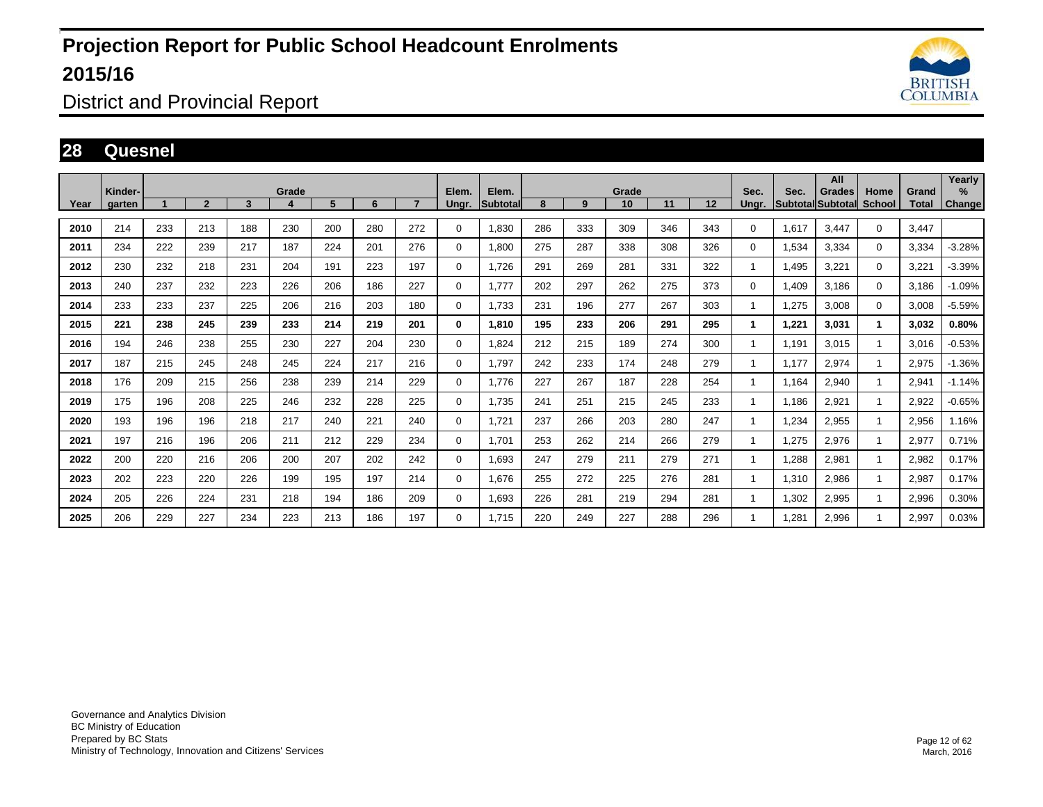

District and Provincial Report

#### **28 Quesnel**

|      | Kinder- |     |              |     | Grade |     |     |     | Elem.        | Elem.           |     |     | Grade |     |     | Sec.  | Sec.  | All<br>Grades            | Home         | Grand | Yearly<br>$\%$ |
|------|---------|-----|--------------|-----|-------|-----|-----|-----|--------------|-----------------|-----|-----|-------|-----|-----|-------|-------|--------------------------|--------------|-------|----------------|
| Year | garten  |     | $\mathbf{2}$ | 3   |       | 5   | 6   |     | Unar.        | <b>Subtotal</b> | 8   | 9   | 10    | 11  | 12  | Unar. |       | <b>SubtotallSubtotal</b> | School       | Total | <b>Change</b>  |
| 2010 | 214     | 233 | 213          | 188 | 230   | 200 | 280 | 272 | $\Omega$     | 1,830           | 286 | 333 | 309   | 346 | 343 | 0     | 1,617 | 3.447                    | $\mathbf 0$  | 3,447 |                |
| 2011 | 234     | 222 | 239          | 217 | 187   | 224 | 201 | 276 | $\Omega$     | 1,800           | 275 | 287 | 338   | 308 | 326 | 0     | 1,534 | 3,334                    | $\mathbf 0$  | 3,334 | $-3.28%$       |
| 2012 | 230     | 232 | 218          | 231 | 204   | 191 | 223 | 197 | $\Omega$     | 1.726           | 291 | 269 | 281   | 331 | 322 | 1     | 1,495 | 3,221                    | $\mathbf 0$  | 3,221 | $-3.39%$       |
| 2013 | 240     | 237 | 232          | 223 | 226   | 206 | 186 | 227 | $\mathbf 0$  | 1.777           | 202 | 297 | 262   | 275 | 373 | 0     | 1,409 | 3,186                    | $\Omega$     | 3.186 | $-1.09%$       |
| 2014 | 233     | 233 | 237          | 225 | 206   | 216 | 203 | 180 | $\Omega$     | 1,733           | 231 | 196 | 277   | 267 | 303 |       | 1,275 | 3,008                    | $\Omega$     | 3,008 | $-5.59%$       |
| 2015 | 221     | 238 | 245          | 239 | 233   | 214 | 219 | 201 | $\mathbf{0}$ | 1,810           | 195 | 233 | 206   | 291 | 295 | 1     | 1,221 | 3,031                    | $\mathbf{1}$ | 3,032 | 0.80%          |
| 2016 | 194     | 246 | 238          | 255 | 230   | 227 | 204 | 230 | $\Omega$     | 1,824           | 212 | 215 | 189   | 274 | 300 |       | 1,191 | 3,015                    | $\mathbf{1}$ | 3,016 | $-0.53%$       |
| 2017 | 187     | 215 | 245          | 248 | 245   | 224 | 217 | 216 | $\mathbf 0$  | 1.797           | 242 | 233 | 174   | 248 | 279 |       | 1.177 | 2,974                    | $\mathbf{1}$ | 2,975 | $-1.36%$       |
| 2018 | 176     | 209 | 215          | 256 | 238   | 239 | 214 | 229 | 0            | 1.776           | 227 | 267 | 187   | 228 | 254 |       | 1.164 | 2,940                    |              | 2,941 | $-1.14%$       |
| 2019 | 175     | 196 | 208          | 225 | 246   | 232 | 228 | 225 | $\mathbf 0$  | 1,735           | 241 | 251 | 215   | 245 | 233 |       | 1,186 | 2,921                    |              | 2,922 | $-0.65%$       |
| 2020 | 193     | 196 | 196          | 218 | 217   | 240 | 221 | 240 | $\mathbf 0$  | 1,721           | 237 | 266 | 203   | 280 | 247 |       | 1,234 | 2,955                    |              | 2,956 | 1.16%          |
| 2021 | 197     | 216 | 196          | 206 | 211   | 212 | 229 | 234 | $\mathbf 0$  | 1.701           | 253 | 262 | 214   | 266 | 279 |       | 1,275 | 2,976                    | $\mathbf{1}$ | 2,977 | 0.71%          |
| 2022 | 200     | 220 | 216          | 206 | 200   | 207 | 202 | 242 | $\mathbf 0$  | 1.693           | 247 | 279 | 211   | 279 | 271 |       | 1.288 | 2,981                    |              | 2,982 | 0.17%          |
| 2023 | 202     | 223 | 220          | 226 | 199   | 195 | 197 | 214 | $\mathbf 0$  | 1.676           | 255 | 272 | 225   | 276 | 281 |       | 1,310 | 2,986                    |              | 2,987 | 0.17%          |
| 2024 | 205     | 226 | 224          | 231 | 218   | 194 | 186 | 209 | $\mathbf 0$  | 1.693           | 226 | 281 | 219   | 294 | 281 |       | 1.302 | 2,995                    |              | 2,996 | 0.30%          |
| 2025 | 206     | 229 | 227          | 234 | 223   | 213 | 186 | 197 | $\Omega$     | 1,715           | 220 | 249 | 227   | 288 | 296 |       | 1.281 | 2,996                    |              | 2,997 | 0.03%          |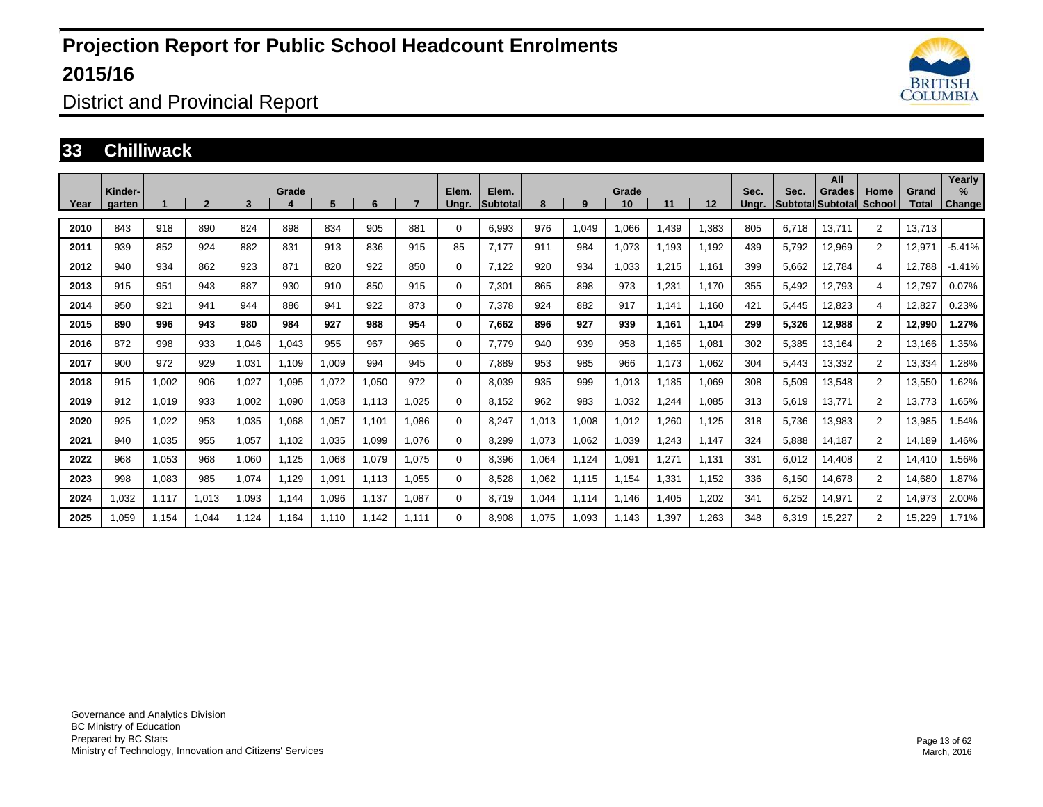

District and Provincial Report

#### **33 Chilliwack**

| Year | Kinder-<br>garten |       | $\overline{2}$ | 3     | Grade<br>4 | 5     | 6     |       | Elem.<br>Ungr. | Elem.<br><b>Subtotal</b> | 8     | 9     | Grade<br>10 | 11    | 12    | Sec.<br>Unar. | Sec.  | All<br>Grades<br><b>Subtotal Subtotall School</b> | Home           | Grand<br>Total | Yearly<br>%<br><b>Change</b> |
|------|-------------------|-------|----------------|-------|------------|-------|-------|-------|----------------|--------------------------|-------|-------|-------------|-------|-------|---------------|-------|---------------------------------------------------|----------------|----------------|------------------------------|
|      |                   |       |                |       |            |       |       |       |                |                          |       |       |             |       |       |               |       |                                                   |                |                |                              |
| 2010 | 843               | 918   | 890            | 824   | 898        | 834   | 905   | 881   | $\Omega$       | 6.993                    | 976   | 1,049 | 1.066       | 1.439 | 1,383 | 805           | 6.718 | 13.711                                            | $\overline{2}$ | 13.713         |                              |
| 2011 | 939               | 852   | 924            | 882   | 831        | 913   | 836   | 915   | 85             | 7,177                    | 911   | 984   | 1,073       | 1,193 | 1,192 | 439           | 5,792 | 12,969                                            | $\overline{2}$ | 12,971         | $-5.41%$                     |
| 2012 | 940               | 934   | 862            | 923   | 871        | 820   | 922   | 850   | 0              | 7,122                    | 920   | 934   | 1,033       | 1,215 | 1,161 | 399           | 5,662 | 12,784                                            | 4              | 12,788         | $-1.41%$                     |
| 2013 | 915               | 951   | 943            | 887   | 930        | 910   | 850   | 915   | 0              | 7,301                    | 865   | 898   | 973         | 1,231 | 1,170 | 355           | 5,492 | 12,793                                            | $\overline{4}$ | 12,797         | 0.07%                        |
| 2014 | 950               | 921   | 941            | 944   | 886        | 941   | 922   | 873   | $\mathbf 0$    | 7.378                    | 924   | 882   | 917         | 1.141 | 1,160 | 421           | 5.445 | 12,823                                            | $\overline{4}$ | 12,827         | 0.23%                        |
| 2015 | 890               | 996   | 943            | 980   | 984        | 927   | 988   | 954   | 0              | 7,662                    | 896   | 927   | 939         | 1,161 | 1,104 | 299           | 5,326 | 12,988                                            | $\mathbf{2}$   | 12,990         | 1.27%                        |
| 2016 | 872               | 998   | 933            | 1,046 | 1,043      | 955   | 967   | 965   | 0              | 7,779                    | 940   | 939   | 958         | 1,165 | 1,081 | 302           | 5,385 | 13,164                                            | $\overline{2}$ | 13,166         | 1.35%                        |
| 2017 | 900               | 972   | 929            | 1.031 | 1.109      | 1,009 | 994   | 945   | $\mathbf 0$    | 7.889                    | 953   | 985   | 966         | 1,173 | 1,062 | 304           | 5,443 | 13,332                                            | $\overline{2}$ | 13,334         | 1.28%                        |
| 2018 | 915               | 1,002 | 906            | 1,027 | 1.095      | 1,072 | 1,050 | 972   | 0              | 8,039                    | 935   | 999   | 1,013       | 1,185 | 1,069 | 308           | 5,509 | 13,548                                            | $\overline{2}$ | 13,550         | 1.62%                        |
| 2019 | 912               | 1.019 | 933            | 1.002 | 1.090      | 1.058 | 1.113 | 1.025 | 0              | 8.152                    | 962   | 983   | 1,032       | 1,244 | 1,085 | 313           | 5,619 | 13,771                                            | $\overline{2}$ | 13.773         | 1.65%                        |
| 2020 | 925               | 1,022 | 953            | 1.035 | 1.068      | 1,057 | 1,101 | 1.086 | 0              | 8,247                    | 1,013 | 1,008 | 1,012       | 1,260 | 1,125 | 318           | 5,736 | 13,983                                            | $\overline{2}$ | 13,985         | 1.54%                        |
| 2021 | 940               | 1,035 | 955            | 1.057 | 1.102      | 1,035 | 1,099 | 1.076 | 0              | 8,299                    | 1,073 | 1,062 | 1,039       | 1,243 | 1,147 | 324           | 5,888 | 14,187                                            | $\overline{2}$ | 14,189         | 1.46%                        |
| 2022 | 968               | 1,053 | 968            | 1.060 | 1.125      | 1.068 | 1,079 | 1.075 | 0              | 8.396                    | 1,064 | 1,124 | 1,091       | 1,271 | 1,131 | 331           | 6,012 | 14,408                                            | $\overline{2}$ | 14.410         | 1.56%                        |
| 2023 | 998               | 1.083 | 985            | 1.074 | 1.129      | 1,091 | 1,113 | 1.055 | 0              | 8.528                    | 1.062 | 1,115 | 1,154       | 1,331 | 1,152 | 336           | 6.150 | 14.678                                            | $\overline{2}$ | 14.680         | 1.87%                        |
| 2024 | 1,032             | 1,117 | 1,013          | 1.093 | 1.144      | .096  | 1,137 | 1,087 | 0              | 8.719                    | 1,044 | 1,114 | 1.146       | 1,405 | 1,202 | 341           | 6,252 | 14,971                                            | $\overline{2}$ | 14,973         | 2.00%                        |
| 2025 | 1.059             | 1.154 | 1.044          | 1.124 | 1.164      | 1.110 | 1.142 | 1.111 | 0              | 8.908                    | 1,075 | 1,093 | 1.143       | 1.397 | 1,263 | 348           | 6,319 | 15,227                                            | 2              | 15,229         | 1.71%                        |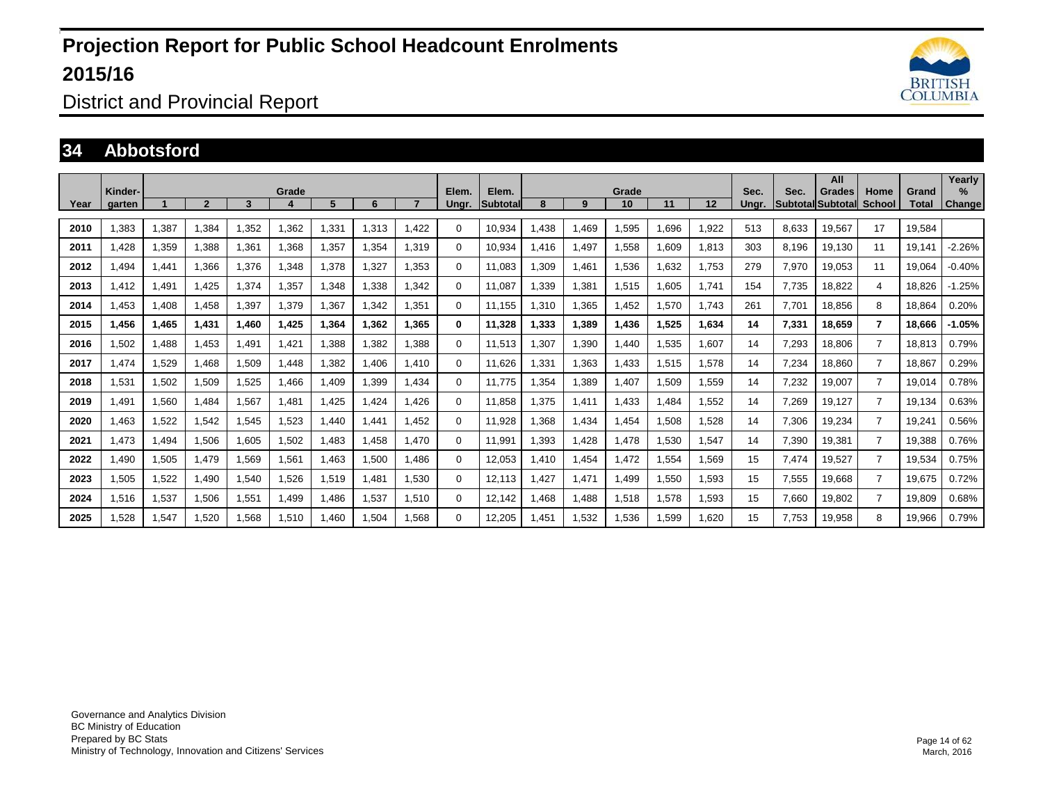

District and Provincial Report

#### **34 Abbotsford**

|      | Kinder- |       |              |       | Grade |       |       |       | Elem.       | Elem.           |       |       | Grade |       |       | Sec.  | Sec.  | All<br>Grades            | Home           | Grand  | Yearly<br>% |
|------|---------|-------|--------------|-------|-------|-------|-------|-------|-------------|-----------------|-------|-------|-------|-------|-------|-------|-------|--------------------------|----------------|--------|-------------|
| Year | garten  |       | $\mathbf{c}$ | 3     |       | 5     | 6     |       | Ungr.       | <b>Subtotal</b> | 8     | 9     | 10    | 11    | 12    | Unar. |       | <b>Subtotal Subtotal</b> | <b>School</b>  | Total  | Change      |
| 2010 | ,383    | 1,387 | 1,384        | 1,352 | 1,362 | 1,331 | 1,313 | 1.422 | 0           | 10,934          | .438  | 1.469 | 1,595 | .696  | 1,922 | 513   | 8.633 | 19,567                   | 17             | 19.584 |             |
| 2011 | .428    | 1,359 | 1.388        | 1,361 | 1,368 | 1,357 | 1.354 | 1.319 | 0           | 10.934          | .416  | 1.497 | 1,558 | .609  | 1,813 | 303   | 8.196 | 19,130                   | 11             | 19.141 | $-2.26%$    |
| 2012 | ,494    | 1,441 | 1,366        | 1,376 | 1,348 | 1,378 | 1,327 | 1,353 | 0           | 11,083          | ,309  | 1,461 | 1,536 | .632  | 1,753 | 279   | 7,970 | 19,053                   | 11             | 19,064 | $-0.40%$    |
| 2013 | 1.412   | 1,491 | 1.425        | 1,374 | 1,357 | 1,348 | 1.338 | 1.342 | 0           | 11.087          | .339  | 1,381 | 1,515 | .605  | 1.741 | 154   | 7.735 | 18,822                   | 4              | 18,826 | $-1.25%$    |
| 2014 | .453    | 1,408 | 1,458        | 1,397 | 1,379 | 1,367 | 1,342 | 1,351 | $\Omega$    | 11,155          | .310  | 1,365 | 1,452 | 1.570 | 1.743 | 261   | 7.701 | 18,856                   | 8              | 18,864 | 0.20%       |
| 2015 | 1.456   | 1,465 | 1,431        | 1,460 | 1,425 | 1,364 | 1.362 | 1.365 | 0           | 11,328          | 1.333 | 1,389 | 1.436 | 1.525 | 1,634 | 14    | 7,331 | 18.659                   | $\overline{7}$ | 18.666 | $-1.05%$    |
| 2016 | .502    | 1,488 | 1,453        | 1,491 | 1,421 | 1,388 | 1,382 | 1,388 | 0           | 11,513          | .307  | 1,390 | 1.440 | ,535  | 1,607 | 14    | 7,293 | 18,806                   | $\overline{7}$ | 18,813 | 0.79%       |
| 2017 | 1.474   | 1,529 | 1.468        | 1,509 | 1.448 | 1,382 | 1.406 | 1.410 | 0           | 11.626          | .331  | 1,363 | 1.433 | 1.515 | 1,578 | 14    | 7,234 | 18,860                   | $\overline{7}$ | 18,867 | 0.29%       |
| 2018 | 1,531   | 1,502 | 1,509        | 1,525 | 1,466 | 1,409 | 1,399 | 1,434 | $\Omega$    | 11,775          | .354  | 1,389 | 1,407 | 1,509 | 1,559 | 14    | 7,232 | 19,007                   | $\overline{7}$ | 19,014 | 0.78%       |
| 2019 | .491    | 1,560 | 1.484        | 1,567 | 1.481 | 1,425 | 1.424 | 1.426 | $\mathbf 0$ | 11.858          | ,375  | 1,411 | 1.433 | .484  | 1,552 | 14    | 7,269 | 19,127                   | $\overline{7}$ | 19.134 | 0.63%       |
| 2020 | ,463    | 1,522 | 1,542        | 1,545 | 1,523 | 1,440 | 1,441 | 1,452 | 0           | 11,928          | .368  | 1,434 | 1,454 | 1,508 | 1,528 | 14    | 7,306 | 19,234                   | $\overline{7}$ | 19,241 | 0.56%       |
| 2021 | 1.473   | 1,494 | 1,506        | 1,605 | 1,502 | 1,483 | 1.458 | 1,470 | $\mathbf 0$ | 11,991          | 1,393 | 1,428 | 1,478 | 1,530 | 1,547 | 14    | 7,390 | 19,381                   | $\overline{7}$ | 19,388 | 0.76%       |
| 2022 | .490    | 1,505 | 1.479        | 1,569 | 1,561 | 1,463 | 1,500 | 1.486 | 0           | 12,053          | .410  | 1,454 | 1.472 | 1.554 | 1,569 | 15    | 7,474 | 19,527                   | $\overline{7}$ | 19,534 | 0.75%       |
| 2023 | 1,505   | 1,522 | 1,490        | 1,540 | 1,526 | 1,519 | 1.481 | 1,530 | 0           | 12,113          | .427  | 1,471 | 1,499 | 1,550 | 1,593 | 15    | 7,555 | 19,668                   | $\overline{7}$ | 19,675 | 0.72%       |
| 2024 | 1,516   | 1,537 | 1,506        | 1,551 | 1.499 | 1,486 | 1,537 | 1,510 | 0           | 12.142          | .468  | 1.488 | 1,518 | 1.578 | 1,593 | 15    | 7.660 | 19,802                   | $\overline{7}$ | 19,809 | 0.68%       |
| 2025 | ,528    | 1,547 | 1,520        | 1,568 | 1,510 | 1,460 | 1,504 | 1,568 | 0           | 12,205          | .451  | 1,532 | .536  | .599  | 1,620 | 15    | 7,753 | 19,958                   | 8              | 19,966 | 0.79%       |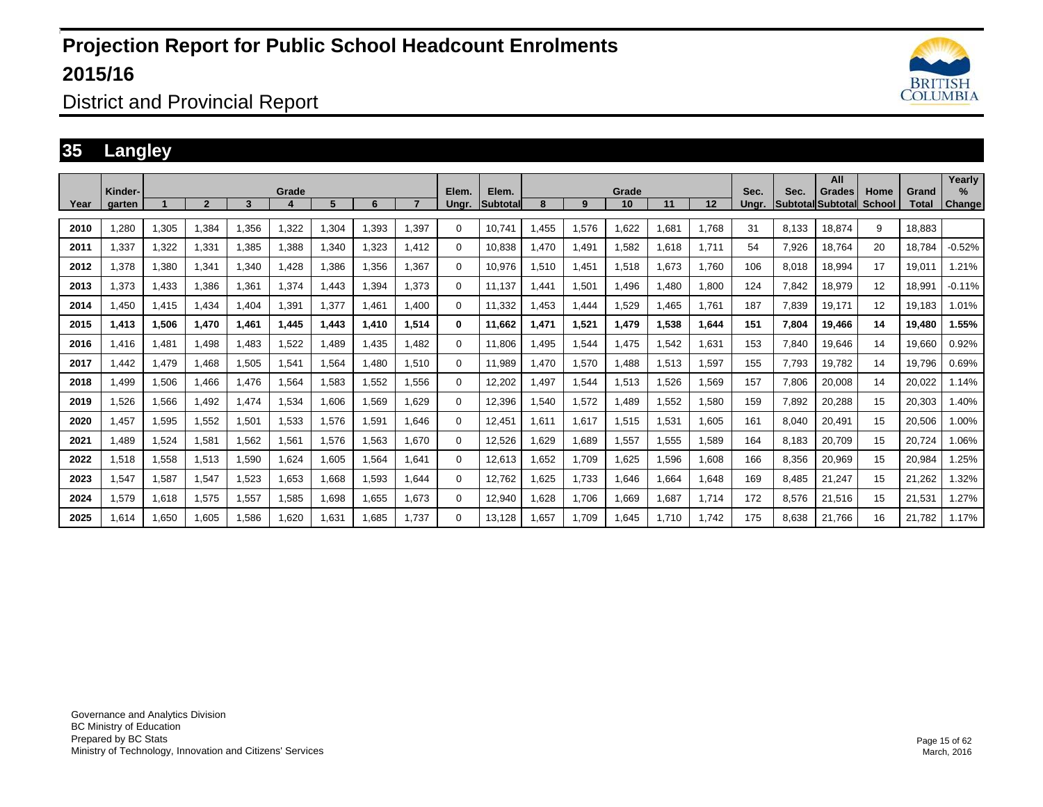

#### District and Provincial Report

#### **35 Langley**

|      | Kinder- |       |              |       | Grade |       |       |       | Elem.       | Elem.           |       |       | Grade |       |       | Sec.  | Sec.  | All<br>Grades            | Home          | Grand  | Yearly<br>% |
|------|---------|-------|--------------|-------|-------|-------|-------|-------|-------------|-----------------|-------|-------|-------|-------|-------|-------|-------|--------------------------|---------------|--------|-------------|
| Year | garten  |       | $\mathbf{c}$ | 3     |       | 5     | 6     |       | Ungr.       | <b>Subtotal</b> | 8     | 9     | 10    | 11    | 12    | Unar. |       | <b>Subtotal Subtotal</b> | <b>School</b> | Total  | Change      |
| 2010 | ,280    | 1,305 | 1,384        | 1,356 | 1,322 | 1,304 | 1,393 | 1,397 | $\Omega$    | 10.741          | .455  | 1,576 | 1.622 | .681  | 1.768 | 31    | 8.133 | 18.874                   | 9             | 18.883 |             |
| 2011 | 1,337   | 1,322 | 1,331        | 1,385 | 1,388 | 1,340 | 1,323 | 1.412 | 0           | 10.838          | .470  | 1.491 | 1.582 | 1.618 | 1.711 | 54    | 7,926 | 18.764                   | 20            | 18.784 | $-0.52%$    |
| 2012 | 1,378   | 1,380 | 1,341        | 1,340 | 1,428 | 1,386 | 1,356 | 1,367 | 0           | 10,976          | ,510  | 1,451 | 1,518 | .673  | 1.760 | 106   | 8,018 | 18,994                   | 17            | 19,011 | 1.21%       |
| 2013 | 1,373   | 1,433 | 1.386        | 1,361 | 1,374 | 1.443 | 1.394 | 1.373 | 0           | 11.137          | .441  | 1,501 | 1,496 | .480  | 1.800 | 124   | 7.842 | 18,979                   | 12            | 18,991 | $-0.11%$    |
| 2014 | ,450    | 1,415 | 1,434        | 1,404 | 1,391 | 1,377 | 1.461 | 1,400 | $\Omega$    | 11,332          | .453  | 1,444 | 1,529 | 1.465 | 1.761 | 187   | 7.839 | 19,171                   | 12            | 19,183 | 1.01%       |
| 2015 | 1.413   | 1,506 | 1,470        | 1,461 | 1,445 | 1,443 | 1.410 | 1,514 | 0           | 11.662          | 1.471 | 1,521 | 1.479 | 1.538 | 1,644 | 151   | 7.804 | 19,466                   | 14            | 19,480 | 1.55%       |
| 2016 | .416    | 1,481 | 1,498        | 1,483 | 1,522 | 1,489 | 1,435 | 1,482 | 0           | 11,806          | .495  | 1,544 | 1,475 | .542  | 1,631 | 153   | 7,840 | 19,646                   | 14            | 19,660 | 0.92%       |
| 2017 | .442    | 1,479 | 1.468        | 1,505 | 1,541 | 1,564 | 1.480 | 1,510 | 0           | 11,989          | .470  | 1,570 | 1.488 | 1.513 | 1,597 | 155   | 7.793 | 19,782                   | 14            | 19,796 | 0.69%       |
| 2018 | .499    | 1,506 | 1.466        | 1,476 | 1,564 | 1,583 | 1,552 | 1,556 | $\mathbf 0$ | 12,202          | .497  | 1,544 | 1,513 | 1.526 | 1,569 | 157   | 7,806 | 20,008                   | 14            | 20,022 | 1.14%       |
| 2019 | .526    | 1,566 | 1.492        | 1,474 | 1,534 | 1,606 | 1,569 | 1.629 | $\mathbf 0$ | 12,396          | .540  | 1,572 | 1.489 | 1,552 | 1,580 | 159   | 7,892 | 20,288                   | 15            | 20,303 | 1.40%       |
| 2020 | .457    | 1,595 | 1,552        | 1,501 | 1,533 | 1,576 | 1,591 | 1.646 | 0           | 12,451          | 1,611 | 1,617 | 1,515 | 1,531 | 1,605 | 161   | 8,040 | 20,491                   | 15            | 20,506 | 1.00%       |
| 2021 | .489    | 1,524 | 1,581        | 1,562 | 1,561 | 1,576 | 1,563 | 1,670 | $\mathbf 0$ | 12,526          | .629  | 1,689 | 1,557 | 1,555 | 1,589 | 164   | 8,183 | 20,709                   | 15            | 20,724 | 1.06%       |
| 2022 | 1,518   | 1,558 | 1,513        | 1,590 | 1,624 | 1,605 | 1,564 | 1.641 | 0           | 12,613          | .652  | 1.709 | 1,625 | .596  | 1,608 | 166   | 8,356 | 20,969                   | 15            | 20,984 | 1.25%       |
| 2023 | 1,547   | 1,587 | 1,547        | 1,523 | 1,653 | 1,668 | 1,593 | 1.644 | 0           | 12,762          | .625  | 1.733 | 1.646 | .664  | 1,648 | 169   | 8.485 | 21,247                   | 15            | 21,262 | 1.32%       |
| 2024 | 1,579   | 1,618 | 1,575        | 1,557 | 1,585 | 1,698 | 1.655 | 1.673 | 0           | 12,940          | .628  | 1.706 | 1.669 | 1.687 | 1.714 | 172   | 8.576 | 21,516                   | 15            | 21,531 | 1.27%       |
| 2025 | 1,614   | 1,650 | 1,605        | 1,586 | 1,620 | 1,631 | 1.685 | 1.737 | 0           | 13,128          | .657  | 1.709 | 1,645 | 1.710 | 1.742 | 175   | 8.638 | 21,766                   | 16            | 21.782 | 1.17%       |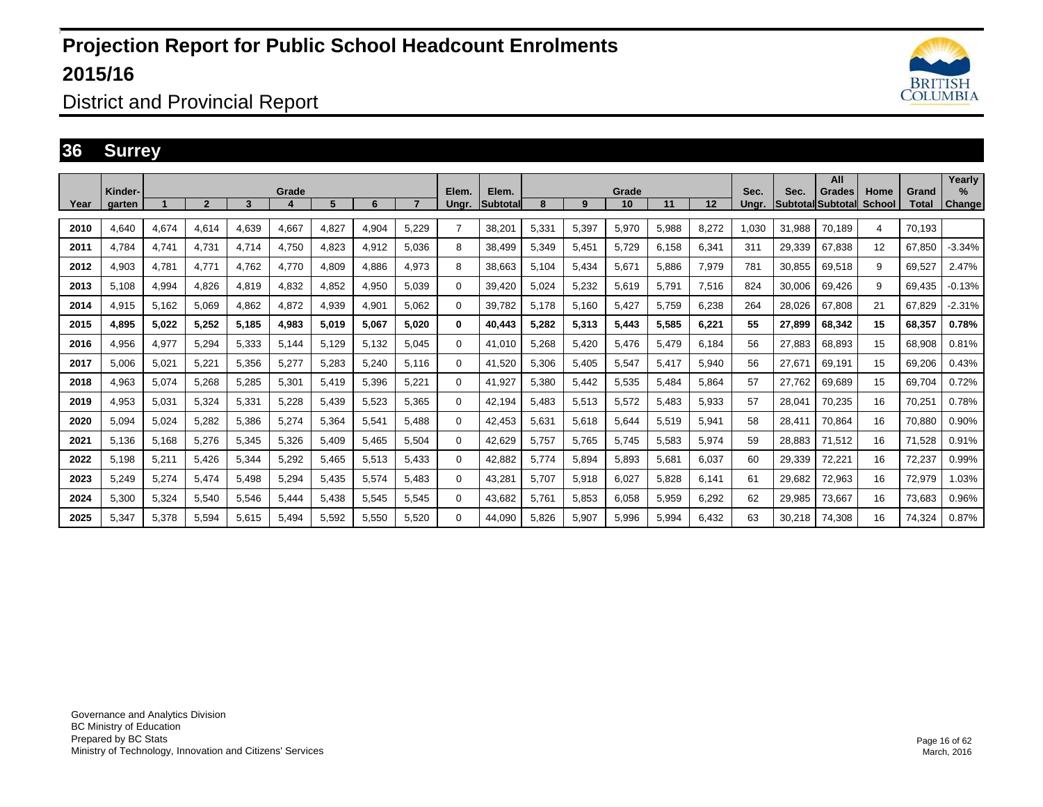

District and Provincial Report

#### **36 Surrey**

| Year | Kinder-<br>aarten |       | $\overline{2}$ | 3     | Grade | 5     | 6     |       | Elem.<br>Unar. | Elem.<br><b>Subtotal</b> | 8     | 9     | Grade<br>10 | 11    | 12    | Sec.<br>Unar. | Sec.   | All<br>Grades<br><b>Subtotal Subtotall School</b> | Home | Grand<br>Total | Yearly<br>$\%$<br><b>Change</b> |
|------|-------------------|-------|----------------|-------|-------|-------|-------|-------|----------------|--------------------------|-------|-------|-------------|-------|-------|---------------|--------|---------------------------------------------------|------|----------------|---------------------------------|
| 2010 | 4.640             | 4,674 | 4.614          | 4.639 | 4,667 | 4,827 | 4,904 | 5,229 | $\overline{7}$ | 38,201                   | 5,331 | 5,397 | 5,970       | 5,988 | 8,272 | 1.030         | 31.988 | 70,189                                            | 4    | 70.193         |                                 |
| 2011 | 4.784             | 4,741 | 4.731          | 4.714 | 4,750 | 4.823 | 4,912 | 5.036 | 8              | 38,499                   | 5,349 | 5,451 | 5,729       | 6.158 | 6,341 | 311           | 29.339 | 67.838                                            | 12   | 67.850         | $-3.34%$                        |
| 2012 | 4,903             | 4,781 | 4,771          | 4.762 | 4,770 | 4,809 | 4,886 | 4,973 | 8              | 38,663                   | 5,104 | 5,434 | 5,671       | 5.886 | 7,979 | 781           | 30,855 | 69,518                                            | 9    | 69,527         | 2.47%                           |
| 2013 | 5,108             | 4,994 | 4,826          | 4,819 | 4,832 | 4,852 | 4,950 | 5.039 | $\Omega$       | 39,420                   | 5,024 | 5,232 | 5,619       | 5.791 | 7,516 | 824           | 30.006 | 69,426                                            | 9    | 69,435         | $-0.13%$                        |
| 2014 | 4,915             | 5,162 | 5,069          | 4.862 | 4,872 | 4,939 | 4,901 | 5.062 | $\Omega$       | 39,782                   | 5,178 | 5,160 | 5,427       | 5.759 | 6,238 | 264           | 28.026 | 67.808                                            | 21   | 67.829         | $-2.31%$                        |
| 2015 | 4,895             | 5,022 | 5,252          | 5,185 | 4,983 | 5,019 | 5,067 | 5.020 | 0              | 40,443                   | 5,282 | 5,313 | 5,443       | 5,585 | 6,221 | 55            | 27.899 | 68,342                                            | 15   | 68,357         | 0.78%                           |
| 2016 | 4,956             | 4,977 | 5,294          | 5,333 | 5,144 | 5,129 | 5,132 | 5,045 | $\Omega$       | 41,010                   | 5,268 | 5,420 | 5,476       | 5,479 | 6,184 | 56            | 27.883 | 68,893                                            | 15   | 68,908         | 0.81%                           |
| 2017 | 5.006             | 5,021 | 5,221          | 5.356 | 5,277 | 5,283 | 5,240 | 5.116 | $\Omega$       | 41,520                   | 5,306 | 5,405 | 5,547       | 5.417 | 5,940 | 56            | 27.671 | 69,191                                            | 15   | 69,206         | 0.43%                           |
| 2018 | 4,963             | 5,074 | 5,268          | 5,285 | 5,301 | 5,419 | 5,396 | 5,221 | $\Omega$       | 41,927                   | 5,380 | 5,442 | 5,535       | 5,484 | 5,864 | 57            | 27,762 | 69,689                                            | 15   | 69,704         | 0.72%                           |
| 2019 | 4,953             | 5,031 | 5,324          | 5,331 | 5,228 | 5,439 | 5,523 | 5,365 | $\Omega$       | 42,194                   | 5,483 | 5,513 | 5,572       | 5,483 | 5,933 | 57            | 28,041 | 70,235                                            | 16   | 70,251         | 0.78%                           |
| 2020 | 5.094             | 5,024 | 5,282          | 5,386 | 5,274 | 5,364 | 5,541 | 5.488 | 0              | 42,453                   | 5,631 | 5,618 | 5,644       | 5,519 | 5,941 | 58            | 28.411 | 70.864                                            | 16   | 70,880         | 0.90%                           |
| 2021 | 5,136             | 5,168 | 5,276          | 5,345 | 5,326 | 5,409 | 5,465 | 5,504 | $\Omega$       | 42,629                   | 5,757 | 5,765 | 5,745       | 5,583 | 5,974 | 59            | 28,883 | 71,512                                            | 16   | 71,528         | 0.91%                           |
| 2022 | 5,198             | 5,211 | 5,426          | 5,344 | 5,292 | 5,465 | 5,513 | 5.433 | $\Omega$       | 42,882                   | 5,774 | 5,894 | 5,893       | 5,681 | 6,037 | 60            | 29,339 | 72,221                                            | 16   | 72,237         | 0.99%                           |
| 2023 | 5,249             | 5,274 | 5,474          | 5,498 | 5,294 | 5,435 | 5,574 | 5.483 | $\Omega$       | 43,281                   | 5,707 | 5,918 | 6,027       | 5,828 | 6,141 | 61            | 29,682 | 72,963                                            | 16   | 72,979         | 1.03%                           |
| 2024 | 5,300             | 5,324 | 5,540          | 5,546 | 5,444 | 5.438 | 5,545 | 5,545 | $\Omega$       | 43,682                   | 5,761 | 5,853 | 6,058       | 5,959 | 6,292 | 62            | 29,985 | 73,667                                            | 16   | 73,683         | 0.96%                           |
| 2025 | 5.347             | 5,378 | 5.594          | 5.615 | 5,494 | 5.592 | 5,550 | 5.520 | 0              | 44.090                   | 5,826 | 5,907 | 5,996       | 5.994 | 6,432 | 63            | 30.218 | 74,308                                            | 16   | 74.324         | 0.87%                           |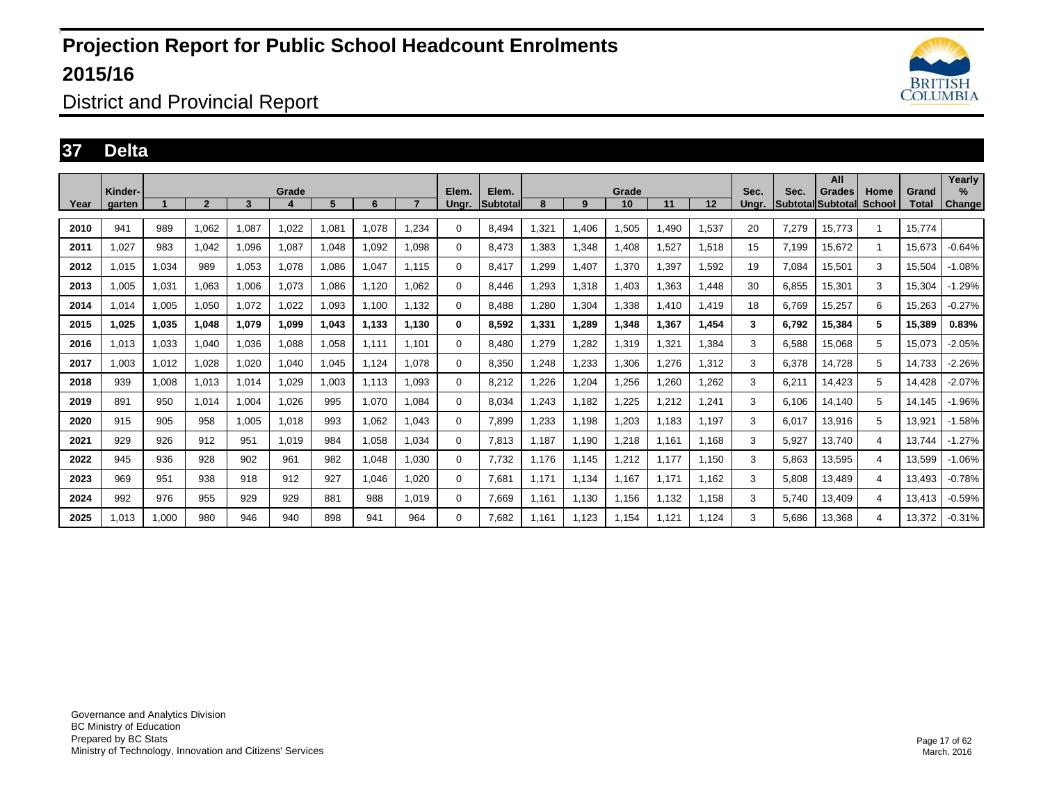

#### District and Provincial Report

#### **37 Delta**

|      |                   |       |              |       |       |       |       |       |                |                   |       |       |             |       |       |               |       | All                                 |                       |                | Yearly      |
|------|-------------------|-------|--------------|-------|-------|-------|-------|-------|----------------|-------------------|-------|-------|-------------|-------|-------|---------------|-------|-------------------------------------|-----------------------|----------------|-------------|
| Year | Kinder-<br>aarten |       | $\mathbf{z}$ | 3     | Grade | 5     | 6     |       | Elem.<br>Unar. | Elem.<br>Subtotal | 8     | 9     | Grade<br>10 | 11    | 12    | Sec.<br>Unar. | Sec.  | Grades<br><b>Subtotal Subtotall</b> | Home<br><b>School</b> | Grand<br>Total | ℅<br>Change |
| 2010 | 941               | 989   | 1,062        | 1,087 | 1,022 | 1,081 | 1,078 | .234  | $\Omega$       | 8.494             | .321  | 1,406 | 1,505       | 1,490 | 1,537 | 20            | 7,279 | 15,773                              |                       | 15.774         |             |
| 2011 | 1,027             | 983   | 1,042        | 1,096 | 1,087 | 1,048 | 1,092 | 1,098 | 0              | 8,473             | .383  | 1,348 | 1,408       | 1,527 | 1,518 | 15            | 7,199 | 15,672                              |                       | 15,673         | $-0.64%$    |
|      |                   |       |              |       |       |       |       |       |                |                   |       |       |             |       |       |               |       |                                     |                       |                |             |
| 2012 | 1,015             | 1,034 | 989          | 1.053 | 1,078 | 1,086 | 1.047 | 1.115 | 0              | 8.417             | .299  | 1,407 | 1,370       | 1,397 | 1,592 | 19            | 7.084 | 15.501                              | 3                     | 15,504         | $-1.08%$    |
| 2013 | 1,005             | 1,031 | 1,063        | 1,006 | 1,073 | 1,086 | 1,120 | 1.062 | 0              | 8.446             | .293  | 1,318 | 1,403       | 1,363 | 1,448 | 30            | 6.855 | 15,301                              | 3                     | 15,304         | $-1.29%$    |
| 2014 | 1,014             | 1,005 | 1,050        | 1,072 | 1,022 | 1,093 | 1,100 | 1.132 | $\Omega$       | 8,488             | ,280  | 1,304 | 1,338       | 1,410 | 1,419 | 18            | 6.769 | 15,257                              | 6                     | 15,263         | $-0.27%$    |
| 2015 | 1,025             | 1,035 | 1,048        | 1,079 | 1,099 | 1,043 | 1,133 | 1,130 | 0              | 8,592             | 1,331 | 1,289 | 1,348       | 1,367 | 1,454 | 3             | 6,792 | 15,384                              | 5                     | 15,389         | 0.83%       |
| 2016 | 1,013             | 1,033 | 1,040        | 1,036 | 1,088 | 1,058 | 1,111 | 1.101 | 0              | 8,480             | ,279  | 1,282 | 1,319       | 1,321 | 1,384 | 3             | 6,588 | 15,068                              | 5                     | 15,073         | $-2.05%$    |
| 2017 | 1.003             | 1,012 | 1,028        | 1,020 | 1,040 | 1,045 | 1,124 | 1.078 | 0              | 8,350             | .248  | 1,233 | 1,306       | 1.276 | 1,312 | 3             | 6,378 | 14,728                              | 5                     | 14,733         | $-2.26%$    |
| 2018 | 939               | 1,008 | 1,013        | 1,014 | 1,029 | 1,003 | 1,113 | 1,093 | 0              | 8,212             | .226  | 1,204 | 1,256       | 1,260 | 1,262 | 3             | 6,211 | 14,423                              | 5                     | 14,428         | $-2.07%$    |
| 2019 | 891               | 950   | 1,014        | 1,004 | 1,026 | 995   | 1,070 | 1,084 | $\Omega$       | 8,034             | ,243  | 1,182 | 1,225       | 1,212 | 1,241 | 3             | 6,106 | 14,140                              | 5                     | 14,145         | $-1.96%$    |
| 2020 | 915               | 905   | 958          | 1,005 | 1,018 | 993   | 1,062 | 1,043 | 0              | 7,899             | 1.233 | 1,198 | 1,203       | 1,183 | 1,197 | 3             | 6,017 | 13,916                              | 5                     | 13,921         | $-1.58%$    |
| 2021 | 929               | 926   | 912          | 951   | 1,019 | 984   | 1,058 | 1,034 | $\Omega$       | 7,813             | 1,187 | 1,190 | 1,218       | 1,161 | 1,168 | 3             | 5,927 | 13,740                              | 4                     | 13,744         | $-1.27%$    |
| 2022 | 945               | 936   | 928          | 902   | 961   | 982   | 1,048 | 1.030 | 0              | 7,732             | 1,176 | 1,145 | 1,212       | 1,177 | 1,150 | 3             | 5,863 | 13,595                              | 4                     | 13,599         | $-1.06%$    |
| 2023 | 969               | 951   | 938          | 918   | 912   | 927   | 1,046 | 1.020 | 0              | 7,681             | 1,171 | 1,134 | 1,167       | 1,171 | 1,162 | 3             | 5,808 | 13,489                              | 4                     | 13,493         | $-0.78%$    |
| 2024 | 992               | 976   | 955          | 929   | 929   | 881   | 988   | 1,019 | 0              | 7,669             | 1,161 | 1,130 | 1,156       | 1,132 | 1,158 | 3             | 5,740 | 13,409                              | 4                     | 13,413         | $-0.59%$    |
| 2025 | 1,013             | 1,000 | 980          | 946   | 940   | 898   | 941   | 964   | 0              | 7,682             | 1,161 | 1,123 | 1,154       | 1,121 | 1,124 | 3             | 5,686 | 13,368                              | 4                     | 13,372         | $-0.31%$    |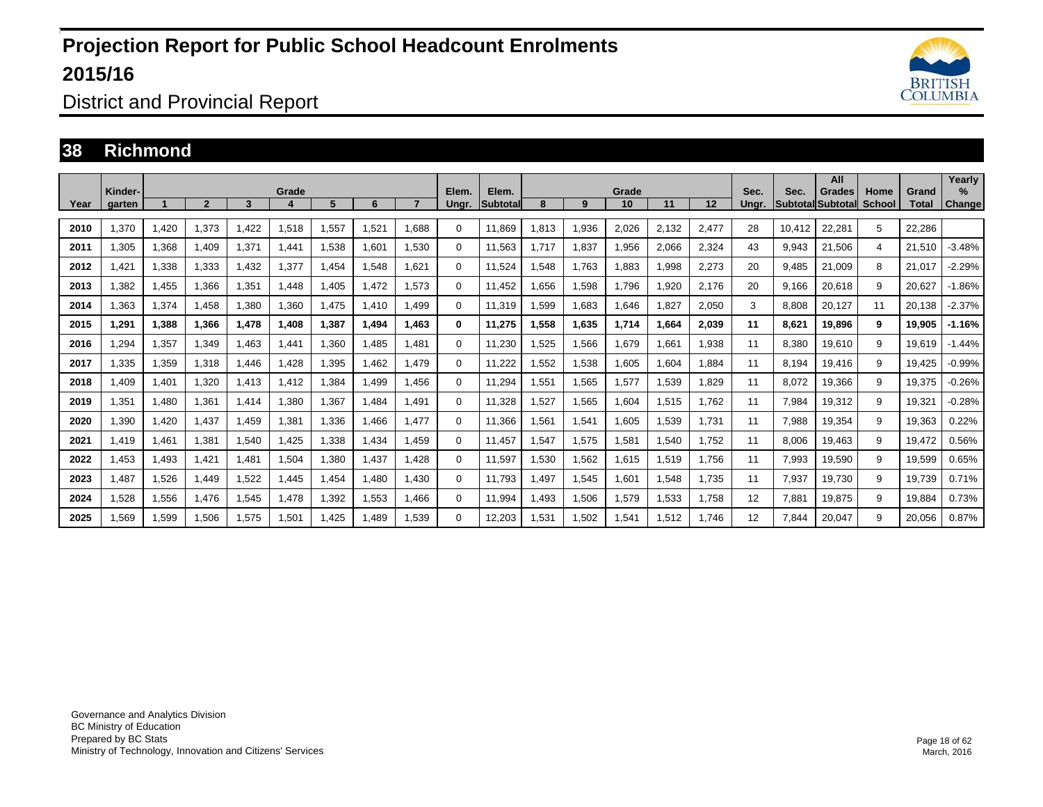

District and Provincial Report

#### **38 Richmond**

| Year | Kinder-<br>aarten |       | $\overline{2}$ | 3     | Grade | 5     | 6     |       | Elem.<br>Unar. | Elem.<br><b>Subtotal</b> | 8          | 9     | Grade<br>10 | 11    | 12    | Sec.<br>Unar. | Sec.   | All<br>Grades<br><b>Subtotal Subtotal</b> | Home<br>School | Grand<br>Total | Yearly<br>$\%$<br>Change |
|------|-------------------|-------|----------------|-------|-------|-------|-------|-------|----------------|--------------------------|------------|-------|-------------|-------|-------|---------------|--------|-------------------------------------------|----------------|----------------|--------------------------|
| 2010 | 1,370             | 1,420 | 1,373          | 1.422 | 1,518 | 1,557 | 1.521 | 1.688 | $\Omega$       | 11,869                   | 1,813      | 1,936 | 2,026       | 2,132 | 2,477 | 28            | 10.412 | 22,281                                    | 5              | 22.286         |                          |
| 2011 | 1,305             | 1,368 | 1,409          | 1,371 | 1.441 | 1,538 | 1,601 | 1,530 | $\Omega$       | 11,563                   | 1.717<br>1 | 1,837 | 1,956       | 2,066 | 2,324 | 43            | 9,943  | 21,506                                    | 4              | 21,510         | $-3.48%$                 |
| 2012 | .421              | 1,338 | 1,333          | 1,432 | 1,377 | 1,454 | 1,548 | 1.621 | $\Omega$       | 11.524                   | 1.548      | 1,763 | 1,883       | .998  | 2,273 | 20            | 9.485  | 21.009                                    | 8              | 21,017         | $-2.29%$                 |
| 2013 | .382              | 1,455 | 1.366          | 1,351 | 1,448 | 1.405 | 1.472 | 1.573 | $\Omega$       | 11.452                   | 1.656      | 1,598 | 1.796       | .920  | 2,176 | 20            | 9.166  | 20,618                                    | 9              | 20.627         | $-1.86%$                 |
| 2014 | .363              | 1,374 | 1,458          | 1,380 | 1,360 | 1,475 | 1,410 | .499  | $\Omega$       | 11,319                   | 1,599      | 1,683 | 1,646       | 1,827 | 2,050 | 3             | 8,808  | 20,127                                    | 11             | 20,138         | $-2.37%$                 |
| 2015 | 1,291             | 1,388 | 1,366          | 1,478 | 1,408 | 1,387 | 1.494 | 1,463 | 0              | 11,275                   | 1,558      | 1,635 | 1,714       | 1.664 | 2,039 | 11            | 8,621  | 19,896                                    | 9              | 19,905         | $-1.16%$                 |
| 2016 | <b>294,</b>       | 1,357 | 1,349          | 1,463 | 1,441 | 1,360 | 1,485 | 1,481 | $\Omega$       | 11,230                   | .525       | 1,566 | 1,679       | .661  | 1,938 | 11            | 8,380  | 19,610                                    | 9              | 19,619         | $-1.44%$                 |
| 2017 | 1,335             | 1,359 | 1,318          | 1,446 | 1.428 | 1,395 | 1.462 | 1,479 | 0              | 11,222                   | 1,552      | 1,538 | 1,605       | 1,604 | 1,884 | 11            | 8.194  | 19,416                                    | 9              | 19,425         | $-0.99%$                 |
| 2018 | .409              | 1,401 | 1.320          | 1,413 | 1.412 | ,384  | 1.499 | 1.456 | 0              | 11.294                   | 1,551      | 1,565 | 1,577       | .539  | 1.829 | 11            | 8,072  | 19,366                                    | 9              | 19,375         | $-0.26%$                 |
| 2019 | 1,351             | 1,480 | 1,361          | 1,414 | 1.380 | 1,367 | ,484  | 1.491 | 0              | 11,328                   | ,527       | 1,565 | 1,604       | 1,515 | 1,762 | 11            | 7,984  | 19,312                                    | 9              | 19,321         | $-0.28%$                 |
| 2020 | ,390              | 1,420 | 1.437          | 1.459 | 1.381 | 1,336 | 1.466 | .477  | 0              | 11,366                   | 1,561      | 1,541 | 1,605       | 1,539 | 1,731 | 11            | 7,988  | 19,354                                    | 9              | 19,363         | 0.22%                    |
| 2021 | 1.419             | 1,461 | 1,381          | 1,540 | 1.425 | 1,338 | 1.434 | 1.459 | $\Omega$       | 11.457                   | 1,547      | 1,575 | 1,581       | 1,540 | 1,752 | 11            | 8.006  | 19,463                                    | 9              | 19,472         | 0.56%                    |
| 2022 | 1,453             | 1,493 | 1,421          | 1,481 | 1,504 | 1,380 | 1.437 | 1.428 | 0              | 11.597                   | 1,530      | 1,562 | 1,615       | 1,519 | 1,756 | 11            | 7,993  | 19,590                                    | 9              | 19,599         | 0.65%                    |
| 2023 | .487              | 1,526 | 1.449          | 1,522 | .445  | 1,454 | 1.480 | 1.430 | 0              | 11.793                   | ,497       | 1,545 | 1,601       | .548  | 1,735 | 11            | 7,937  | 19,730                                    | 9              | 19,739         | 0.71%                    |
| 2024 | 1,528             | 1,556 | 1.476          | 1,545 | .478  | ,392  | 1.553 | 1.466 | 0              | 11.994                   | .493       | 1,506 | 1,579       | 1,533 | 1.758 | 12            | 7.881  | 19,875                                    | 9              | 19.884         | 0.73%                    |
| 2025 | <b>.569</b>       | 1,599 | 1,506          | 1,575 | 1,501 | ,425  | .489  | .539  | 0              | 12,203                   | 1,531      | 1,502 | 1,541       | 1,512 | 1,746 | 12            | 7.844  | 20,047                                    | 9              | 20,056         | 0.87%                    |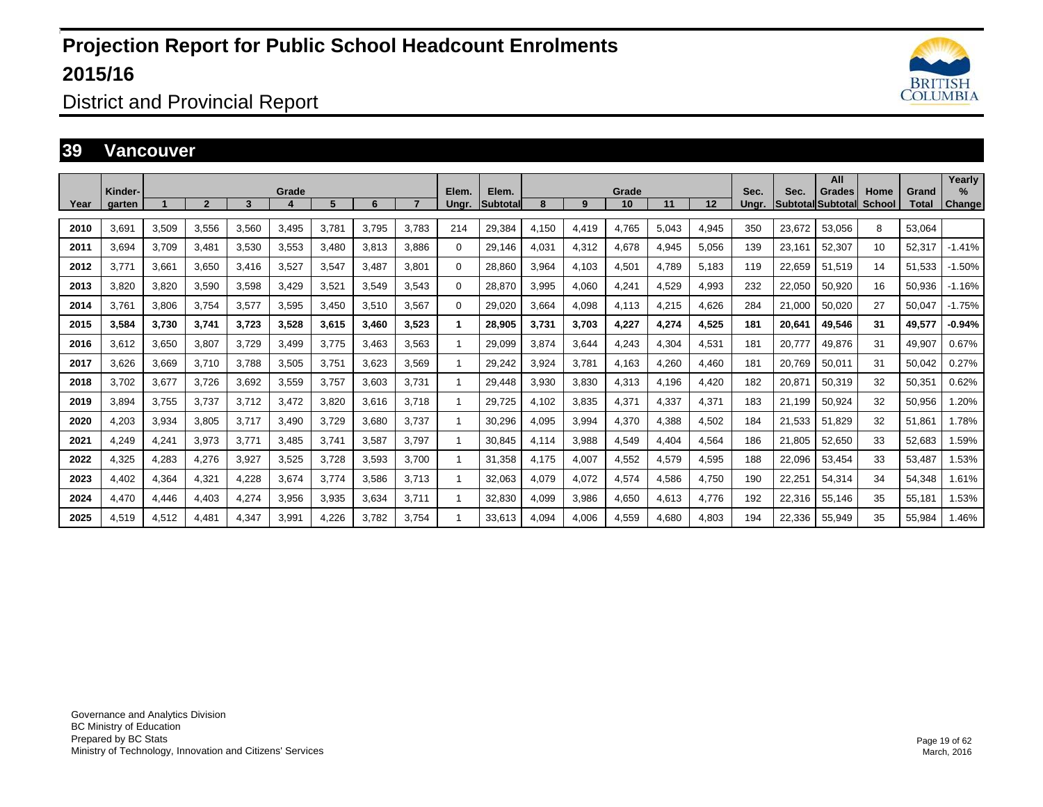

#### District and Provincial Report

#### **39 Vancouver**

|      | Kinder- |       |                         |       | Grade |       |       |       | Elem.        | Elem.           |       |       | Grade |       |       | Sec.  | Sec.   | All<br>Grades            | Home   | Grand  | Yearly<br>$\%$ |
|------|---------|-------|-------------------------|-------|-------|-------|-------|-------|--------------|-----------------|-------|-------|-------|-------|-------|-------|--------|--------------------------|--------|--------|----------------|
| Year | garten  |       | $\overline{\mathbf{c}}$ | 3     | д     | 5     | 6     |       | Ungr.        | <b>Subtotal</b> | 8     | 9     | 10    | 11    | 12    | Unar. |        | <b>Subtotal Subtotal</b> | School | Total  | Change         |
| 2010 | 3,691   | 3,509 | 3,556                   | 3,560 | 3,495 | 3.781 | 3.795 | 3.783 | 214          | 29,384          | 4.150 | 4,419 | 4,765 | 5,043 | 4,945 | 350   | 23.672 | 53,056                   | 8      | 53.064 |                |
| 2011 | 3.694   | 3.709 | 3.481                   | 3,530 | 3,553 | 3.480 | 3.813 | 3.886 | $\Omega$     | 29,146          | 4.031 | 4,312 | 4.678 | 4,945 | 5,056 | 139   | 23.161 | 52,307                   | 10     | 52.317 | $-1.41%$       |
| 2012 | 3.771   | 3,661 | 3,650                   | 3,416 | 3,527 | 3,547 | 3,487 | 3,801 | $\Omega$     | 28,860          | 3,964 | 4,103 | 4,501 | 4.789 | 5,183 | 119   | 22,659 | 51,519                   | 14     | 51,533 | $-1.50%$       |
| 2013 | 3.820   | 3,820 | 3,590                   | 3,598 | 3,429 | 3,521 | 3,549 | 3.543 | $\Omega$     | 28,870          | 3,995 | 4,060 | 4,241 | 4.529 | 4,993 | 232   | 22,050 | 50,920                   | 16     | 50,936 | $-1.16%$       |
| 2014 | 3,761   | 3,806 | 3,754                   | 3,577 | 3,595 | 3,450 | 3,510 | 3,567 | $\Omega$     | 29,020          | 3,664 | 4,098 | 4,113 | 4,215 | 4,626 | 284   | 21,000 | 50,020                   | 27     | 50,047 | $-1.75%$       |
| 2015 | 3,584   | 3,730 | 3,741                   | 3.723 | 3,528 | 3.615 | 3.460 | 3.523 | 1            | 28,905          | 3.731 | 3,703 | 4.227 | 4.274 | 4,525 | 181   | 20.641 | 49.546                   | 31     | 49,577 | $-0.94%$       |
| 2016 | 3,612   | 3,650 | 3,807                   | 3.729 | 3,499 | 3,775 | 3,463 | 3,563 | $\mathbf{1}$ | 29,099          | 3,874 | 3,644 | 4,243 | 4,304 | 4,531 | 181   | 20,777 | 49,876                   | 31     | 49,907 | 0.67%          |
| 2017 | 3.626   | 3,669 | 3,710                   | 3,788 | 3,505 | 3.751 | 3,623 | 3.569 | -1           | 29,242          | 3,924 | 3,781 | 4,163 | 4,260 | 4,460 | 181   | 20.769 | 50,011                   | 31     | 50,042 | 0.27%          |
| 2018 | 3,702   | 3,677 | 3,726                   | 3,692 | 3,559 | 3,757 | 3,603 | 3.731 | 1            | 29,448          | 3,930 | 3,830 | 4,313 | 4,196 | 4,420 | 182   | 20,871 | 50,319                   | 32     | 50,351 | 0.62%          |
| 2019 | 3,894   | 3.755 | 3,737                   | 3,712 | 3,472 | 3,820 | 3,616 | 3.718 | 1            | 29,725          | 4,102 | 3,835 | 4,371 | 4,337 | 4,371 | 183   | 21,199 | 50,924                   | 32     | 50,956 | 1.20%          |
| 2020 | 4,203   | 3,934 | 3,805                   | 3,717 | 3,490 | 3,729 | 3,680 | 3,737 | 1            | 30,296          | 4,095 | 3,994 | 4,370 | 4,388 | 4,502 | 184   | 21,533 | 51,829                   | 32     | 51,861 | 1.78%          |
| 2021 | 4,249   | 4,241 | 3,973                   | 3,771 | 3,485 | 3,741 | 3,587 | 3.797 | 1            | 30,845          | 4,114 | 3,988 | 4,549 | 4.404 | 4,564 | 186   | 21,805 | 52,650                   | 33     | 52,683 | 1.59%          |
| 2022 | 4,325   | 4,283 | 4,276                   | 3,927 | 3,525 | 3,728 | 3,593 | 3,700 | 1            | 31,358          | 4,175 | 4,007 | 4,552 | 4,579 | 4,595 | 188   | 22,096 | 53,454                   | 33     | 53,487 | 1.53%          |
| 2023 | 4,402   | 4,364 | 4,321                   | 4,228 | 3,674 | 3,774 | 3,586 | 3,713 | 1            | 32,063          | 4,079 | 4,072 | 4,574 | 4,586 | 4,750 | 190   | 22,251 | 54,314                   | 34     | 54,348 | 1.61%          |
| 2024 | 4,470   | 4,446 | 4,403                   | 4.274 | 3,956 | 3,935 | 3.634 | 3.711 | 1            | 32,830          | 4.099 | 3,986 | 4.650 | 4.613 | 4,776 | 192   | 22,316 | 55,146                   | 35     | 55,181 | 1.53%          |
| 2025 | 4,519   | 4,512 | 4,481                   | 4,347 | 3,991 | 4,226 | 3,782 | 3,754 | 1            | 33,613          | 4.094 | 4,006 | 4,559 | 4.680 | 4,803 | 194   | 22,336 | 55,949                   | 35     | 55,984 | 1.46%          |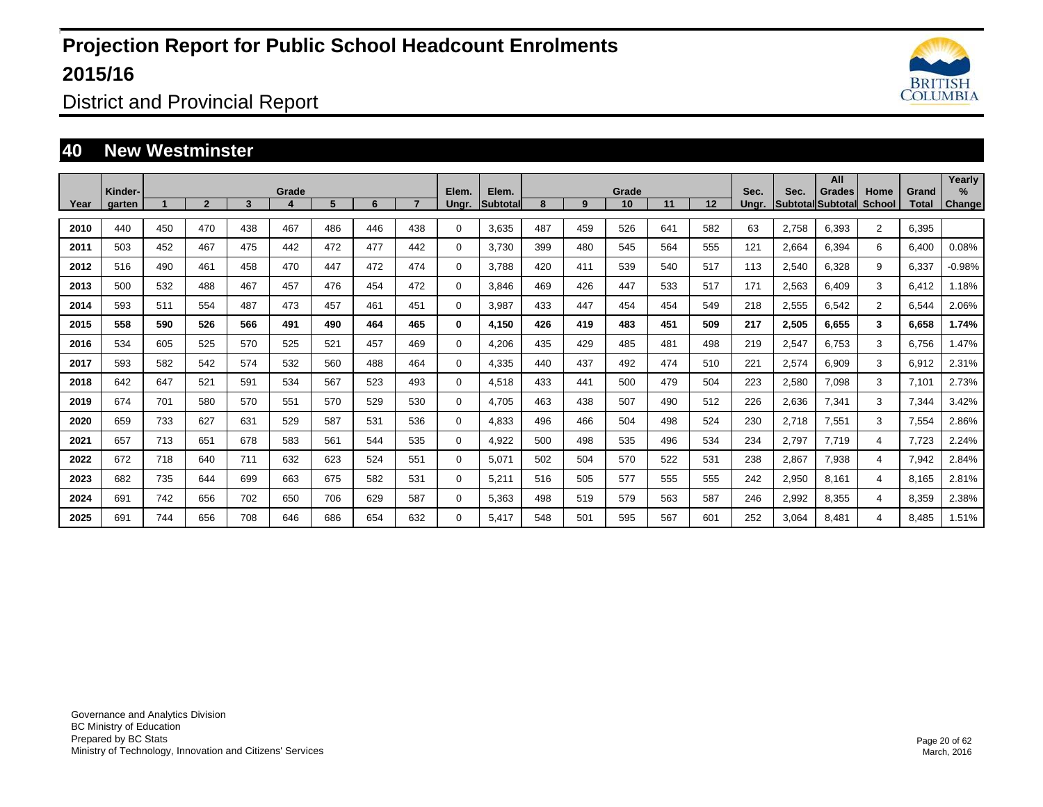

District and Provincial Report

#### **40 New Westminster**

| Year | Kinder-<br>garten |     | $\overline{2}$ | 3   | Grade | 5   | 6   |     | Elem.<br>Ungr. | Elem.<br>Subtotal | 8   | 9   | Grade<br>10 | 11  | 12  | Sec.<br>Unar. | Sec.  | All<br><b>Grades</b><br>Subtotal Subtotal | Home<br><b>School</b> | Grand<br>Total | Yearly<br>$\%$<br>Change |
|------|-------------------|-----|----------------|-----|-------|-----|-----|-----|----------------|-------------------|-----|-----|-------------|-----|-----|---------------|-------|-------------------------------------------|-----------------------|----------------|--------------------------|
|      |                   |     |                |     |       |     |     |     |                |                   |     |     |             |     |     |               |       |                                           |                       |                |                          |
| 2010 | 440               | 450 | 470            | 438 | 467   | 486 | 446 | 438 | $\Omega$       | 3,635             | 487 | 459 | 526         | 641 | 582 | 63            | 2,758 | 6,393                                     | $\overline{2}$        | 6,395          |                          |
| 2011 | 503               | 452 | 467            | 475 | 442   | 472 | 477 | 442 | $\mathbf 0$    | 3,730             | 399 | 480 | 545         | 564 | 555 | 121           | 2,664 | 6,394                                     | 6                     | 6,400          | 0.08%                    |
| 2012 | 516               | 490 | 461            | 458 | 470   | 447 | 472 | 474 | $\mathbf 0$    | 3.788             | 420 | 411 | 539         | 540 | 517 | 113           | 2,540 | 6,328                                     | 9                     | 6,337          | $-0.98%$                 |
| 2013 | 500               | 532 | 488            | 467 | 457   | 476 | 454 | 472 | 0              | 3,846             | 469 | 426 | 447         | 533 | 517 | 171           | 2,563 | 6,409                                     | 3                     | 6,412          | 1.18%                    |
| 2014 | 593               | 511 | 554            | 487 | 473   | 457 | 461 | 451 | 0              | 3,987             | 433 | 447 | 454         | 454 | 549 | 218           | 2,555 | 6,542                                     | $\overline{2}$        | 6,544          | 2.06%                    |
| 2015 | 558               | 590 | 526            | 566 | 491   | 490 | 464 | 465 | $\bf{0}$       | 4,150             | 426 | 419 | 483         | 451 | 509 | 217           | 2,505 | 6,655                                     | 3                     | 6,658          | 1.74%                    |
| 2016 | 534               | 605 | 525            | 570 | 525   | 521 | 457 | 469 | 0              | 4,206             | 435 | 429 | 485         | 481 | 498 | 219           | 2,547 | 6,753                                     | 3                     | 6,756          | 1.47%                    |
| 2017 | 593               | 582 | 542            | 574 | 532   | 560 | 488 | 464 | $\mathbf 0$    | 4,335             | 440 | 437 | 492         | 474 | 510 | 221           | 2,574 | 6,909                                     | 3                     | 6,912          | 2.31%                    |
| 2018 | 642               | 647 | 521            | 591 | 534   | 567 | 523 | 493 | 0              | 4,518             | 433 | 441 | 500         | 479 | 504 | 223           | 2,580 | 7,098                                     | 3                     | 7.101          | 2.73%                    |
| 2019 | 674               | 701 | 580            | 570 | 551   | 570 | 529 | 530 | $\mathbf 0$    | 4.705             | 463 | 438 | 507         | 490 | 512 | 226           | 2,636 | 7,341                                     | 3                     | 7,344          | 3.42%                    |
| 2020 | 659               | 733 | 627            | 631 | 529   | 587 | 531 | 536 | $\mathbf 0$    | 4,833             | 496 | 466 | 504         | 498 | 524 | 230           | 2,718 | 7,551                                     | 3                     | 7,554          | 2.86%                    |
| 2021 | 657               | 713 | 651            | 678 | 583   | 561 | 544 | 535 | 0              | 4.922             | 500 | 498 | 535         | 496 | 534 | 234           | 2,797 | 7.719                                     | 4                     | 7.723          | 2.24%                    |
| 2022 | 672               | 718 | 640            | 711 | 632   | 623 | 524 | 551 | 0              | 5.071             | 502 | 504 | 570         | 522 | 531 | 238           | 2,867 | 7,938                                     | $\overline{4}$        | 7,942          | 2.84%                    |
| 2023 | 682               | 735 | 644            | 699 | 663   | 675 | 582 | 531 | 0              | 5,211             | 516 | 505 | 577         | 555 | 555 | 242           | 2,950 | 8,161                                     | $\overline{4}$        | 8,165          | 2.81%                    |
| 2024 | 691               | 742 | 656            | 702 | 650   | 706 | 629 | 587 | 0              | 5,363             | 498 | 519 | 579         | 563 | 587 | 246           | 2,992 | 8,355                                     | 4                     | 8,359          | 2.38%                    |
| 2025 | 691               | 744 | 656            | 708 | 646   | 686 | 654 | 632 | 0              | 5,417             | 548 | 501 | 595         | 567 | 601 | 252           | 3,064 | 8,481                                     | 4                     | 8,485          | 1.51%                    |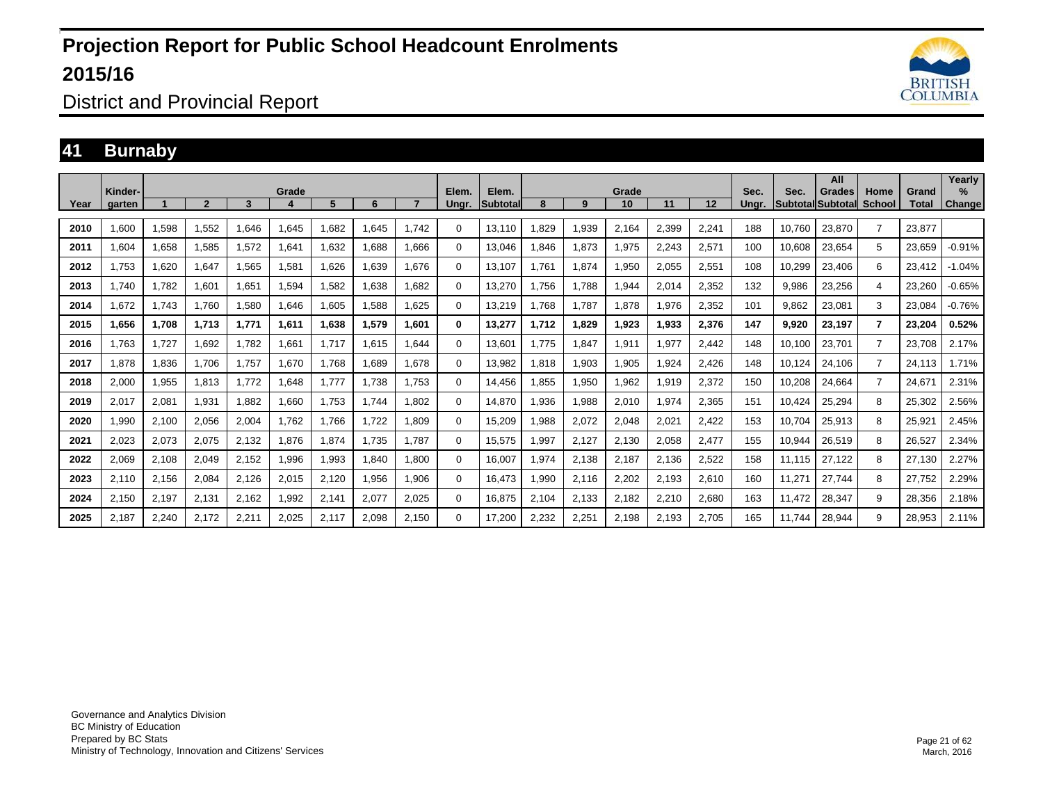

District and Provincial Report

#### **41 Burnaby**

|      | Kinder- |       |              |       | Grade |       |       |       | Elem.       | Elem.           |       |       | Grade |       |       | Sec.  | Sec.   | All<br>Grades            | Home           | Grand  | Yearly<br>$\%$ |
|------|---------|-------|--------------|-------|-------|-------|-------|-------|-------------|-----------------|-------|-------|-------|-------|-------|-------|--------|--------------------------|----------------|--------|----------------|
| Year | aarten  |       | $\mathbf{2}$ | 3     |       | 5     | 6     |       | Unar.       | <b>Subtotal</b> | 8     | 9     | 10    | 11    | 12    | Unar. |        | <b>SubtotallSubtotal</b> | School         | Total  | Change         |
| 2010 | 1.600   | 1,598 | 1,552        | 1.646 | 1,645 | 1,682 | 1.645 | 1.742 | 0           | 13,110          | .829  | 1,939 | 2,164 | 2,399 | 2,241 | 188   | 10.760 | 23,870                   | $\overline{7}$ | 23.877 |                |
| 2011 | 1,604   | 1,658 | 1,585        | 1,572 | 1,641 | 1,632 | 1,688 | 1,666 | 0           | 13,046          | .846  | 1,873 | 1,975 | 2,243 | 2,571 | 100   | 10,608 | 23,654                   | 5              | 23,659 | $-0.91%$       |
| 2012 | 1.753   | 1,620 | 1,647        | 1,565 | 1,581 | 1,626 | 1,639 | 1.676 | $\mathbf 0$ | 13.107          | .761  | 1,874 | 1,950 | 2.055 | 2,551 | 108   | 10.299 | 23,406                   | 6              | 23,412 | $-1.04%$       |
| 2013 | 1.740   | 1,782 | 1.601        | 1.651 | 1,594 | 1,582 | 1.638 | 1.682 | $\mathbf 0$ | 13.270          | .756  | 1.788 | 1.944 | 2.014 | 2,352 | 132   | 9.986  | 23,256                   | 4              | 23,260 | $-0.65%$       |
| 2014 | .672    | 1,743 | 1.760        | 1,580 | 1,646 | 1,605 | 1,588 | 1,625 | 0           | 13,219          | .768  | 1,787 | 1,878 | 1,976 | 2,352 | 101   | 9.862  | 23,081                   | 3              | 23,084 | $-0.76%$       |
| 2015 | 1,656   | 1,708 | 1,713        | 1.771 | 1,611 | 1,638 | 1,579 | 1,601 | $\bf{0}$    | 13,277          | 1.712 | 1,829 | 1,923 | 1.933 | 2,376 | 147   | 9.920  | 23,197                   | $\overline{7}$ | 23,204 | 0.52%          |
| 2016 | 1.763   | 1,727 | 1,692        | 1,782 | 1,661 | 1,717 | 1,615 | 1.644 | 0           | 13,601          | 1.775 | 1,847 | 1,911 | 1,977 | 2,442 | 148   | 10,100 | 23,701                   | $\overline{7}$ | 23,708 | 2.17%          |
| 2017 | 1,878   | 1,836 | 1.706        | 1.757 | 1,670 | 1.768 | 1.689 | 1,678 | 0           | 13,982          | .818  | 1,903 | 1,905 | 1.924 | 2,426 | 148   | 10.124 | 24,106                   | $\overline{7}$ | 24,113 | 1.71%          |
| 2018 | 2,000   | 1,955 | 1,813        | 1.772 | 1,648 | 1.777 | 1.738 | 1.753 | 0           | 14.456          | .855  | 1,950 | 1.962 | 1.919 | 2,372 | 150   | 10.208 | 24,664                   | $\overline{7}$ | 24.671 | 2.31%          |
| 2019 | 2,017   | 2,081 | 1,931        | 1,882 | 1,660 | 1,753 | 1,744 | 1,802 | 0           | 14,870          | .936  | 1,988 | 2,010 | 1,974 | 2,365 | 151   | 10.424 | 25,294                   | 8              | 25,302 | 2.56%          |
| 2020 | 1,990   | 2,100 | 2,056        | 2,004 | 1.762 | 1.766 | 1,722 | 1.809 | 0           | 15,209          | .988  | 2,072 | 2,048 | 2,021 | 2,422 | 153   | 10.704 | 25,913                   | 8              | 25,921 | 2.45%          |
| 2021 | 2,023   | 2,073 | 2,075        | 2,132 | 1,876 | 1,874 | 1.735 | 1.787 | $\mathbf 0$ | 15,575          | .997  | 2,127 | 2,130 | 2,058 | 2,477 | 155   | 10,944 | 26,519                   | 8              | 26,527 | 2.34%          |
| 2022 | 2,069   | 2,108 | 2,049        | 2,152 | 1,996 | 1,993 | 1.840 | 1.800 | 0           | 16.007          | 1.974 | 2,138 | 2,187 | 2.136 | 2,522 | 158   | 11.115 | 27,122                   | 8              | 27.130 | 2.27%          |
| 2023 | 2,110   | 2,156 | 2,084        | 2,126 | 2,015 | 2,120 | 1,956 | 1,906 | 0           | 16,473          | .990  | 2,116 | 2,202 | 2,193 | 2,610 | 160   | 11,271 | 27.744                   | 8              | 27,752 | 2.29%          |
| 2024 | 2,150   | 2,197 | 2.131        | 2,162 | 1,992 | 2,141 | 2,077 | 2,025 | 0           | 16.875          | 2,104 | 2,133 | 2,182 | 2.210 | 2,680 | 163   | 11.472 | 28,347                   | 9              | 28,356 | 2.18%          |
| 2025 | 2,187   | 2,240 | 2,172        | 2,211 | 2,025 | 2,117 | 2,098 | 2,150 | 0           | 17,200          | 2,232 | 2,251 | 2,198 | 2,193 | 2,705 | 165   | 11.744 | 28,944                   | 9              | 28,953 | 2.11%          |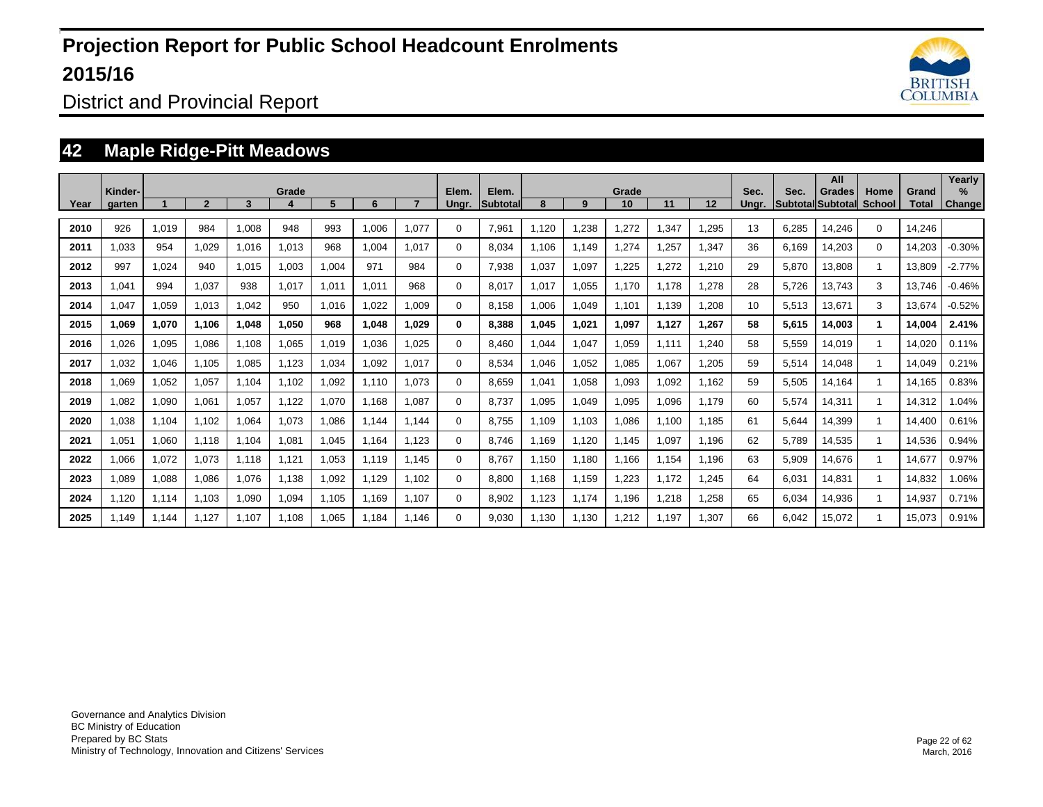

District and Provincial Report

### **42 Maple Ridge-Pitt Meadows**

| Year | Kinder-<br>garten |       | $\overline{2}$ | 3     | Grade | 5.    | 6     |       | Elem.<br>Unar. | Elem.<br><b>Subtotal</b> | 8     | 9     | Grade<br>10 | 11    | 12    | Sec.<br>Unar. | Sec.  | All<br>Grades<br><b>Subtotal Subtotal</b> | Home<br>School | Grand<br>Total | Yearly<br>$\%$<br>Change |
|------|-------------------|-------|----------------|-------|-------|-------|-------|-------|----------------|--------------------------|-------|-------|-------------|-------|-------|---------------|-------|-------------------------------------------|----------------|----------------|--------------------------|
| 2010 | 926               | 1,019 | 984            | 1.008 | 948   | 993   | 1.006 | 1.077 | $\Omega$       | 7,961                    | 1.120 | 1,238 | 1,272       | .347  | 1,295 | 13            | 6,285 | 14,246                                    | $\mathbf 0$    | 14.246         |                          |
| 2011 | 1,033             | 954   | 1,029          | 1,016 | 1,013 | 968   | 1,004 | 1,017 | $\Omega$       | 8,034                    | 1,106 | 1,149 | 1,274       | ,257  | 1,347 | 36            | 6,169 | 14,203                                    | $\mathbf 0$    | 14,203         | $-0.30%$                 |
| 2012 | 997               | 1,024 | 940            | 1,015 | 1,003 | 1,004 | 971   | 984   | 0              | 7,938                    | 1,037 | 1,097 | 1,225       | .272  | 1,210 | 29            | 5,870 | 13,808                                    | $\mathbf{1}$   | 13,809         | $-2.77%$                 |
| 2013 | 1,041             | 994   | 1.037          | 938   | 1.017 | 1.011 | 1.011 | 968   | $\Omega$       | 8.017                    | 1,017 | 1,055 | 1.170       | 1.178 | 1,278 | 28            | 5.726 | 13.743                                    | 3              | 13.746         | $-0.46%$                 |
| 2014 | 1,047             | 1,059 | 1,013          | 1,042 | 950   | 1,016 | 1,022 | 1,009 | $\Omega$       | 8,158                    | 1,006 | 1,049 | 1,101       | 1,139 | 1,208 | 10            | 5,513 | 13,671                                    | 3              | 13,674         | $-0.52%$                 |
| 2015 | 1,069             | 1,070 | 1.106          | 1,048 | 1,050 | 968   | 1.048 | 1.029 | 0              | 8,388                    | 1.045 | 1,021 | 1,097       | 1.127 | 1,267 | 58            | 5,615 | 14,003                                    | $\mathbf 1$    | 14,004         | 2.41%                    |
| 2016 | 1,026             | 1,095 | 1,086          | 1,108 | 1,065 | 1,019 | 1,036 | 1,025 | $\Omega$       | 8,460                    | 1,044 | 1,047 | 1,059       | 1,111 | 1,240 | 58            | 5,559 | 14,019                                    | $\mathbf 1$    | 14,020         | 0.11%                    |
| 2017 | 1,032             | 1,046 | 1,105          | 1,085 | 1,123 | 1,034 | 1,092 | 1.017 | 0              | 8,534                    | 1,046 | 1,052 | 1,085       | 1.067 | 1,205 | 59            | 5,514 | 14,048                                    | $\mathbf{1}$   | 14,049         | 0.21%                    |
| 2018 | 1.069             | 1,052 | 1,057          | 1.104 | 1.102 | 1,092 | 1.110 | 1.073 | 0              | 8.659                    | 1,041 | 1,058 | 1.093       | 1.092 | 1,162 | 59            | 5,505 | 14,164                                    |                | 14,165         | 0.83%                    |
| 2019 | 1,082             | 1,090 | 1,061          | 1,057 | 1,122 | 1,070 | 1,168 | 1.087 | 0              | 8,737                    | 1,095 | 1,049 | 1,095       | 1,096 | 1,179 | 60            | 5,574 | 14,311                                    |                | 14,312         | 1.04%                    |
| 2020 | 1,038             | 1,104 | 1,102          | 1,064 | 1,073 | 1,086 | 1.144 | 1.144 | 0              | 8.755                    | 1.109 | 1,103 | 1,086       | 1,100 | 1,185 | 61            | 5,644 | 14,399                                    |                | 14.400         | 0.61%                    |
| 2021 | 1,051             | 1,060 | 1.118          | 1,104 | 1,081 | 1.045 | 1.164 | 1.123 | $\Omega$       | 8.746                    | 1.169 | 1,120 | 1,145       | 1,097 | 1,196 | 62            | 5,789 | 14,535                                    | 1              | 14,536         | 0.94%                    |
| 2022 | 1,066             | 1,072 | 1,073          | 1,118 | 1.121 | 1,053 | 1.119 | 1.145 | 0              | 8.767                    | 1,150 | 1,180 | 1.166       | 1.154 | 1,196 | 63            | 5,909 | 14,676                                    |                | 14,677         | 0.97%                    |
| 2023 | 1,089             | 1,088 | 1,086          | 1,076 | 1,138 | 1,092 | 1,129 | 1.102 | 0              | 8,800                    | 1,168 | 1,159 | 1,223       | 1.172 | 1,245 | 64            | 6,031 | 14,831                                    |                | 14,832         | 1.06%                    |
| 2024 | 1.120             | 1,114 | 1.103          | 1,090 | 1,094 | 1.105 | 1.169 | 1.107 | 0              | 8,902                    | 1.123 | 1,174 | 1,196       | .218  | 1,258 | 65            | 6.034 | 14,936                                    |                | 14,937         | 0.71%                    |
| 2025 | 1.149             | 1,144 | 1.127          | 1.107 | 1.108 | 1,065 | 1,184 | 1.146 | $\Omega$       | 9,030                    | 1,130 | 1,130 | 1,212       | .197  | 1,307 | 66            | 6,042 | 15,072                                    |                | 15,073         | 0.91%                    |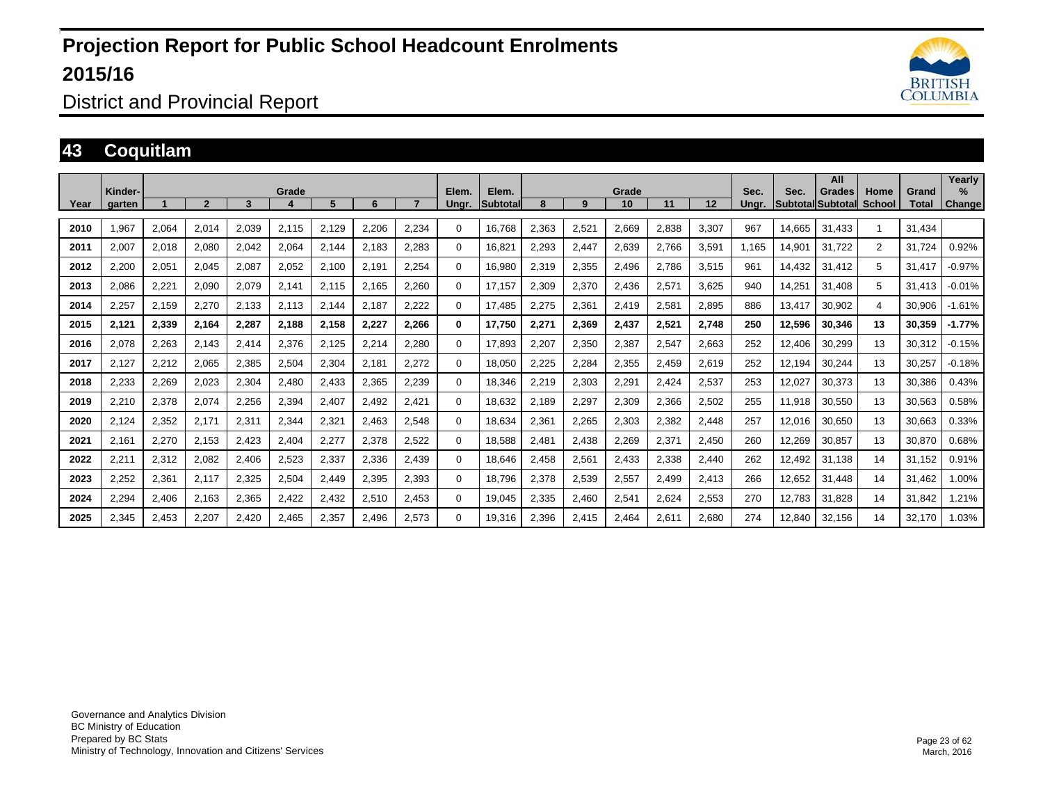

District and Provincial Report

#### **43 Coquitlam**

| Year | Kinder-<br>aarten |       | $\overline{2}$ | 3     | Grade | 5.    | 6     |       | Elem.<br>Unar. | Elem.<br><b>Subtotal</b> | 8     | 9     | Grade<br>10 | 11    | 12    | Sec.<br>Unar. | Sec.   | All<br>Grades<br>Subtotal Subtotal | Home<br><b>School</b> | Grand<br>Total | Yearly<br>$\%$<br><b>Change</b> |
|------|-------------------|-------|----------------|-------|-------|-------|-------|-------|----------------|--------------------------|-------|-------|-------------|-------|-------|---------------|--------|------------------------------------|-----------------------|----------------|---------------------------------|
| 2010 | 1,967             | 2,064 | 2,014          | 2,039 | 2,115 | 2,129 | 2,206 | 2,234 | $\Omega$       | 16,768                   | 2,363 | 2,521 | 2,669       | 2,838 | 3,307 | 967           | 14.665 | 31.433                             |                       | 31.434         |                                 |
|      |                   |       |                |       |       |       |       |       |                |                          |       |       |             |       |       |               |        |                                    |                       |                |                                 |
| 2011 | 2,007             | 2,018 | 2,080          | 2,042 | 2,064 | 2,144 | 2,183 | 2,283 | $\Omega$       | 16,821                   | 2,293 | 2,447 | 2,639       | 2,766 | 3,591 | 1.165         | 14,901 | 31,722                             | $\overline{2}$        | 31.724         | 0.92%                           |
| 2012 | 2,200             | 2,051 | 2,045          | 2,087 | 2,052 | 2,100 | 2.191 | 2.254 | $\Omega$       | 16,980                   | 2,319 | 2,355 | 2,496       | 2.786 | 3,515 | 961           | 14,432 | 31,412                             | 5                     | 31,417         | $-0.97%$                        |
| 2013 | 2,086             | 2,221 | 2,090          | 2,079 | 2,141 | 2.115 | 2.165 | 2.260 | $\Omega$       | 17,157                   | 2.309 | 2,370 | 2,436       | 2,57' | 3,625 | 940           | 14.251 | 31.408                             | 5                     | 31.413         | $-0.01%$                        |
| 2014 | 2,257             | 2,159 | 2,270          | 2,133 | 2,113 | 2,144 | 2,187 | 2,222 | $\Omega$       | 17,485                   | 2,275 | 2,361 | 2,419       | 2,58' | 2,895 | 886           | 13,417 | 30,902                             | 4                     | 30,906         | $-1.61%$                        |
| 2015 | 2,121             | 2,339 | 2,164          | 2,287 | 2,188 | 2,158 | 2,227 | 2.266 | 0              | 17,750                   | 2,271 | 2,369 | 2,437       | 2.521 | 2,748 | 250           | 12,596 | 30,346                             | 13                    | 30,359         | $-1.77%$                        |
| 2016 | 2,078             | 2,263 | 2,143          | 2,414 | 2,376 | 2,125 | 2,214 | 2,280 | $\Omega$       | 17,893                   | 2,207 | 2,350 | 2,387       | 2,547 | 2,663 | 252           | 12,406 | 30,299                             | 13                    | 30,312         | $-0.15%$                        |
| 2017 | 2,127             | 2,212 | 2,065          | 2,385 | 2,504 | 2,304 | 2,181 | 2,272 | 0              | 18,050                   | 2,225 | 2,284 | 2,355       | 2,459 | 2,619 | 252           | 12,194 | 30,244                             | 13                    | 30,257         | $-0.18%$                        |
| 2018 | 2,233             | 2,269 | 2,023          | 2,304 | 2,480 | 2,433 | 2,365 | 2.239 | $\Omega$       | 18,346                   | 2,219 | 2,303 | 2,291       | 2,424 | 2,537 | 253           | 12,027 | 30,373                             | 13                    | 30,386         | 0.43%                           |
| 2019 | 2,210             | 2,378 | 2,074          | 2,256 | 2,394 | 2,407 | 2,492 | 2,421 | 0              | 18,632                   | 2,189 | 2,297 | 2,309       | 2,366 | 2,502 | 255           | 11,918 | 30,550                             | 13                    | 30,563         | 0.58%                           |
| 2020 | 2,124             | 2,352 | 2,171          | 2,311 | 2,344 | 2,321 | 2,463 | 2,548 | 0              | 18,634                   | 2,361 | 2,265 | 2,303       | 2,382 | 2,448 | 257           | 12,016 | 30,650                             | 13                    | 30,663         | 0.33%                           |
| 2021 | 2,161             | 2,270 | 2,153          | 2,423 | 2,404 | 2,277 | 2,378 | 2,522 | $\Omega$       | 18,588                   | 2,481 | 2,438 | 2,269       | 2,371 | 2,450 | 260           | 12,269 | 30,857                             | 13                    | 30,870         | 0.68%                           |
| 2022 | 2,211             | 2,312 | 2,082          | 2,406 | 2,523 | 2,337 | 2,336 | 2,439 | 0              | 18.646                   | 2.458 | 2,561 | 2,433       | 2,338 | 2,440 | 262           | 12.492 | 31,138                             | 14                    | 31.152         | 0.91%                           |
| 2023 | 2,252             | 2,361 | 2,117          | 2,325 | 2,504 | 2,449 | 2,395 | 2,393 | 0              | 18,796                   | 2,378 | 2,539 | 2,557       | 2,499 | 2,413 | 266           | 12,652 | 31,448                             | 14                    | 31,462         | 1.00%                           |
| 2024 | 2,294             | 2,406 | 2,163          | 2,365 | 2,422 | 2,432 | 2,510 | 2,453 | 0              | 19,045                   | 2,335 | 2,460 | 2,541       | 2.624 | 2,553 | 270           | 12.783 | 31,828                             | 14                    | 31,842         | 1.21%                           |
| 2025 | 2,345             | 2,453 | 2,207          | 2,420 | 2,465 | 2,357 | 2,496 | 2,573 | $\Omega$       | 19,316                   | 2,396 | 2,415 | 2,464       | 2,611 | 2,680 | 274           | 12,840 | 32,156                             | 14                    | 32,170         | 1.03%                           |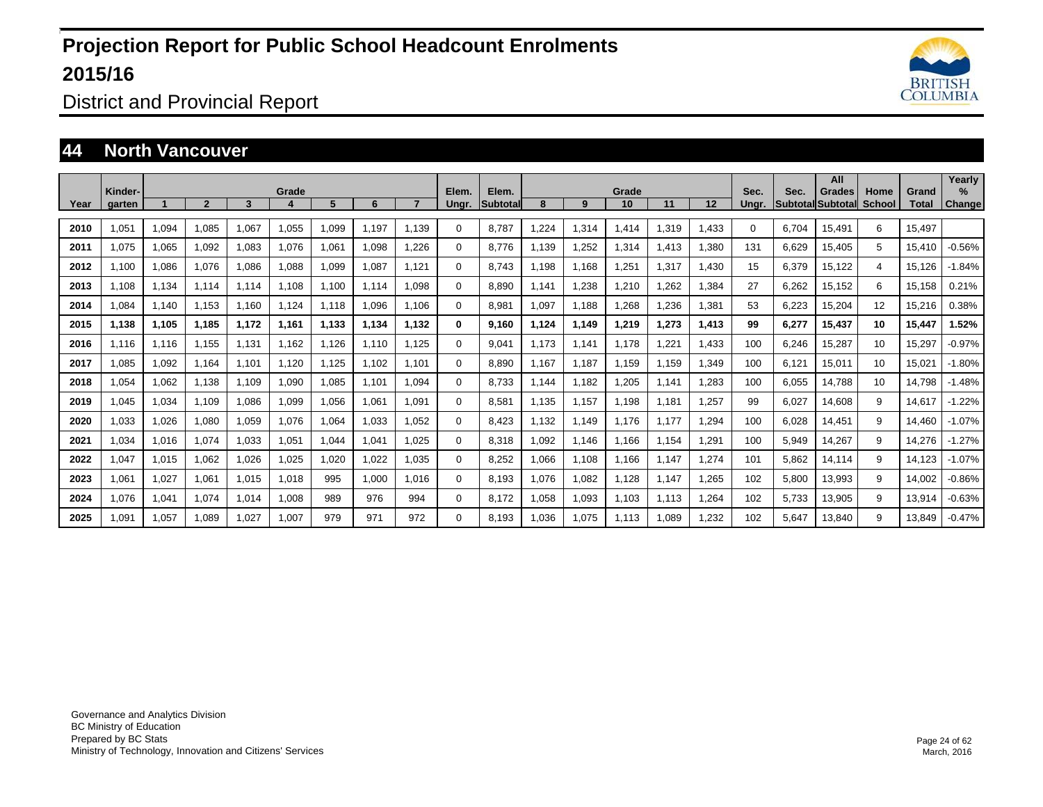

District and Provincial Report

### **44 North Vancouver**

|      | Kinder- |       |       |       | Grade |       |       |       | Elem.    | Elem.           |       |       | Grade |       |       | Sec.  | Sec.  | All<br>Grades     | Home   | Grand  | Yearly<br>$\%$ |
|------|---------|-------|-------|-------|-------|-------|-------|-------|----------|-----------------|-------|-------|-------|-------|-------|-------|-------|-------------------|--------|--------|----------------|
| Year | garten  |       | 2     | 3     |       | 5     | 6     |       | Ungr.    | <b>Subtotal</b> | 8     | 9     | 10    | 11    | 12    | Unar. |       | Subtotal Subtotal | School | Total  | Change         |
| 2010 | 1.051   | 1,094 | 1.085 | 1.067 | 1,055 | 1,099 | 1.197 | 1.139 | $\Omega$ | 8.787           | .224  | 1,314 | 1,414 | 1,319 | 1,433 | 0     | 6.704 | 15,491            | 6      | 15.497 |                |
| 2011 | 1.075   | 1,065 | 1.092 | 1.083 | 1.076 | 1,061 | 1.098 | 1.226 | $\Omega$ | 8.776           | 1.139 | 1,252 | 1,314 | 1.413 | 1,380 | 131   | 6.629 | 15.405            | 5      | 15.410 | $-0.56%$       |
| 2012 | 1.100   | 1,086 | 1,076 | 1,086 | 1,088 | 1,099 | 1,087 | 1.121 | $\Omega$ | 8.743           | 1.198 | 1,168 | 1,251 | 1,317 | 1,430 | 15    | 6,379 | 15,122            | 4      | 15,126 | $-1.84%$       |
| 2013 | 1.108   | 1,134 | 1,114 | 1.114 | 1.108 | 1.100 | 1.114 | 1.098 | $\Omega$ | 8.890           | 1.141 | 1,238 | 1,210 | 1,262 | 1,384 | 27    | 6,262 | 15,152            | 6      | 15.158 | 0.21%          |
| 2014 | 1.084   | 1,140 | 1,153 | 1.160 | 1,124 | 1,118 | 1,096 | 1.106 | $\Omega$ | 8,981           | 1.097 | 1.188 | 1,268 | 1,236 | 1,381 | 53    | 6,223 | 15,204            | 12     | 15,216 | 0.38%          |
| 2015 | 1.138   | 1,105 | 1.185 | 1.172 | 1,161 | 1.133 | 1.134 | 1.132 | 0        | 9.160           | 1.124 | 1,149 | 1,219 | 1.273 | 1,413 | 99    | 6,277 | 15,437            | 10     | 15,447 | 1.52%          |
| 2016 | 1.116   | 1,116 | 1,155 | 1,131 | 1,162 | 1,126 | 1.110 | 1,125 | $\Omega$ | 9,041           | 1.173 | 1,141 | 1,178 | 1.221 | 1,433 | 100   | 6,246 | 15,287            | 10     | 15,297 | $-0.97%$       |
| 2017 | 1.085   | 1,092 | 1.164 | 1.101 | 1,120 | 1.125 | 1.102 | 1.101 | 0        | 8.890           | 1.167 | 1,187 | 1,159 | 1.159 | 1,349 | 100   | 6.121 | 15,011            | 10     | 15,021 | $-1.80%$       |
| 2018 | 1,054   | 1,062 | 1,138 | 1,109 | 1,090 | 1,085 | 1,101 | 1,094 | 0        | 8,733           | 1,144 | 1,182 | 1,205 | 1,141 | 1,283 | 100   | 6,055 | 14,788            | 10     | 14,798 | $-1.48%$       |
| 2019 | 1,045   | 1,034 | 1.109 | 1,086 | 1,099 | 1,056 | 1.061 | 1.091 | 0        | 8,581           | 1.135 | 1,157 | 1,198 | 1,181 | 1,257 | 99    | 6,027 | 14,608            | 9      | 14,617 | $-1.22%$       |
| 2020 | 1,033   | 1,026 | 1,080 | 1,059 | 1,076 | 1,064 | 1,033 | 1,052 | 0        | 8,423           | 1,132 | 1,149 | 1,176 | 1,177 | 1,294 | 100   | 6,028 | 14,451            | 9      | 14,460 | $-1.07%$       |
| 2021 | 1,034   | 1,016 | 1,074 | 1,033 | 1,051 | 1,044 | 1,041 | 1,025 | $\Omega$ | 8,318           | 1,092 | 1,146 | 1,166 | 1,154 | 1,291 | 100   | 5,949 | 14,267            | 9      | 14,276 | $-1.27%$       |
| 2022 | 1.047   | 1,015 | 1.062 | 1,026 | 1,025 | 1,020 | 1,022 | 1.035 | $\Omega$ | 8,252           | 1,066 | 1,108 | 1,166 | 1,147 | 1,274 | 101   | 5,862 | 14,114            | 9      | 14,123 | $-1.07%$       |
| 2023 | 1,061   | 1,027 | 1,061 | 1,015 | 1,018 | 995   | 1.000 | 1.016 | 0        | 8,193           | 1,076 | 1,082 | 1,128 | 1,147 | 1,265 | 102   | 5,800 | 13,993            | 9      | 14,002 | $-0.86%$       |
| 2024 | 1.076   | 1,041 | 1.074 | 1,014 | 1.008 | 989   | 976   | 994   | 0        | 8.172           | 1,058 | 1,093 | 1,103 | 1,113 | 1.264 | 102   | 5,733 | 13,905            | 9      | 13,914 | $-0.63%$       |
| 2025 | 1,091   | 1,057 | 1,089 | 1.027 | 1,007 | 979   | 971   | 972   | 0        | 8,193           | 1.036 | 1,075 | 1,113 | 1.089 | 1,232 | 102   | 5.647 | 13,840            | 9      | 13,849 | $-0.47%$       |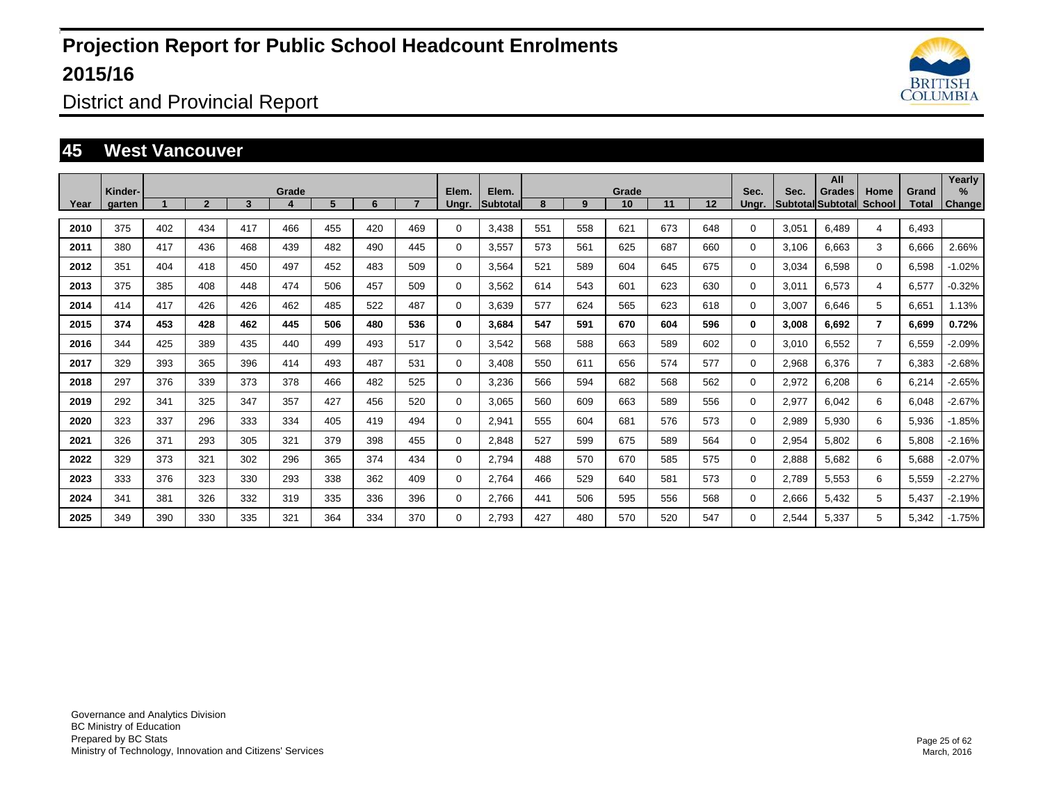

District and Provincial Report

### **45 West Vancouver**

|      | Kinder- |     |                |     | Grade |     |     |     | Elem.       | Elem.    |     |     | Grade |     |     | Sec.        | Sec.  | All<br><b>Grades</b>     | Home           | Grand | Yearly<br>$\%$ |
|------|---------|-----|----------------|-----|-------|-----|-----|-----|-------------|----------|-----|-----|-------|-----|-----|-------------|-------|--------------------------|----------------|-------|----------------|
| Year | garten  |     | $\overline{2}$ | 3   |       | 5   | 6   |     | Ungr.       | Subtotal | 8   | 9   | 10    | 11  | 12  | Ungr.       |       | <b>Subtotal Subtotal</b> | <b>School</b>  | Total | Change         |
| 2010 | 375     | 402 | 434            | 417 | 466   | 455 | 420 | 469 | 0           | 3,438    | 551 | 558 | 621   | 673 | 648 | 0           | 3,051 | 6,489                    | 4              | 6,493 |                |
| 2011 | 380     | 417 | 436            | 468 | 439   | 482 | 490 | 445 | 0           | 3,557    | 573 | 561 | 625   | 687 | 660 | 0           | 3,106 | 6,663                    | 3              | 6,666 | 2.66%          |
| 2012 | 351     | 404 | 418            | 450 | 497   | 452 | 483 | 509 | 0           | 3,564    | 521 | 589 | 604   | 645 | 675 | 0           | 3,034 | 6,598                    | $\mathbf 0$    | 6,598 | $-1.02%$       |
| 2013 | 375     | 385 | 408            | 448 | 474   | 506 | 457 | 509 | $\mathbf 0$ | 3,562    | 614 | 543 | 601   | 623 | 630 | 0           | 3,011 | 6,573                    | $\overline{4}$ | 6,577 | $-0.32%$       |
| 2014 | 414     | 417 | 426            | 426 | 462   | 485 | 522 | 487 | $\mathbf 0$ | 3,639    | 577 | 624 | 565   | 623 | 618 | 0           | 3,007 | 6,646                    | 5              | 6,651 | 1.13%          |
| 2015 | 374     | 453 | 428            | 462 | 445   | 506 | 480 | 536 | 0           | 3,684    | 547 | 591 | 670   | 604 | 596 | $\mathbf 0$ | 3,008 | 6,692                    | $\overline{7}$ | 6,699 | 0.72%          |
| 2016 | 344     | 425 | 389            | 435 | 440   | 499 | 493 | 517 | 0           | 3,542    | 568 | 588 | 663   | 589 | 602 | 0           | 3,010 | 6,552                    | $\overline{7}$ | 6,559 | $-2.09%$       |
| 2017 | 329     | 393 | 365            | 396 | 414   | 493 | 487 | 531 | 0           | 3,408    | 550 | 611 | 656   | 574 | 577 | 0           | 2,968 | 6,376                    | $\overline{7}$ | 6,383 | $-2.68%$       |
| 2018 | 297     | 376 | 339            | 373 | 378   | 466 | 482 | 525 | 0           | 3,236    | 566 | 594 | 682   | 568 | 562 | 0           | 2,972 | 6,208                    | 6              | 6,214 | $-2.65%$       |
| 2019 | 292     | 341 | 325            | 347 | 357   | 427 | 456 | 520 | 0           | 3,065    | 560 | 609 | 663   | 589 | 556 | 0           | 2,977 | 6,042                    | 6              | 6,048 | $-2.67%$       |
| 2020 | 323     | 337 | 296            | 333 | 334   | 405 | 419 | 494 | $\mathbf 0$ | 2,941    | 555 | 604 | 681   | 576 | 573 | 0           | 2,989 | 5,930                    | 6              | 5,936 | $-1.85%$       |
| 2021 | 326     | 371 | 293            | 305 | 321   | 379 | 398 | 455 | 0           | 2,848    | 527 | 599 | 675   | 589 | 564 | 0           | 2,954 | 5,802                    | 6              | 5,808 | $-2.16%$       |
| 2022 | 329     | 373 | 321            | 302 | 296   | 365 | 374 | 434 | 0           | 2,794    | 488 | 570 | 670   | 585 | 575 | 0           | 2,888 | 5,682                    | 6              | 5,688 | $-2.07%$       |
| 2023 | 333     | 376 | 323            | 330 | 293   | 338 | 362 | 409 | $\mathbf 0$ | 2.764    | 466 | 529 | 640   | 581 | 573 | 0           | 2,789 | 5,553                    | 6              | 5,559 | $-2.27%$       |
| 2024 | 341     | 381 | 326            | 332 | 319   | 335 | 336 | 396 | $\mathbf 0$ | 2.766    | 441 | 506 | 595   | 556 | 568 | 0           | 2,666 | 5,432                    | 5              | 5,437 | $-2.19%$       |
| 2025 | 349     | 390 | 330            | 335 | 321   | 364 | 334 | 370 | 0           | 2.793    | 427 | 480 | 570   | 520 | 547 | 0           | 2,544 | 5,337                    | 5              | 5,342 | $-1.75%$       |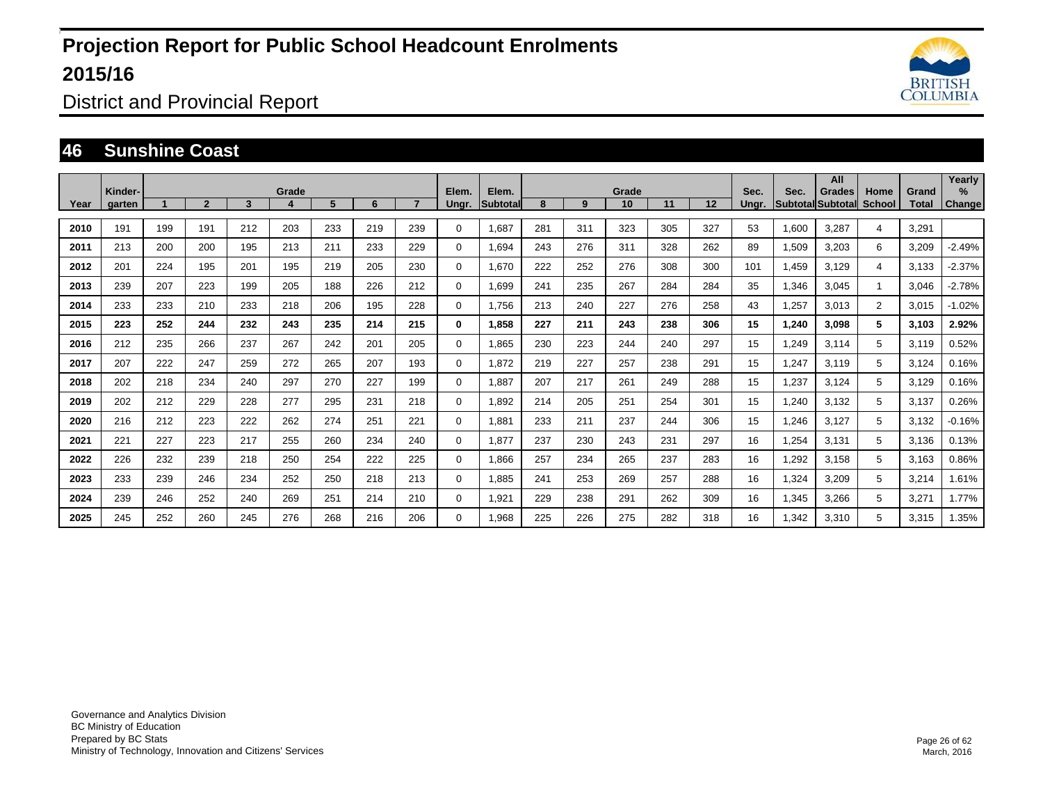

District and Provincial Report

### **46 Sunshine Coast**

|      | Kinder- |     |              |     | Grade |     |     |     | Elem.        | Elem.           |     |     | Grade |     |     | Sec.  | Sec.  | All<br>Grades            | Home           | Grand | Yearly<br>$\%$ |
|------|---------|-----|--------------|-----|-------|-----|-----|-----|--------------|-----------------|-----|-----|-------|-----|-----|-------|-------|--------------------------|----------------|-------|----------------|
| Year | aarten  |     | $\mathbf{2}$ | 3   |       | 5.  | 6   |     | Unar.        | <b>Subtotal</b> | 8   | 9   | 10    | 11  | 12  | Unar. |       | <b>SubtotallSubtotal</b> | School         | Total | <b>Change</b>  |
| 2010 | 191     | 199 | 191          | 212 | 203   | 233 | 219 | 239 | $\Omega$     | 1,687           | 281 | 311 | 323   | 305 | 327 | 53    | 1,600 | 3.287                    | 4              | 3,291 |                |
| 2011 | 213     | 200 | 200          | 195 | 213   | 211 | 233 | 229 | $\Omega$     | 1,694           | 243 | 276 | 311   | 328 | 262 | 89    | 1,509 | 3,203                    | 6              | 3,209 | $-2.49%$       |
| 2012 | 201     | 224 | 195          | 201 | 195   | 219 | 205 | 230 | $\Omega$     | 1,670           | 222 | 252 | 276   | 308 | 300 | 101   | 1,459 | 3,129                    | 4              | 3,133 | $-2.37%$       |
| 2013 | 239     | 207 | 223          | 199 | 205   | 188 | 226 | 212 | $\Omega$     | 1.699           | 241 | 235 | 267   | 284 | 284 | 35    | 1,346 | 3.045                    | $\mathbf{1}$   | 3,046 | $-2.78%$       |
| 2014 | 233     | 233 | 210          | 233 | 218   | 206 | 195 | 228 | $\Omega$     | 1,756           | 213 | 240 | 227   | 276 | 258 | 43    | 1,257 | 3,013                    | $\overline{2}$ | 3,015 | $-1.02%$       |
| 2015 | 223     | 252 | 244          | 232 | 243   | 235 | 214 | 215 | $\mathbf{0}$ | 1,858           | 227 | 211 | 243   | 238 | 306 | 15    | 1,240 | 3,098                    | 5              | 3,103 | 2.92%          |
| 2016 | 212     | 235 | 266          | 237 | 267   | 242 | 201 | 205 | $\Omega$     | 1,865           | 230 | 223 | 244   | 240 | 297 | 15    | 1,249 | 3,114                    | 5              | 3,119 | 0.52%          |
| 2017 | 207     | 222 | 247          | 259 | 272   | 265 | 207 | 193 | 0            | 1,872           | 219 | 227 | 257   | 238 | 291 | 15    | 1,247 | 3,119                    | 5              | 3,124 | 0.16%          |
| 2018 | 202     | 218 | 234          | 240 | 297   | 270 | 227 | 199 | 0            | 1.887           | 207 | 217 | 261   | 249 | 288 | 15    | 1,237 | 3,124                    | 5              | 3,129 | 0.16%          |
| 2019 | 202     | 212 | 229          | 228 | 277   | 295 | 231 | 218 | $\mathbf 0$  | 1,892           | 214 | 205 | 251   | 254 | 301 | 15    | 1,240 | 3,132                    | 5              | 3,137 | 0.26%          |
| 2020 | 216     | 212 | 223          | 222 | 262   | 274 | 251 | 221 | $\mathbf 0$  | 1.881           | 233 | 211 | 237   | 244 | 306 | 15    | 1,246 | 3,127                    | 5              | 3,132 | $-0.16%$       |
| 2021 | 221     | 227 | 223          | 217 | 255   | 260 | 234 | 240 | $\mathbf 0$  | 1,877           | 237 | 230 | 243   | 231 | 297 | 16    | 1,254 | 3,131                    | 5              | 3,136 | 0.13%          |
| 2022 | 226     | 232 | 239          | 218 | 250   | 254 | 222 | 225 | $\mathbf 0$  | 1.866           | 257 | 234 | 265   | 237 | 283 | 16    | 1,292 | 3,158                    | 5              | 3.163 | 0.86%          |
| 2023 | 233     | 239 | 246          | 234 | 252   | 250 | 218 | 213 | $\mathbf 0$  | 1,885           | 241 | 253 | 269   | 257 | 288 | 16    | 1,324 | 3,209                    | 5              | 3,214 | 1.61%          |
| 2024 | 239     | 246 | 252          | 240 | 269   | 251 | 214 | 210 | $\mathbf 0$  | 1,921           | 229 | 238 | 291   | 262 | 309 | 16    | 1.345 | 3,266                    | 5              | 3,271 | 1.77%          |
| 2025 | 245     | 252 | 260          | 245 | 276   | 268 | 216 | 206 | $\Omega$     | 1,968           | 225 | 226 | 275   | 282 | 318 | 16    | 1,342 | 3,310                    | 5              | 3,315 | 1.35%          |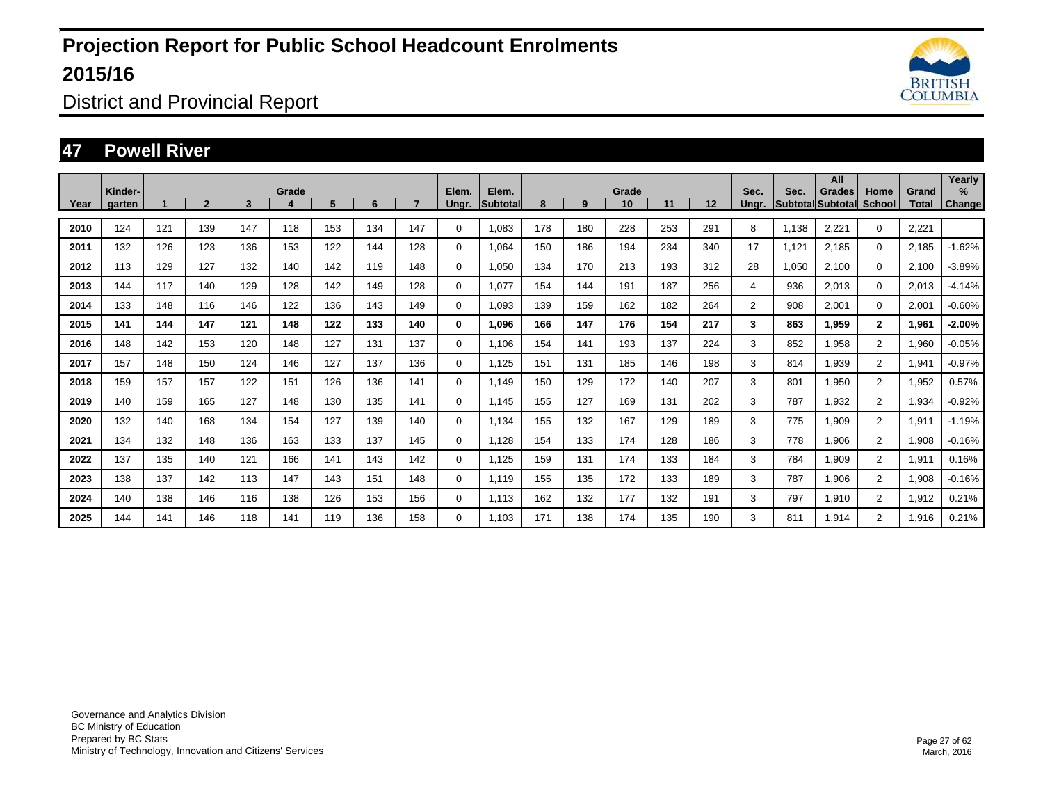

District and Provincial Report

#### **47 Powell River**

| Year | Kinder- |     | $\overline{2}$ | 3   | Grade<br>4 | 5   | 6   |     | Elem.       | Elem.<br><b>Subtotal</b> | 8   | 9   | Grade<br>10 |     | 12  | Sec.           | Sec.  | All<br>Grades<br>Subtotal Subtotal | Home           | Grand | Yearly<br>%   |
|------|---------|-----|----------------|-----|------------|-----|-----|-----|-------------|--------------------------|-----|-----|-------------|-----|-----|----------------|-------|------------------------------------|----------------|-------|---------------|
|      | garten  |     |                |     |            |     |     |     | Ungr.       |                          |     |     |             | 11  |     | Unar.          |       |                                    | <b>School</b>  | Total | <b>Change</b> |
| 2010 | 124     | 121 | 139            | 147 | 118        | 153 | 134 | 147 | $\Omega$    | 1.083                    | 178 | 180 | 228         | 253 | 291 | 8              | 1,138 | 2,221                              | $\Omega$       | 2,221 |               |
| 2011 | 132     | 126 | 123            | 136 | 153        | 122 | 144 | 128 | 0           | 1.064                    | 150 | 186 | 194         | 234 | 340 | 17             | 1,121 | 2,185                              | $\mathbf 0$    | 2,185 | $-1.62%$      |
| 2012 | 113     | 129 | 127            | 132 | 140        | 142 | 119 | 148 | 0           | 1,050                    | 134 | 170 | 213         | 193 | 312 | 28             | 1,050 | 2,100                              | $\Omega$       | 2,100 | $-3.89%$      |
| 2013 | 144     | 117 | 140            | 129 | 128        | 142 | 149 | 128 | $\mathbf 0$ | 1,077                    | 154 | 144 | 191         | 187 | 256 | 4              | 936   | 2,013                              | $\mathbf 0$    | 2,013 | $-4.14%$      |
| 2014 | 133     | 148 | 116            | 146 | 122        | 136 | 143 | 149 | $\mathbf 0$ | 1.093                    | 139 | 159 | 162         | 182 | 264 | $\overline{2}$ | 908   | 2,001                              | $\Omega$       | 2,001 | $-0.60%$      |
| 2015 | 141     | 144 | 147            | 121 | 148        | 122 | 133 | 140 | $\bf{0}$    | 1.096                    | 166 | 147 | 176         | 154 | 217 | 3              | 863   | 1.959                              | $\mathbf{2}$   | 1,961 | $-2.00%$      |
| 2016 | 148     | 142 | 153            | 120 | 148        | 127 | 131 | 137 | $\mathbf 0$ | 1,106                    | 154 | 141 | 193         | 137 | 224 | 3              | 852   | 1,958                              | $\overline{2}$ | 1,960 | $-0.05%$      |
| 2017 | 157     | 148 | 150            | 124 | 146        | 127 | 137 | 136 | $\mathbf 0$ | 1.125                    | 151 | 131 | 185         | 146 | 198 | 3              | 814   | 1,939                              | $\overline{2}$ | 1,941 | $-0.97%$      |
| 2018 | 159     | 157 | 157            | 122 | 151        | 126 | 136 | 141 | 0           | 1.149                    | 150 | 129 | 172         | 140 | 207 | 3              | 801   | 1,950                              | $\overline{2}$ | 1,952 | 0.57%         |
| 2019 | 140     | 159 | 165            | 127 | 148        | 130 | 135 | 141 | $\mathbf 0$ | 1.145                    | 155 | 127 | 169         | 131 | 202 | 3              | 787   | 1,932                              | $\overline{2}$ | 1,934 | $-0.92%$      |
| 2020 | 132     | 140 | 168            | 134 | 154        | 127 | 139 | 140 | 0           | 1,134                    | 155 | 132 | 167         | 129 | 189 | 3              | 775   | 1,909                              | $\overline{2}$ | 1,911 | $-1.19%$      |
| 2021 | 134     | 132 | 148            | 136 | 163        | 133 | 137 | 145 | 0           | 1,128                    | 154 | 133 | 174         | 128 | 186 | 3              | 778   | 1,906                              | $\overline{2}$ | 1,908 | $-0.16%$      |
| 2022 | 137     | 135 | 140            | 121 | 166        | 141 | 143 | 142 | 0           | 1,125                    | 159 | 131 | 174         | 133 | 184 | 3              | 784   | 1,909                              | $\overline{2}$ | 1,911 | 0.16%         |
| 2023 | 138     | 137 | 142            | 113 | 147        | 143 | 151 | 148 | 0           | 1,119                    | 155 | 135 | 172         | 133 | 189 | 3              | 787   | 1,906                              | $\overline{2}$ | 1,908 | $-0.16%$      |
| 2024 | 140     | 138 | 146            | 116 | 138        | 126 | 153 | 156 | 0           | 1.113                    | 162 | 132 | 177         | 132 | 191 | 3              | 797   | 1,910                              | $\overline{2}$ | 1,912 | 0.21%         |
| 2025 | 144     | 141 | 146            | 118 | 141        | 119 | 136 | 158 | 0           | 1,103                    | 171 | 138 | 174         | 135 | 190 | 3              | 811   | 1,914                              | 2              | 1,916 | 0.21%         |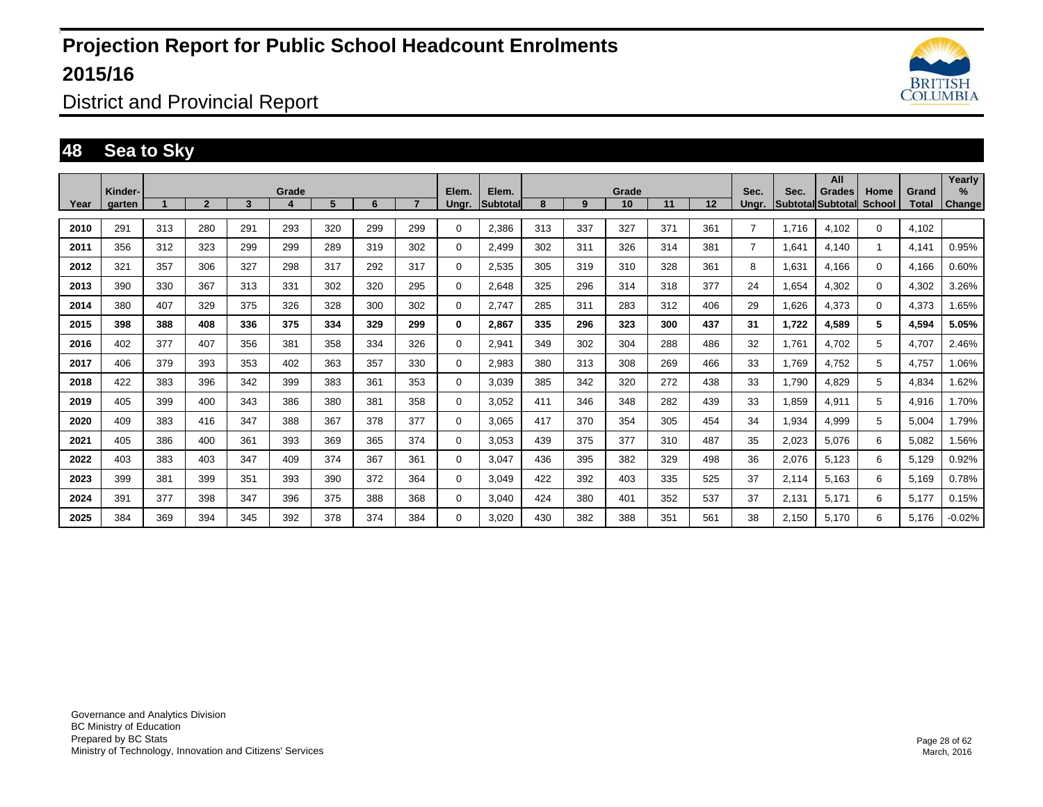

District and Provincial Report

### **48 Sea to Sky**

|      | Kinder- |     |                |              | Grade |     |     |     | Elem.       | Elem.    |     |     | Grade |     |                   | Sec.           | Sec.  | All<br>Grades            | Home        | Grand        | Yearly<br>$\%$ |
|------|---------|-----|----------------|--------------|-------|-----|-----|-----|-------------|----------|-----|-----|-------|-----|-------------------|----------------|-------|--------------------------|-------------|--------------|----------------|
| Year | garten  |     | $\overline{2}$ | $\mathbf{3}$ |       | 5   | 6   | 7   | Ungr.       | Subtotal | 8   | 9   | 10    | 11  | $12 \overline{ }$ | Unar.          |       | <b>Subtotal Subtotal</b> | School      | <b>Total</b> | <b>Change</b>  |
| 2010 | 291     | 313 | 280            | 291          | 293   | 320 | 299 | 299 | $\Omega$    | 2,386    | 313 | 337 | 327   | 371 | 361               | $\overline{7}$ | 1,716 | 4,102                    | $\Omega$    | 4,102        |                |
| 2011 | 356     | 312 | 323            | 299          | 299   | 289 | 319 | 302 | $\Omega$    | 2,499    | 302 | 311 | 326   | 314 | 381               | $\overline{7}$ | 1,641 | 4,140                    |             | 4,141        | 0.95%          |
| 2012 | 321     | 357 | 306            | 327          | 298   | 317 | 292 | 317 | $\mathbf 0$ | 2,535    | 305 | 319 | 310   | 328 | 361               | 8              | 1.631 | 4,166                    | $\Omega$    | 4,166        | 0.60%          |
| 2013 | 390     | 330 | 367            | 313          | 331   | 302 | 320 | 295 | $\Omega$    | 2,648    | 325 | 296 | 314   | 318 | 377               | 24             | 1,654 | 4,302                    | $\Omega$    | 4,302        | 3.26%          |
| 2014 | 380     | 407 | 329            | 375          | 326   | 328 | 300 | 302 | $\Omega$    | 2,747    | 285 | 311 | 283   | 312 | 406               | 29             | 1,626 | 4,373                    | $\mathbf 0$ | 4,373        | 1.65%          |
| 2015 | 398     | 388 | 408            | 336          | 375   | 334 | 329 | 299 | $\bf{0}$    | 2,867    | 335 | 296 | 323   | 300 | 437               | 31             | 1,722 | 4,589                    | 5           | 4,594        | 5.05%          |
| 2016 | 402     | 377 | 407            | 356          | 381   | 358 | 334 | 326 | $\mathbf 0$ | 2,941    | 349 | 302 | 304   | 288 | 486               | 32             | 1.761 | 4,702                    | 5           | 4,707        | 2.46%          |
| 2017 | 406     | 379 | 393            | 353          | 402   | 363 | 357 | 330 | $\mathbf 0$ | 2,983    | 380 | 313 | 308   | 269 | 466               | 33             | 1,769 | 4,752                    | 5           | 4,757        | 1.06%          |
| 2018 | 422     | 383 | 396            | 342          | 399   | 383 | 361 | 353 | $\mathbf 0$ | 3.039    | 385 | 342 | 320   | 272 | 438               | 33             | 1.790 | 4,829                    | 5           | 4,834        | 1.62%          |
| 2019 | 405     | 399 | 400            | 343          | 386   | 380 | 381 | 358 | $\mathbf 0$ | 3.052    | 411 | 346 | 348   | 282 | 439               | 33             | 1.859 | 4,911                    | 5           | 4,916        | 1.70%          |
| 2020 | 409     | 383 | 416            | 347          | 388   | 367 | 378 | 377 | $\mathbf 0$ | 3,065    | 417 | 370 | 354   | 305 | 454               | 34             | 1,934 | 4,999                    | 5           | 5,004        | 1.79%          |
| 2021 | 405     | 386 | 400            | 361          | 393   | 369 | 365 | 374 | 0           | 3.053    | 439 | 375 | 377   | 310 | 487               | 35             | 2,023 | 5.076                    | 6           | 5,082        | 1.56%          |
| 2022 | 403     | 383 | 403            | 347          | 409   | 374 | 367 | 361 | 0           | 3.047    | 436 | 395 | 382   | 329 | 498               | 36             | 2,076 | 5,123                    | 6           | 5.129        | 0.92%          |
| 2023 | 399     | 381 | 399            | 351          | 393   | 390 | 372 | 364 | $\mathbf 0$ | 3.049    | 422 | 392 | 403   | 335 | 525               | 37             | 2,114 | 5,163                    | 6           | 5,169        | 0.78%          |
| 2024 | 391     | 377 | 398            | 347          | 396   | 375 | 388 | 368 | 0           | 3.040    | 424 | 380 | 401   | 352 | 537               | 37             | 2.131 | 5,171                    | 6           | 5.177        | 0.15%          |
| 2025 | 384     | 369 | 394            | 345          | 392   | 378 | 374 | 384 | $\Omega$    | 3,020    | 430 | 382 | 388   | 351 | 561               | 38             | 2,150 | 5,170                    | 6           | 5,176        | $-0.02%$       |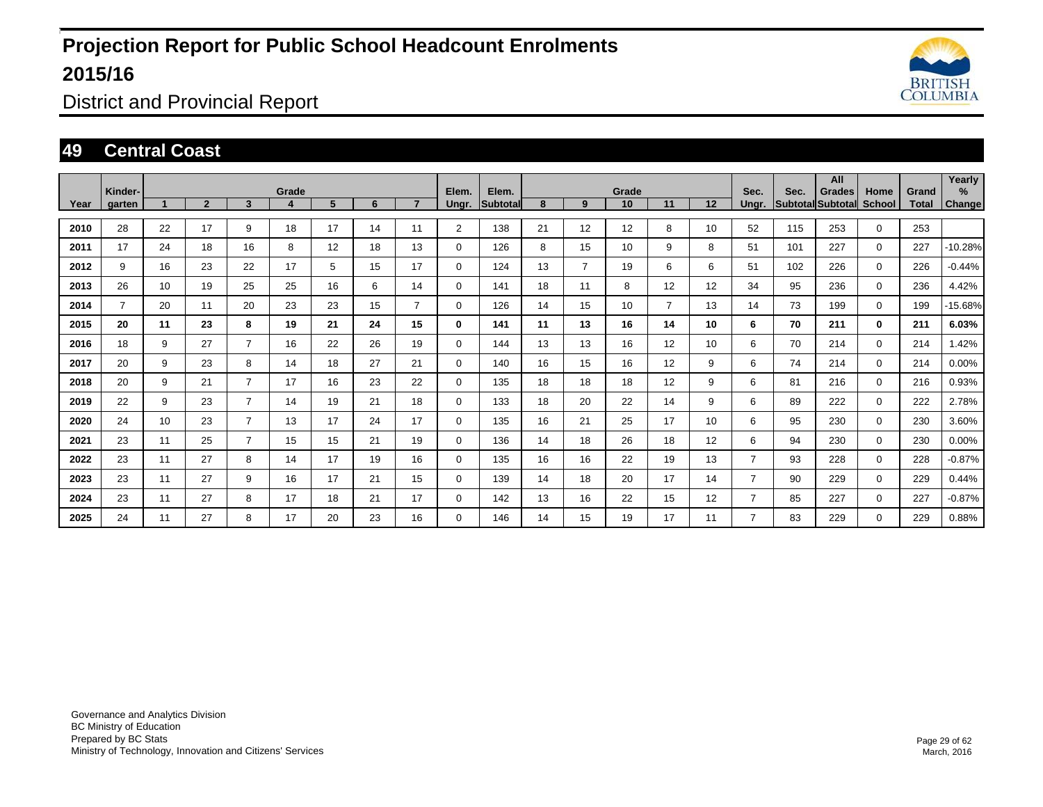

District and Provincial Report

#### **49 Central Coast**

|      | Kinder-        |    |                |                | Grade |    |    |    | Elem.       | Elem.           |    |                | Grade |                |    | Sec.  | Sec. | All<br><b>Grades</b>     | Home          | Grand | Yearly<br>% |
|------|----------------|----|----------------|----------------|-------|----|----|----|-------------|-----------------|----|----------------|-------|----------------|----|-------|------|--------------------------|---------------|-------|-------------|
| Year | garten         |    | $\overline{2}$ | 3              |       | 5  | 6  |    | Ungr.       | <b>Subtotal</b> | 8  | 9              | 10    | 11             | 12 | Unar. |      | <b>Subtotal Subtotal</b> | <b>School</b> | Total | Change      |
| 2010 | 28             | 22 | 17             | 9              | 18    | 17 | 14 | 11 | 2           | 138             | 21 | 12             | 12    | 8              | 10 | 52    | 115  | 253                      | $\Omega$      | 253   |             |
| 2011 | 17             | 24 | 18             | 16             | 8     | 12 | 18 | 13 | $\mathbf 0$ | 126             | 8  | 15             | 10    | 9              | 8  | 51    | 101  | 227                      | $\mathbf 0$   | 227   | $-10.28%$   |
| 2012 | 9              | 16 | 23             | 22             | 17    | 5  | 15 | 17 | 0           | 124             | 13 | $\overline{7}$ | 19    | 6              | 6  | 51    | 102  | 226                      | 0             | 226   | $-0.44%$    |
| 2013 | 26             | 10 | 19             | 25             | 25    | 16 | 6  | 14 | 0           | 141             | 18 | 11             | 8     | 12             | 12 | 34    | 95   | 236                      | $\mathbf 0$   | 236   | 4.42%       |
| 2014 | $\overline{7}$ | 20 | 11             | 20             | 23    | 23 | 15 | 7  | $\Omega$    | 126             | 14 | 15             | 10    | $\overline{7}$ | 13 | 14    | 73   | 199                      | $\Omega$      | 199   | -15.68%     |
| 2015 | 20             | 11 | 23             | 8              | 19    | 21 | 24 | 15 | $\bf{0}$    | 141             | 11 | 13             | 16    | 14             | 10 | 6     | 70   | 211                      | $\mathbf{0}$  | 211   | 6.03%       |
| 2016 | 18             | 9  | 27             | $\overline{7}$ | 16    | 22 | 26 | 19 | $\Omega$    | 144             | 13 | 13             | 16    | 12             | 10 | 6     | 70   | 214                      | $\Omega$      | 214   | 1.42%       |
| 2017 | 20             | 9  | 23             | 8              | 14    | 18 | 27 | 21 | $\mathbf 0$ | 140             | 16 | 15             | 16    | 12             | 9  | 6     | 74   | 214                      | $\mathbf 0$   | 214   | $0.00\%$    |
| 2018 | 20             | 9  | 21             | $\overline{7}$ | 17    | 16 | 23 | 22 | $\mathbf 0$ | 135             | 18 | 18             | 18    | 12             | 9  | 6     | 81   | 216                      | $\mathbf 0$   | 216   | 0.93%       |
| 2019 | 22             | 9  | 23             | $\overline{7}$ | 14    | 19 | 21 | 18 | $\mathbf 0$ | 133             | 18 | 20             | 22    | 14             | 9  | 6     | 89   | 222                      | $\mathbf 0$   | 222   | 2.78%       |
| 2020 | 24             | 10 | 23             | $\overline{7}$ | 13    | 17 | 24 | 17 | $\mathbf 0$ | 135             | 16 | 21             | 25    | 17             | 10 | 6     | 95   | 230                      | $\mathbf 0$   | 230   | 3.60%       |
| 2021 | 23             | 11 | 25             | $\overline{7}$ | 15    | 15 | 21 | 19 | $\mathbf 0$ | 136             | 14 | 18             | 26    | 18             | 12 | 6     | 94   | 230                      | $\mathbf 0$   | 230   | 0.00%       |
| 2022 | 23             | 11 | 27             | 8              | 14    | 17 | 19 | 16 | $\mathbf 0$ | 135             | 16 | 16             | 22    | 19             | 13 | 7     | 93   | 228                      | $\mathbf 0$   | 228   | $-0.87%$    |
| 2023 | 23             | 11 | 27             | 9              | 16    | 17 | 21 | 15 | $\mathbf 0$ | 139             | 14 | 18             | 20    | 17             | 14 | 7     | 90   | 229                      | $\mathbf 0$   | 229   | 0.44%       |
| 2024 | 23             | 11 | 27             | 8              | 17    | 18 | 21 | 17 | $\mathbf 0$ | 142             | 13 | 16             | 22    | 15             | 12 | 7     | 85   | 227                      | $\mathbf 0$   | 227   | $-0.87%$    |
| 2025 | 24             | 11 | 27             | 8              | 17    | 20 | 23 | 16 | $\mathbf 0$ | 146             | 14 | 15             | 19    | 17             | 11 | 7     | 83   | 229                      | $\mathbf 0$   | 229   | 0.88%       |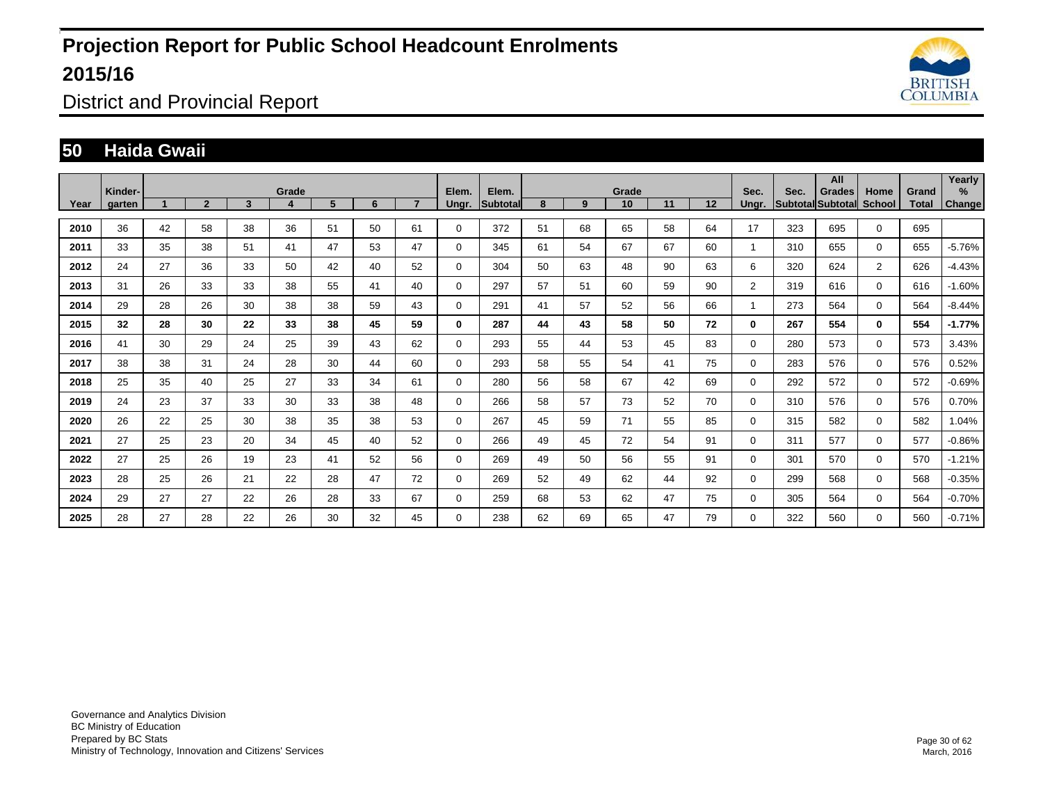

District and Provincial Report

#### **50 Haida Gwaii**

|      | Kinder- |    |                |    | Grade |    |    |    | Elem.       | Elem.           |    |    | Grade |    |    | Sec.           | Sec. | All<br><b>Grades</b>     | Home           | Grand | Yearly<br>%   |
|------|---------|----|----------------|----|-------|----|----|----|-------------|-----------------|----|----|-------|----|----|----------------|------|--------------------------|----------------|-------|---------------|
| Year | garten  |    | $\overline{2}$ | 3  | 4     | 5  | 6  |    | Ungr.       | <b>Subtotal</b> | 8  | 9  | 10    | 11 | 12 | Unar.          |      | Subtotal Subtotal School |                | Total | <b>Change</b> |
| 2010 | 36      | 42 | 58             | 38 | 36    | 51 | 50 | 61 | $\Omega$    | 372             | 51 | 68 | 65    | 58 | 64 | 17             | 323  | 695                      | $\Omega$       | 695   |               |
| 2011 | 33      | 35 | 38             | 51 | 41    | 47 | 53 | 47 | 0           | 345             | 61 | 54 | 67    | 67 | 60 |                | 310  | 655                      | 0              | 655   | $-5.76%$      |
| 2012 | 24      | 27 | 36             | 33 | 50    | 42 | 40 | 52 | 0           | 304             | 50 | 63 | 48    | 90 | 63 | 6              | 320  | 624                      | $\overline{2}$ | 626   | $-4.43%$      |
| 2013 | 31      | 26 | 33             | 33 | 38    | 55 | 41 | 40 | $\mathbf 0$ | 297             | 57 | 51 | 60    | 59 | 90 | $\overline{2}$ | 319  | 616                      | $\Omega$       | 616   | $-1.60%$      |
| 2014 | 29      | 28 | 26             | 30 | 38    | 38 | 59 | 43 | $\Omega$    | 291             | 41 | 57 | 52    | 56 | 66 |                | 273  | 564                      | $\Omega$       | 564   | $-8.44%$      |
| 2015 | 32      | 28 | 30             | 22 | 33    | 38 | 45 | 59 | 0           | 287             | 44 | 43 | 58    | 50 | 72 | $\mathbf{0}$   | 267  | 554                      | $\mathbf{0}$   | 554   | $-1.77%$      |
| 2016 | 41      | 30 | 29             | 24 | 25    | 39 | 43 | 62 | $\mathbf 0$ | 293             | 55 | 44 | 53    | 45 | 83 | 0              | 280  | 573                      | $\Omega$       | 573   | 3.43%         |
| 2017 | 38      | 38 | 31             | 24 | 28    | 30 | 44 | 60 | $\mathbf 0$ | 293             | 58 | 55 | 54    | 41 | 75 | 0              | 283  | 576                      | $\Omega$       | 576   | 0.52%         |
| 2018 | 25      | 35 | 40             | 25 | 27    | 33 | 34 | 61 | 0           | 280             | 56 | 58 | 67    | 42 | 69 | 0              | 292  | 572                      | $\Omega$       | 572   | $-0.69%$      |
| 2019 | 24      | 23 | 37             | 33 | 30    | 33 | 38 | 48 | $\mathbf 0$ | 266             | 58 | 57 | 73    | 52 | 70 | 0              | 310  | 576                      | $\mathbf 0$    | 576   | 0.70%         |
| 2020 | 26      | 22 | 25             | 30 | 38    | 35 | 38 | 53 | $\mathbf 0$ | 267             | 45 | 59 | 71    | 55 | 85 | 0              | 315  | 582                      | $\Omega$       | 582   | 1.04%         |
| 2021 | 27      | 25 | 23             | 20 | 34    | 45 | 40 | 52 | 0           | 266             | 49 | 45 | 72    | 54 | 91 | 0              | 311  | 577                      | $\Omega$       | 577   | $-0.86%$      |
| 2022 | 27      | 25 | 26             | 19 | 23    | 41 | 52 | 56 | $\mathbf 0$ | 269             | 49 | 50 | 56    | 55 | 91 | 0              | 301  | 570                      | $\Omega$       | 570   | $-1.21%$      |
| 2023 | 28      | 25 | 26             | 21 | 22    | 28 | 47 | 72 | $\mathbf 0$ | 269             | 52 | 49 | 62    | 44 | 92 | 0              | 299  | 568                      | $\mathbf 0$    | 568   | $-0.35%$      |
| 2024 | 29      | 27 | 27             | 22 | 26    | 28 | 33 | 67 | $\mathbf 0$ | 259             | 68 | 53 | 62    | 47 | 75 | 0              | 305  | 564                      | $\mathbf 0$    | 564   | $-0.70%$      |
| 2025 | 28      | 27 | 28             | 22 | 26    | 30 | 32 | 45 | $\mathbf 0$ | 238             | 62 | 69 | 65    | 47 | 79 | 0              | 322  | 560                      | $\mathbf 0$    | 560   | $-0.71%$      |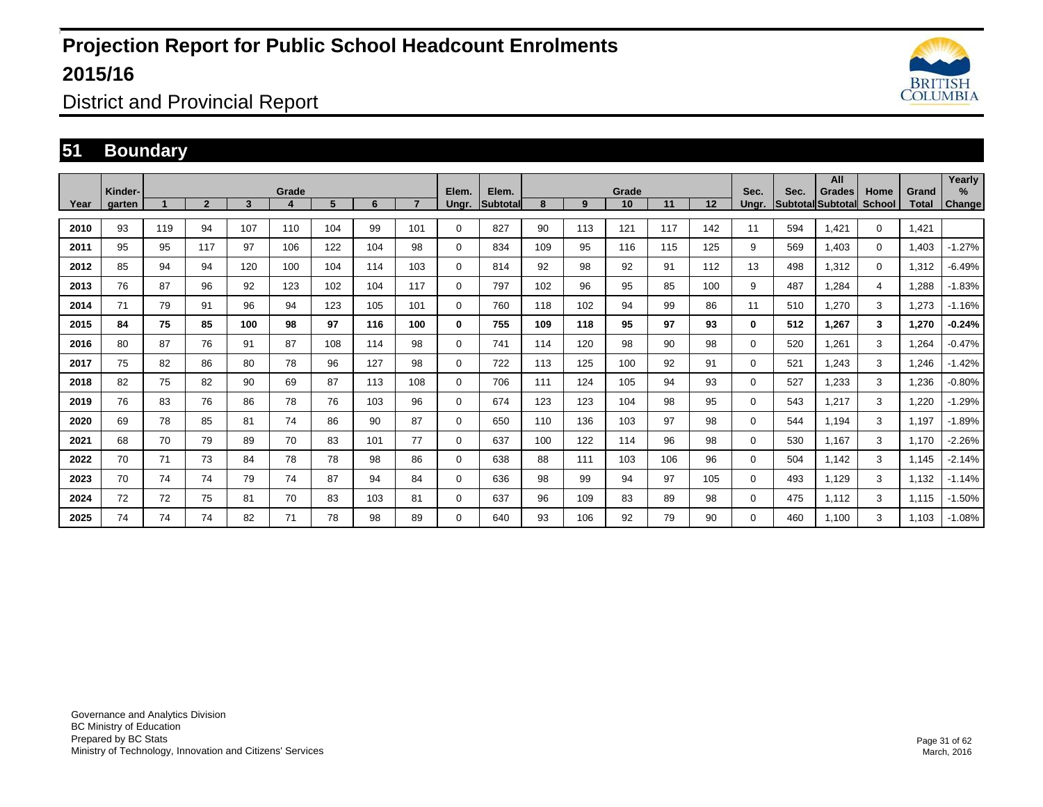

District and Provincial Report

#### **51 Boundary**

|      | Kinder- |     |                |     | Grade |     |     |                | Elem.       | Elem.    |     |     | Grade |     |     | Sec.     | Sec. | All<br>Grades            | Home          | Grand | Yearly<br>% |
|------|---------|-----|----------------|-----|-------|-----|-----|----------------|-------------|----------|-----|-----|-------|-----|-----|----------|------|--------------------------|---------------|-------|-------------|
| Year | garten  |     | $\overline{2}$ | 3   |       | 5   | 6   | $\overline{ }$ | Ungr.       | Subtotal | 8   | 9   | 10    | 11  | 12  | Unar.    |      | <b>Subtotal Subtotal</b> | <b>School</b> | Total | Change      |
| 2010 | 93      | 119 | 94             | 107 | 110   | 104 | 99  | 101            | 0           | 827      | 90  | 113 | 121   | 117 | 142 | 11       | 594  | 1.421                    | $\mathbf 0$   | 1.421 |             |
| 2011 | 95      | 95  | 117            | 97  | 106   | 122 | 104 | 98             | 0           | 834      | 109 | 95  | 116   | 115 | 125 | 9        | 569  | 1.403                    | $\mathbf 0$   | 1,403 | $-1.27%$    |
| 2012 | 85      | 94  | 94             | 120 | 100   | 104 | 114 | 103            | $\Omega$    | 814      | 92  | 98  | 92    | 91  | 112 | 13       | 498  | 1,312                    | $\mathbf 0$   | 1,312 | $-6.49%$    |
| 2013 | 76      | 87  | 96             | 92  | 123   | 102 | 104 | 117            | 0           | 797      | 102 | 96  | 95    | 85  | 100 | 9        | 487  | 1.284                    | 4             | .288  | $-1.83%$    |
| 2014 | 71      | 79  | 91             | 96  | 94    | 123 | 105 | 101            | $\Omega$    | 760      | 118 | 102 | 94    | 99  | 86  | 11       | 510  | 1,270                    | 3             | 1,273 | $-1.16%$    |
| 2015 | 84      | 75  | 85             | 100 | 98    | 97  | 116 | 100            | $\bf{0}$    | 755      | 109 | 118 | 95    | 97  | 93  | 0        | 512  | 1.267                    | 3             | 1,270 | $-0.24%$    |
| 2016 | 80      | 87  | 76             | 91  | 87    | 108 | 114 | 98             | $\Omega$    | 741      | 114 | 120 | 98    | 90  | 98  | 0        | 520  | 1,261                    | 3             | 1,264 | $-0.47%$    |
| 2017 | 75      | 82  | 86             | 80  | 78    | 96  | 127 | 98             | $\Omega$    | 722      | 113 | 125 | 100   | 92  | 91  | 0        | 521  | 1,243                    | 3             | 1,246 | $-1.42%$    |
| 2018 | 82      | 75  | 82             | 90  | 69    | 87  | 113 | 108            | $\Omega$    | 706      | 111 | 124 | 105   | 94  | 93  | 0        | 527  | 1,233                    | 3             | 1,236 | $-0.80%$    |
| 2019 | 76      | 83  | 76             | 86  | 78    | 76  | 103 | 96             | $\Omega$    | 674      | 123 | 123 | 104   | 98  | 95  | 0        | 543  | 1,217                    | 3             | 1,220 | $-1.29%$    |
| 2020 | 69      | 78  | 85             | 81  | 74    | 86  | 90  | 87             | $\mathbf 0$ | 650      | 110 | 136 | 103   | 97  | 98  | $\Omega$ | 544  | 1,194                    | 3             | 1,197 | $-1.89%$    |
| 2021 | 68      | 70  | 79             | 89  | 70    | 83  | 101 | 77             | $\Omega$    | 637      | 100 | 122 | 114   | 96  | 98  | 0        | 530  | 1.167                    | 3             | 1,170 | $-2.26%$    |
| 2022 | 70      | 71  | 73             | 84  | 78    | 78  | 98  | 86             | $\Omega$    | 638      | 88  | 111 | 103   | 106 | 96  | 0        | 504  | 1,142                    | 3             | 1,145 | $-2.14%$    |
| 2023 | 70      | 74  | 74             | 79  | 74    | 87  | 94  | 84             | $\mathbf 0$ | 636      | 98  | 99  | 94    | 97  | 105 | $\Omega$ | 493  | 1.129                    | 3             | 1,132 | $-1.14%$    |
| 2024 | 72      | 72  | 75             | 81  | 70    | 83  | 103 | 81             | $\mathbf 0$ | 637      | 96  | 109 | 83    | 89  | 98  | 0        | 475  | 1.112                    | 3             | 1.115 | $-1.50%$    |
| 2025 | 74      | 74  | 74             | 82  | 71    | 78  | 98  | 89             | $\Omega$    | 640      | 93  | 106 | 92    | 79  | 90  | 0        | 460  | 1.100                    | 3             | 1,103 | $-1.08%$    |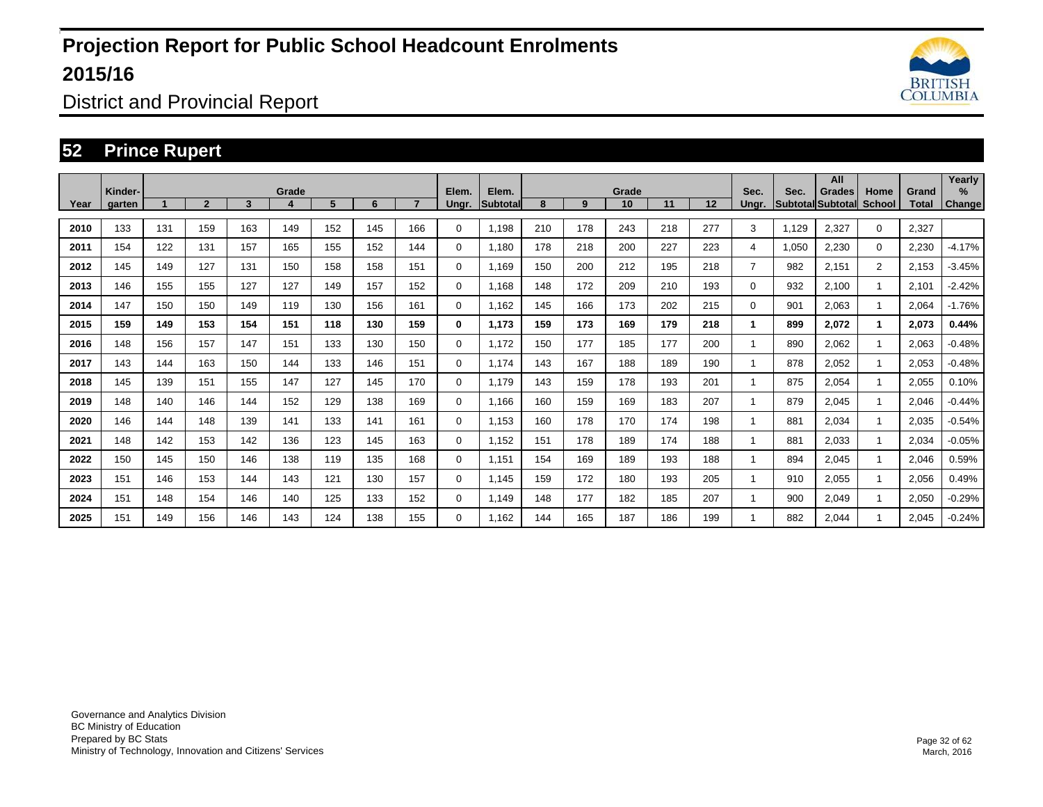

District and Provincial Report

#### **52 Prince Rupert**

|      | Kinder- |     |              |     | Grade |     |     |     | Elem.       | Elem.           |     |     | Grade |     |     | Sec.           | Sec.  | All<br><b>Grades</b>     | Home                 | Grand | Yearly<br>$\%$ |
|------|---------|-----|--------------|-----|-------|-----|-----|-----|-------------|-----------------|-----|-----|-------|-----|-----|----------------|-------|--------------------------|----------------------|-------|----------------|
| Year | aarten  |     | $\mathbf{2}$ | 3   | 4     | 5   | 6   |     | Unar.       | <b>Subtotal</b> | 8   | 9   | 10    | 11  | 12  | Unar.          |       | <b>Subtotal Subtotal</b> | <b>School</b>        | Total | <b>Change!</b> |
| 2010 | 133     | 131 | 159          | 163 | 149   | 152 | 145 | 166 | 0           | 1,198           | 210 | 178 | 243   | 218 | 277 | 3              | 1,129 | 2,327                    | $\mathbf 0$          | 2,327 |                |
| 2011 | 154     | 122 | 131          | 157 | 165   | 155 | 152 | 144 | 0           | 1.180           | 178 | 218 | 200   | 227 | 223 | 4              | 1,050 | 2,230                    | $\mathbf 0$          | 2,230 | $-4.17%$       |
| 2012 | 145     | 149 | 127          | 131 | 150   | 158 | 158 | 151 | 0           | 1,169           | 150 | 200 | 212   | 195 | 218 | $\overline{7}$ | 982   | 2,151                    | $\overline{2}$       | 2,153 | $-3.45%$       |
| 2013 | 146     | 155 | 155          | 127 | 127   | 149 | 157 | 152 | $\mathbf 0$ | 1,168           | 148 | 172 | 209   | 210 | 193 | 0              | 932   | 2,100                    | $\blacktriangleleft$ | 2,101 | $-2.42%$       |
| 2014 | 147     | 150 | 150          | 149 | 119   | 130 | 156 | 161 | $\mathbf 0$ | 1.162           | 145 | 166 | 173   | 202 | 215 | $\Omega$       | 901   | 2,063                    | $\blacktriangleleft$ | 2,064 | $-1.76%$       |
| 2015 | 159     | 149 | 153          | 154 | 151   | 118 | 130 | 159 | 0           | 1,173           | 159 | 173 | 169   | 179 | 218 | 1              | 899   | 2,072                    | $\mathbf{1}$         | 2,073 | 0.44%          |
| 2016 | 148     | 156 | 157          | 147 | 151   | 133 | 130 | 150 | $\mathbf 0$ | 1,172           | 150 | 177 | 185   | 177 | 200 |                | 890   | 2,062                    | $\mathbf{1}$         | 2,063 | $-0.48%$       |
| 2017 | 143     | 144 | 163          | 150 | 144   | 133 | 146 | 151 | $\mathbf 0$ | 1.174           | 143 | 167 | 188   | 189 | 190 |                | 878   | 2,052                    | $\mathbf{1}$         | 2,053 | $-0.48%$       |
| 2018 | 145     | 139 | 151          | 155 | 147   | 127 | 145 | 170 | $\mathbf 0$ | 1,179           | 143 | 159 | 178   | 193 | 201 |                | 875   | 2,054                    | $\mathbf{1}$         | 2,055 | 0.10%          |
| 2019 | 148     | 140 | 146          | 144 | 152   | 129 | 138 | 169 | $\mathbf 0$ | 1,166           | 160 | 159 | 169   | 183 | 207 |                | 879   | 2,045                    |                      | 2,046 | $-0.44%$       |
| 2020 | 146     | 144 | 148          | 139 | 141   | 133 | 141 | 161 | $\mathbf 0$ | 1.153           | 160 | 178 | 170   | 174 | 198 |                | 881   | 2,034                    | $\mathbf{1}$         | 2,035 | $-0.54%$       |
| 2021 | 148     | 142 | 153          | 142 | 136   | 123 | 145 | 163 | $\mathbf 0$ | 1,152           | 151 | 178 | 189   | 174 | 188 |                | 881   | 2,033                    |                      | 2,034 | $-0.05%$       |
| 2022 | 150     | 145 | 150          | 146 | 138   | 119 | 135 | 168 | 0           | 1,151           | 154 | 169 | 189   | 193 | 188 |                | 894   | 2,045                    | $\mathbf{1}$         | 2,046 | 0.59%          |
| 2023 | 151     | 146 | 153          | 144 | 143   | 121 | 130 | 157 | 0           | 1,145           | 159 | 172 | 180   | 193 | 205 |                | 910   | 2,055                    | $\mathbf{1}$         | 2,056 | 0.49%          |
| 2024 | 151     | 148 | 154          | 146 | 140   | 125 | 133 | 152 | 0           | 1.149           | 148 | 177 | 182   | 185 | 207 |                | 900   | 2,049                    | $\mathbf{1}$         | 2,050 | $-0.29%$       |
| 2025 | 151     | 149 | 156          | 146 | 143   | 124 | 138 | 155 | 0           | 1,162           | 144 | 165 | 187   | 186 | 199 |                | 882   | 2,044                    |                      | 2,045 | $-0.24%$       |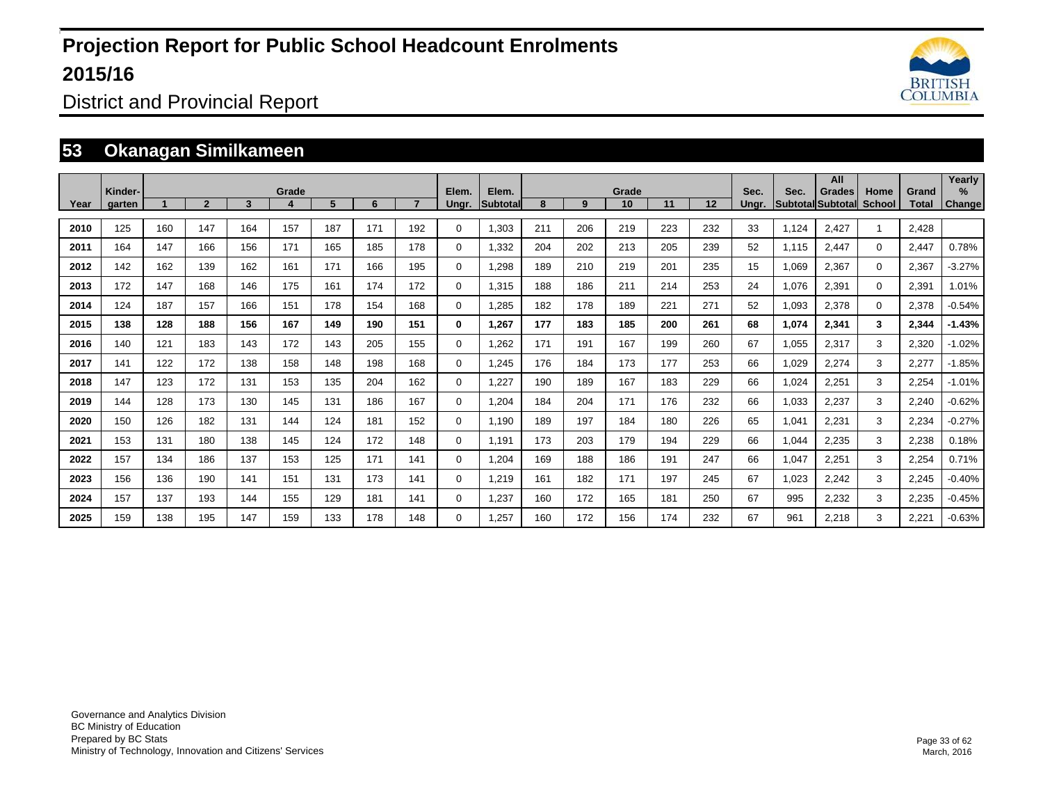

District and Provincial Report

### **53 Okanagan Similkameen**

|      | Kinder- |     |                |     | Grade |     |     |     | Elem.       | Elem.            |     |     | Grade |     |                   | Sec.  | Sec.  | All<br>Grades            | Home          | Grand        | Yearly<br>$\%$ |
|------|---------|-----|----------------|-----|-------|-----|-----|-----|-------------|------------------|-----|-----|-------|-----|-------------------|-------|-------|--------------------------|---------------|--------------|----------------|
| Year | garten  |     | $\overline{2}$ | 3   |       | 5   | 6   |     | Ungr.       | <b>Subtotall</b> | 8   | 9   | 10    | 11  | $12 \overline{ }$ | Unar. |       | <b>SubtotallSubtotal</b> | <b>School</b> | <b>Total</b> | Change         |
| 2010 | 125     | 160 | 147            | 164 | 157   | 187 | 171 | 192 | $\Omega$    | 1,303            | 211 | 206 | 219   | 223 | 232               | 33    | 1,124 | 2,427                    | $\mathbf{1}$  | 2,428        |                |
| 2011 | 164     | 147 | 166            | 156 | 171   | 165 | 185 | 178 | $\Omega$    | 1,332            | 204 | 202 | 213   | 205 | 239               | 52    | 1,115 | 2,447                    | $\Omega$      | 2,447        | 0.78%          |
| 2012 | 142     | 162 | 139            | 162 | 161   | 171 | 166 | 195 | $\mathbf 0$ | 1,298            | 189 | 210 | 219   | 201 | 235               | 15    | 1,069 | 2,367                    | $\mathbf{0}$  | 2,367        | $-3.27%$       |
| 2013 | 172     | 147 | 168            | 146 | 175   | 161 | 174 | 172 | 0           | 1,315            | 188 | 186 | 211   | 214 | 253               | 24    | 1,076 | 2,391                    | $\Omega$      | 2,391        | 1.01%          |
| 2014 | 124     | 187 | 157            | 166 | 151   | 178 | 154 | 168 | 0           | 1,285            | 182 | 178 | 189   | 221 | 271               | 52    | 1,093 | 2,378                    | $\Omega$      | 2,378        | $-0.54%$       |
| 2015 | 138     | 128 | 188            | 156 | 167   | 149 | 190 | 151 | 0           | 1,267            | 177 | 183 | 185   | 200 | 261               | 68    | 1,074 | 2,341                    | 3             | 2,344        | $-1.43%$       |
| 2016 | 140     | 121 | 183            | 143 | 172   | 143 | 205 | 155 | $\mathbf 0$ | 1,262            | 171 | 191 | 167   | 199 | 260               | 67    | 1,055 | 2,317                    | 3             | 2,320        | $-1.02%$       |
| 2017 | 141     | 122 | 172            | 138 | 158   | 148 | 198 | 168 | $\mathbf 0$ | 1,245            | 176 | 184 | 173   | 177 | 253               | 66    | 1,029 | 2,274                    | 3             | 2,277        | $-1.85%$       |
| 2018 | 147     | 123 | 172            | 131 | 153   | 135 | 204 | 162 | $\mathbf 0$ | 1,227            | 190 | 189 | 167   | 183 | 229               | 66    | 1.024 | 2,251                    | 3             | 2,254        | $-1.01%$       |
| 2019 | 144     | 128 | 173            | 130 | 145   | 131 | 186 | 167 | 0           | 1.204            | 184 | 204 | 171   | 176 | 232               | 66    | 1.033 | 2,237                    | 3             | 2,240        | $-0.62%$       |
| 2020 | 150     | 126 | 182            | 131 | 144   | 124 | 181 | 152 | $\mathbf 0$ | 1.190            | 189 | 197 | 184   | 180 | 226               | 65    | 1,041 | 2,231                    | 3             | 2,234        | $-0.27%$       |
| 2021 | 153     | 131 | 180            | 138 | 145   | 124 | 172 | 148 | 0           | 1.191            | 173 | 203 | 179   | 194 | 229               | 66    | 1.044 | 2,235                    | 3             | 2,238        | 0.18%          |
| 2022 | 157     | 134 | 186            | 137 | 153   | 125 | 171 | 141 | 0           | 1.204            | 169 | 188 | 186   | 191 | 247               | 66    | 1.047 | 2,251                    | 3             | 2,254        | 0.71%          |
| 2023 | 156     | 136 | 190            | 141 | 151   | 131 | 173 | 141 | $\mathbf 0$ | 1,219            | 161 | 182 | 171   | 197 | 245               | 67    | 1,023 | 2,242                    | 3             | 2,245        | $-0.40%$       |
| 2024 | 157     | 137 | 193            | 144 | 155   | 129 | 181 | 141 | 0           | 1,237            | 160 | 172 | 165   | 181 | 250               | 67    | 995   | 2,232                    | 3             | 2,235        | $-0.45%$       |
| 2025 | 159     | 138 | 195            | 147 | 159   | 133 | 178 | 148 | 0           | 1,257            | 160 | 172 | 156   | 174 | 232               | 67    | 961   | 2,218                    | 3             | 2,221        | $-0.63%$       |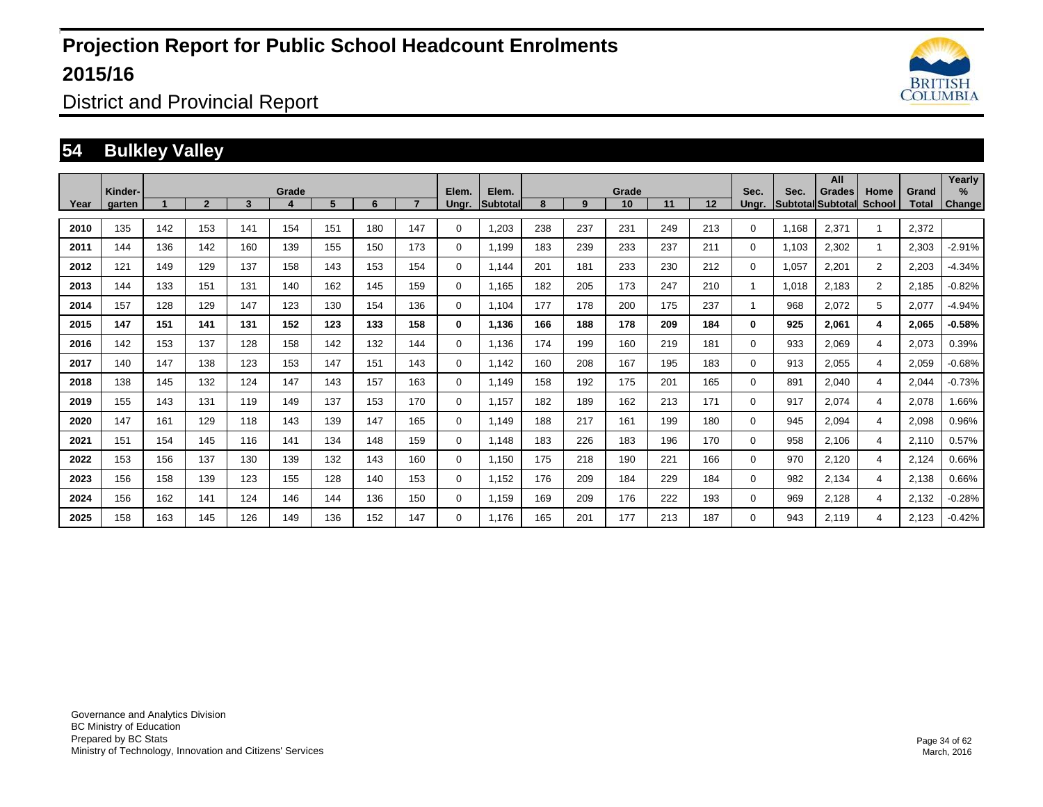

District and Provincial Report

#### **54 Bulkley Valley**

|      | Kinder- |     |              |     | Grade |     |     |     | Elem.       | Elem.           |     |     | Grade |     |     | Sec.           | Sec.  | All<br><b>Grades</b>     | Home           | Grand | Yearly<br>$\%$ |
|------|---------|-----|--------------|-----|-------|-----|-----|-----|-------------|-----------------|-----|-----|-------|-----|-----|----------------|-------|--------------------------|----------------|-------|----------------|
| Year | aarten  |     | $\mathbf{2}$ | 3   |       | 5   | 6   |     | Unar.       | <b>Subtotal</b> | 8   | 9   | 10    | 11  | 12  | Unar.          |       | <b>Subtotal Subtotal</b> | <b>School</b>  | Total | <b>Change!</b> |
| 2010 | 135     | 142 | 153          | 141 | 154   | 151 | 180 | 147 | 0           | 1,203           | 238 | 237 | 231   | 249 | 213 | 0              | 1.168 | 2,371                    |                | 2,372 |                |
| 2011 | 144     | 136 | 142          | 160 | 139   | 155 | 150 | 173 | 0           | 1,199           | 183 | 239 | 233   | 237 | 211 | 0              | 1,103 | 2,302                    | $\mathbf{1}$   | 2,303 | $-2.91%$       |
| 2012 | 121     | 149 | 129          | 137 | 158   | 143 | 153 | 154 | 0           | 1.144           | 201 | 181 | 233   | 230 | 212 | 0              | 1,057 | 2,201                    | $\overline{2}$ | 2,203 | $-4.34%$       |
| 2013 | 144     | 133 | 151          | 131 | 140   | 162 | 145 | 159 | $\mathbf 0$ | 1,165           | 182 | 205 | 173   | 247 | 210 | $\overline{1}$ | 1,018 | 2,183                    | $\overline{2}$ | 2,185 | $-0.82%$       |
| 2014 | 157     | 128 | 129          | 147 | 123   | 130 | 154 | 136 | $\mathbf 0$ | 1.104           | 177 | 178 | 200   | 175 | 237 |                | 968   | 2,072                    | 5              | 2,077 | $-4.94%$       |
| 2015 | 147     | 151 | 141          | 131 | 152   | 123 | 133 | 158 | 0           | 1,136           | 166 | 188 | 178   | 209 | 184 | 0              | 925   | 2,061                    | 4              | 2,065 | $-0.58%$       |
| 2016 | 142     | 153 | 137          | 128 | 158   | 142 | 132 | 144 | $\mathbf 0$ | 1.136           | 174 | 199 | 160   | 219 | 181 | 0              | 933   | 2,069                    | $\overline{4}$ | 2,073 | 0.39%          |
| 2017 | 140     | 147 | 138          | 123 | 153   | 147 | 151 | 143 | $\mathbf 0$ | 1.142           | 160 | 208 | 167   | 195 | 183 | 0              | 913   | 2,055                    | $\overline{4}$ | 2,059 | $-0.68%$       |
| 2018 | 138     | 145 | 132          | 124 | 147   | 143 | 157 | 163 | $\mathbf 0$ | 1,149           | 158 | 192 | 175   | 201 | 165 | 0              | 891   | 2,040                    | 4              | 2,044 | $-0.73%$       |
| 2019 | 155     | 143 | 131          | 119 | 149   | 137 | 153 | 170 | 0           | 1,157           | 182 | 189 | 162   | 213 | 171 | 0              | 917   | 2,074                    | $\overline{4}$ | 2,078 | 1.66%          |
| 2020 | 147     | 161 | 129          | 118 | 143   | 139 | 147 | 165 | 0           | 1.149           | 188 | 217 | 161   | 199 | 180 | 0              | 945   | 2,094                    | $\overline{4}$ | 2,098 | 0.96%          |
| 2021 | 151     | 154 | 145          | 116 | 141   | 134 | 148 | 159 | $\mathbf 0$ | 1,148           | 183 | 226 | 183   | 196 | 170 | 0              | 958   | 2,106                    | 4              | 2,110 | 0.57%          |
| 2022 | 153     | 156 | 137          | 130 | 139   | 132 | 143 | 160 | 0           | 1,150           | 175 | 218 | 190   | 221 | 166 | 0              | 970   | 2,120                    | 4              | 2,124 | 0.66%          |
| 2023 | 156     | 158 | 139          | 123 | 155   | 128 | 140 | 153 | 0           | 1,152           | 176 | 209 | 184   | 229 | 184 | 0              | 982   | 2,134                    | 4              | 2,138 | 0.66%          |
| 2024 | 156     | 162 | 141          | 124 | 146   | 144 | 136 | 150 | 0           | 1,159           | 169 | 209 | 176   | 222 | 193 | 0              | 969   | 2,128                    | 4              | 2,132 | $-0.28%$       |
| 2025 | 158     | 163 | 145          | 126 | 149   | 136 | 152 | 147 | 0           | 1.176           | 165 | 201 | 177   | 213 | 187 | 0              | 943   | 2,119                    | 4              | 2,123 | $-0.42%$       |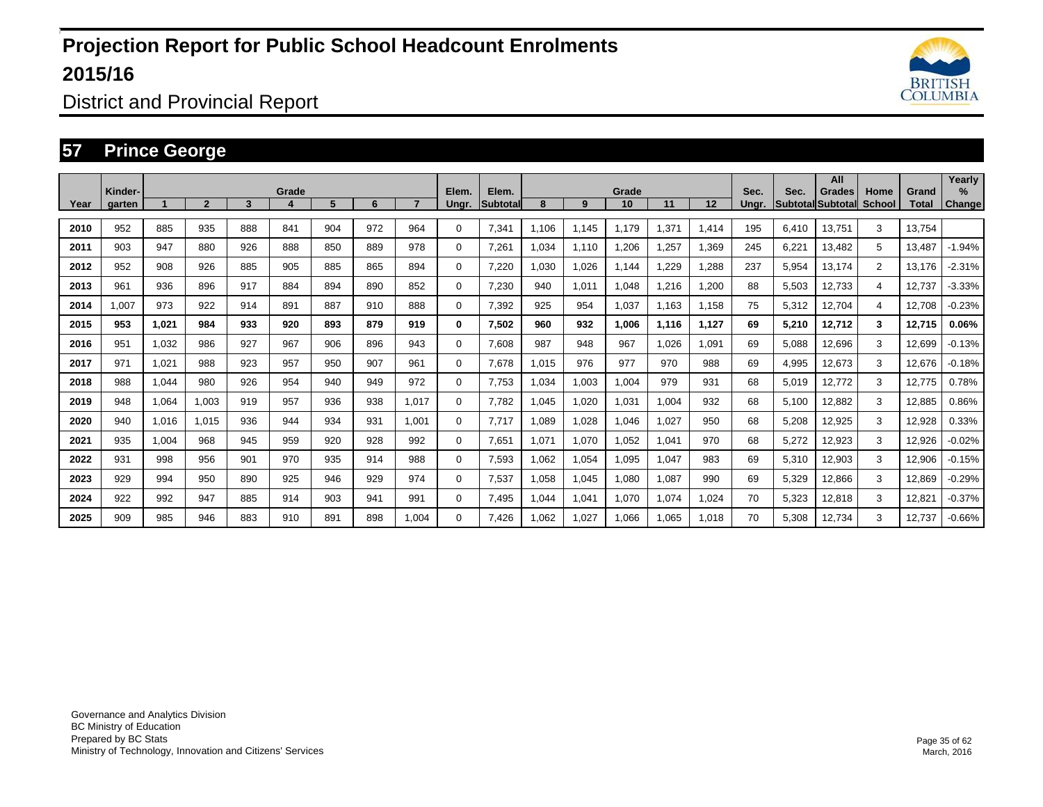

District and Provincial Report

#### **57 Prince George**

|      | Kinder- |       |                |     | Grade |     |     |       | Elem.       | Elem.    |        |       | Grade |       |       | Sec.  | Sec.  | All<br>Grades             | Home           | Grand  | Yearly<br>$\%$ |
|------|---------|-------|----------------|-----|-------|-----|-----|-------|-------------|----------|--------|-------|-------|-------|-------|-------|-------|---------------------------|----------------|--------|----------------|
| Year | aarten  |       | $\overline{2}$ | 3   |       | 5   | 6   |       | Unar.       | Subtotal | 8      | 9     | 10    | 11    | 12    | Unar. |       | <b>SubtotallSubtotall</b> | School         | Total  | <b>Change</b>  |
| 2010 | 952     | 885   | 935            | 888 | 841   | 904 | 972 | 964   | 0           | 7,341    | 1.106  | 1.145 | 1,179 | .371  | 1,414 | 195   | 6.410 | 13,751                    | 3              | 13.754 |                |
| 2011 | 903     | 947   | 880            | 926 | 888   | 850 | 889 | 978   | 0           | 7,261    | 1,034  | 1,110 | 1,206 | ,257  | 1,369 | 245   | 6,221 | 13,482                    | 5              | 13,487 | $-1.94%$       |
| 2012 | 952     | 908   | 926            | 885 | 905   | 885 | 865 | 894   | 0           | 7.220    | .030   | 1,026 | 1.144 | .229  | 1,288 | 237   | 5,954 | 13,174                    | $\overline{2}$ | 13,176 | $-2.31%$       |
| 2013 | 961     | 936   | 896            | 917 | 884   | 894 | 890 | 852   | $\mathbf 0$ | 7.230    | 940    | 1,011 | 1.048 | ,216  | 1,200 | 88    | 5,503 | 12,733                    | 4              | 12,737 | $-3.33%$       |
| 2014 | 1,007   | 973   | 922            | 914 | 891   | 887 | 910 | 888   | $\mathbf 0$ | 7,392    | 925    | 954   | 1,037 | 1,163 | 1,158 | 75    | 5,312 | 12,704                    | 4              | 12,708 | $-0.23%$       |
| 2015 | 953     | 1,021 | 984            | 933 | 920   | 893 | 879 | 919   | 0           | 7,502    | 960    | 932   | 1.006 | 1.116 | 1,127 | 69    | 5,210 | 12,712                    | 3              | 12,715 | 0.06%          |
| 2016 | 951     | 1,032 | 986            | 927 | 967   | 906 | 896 | 943   | 0           | 7,608    | 987    | 948   | 967   | 1,026 | 1,091 | 69    | 5,088 | 12,696                    | 3              | 12,699 | $-0.13%$       |
| 2017 | 971     | 1,021 | 988            | 923 | 957   | 950 | 907 | 961   | 0           | 7,678    | 1,015  | 976   | 977   | 970   | 988   | 69    | 4,995 | 12,673                    | 3              | 12,676 | $-0.18%$       |
| 2018 | 988     | 1.044 | 980            | 926 | 954   | 940 | 949 | 972   | 0           | 7.753    | .034   | 1.003 | 1.004 | 979   | 931   | 68    | 5,019 | 12,772                    | 3              | 12,775 | 0.78%          |
| 2019 | 948     | 1,064 | 1.003          | 919 | 957   | 936 | 938 | 1,017 | 0           | 7,782    | 1,045  | 1,020 | 1,031 | 1,004 | 932   | 68    | 5,100 | 12,882                    | 3              | 12,885 | 0.86%          |
| 2020 | 940     | 1.016 | 1.015          | 936 | 944   | 934 | 931 | 1.001 | 0           | 7.717    | 1,089  | 1,028 | 1,046 | 1,027 | 950   | 68    | 5,208 | 12,925                    | 3              | 12,928 | 0.33%          |
| 2021 | 935     | 1,004 | 968            | 945 | 959   | 920 | 928 | 992   | 0           | 7,651    | 1,071  | 1,070 | 1.052 | 1,041 | 970   | 68    | 5,272 | 12,923                    | 3              | 12,926 | $-0.02%$       |
| 2022 | 931     | 998   | 956            | 901 | 970   | 935 | 914 | 988   | 0           | 7,593    | 1,062  | 1,054 | 1.095 | 1,047 | 983   | 69    | 5,310 | 12,903                    | 3              | 12,906 | $-0.15%$       |
| 2023 | 929     | 994   | 950            | 890 | 925   | 946 | 929 | 974   | 0           | 7,537    | 1,058  | 1,045 | 1,080 | 1,087 | 990   | 69    | 5,329 | 12,866                    | 3              | 12,869 | $-0.29%$       |
| 2024 | 922     | 992   | 947            | 885 | 914   | 903 | 941 | 991   | 0           | 7.495    | 044. ا | 1,041 | 1.070 | 1.074 | 1,024 | 70    | 5,323 | 12,818                    | 3              | 12,821 | $-0.37%$       |
| 2025 | 909     | 985   | 946            | 883 | 910   | 891 | 898 | 1.004 | 0           | 7.426    | .062   | 1,027 | 1,066 | 1.065 | 1,018 | 70    | 5,308 | 12,734                    | 3              | 12.737 | $-0.66%$       |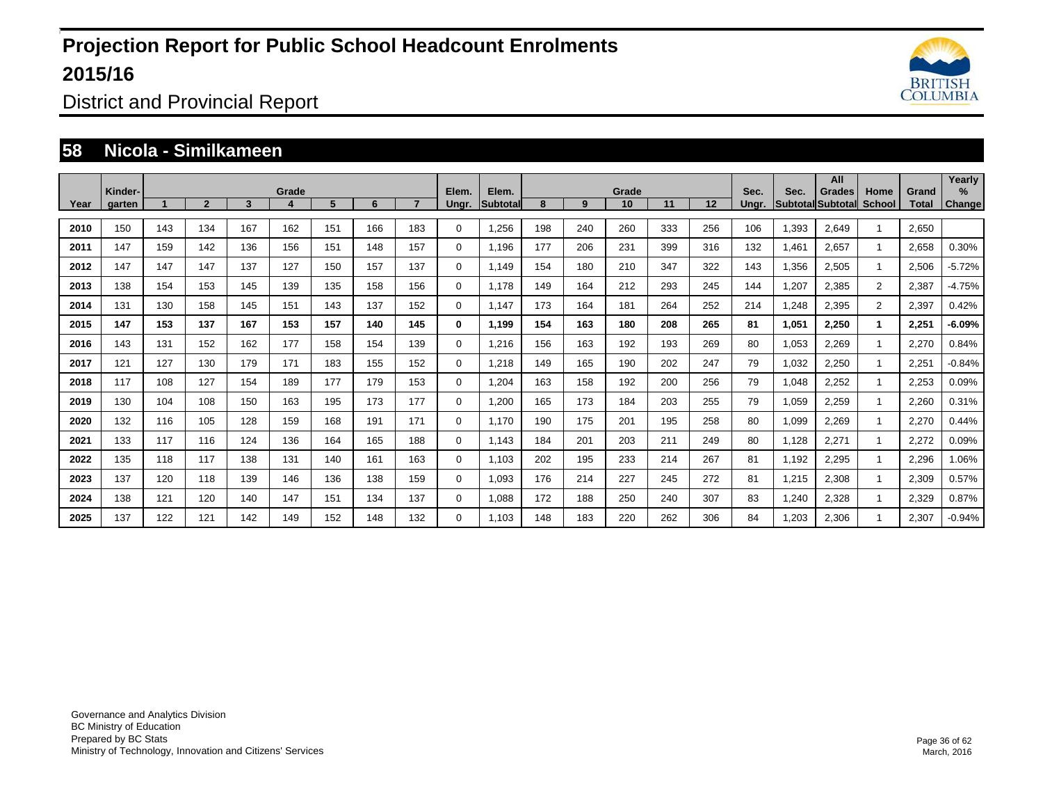

District and Provincial Report

#### **58 Nicola - Similkameen**

| Year | Kinder-<br>garten |     | $\overline{2}$ | 3   | Grade | 5   | 6   |     | Elem.<br>Ungr. | Elem.<br>Subtotal | 8   | 9   | Grade<br>10 | 11  | 12  | Sec.<br>Unar. | Sec.  | All<br><b>Grades</b><br>Subtotal Subtotal | Home<br><b>School</b> | Grand<br>Total | Yearly<br>$\%$<br>Change |
|------|-------------------|-----|----------------|-----|-------|-----|-----|-----|----------------|-------------------|-----|-----|-------------|-----|-----|---------------|-------|-------------------------------------------|-----------------------|----------------|--------------------------|
|      |                   |     |                |     |       |     |     |     |                |                   |     |     |             |     |     |               |       |                                           |                       |                |                          |
| 2010 | 150               | 143 | 134            | 167 | 162   | 151 | 166 | 183 | 0              | 1,256             | 198 | 240 | 260         | 333 | 256 | 106           | 1,393 | 2,649                                     |                       | 2,650          |                          |
| 2011 | 147               | 159 | 142            | 136 | 156   | 151 | 148 | 157 | $\mathbf 0$    | 1,196             | 177 | 206 | 231         | 399 | 316 | 132           | 1,461 | 2,657                                     | $\mathbf{1}$          | 2,658          | 0.30%                    |
| 2012 | 147               | 147 | 147            | 137 | 127   | 150 | 157 | 137 | $\mathbf 0$    | 1.149             | 154 | 180 | 210         | 347 | 322 | 143           | 1,356 | 2,505                                     | $\mathbf{1}$          | 2,506          | $-5.72%$                 |
| 2013 | 138               | 154 | 153            | 145 | 139   | 135 | 158 | 156 | 0              | 1,178             | 149 | 164 | 212         | 293 | 245 | 144           | 1,207 | 2,385                                     | $\overline{2}$        | 2,387          | $-4.75%$                 |
| 2014 | 131               | 130 | 158            | 145 | 151   | 143 | 137 | 152 | 0              | 1,147             | 173 | 164 | 181         | 264 | 252 | 214           | 1,248 | 2,395                                     | $\overline{2}$        | 2,397          | 0.42%                    |
| 2015 | 147               | 153 | 137            | 167 | 153   | 157 | 140 | 145 | $\bf{0}$       | 1,199             | 154 | 163 | 180         | 208 | 265 | 81            | 1,051 | 2,250                                     | $\blacktriangleleft$  | 2,251          | $-6.09%$                 |
| 2016 | 143               | 131 | 152            | 162 | 177   | 158 | 154 | 139 | 0              | 1,216             | 156 | 163 | 192         | 193 | 269 | 80            | 1,053 | 2,269                                     |                       | 2,270          | 0.84%                    |
| 2017 | 121               | 127 | 130            | 179 | 171   | 183 | 155 | 152 | 0              | 1,218             | 149 | 165 | 190         | 202 | 247 | 79            | 1,032 | 2,250                                     |                       | 2,251          | $-0.84%$                 |
| 2018 | 117               | 108 | 127            | 154 | 189   | 177 | 179 | 153 | 0              | 1.204             | 163 | 158 | 192         | 200 | 256 | 79            | 1,048 | 2,252                                     |                       | 2,253          | 0.09%                    |
| 2019 | 130               | 104 | 108            | 150 | 163   | 195 | 173 | 177 | $\mathbf 0$    | 1.200             | 165 | 173 | 184         | 203 | 255 | 79            | 1,059 | 2,259                                     |                       | 2.260          | 0.31%                    |
| 2020 | 132               | 116 | 105            | 128 | 159   | 168 | 191 | 171 | $\mathbf 0$    | 1.170             | 190 | 175 | 201         | 195 | 258 | 80            | 1,099 | 2,269                                     |                       | 2,270          | 0.44%                    |
| 2021 | 133               | 117 | 116            | 124 | 136   | 164 | 165 | 188 | 0              | 1.143             | 184 | 201 | 203         | 211 | 249 | 80            | 1.128 | 2,271                                     | $\mathbf{1}$          | 2,272          | 0.09%                    |
| 2022 | 135               | 118 | 117            | 138 | 131   | 140 | 161 | 163 | 0              | 1.103             | 202 | 195 | 233         | 214 | 267 | 81            | 1.192 | 2,295                                     |                       | 2,296          | 1.06%                    |
| 2023 | 137               | 120 | 118            | 139 | 146   | 136 | 138 | 159 | 0              | 1.093             | 176 | 214 | 227         | 245 | 272 | 81            | 1,215 | 2,308                                     |                       | 2,309          | 0.57%                    |
| 2024 | 138               | 121 | 120            | 140 | 147   | 151 | 134 | 137 | 0              | 1.088             | 172 | 188 | 250         | 240 | 307 | 83            | 1.240 | 2,328                                     |                       | 2,329          | 0.87%                    |
| 2025 | 137               | 122 | 121            | 142 | 149   | 152 | 148 | 132 | 0              | 1,103             | 148 | 183 | 220         | 262 | 306 | 84            | 1,203 | 2,306                                     |                       | 2,307          | $-0.94%$                 |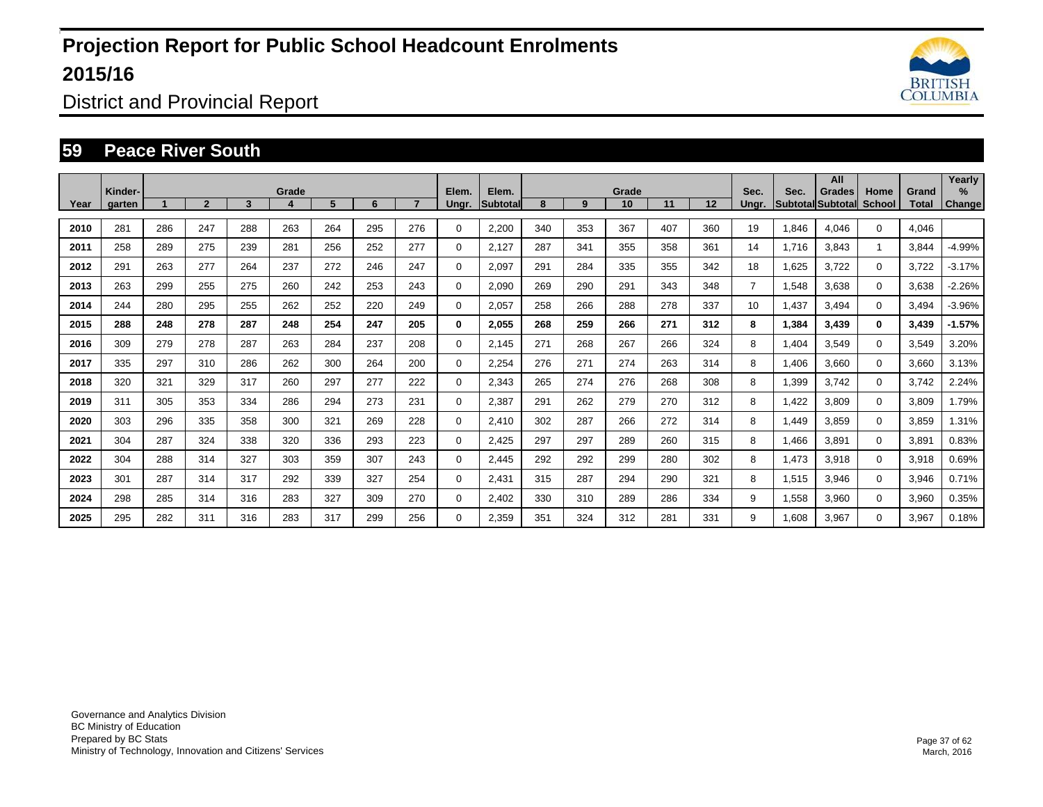

District and Provincial Report

#### **59 Peace River South**

|      | Kinder- |     |              |     | Grade |     |     |     | Elem.       | Elem.    |     |     | Grade |     |     | Sec.           | Sec.  | All<br>Grades             | Home                 | Grand | Yearly<br>$\%$ |
|------|---------|-----|--------------|-----|-------|-----|-----|-----|-------------|----------|-----|-----|-------|-----|-----|----------------|-------|---------------------------|----------------------|-------|----------------|
| Year | aarten  |     | $\mathbf{2}$ | 3   |       | 5   | 6   |     | Unar.       | Subtotal | 8   | 9   | 10    | 11  | 12  | Unar.          |       | <b>SubtotallSubtotall</b> | School               | Total | <b>Change</b>  |
| 2010 | 281     | 286 | 247          | 288 | 263   | 264 | 295 | 276 | 0           | 2,200    | 340 | 353 | 367   | 407 | 360 | 19             | 1,846 | 4,046                     | $\mathbf 0$          | 4.046 |                |
| 2011 | 258     | 289 | 275          | 239 | 281   | 256 | 252 | 277 | 0           | 2,127    | 287 | 341 | 355   | 358 | 361 | 14             | 1,716 | 3,843                     | $\blacktriangleleft$ | 3,844 | $-4.99%$       |
| 2012 | 291     | 263 | 277          | 264 | 237   | 272 | 246 | 247 | $\mathbf 0$ | 2.097    | 291 | 284 | 335   | 355 | 342 | 18             | 1,625 | 3,722                     | $\mathbf 0$          | 3,722 | $-3.17%$       |
| 2013 | 263     | 299 | 255          | 275 | 260   | 242 | 253 | 243 | $\mathbf 0$ | 2.090    | 269 | 290 | 291   | 343 | 348 | $\overline{7}$ | 1,548 | 3,638                     | $\Omega$             | 3,638 | $-2.26%$       |
| 2014 | 244     | 280 | 295          | 255 | 262   | 252 | 220 | 249 | $\mathbf 0$ | 2,057    | 258 | 266 | 288   | 278 | 337 | 10             | 1,437 | 3,494                     | $\Omega$             | 3,494 | $-3.96%$       |
| 2015 | 288     | 248 | 278          | 287 | 248   | 254 | 247 | 205 | $\bf{0}$    | 2,055    | 268 | 259 | 266   | 271 | 312 | 8              | 1,384 | 3,439                     | $\mathbf{0}$         | 3,439 | $-1.57%$       |
| 2016 | 309     | 279 | 278          | 287 | 263   | 284 | 237 | 208 | 0           | 2,145    | 271 | 268 | 267   | 266 | 324 | 8              | 1,404 | 3,549                     | $\Omega$             | 3,549 | 3.20%          |
| 2017 | 335     | 297 | 310          | 286 | 262   | 300 | 264 | 200 | $\mathbf 0$ | 2,254    | 276 | 271 | 274   | 263 | 314 | 8              | 1,406 | 3,660                     | $\mathbf 0$          | 3,660 | 3.13%          |
| 2018 | 320     | 321 | 329          | 317 | 260   | 297 | 277 | 222 | 0           | 2,343    | 265 | 274 | 276   | 268 | 308 | 8              | 1,399 | 3.742                     | $\mathbf 0$          | 3,742 | 2.24%          |
| 2019 | 311     | 305 | 353          | 334 | 286   | 294 | 273 | 231 | $\mathbf 0$ | 2,387    | 291 | 262 | 279   | 270 | 312 | 8              | 1,422 | 3,809                     | $\mathbf 0$          | 3,809 | 1.79%          |
| 2020 | 303     | 296 | 335          | 358 | 300   | 321 | 269 | 228 | $\mathbf 0$ | 2,410    | 302 | 287 | 266   | 272 | 314 | 8              | 1,449 | 3,859                     | $\mathbf 0$          | 3,859 | 1.31%          |
| 2021 | 304     | 287 | 324          | 338 | 320   | 336 | 293 | 223 | $\mathbf 0$ | 2,425    | 297 | 297 | 289   | 260 | 315 | 8              | 1,466 | 3,891                     | $\mathbf 0$          | 3,891 | 0.83%          |
| 2022 | 304     | 288 | 314          | 327 | 303   | 359 | 307 | 243 | 0           | 2.445    | 292 | 292 | 299   | 280 | 302 | 8              | 1,473 | 3,918                     | $\mathbf 0$          | 3,918 | 0.69%          |
| 2023 | 301     | 287 | 314          | 317 | 292   | 339 | 327 | 254 | 0           | 2,431    | 315 | 287 | 294   | 290 | 321 | 8              | 1,515 | 3,946                     | $\mathbf 0$          | 3,946 | 0.71%          |
| 2024 | 298     | 285 | 314          | 316 | 283   | 327 | 309 | 270 | 0           | 2.402    | 330 | 310 | 289   | 286 | 334 | 9              | 1,558 | 3,960                     | $\mathbf 0$          | 3,960 | 0.35%          |
| 2025 | 295     | 282 | 311          | 316 | 283   | 317 | 299 | 256 | 0           | 2,359    | 351 | 324 | 312   | 281 | 331 | 9              | 1,608 | 3,967                     | $\Omega$             | 3,967 | 0.18%          |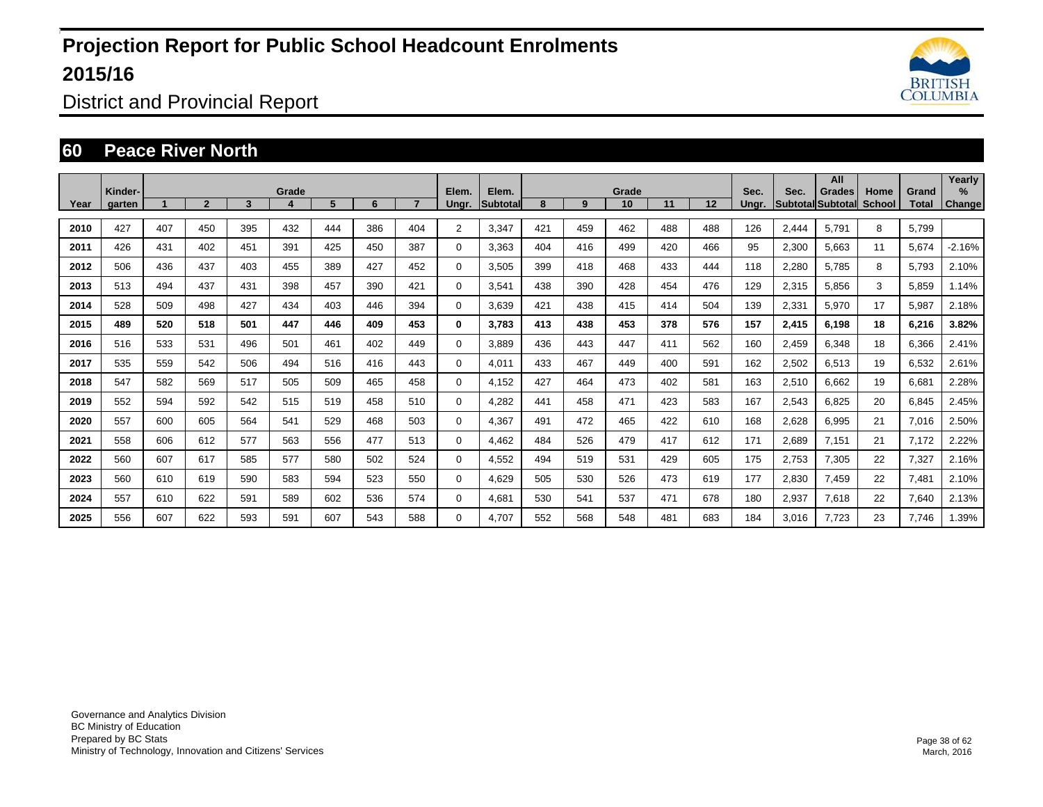

District and Provincial Report

#### **60 Peace River North**

|      | Kinder- |     |                |     | Grade |     |     |     | Elem.          | Elem.    |     |     | Grade |     |     | Sec.  | Sec.  | All<br>Grades             | Home   | Grand | Yearly<br>$\%$ |
|------|---------|-----|----------------|-----|-------|-----|-----|-----|----------------|----------|-----|-----|-------|-----|-----|-------|-------|---------------------------|--------|-------|----------------|
| Year | aarten  |     | $\overline{2}$ | 3   | 4     | 5   | 6   |     | Unar.          | Subtotal | 8   | 9   | 10    | 11  | 12  | Unar. |       | <b>SubtotallSubtotall</b> | School | Total | <b>Change</b>  |
| 2010 | 427     | 407 | 450            | 395 | 432   | 444 | 386 | 404 | $\overline{2}$ | 3,347    | 421 | 459 | 462   | 488 | 488 | 126   | 2,444 | 5.791                     | 8      | 5,799 |                |
| 2011 | 426     | 431 | 402            | 451 | 391   | 425 | 450 | 387 | 0              | 3,363    | 404 | 416 | 499   | 420 | 466 | 95    | 2,300 | 5,663                     | 11     | 5,674 | $-2.16%$       |
| 2012 | 506     | 436 | 437            | 403 | 455   | 389 | 427 | 452 | $\mathbf 0$    | 3,505    | 399 | 418 | 468   | 433 | 444 | 118   | 2,280 | 5,785                     | 8      | 5,793 | 2.10%          |
| 2013 | 513     | 494 | 437            | 431 | 398   | 457 | 390 | 421 | $\mathbf 0$    | 3.541    | 438 | 390 | 428   | 454 | 476 | 129   | 2,315 | 5,856                     | 3      | 5,859 | 1.14%          |
| 2014 | 528     | 509 | 498            | 427 | 434   | 403 | 446 | 394 | $\Omega$       | 3,639    | 421 | 438 | 415   | 414 | 504 | 139   | 2,331 | 5,970                     | 17     | 5,987 | 2.18%          |
| 2015 | 489     | 520 | 518            | 501 | 447   | 446 | 409 | 453 | 0              | 3.783    | 413 | 438 | 453   | 378 | 576 | 157   | 2,415 | 6,198                     | 18     | 6,216 | 3.82%          |
| 2016 | 516     | 533 | 531            | 496 | 501   | 461 | 402 | 449 | 0              | 3,889    | 436 | 443 | 447   | 411 | 562 | 160   | 2,459 | 6,348                     | 18     | 6,366 | 2.41%          |
| 2017 | 535     | 559 | 542            | 506 | 494   | 516 | 416 | 443 | $\mathbf 0$    | 4,011    | 433 | 467 | 449   | 400 | 591 | 162   | 2,502 | 6,513                     | 19     | 6,532 | 2.61%          |
| 2018 | 547     | 582 | 569            | 517 | 505   | 509 | 465 | 458 | 0              | 4,152    | 427 | 464 | 473   | 402 | 581 | 163   | 2,510 | 6,662                     | 19     | 6.681 | 2.28%          |
| 2019 | 552     | 594 | 592            | 542 | 515   | 519 | 458 | 510 | 0              | 4,282    | 441 | 458 | 471   | 423 | 583 | 167   | 2,543 | 6,825                     | 20     | 6,845 | 2.45%          |
| 2020 | 557     | 600 | 605            | 564 | 541   | 529 | 468 | 503 | 0              | 4,367    | 491 | 472 | 465   | 422 | 610 | 168   | 2,628 | 6,995                     | 21     | 7,016 | 2.50%          |
| 2021 | 558     | 606 | 612            | 577 | 563   | 556 | 477 | 513 | $\mathbf 0$    | 4.462    | 484 | 526 | 479   | 417 | 612 | 171   | 2,689 | 7,151                     | 21     | 7,172 | 2.22%          |
| 2022 | 560     | 607 | 617            | 585 | 577   | 580 | 502 | 524 | 0              | 4,552    | 494 | 519 | 531   | 429 | 605 | 175   | 2,753 | 7,305                     | 22     | 7,327 | 2.16%          |
| 2023 | 560     | 610 | 619            | 590 | 583   | 594 | 523 | 550 | 0              | 4,629    | 505 | 530 | 526   | 473 | 619 | 177   | 2,830 | 7,459                     | 22     | 7,481 | 2.10%          |
| 2024 | 557     | 610 | 622            | 591 | 589   | 602 | 536 | 574 | 0              | 4.681    | 530 | 541 | 537   | 471 | 678 | 180   | 2,937 | 7,618                     | 22     | 7,640 | 2.13%          |
| 2025 | 556     | 607 | 622            | 593 | 591   | 607 | 543 | 588 | 0              | 4,707    | 552 | 568 | 548   | 481 | 683 | 184   | 3,016 | 7,723                     | 23     | 7,746 | 1.39%          |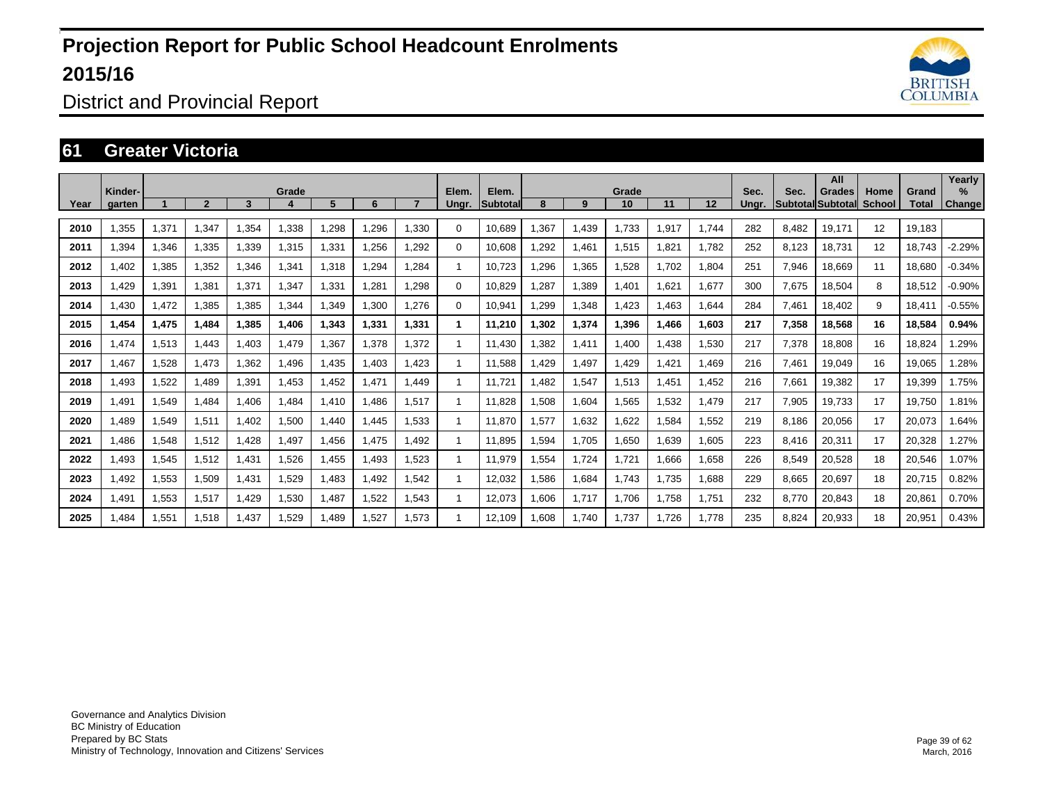

District and Provincial Report

#### **61 Greater Victoria**

| Year | Kinder-<br>garten |       | $\overline{\mathbf{c}}$ | 3     | Grade<br>д | 5     | 6     |       | Elem.<br>Ungr. | Elem.<br><b>Subtotal</b> | 8     | 9     | Grade<br>10 | 11           | 12    | Sec.<br>Unar. | Sec.  | All<br>Grades<br>Subtotal Subtotal | Home<br>School | Grand<br>Total | Yearly<br>$\%$<br>Change |
|------|-------------------|-------|-------------------------|-------|------------|-------|-------|-------|----------------|--------------------------|-------|-------|-------------|--------------|-------|---------------|-------|------------------------------------|----------------|----------------|--------------------------|
|      |                   |       |                         |       |            |       |       |       |                |                          |       |       |             |              |       |               |       |                                    |                |                |                          |
| 2010 | 1,355             | 1,371 | 1,347                   | 1,354 | 1.338      | ,298  | 1,296 | 1.330 | $\Omega$       | 10,689                   | 1,367 | 1.439 | 1,733       | 1,917        | 1.744 | 282           | 8.482 | 19,171                             | 12             | 19.183         |                          |
| 2011 | 1.394             | 1,346 | 1.335                   | 1,339 | 1.315      | 1,331 | ,256  | 1.292 | $\Omega$       | 10.608                   | .292  | 1.461 | 1,515       | .821         | 1.782 | 252           | 8.123 | 18.731                             | 12             | 18.743         | $-2.29%$                 |
| 2012 | 402.              | 1,385 | 1,352                   | 1,346 | 1,341      | 1,318 | ,294  | 1,284 | 1              | 10,723                   | ,296  | 1,365 | 1,528       | .702         | 1,804 | 251           | 7,946 | 18,669                             | 11             | 18,680         | $-0.34%$                 |
| 2013 | .429              | 1,391 | 1.381                   | 1,371 | 1,347      | 1,331 | .281  | 1.298 | $\Omega$       | 10,829                   | .287  | 1,389 | 1,401       | .621         | 1,677 | 300           | 7,675 | 18,504                             | 8              | 18,512         | $-0.90%$                 |
| 2014 | 1,430             | 1,472 | 1,385                   | 1,385 | 1,344      | ,349  | 1,300 | 1.276 | $\Omega$       | 10,941                   | .299  | 1,348 | 1,423       | <b>1.463</b> | 644.ا | 284           | 7,461 | 18,402                             | 9              | 18,411         | $-0.55%$                 |
| 2015 | 1.454             | 1,475 | 1.484                   | 1.385 | 1.406      | 1.343 | 1.331 | 1.331 | 1              | 11.210                   | 1.302 | 1,374 | 1,396       | 1.466        | 1.603 | 217           | 7,358 | 18,568                             | 16             | 18,584         | 0.94%                    |
| 2016 | 1,474             | 1,513 | 1.443                   | 1,403 | 1,479      | 1,367 | 1,378 | 1,372 | $\mathbf{1}$   | 11,430                   | ,382  | 1,411 | 1,400       | .438         | 1,530 | 217           | 7,378 | 18,808                             | 16             | 18,824         | 1.29%                    |
| 2017 | 1.467             | 1,528 | 1,473                   | 1,362 | 1.496      | 1.435 | 1.403 | 1.423 | -1             | 11.588                   | .429  | 1,497 | 1.429       | .421         | 1,469 | 216           | 7,461 | 19,049                             | 16             | 19,065         | 1.28%                    |
| 2018 | A93               | 1,522 | 1,489                   | 1,391 | 1,453      | 1,452 | 1,471 | 1,449 | 1              | 11,721                   | ,482  | 1,547 | 1,513       | .451         | 1,452 | 216           | 7,661 | 19,382                             | 17             | 19,399         | 1.75%                    |
| 2019 | .491              | 1,549 | 1.484                   | 1.406 | 1.484      | 1.410 | .486  | 1.517 | 1              | 11.828                   | 1,508 | 1,604 | 1,565       | 1,532        | 1,479 | 217           | 7,905 | 19,733                             | 17             | 19,750         | 1.81%                    |
| 2020 | <b>.489</b>       | 1,549 | 1,511                   | 1,402 | 1,500      | 1,440 | .445  | .533  | 1              | 11,870                   | 1,577 | 1,632 | 1,622       | 1,584        | 1,552 | 219           | 8,186 | 20,056                             | 17             | 20,073         | 1.64%                    |
| 2021 | .486              | 1,548 | 1,512                   | 1,428 | 1,497      | 1,456 | 1.475 | .492  | 1              | 11,895                   | 1,594 | 1,705 | 1,650       | 1,639        | 1,605 | 223           | 8,416 | 20,311                             | 17             | 20,328         | 1.27%                    |
| 2022 | .493              | 1,545 | 1,512                   | 1,431 | 1,526      | 1,455 | 1,493 | .523  | 1              | 11.979                   | 1,554 | 1,724 | 1,721       | 1.666        | 1,658 | 226           | 8,549 | 20,528                             | 18             | 20,546         | 1.07%                    |
| 2023 | A92,              | 1,553 | 1,509                   | 1,431 | 1,529      | 1,483 | 1,492 | .542  | 1              | 12,032                   | 1,586 | 1,684 | 1,743       | 1,735        | 88.1  | 229           | 8,665 | 20,697                             | 18             | 20,715         | 0.82%                    |
| 2024 | .491              | 1,553 | 1,517                   | 1.429 | 1.530      | 1.487 | 1.522 | .543  | 1              | 12,073                   | .606  | 1.717 | 1,706       | 1.758        | 1.751 | 232           | 8.770 | 20,843                             | 18             | 20,861         | 0.70%                    |
| 2025 | .484              | 1,551 | 1,518                   | 1,437 | 1,529      | ,489  | 1,527 | ,573  | 1              | 12,109                   | .608  | 1,740 | 1,737       | .726         | 1,778 | 235           | 8.824 | 20,933                             | 18             | 20,951         | 0.43%                    |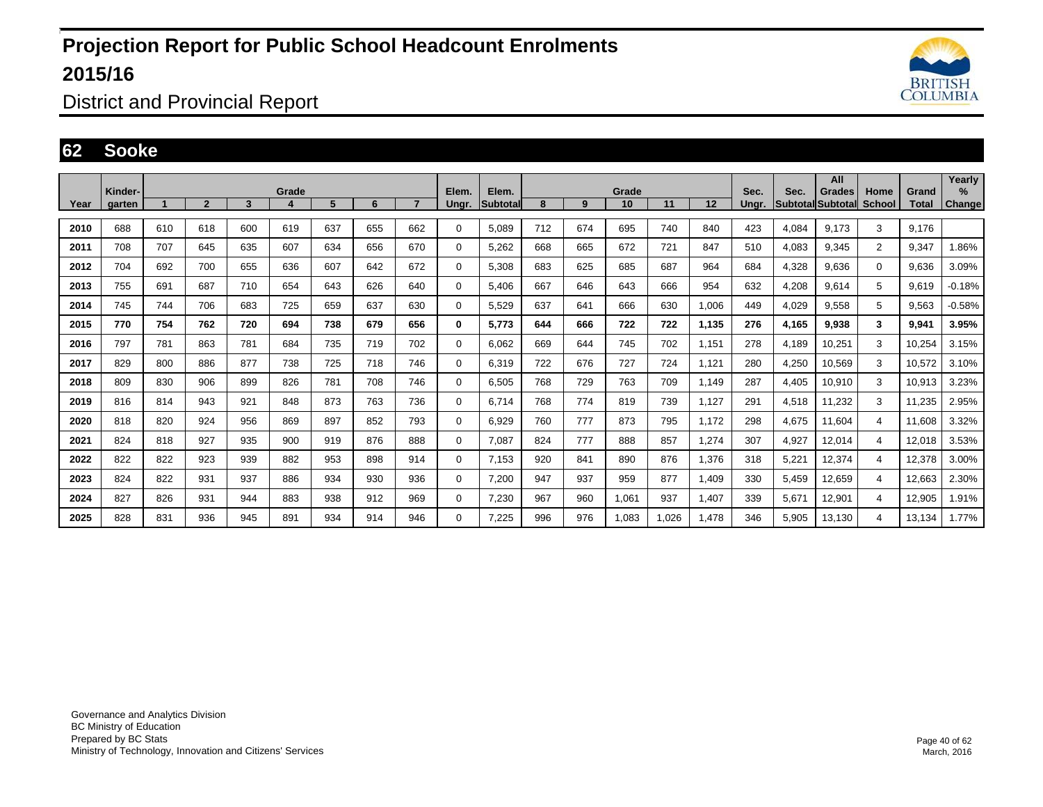

District and Provincial Report

#### **62 Sooke**

|      | Kinder- |     |                |     | Grade |     |     |                | Elem.       | Elem.    |     |     | Grade |       |       | Sec.  | Sec.            | All                         |                |                | Yearly<br>% |
|------|---------|-----|----------------|-----|-------|-----|-----|----------------|-------------|----------|-----|-----|-------|-------|-------|-------|-----------------|-----------------------------|----------------|----------------|-------------|
| Year | garten  |     | $\overline{2}$ | 3   |       | 5   | 6   | $\overline{7}$ | Ungr.       | Subtotal | 8   | 9   | 10    | 11    | 12    | Ungr. | <b>Subtotal</b> | Grades<br><b>I</b> Subtotal | Home<br>School | Grand<br>Total | Change      |
| 2010 | 688     | 610 | 618            | 600 | 619   | 637 | 655 | 662            | 0           | 5.089    | 712 | 674 | 695   | 740   | 840   | 423   | 4,084           | 9.173                       | 3              | 9,176          |             |
| 2011 | 708     | 707 | 645            | 635 | 607   | 634 | 656 | 670            | $\Omega$    | 5,262    | 668 | 665 | 672   | 721   | 847   | 510   | 4,083           | 9,345                       | 2              | 9,347          | 1.86%       |
| 2012 | 704     | 692 | 700            | 655 | 636   | 607 | 642 | 672            | $\mathbf 0$ | 5.308    | 683 | 625 | 685   | 687   | 964   | 684   | 4,328           | 9.636                       | $\mathbf 0$    | 9,636          | 3.09%       |
| 2013 | 755     | 691 | 687            | 710 | 654   | 643 | 626 | 640            | 0           | 5.406    | 667 | 646 | 643   | 666   | 954   | 632   | 4,208           | 9,614                       | 5              | 9,619          | $-0.18%$    |
| 2014 | 745     | 744 | 706            | 683 | 725   | 659 | 637 | 630            | $\Omega$    | 5,529    | 637 | 641 | 666   | 630   | 1,006 | 449   | 4,029           | 9,558                       | 5              | 9,563          | $-0.58%$    |
| 2015 | 770     | 754 | 762            | 720 | 694   | 738 | 679 | 656            | 0           | 5,773    | 644 | 666 | 722   | 722   | 1,135 | 276   | 4,165           | 9,938                       | 3              | 9,941          | 3.95%       |
| 2016 | 797     | 781 | 863            | 781 | 684   | 735 | 719 | 702            | 0           | 6.062    | 669 | 644 | 745   | 702   | 1,151 | 278   | 4,189           | 10,251                      | 3              | 10,254         | 3.15%       |
| 2017 | 829     | 800 | 886            | 877 | 738   | 725 | 718 | 746            | $\Omega$    | 6,319    | 722 | 676 | 727   | 724   | 1,121 | 280   | 4,250           | 10,569                      | 3              | 10,572         | 3.10%       |
| 2018 | 809     | 830 | 906            | 899 | 826   | 781 | 708 | 746            | $\Omega$    | 6,505    | 768 | 729 | 763   | 709   | 1,149 | 287   | 4,405           | 10,910                      | 3              | 10,913         | 3.23%       |
| 2019 | 816     | 814 | 943            | 921 | 848   | 873 | 763 | 736            | 0           | 6.714    | 768 | 774 | 819   | 739   | 1,127 | 291   | 4,518           | 11,232                      | 3              | 11,235         | 2.95%       |
| 2020 | 818     | 820 | 924            | 956 | 869   | 897 | 852 | 793            | $\Omega$    | 6,929    | 760 | 777 | 873   | 795   | 1,172 | 298   | 4,675           | 11,604                      | $\overline{4}$ | 11,608         | 3.32%       |
| 2021 | 824     | 818 | 927            | 935 | 900   | 919 | 876 | 888            | 0           | 7,087    | 824 | 777 | 888   | 857   | 1,274 | 307   | 4,927           | 12,014                      | $\overline{4}$ | 12,018         | 3.53%       |
| 2022 | 822     | 822 | 923            | 939 | 882   | 953 | 898 | 914            | 0           | 7.153    | 920 | 841 | 890   | 876   | 1,376 | 318   | 5,221           | 12,374                      | 4              | 12,378         | 3.00%       |
| 2023 | 824     | 822 | 931            | 937 | 886   | 934 | 930 | 936            | $\mathbf 0$ | 7,200    | 947 | 937 | 959   | 877   | 1,409 | 330   | 5,459           | 12,659                      | 4              | 12,663         | 2.30%       |
| 2024 | 827     | 826 | 931            | 944 | 883   | 938 | 912 | 969            | 0           | 7,230    | 967 | 960 | 1,061 | 937   | 1,407 | 339   | 5,671           | 12,901                      | 4              | 12,905         | 1.91%       |
| 2025 | 828     | 831 | 936            | 945 | 891   | 934 | 914 | 946            | 0           | 7,225    | 996 | 976 | 1,083 | 1,026 | 1,478 | 346   | 5,905           | 13,130                      | 4              | 13,134         | 1.77%       |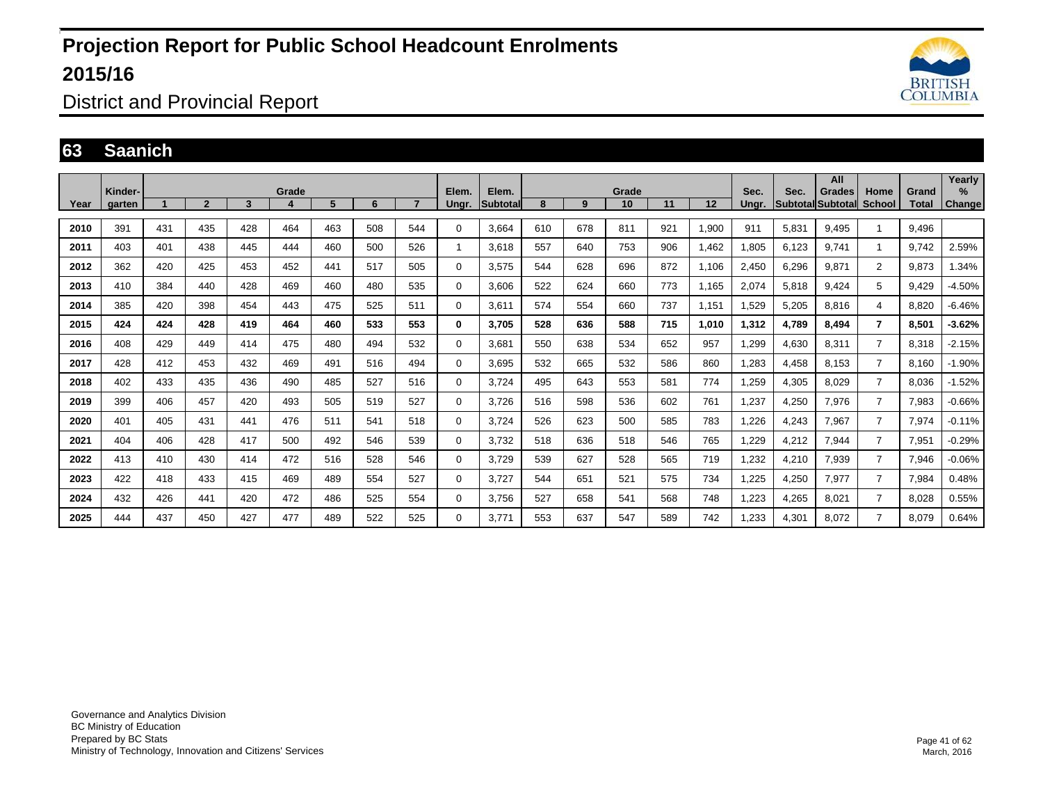

District and Provincial Report

#### **63 Saanich**

|      | Kinder- |     |                |     | Grade |     |     |     | Elem.        | Elem.    |     |     | Grade |     |         | Sec.  | Sec.  | All                                |                       |                | Yearly<br>% |
|------|---------|-----|----------------|-----|-------|-----|-----|-----|--------------|----------|-----|-----|-------|-----|---------|-------|-------|------------------------------------|-----------------------|----------------|-------------|
| Year | garten  |     | $\overline{2}$ | 3   |       | 5   | 6   |     | Ungr.        | Subtotal | 8   | 9   | 10    | 11  | $12 \,$ | Unar. |       | Grades<br><b>SubtotallSubtotal</b> | Home<br><b>School</b> | Grand<br>Total | Change      |
| 2010 | 391     | 431 | 435            | 428 | 464   | 463 | 508 | 544 | $\Omega$     | 3,664    | 610 | 678 | 811   | 921 | 1,900   | 911   | 5,831 | 9.495                              |                       | 9.496          |             |
| 2011 | 403     | 401 | 438            | 445 | 444   | 460 | 500 | 526 |              | 3.618    | 557 | 640 | 753   | 906 | 1,462   | 1,805 | 6.123 | 9.741                              |                       | 9.742          | 2.59%       |
| 2012 | 362     | 420 | 425            | 453 | 452   | 441 | 517 | 505 | $\Omega$     | 3,575    | 544 | 628 | 696   | 872 | 1,106   | 2,450 | 6,296 | 9,871                              | $\overline{2}$        | 9,873          | 1.34%       |
| 2013 | 410     | 384 | 440            | 428 | 469   | 460 | 480 | 535 | $\Omega$     | 3.606    | 522 | 624 | 660   | 773 | 1,165   | 2,074 | 5,818 | 9.424                              | 5                     | 9.429          | $-4.50%$    |
| 2014 | 385     | 420 | 398            | 454 | 443   | 475 | 525 | 511 | $\Omega$     | 3,611    | 574 | 554 | 660   | 737 | 1,151   | 1,529 | 5,205 | 8,816                              | 4                     | 8,820          | $-6.46%$    |
| 2015 | 424     | 424 | 428            | 419 | 464   | 460 | 533 | 553 | $\mathbf{0}$ | 3.705    | 528 | 636 | 588   | 715 | 1,010   | 1,312 | 4,789 | 8,494                              | $\overline{7}$        | 8,501          | $-3.62%$    |
| 2016 | 408     | 429 | 449            | 414 | 475   | 480 | 494 | 532 | $\Omega$     | 3,681    | 550 | 638 | 534   | 652 | 957     | 1,299 | 4,630 | 8,311                              | $\overline{7}$        | 8,318          | $-2.15%$    |
| 2017 | 428     | 412 | 453            | 432 | 469   | 491 | 516 | 494 | $\Omega$     | 3,695    | 532 | 665 | 532   | 586 | 860     | 1,283 | 4,458 | 8,153                              | $\overline{7}$        | 8,160          | $-1.90%$    |
| 2018 | 402     | 433 | 435            | 436 | 490   | 485 | 527 | 516 | $\Omega$     | 3.724    | 495 | 643 | 553   | 581 | 774     | 1,259 | 4,305 | 8,029                              | $\overline{7}$        | 8,036          | $-1.52%$    |
| 2019 | 399     | 406 | 457            | 420 | 493   | 505 | 519 | 527 | 0            | 3.726    | 516 | 598 | 536   | 602 | 761     | 1,237 | 4,250 | 7,976                              | $\overline{7}$        | 7,983          | $-0.66%$    |
| 2020 | 401     | 405 | 431            | 441 | 476   | 511 | 541 | 518 | $\Omega$     | 3,724    | 526 | 623 | 500   | 585 | 783     | 1,226 | 4,243 | 7,967                              | $\overline{7}$        | 7,974          | $-0.11%$    |
| 2021 | 404     | 406 | 428            | 417 | 500   | 492 | 546 | 539 | $\Omega$     | 3,732    | 518 | 636 | 518   | 546 | 765     | 1,229 | 4,212 | 7,944                              | $\overline{7}$        | 7,951          | $-0.29%$    |
| 2022 | 413     | 410 | 430            | 414 | 472   | 516 | 528 | 546 | $\Omega$     | 3.729    | 539 | 627 | 528   | 565 | 719     | 1,232 | 4,210 | 7,939                              | $\overline{7}$        | 7,946          | $-0.06%$    |
| 2023 | 422     | 418 | 433            | 415 | 469   | 489 | 554 | 527 | $\Omega$     | 3,727    | 544 | 651 | 521   | 575 | 734     | 1,225 | 4,250 | 7,977                              | $\overline{7}$        | 7,984          | 0.48%       |
| 2024 | 432     | 426 | 441            | 420 | 472   | 486 | 525 | 554 | 0            | 3.756    | 527 | 658 | 541   | 568 | 748     | 1,223 | 4,265 | 8,021                              | $\overline{7}$        | 8,028          | 0.55%       |
| 2025 | 444     | 437 | 450            | 427 | 477   | 489 | 522 | 525 | $\Omega$     | 3,771    | 553 | 637 | 547   | 589 | 742     | .233  | 4,301 | 8,072                              | $\overline{7}$        | 8,079          | 0.64%       |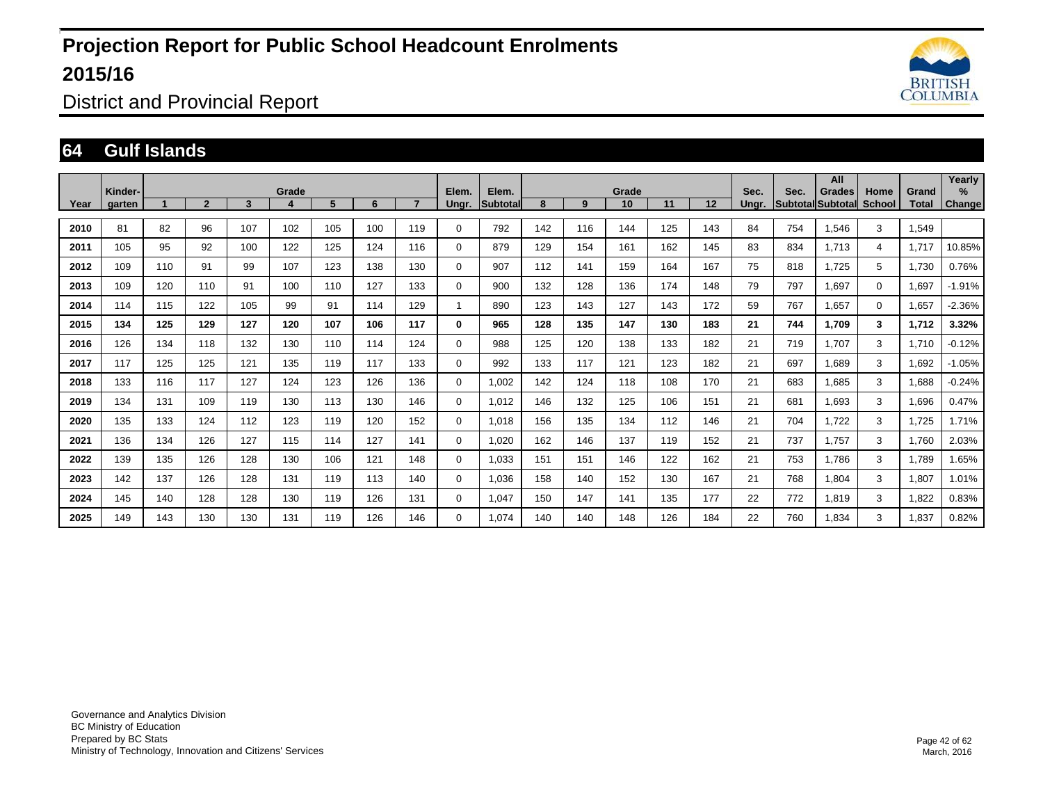

District and Provincial Report

#### **64 Gulf Islands**

|      | Kinder- |     |                |     | Grade |     |     |     | Elem.       | Elem.           |     |     | Grade |     |     | Sec.  | Sec. | All<br>Grades            | Home          | Grand | Yearly<br>%   |
|------|---------|-----|----------------|-----|-------|-----|-----|-----|-------------|-----------------|-----|-----|-------|-----|-----|-------|------|--------------------------|---------------|-------|---------------|
| Year | garten  |     | $\overline{2}$ | 3   | 4     | 5   | 6   |     | Ungr.       | <b>Subtotal</b> | 8   | 9   | 10    | 11  | 12  | Unar. |      | <b>Subtotal Subtotal</b> | <b>School</b> | Total | <b>Change</b> |
| 2010 | 81      | 82  | 96             | 107 | 102   | 105 | 100 | 119 | 0           | 792             | 142 | 116 | 144   | 125 | 143 | 84    | 754  | 1.546                    | 3             | 1.549 |               |
| 2011 | 105     | 95  | 92             | 100 | 122   | 125 | 124 | 116 | 0           | 879             | 129 | 154 | 161   | 162 | 145 | 83    | 834  | 1.713                    | 4             | 1,717 | 10.85%        |
| 2012 | 109     | 110 | 91             | 99  | 107   | 123 | 138 | 130 | $\mathbf 0$ | 907             | 112 | 141 | 159   | 164 | 167 | 75    | 818  | 1.725                    | 5             | 1,730 | 0.76%         |
| 2013 | 109     | 120 | 110            | 91  | 100   | 110 | 127 | 133 | $\mathbf 0$ | 900             | 132 | 128 | 136   | 174 | 148 | 79    | 797  | 1,697                    | $\mathbf 0$   | 1,697 | $-1.91%$      |
| 2014 | 114     | 115 | 122            | 105 | 99    | 91  | 114 | 129 |             | 890             | 123 | 143 | 127   | 143 | 172 | 59    | 767  | 1.657                    | $\Omega$      | 1,657 | $-2.36%$      |
| 2015 | 134     | 125 | 129            | 127 | 120   | 107 | 106 | 117 | 0           | 965             | 128 | 135 | 147   | 130 | 183 | 21    | 744  | 1,709                    | 3             | 1,712 | 3.32%         |
| 2016 | 126     | 134 | 118            | 132 | 130   | 110 | 114 | 124 | $\mathbf 0$ | 988             | 125 | 120 | 138   | 133 | 182 | 21    | 719  | 1,707                    | 3             | 1,710 | $-0.12%$      |
| 2017 | 117     | 125 | 125            | 121 | 135   | 119 | 117 | 133 | $\mathbf 0$ | 992             | 133 | 117 | 121   | 123 | 182 | 21    | 697  | 1,689                    | 3             | 1,692 | $-1.05%$      |
| 2018 | 133     | 116 | 117            | 127 | 124   | 123 | 126 | 136 | $\mathbf 0$ | 1,002           | 142 | 124 | 118   | 108 | 170 | 21    | 683  | 1,685                    | 3             | 1,688 | $-0.24%$      |
| 2019 | 134     | 131 | 109            | 119 | 130   | 113 | 130 | 146 | $\mathbf 0$ | 1.012           | 146 | 132 | 125   | 106 | 151 | 21    | 681  | 1.693                    | 3             | 1,696 | 0.47%         |
| 2020 | 135     | 133 | 124            | 112 | 123   | 119 | 120 | 152 | 0           | 1.018           | 156 | 135 | 134   | 112 | 146 | 21    | 704  | 1.722                    | 3             | 1,725 | 1.71%         |
| 2021 | 136     | 134 | 126            | 127 | 115   | 114 | 127 | 141 | 0           | 1.020           | 162 | 146 | 137   | 119 | 152 | 21    | 737  | 1.757                    | 3             | 1,760 | 2.03%         |
| 2022 | 139     | 135 | 126            | 128 | 130   | 106 | 121 | 148 | 0           | 1.033           | 151 | 151 | 146   | 122 | 162 | 21    | 753  | 1.786                    | 3             | 1,789 | 1.65%         |
| 2023 | 142     | 137 | 126            | 128 | 131   | 119 | 113 | 140 | 0           | 1.036           | 158 | 140 | 152   | 130 | 167 | 21    | 768  | 1,804                    | 3             | 1,807 | 1.01%         |
| 2024 | 145     | 140 | 128            | 128 | 130   | 119 | 126 | 131 | 0           | 1,047           | 150 | 147 | 141   | 135 | 177 | 22    | 772  | 1,819                    | 3             | 1,822 | 0.83%         |
| 2025 | 149     | 143 | 130            | 130 | 131   | 119 | 126 | 146 | 0           | 1.074           | 140 | 140 | 148   | 126 | 184 | 22    | 760  | 1,834                    | 3             | 1.837 | 0.82%         |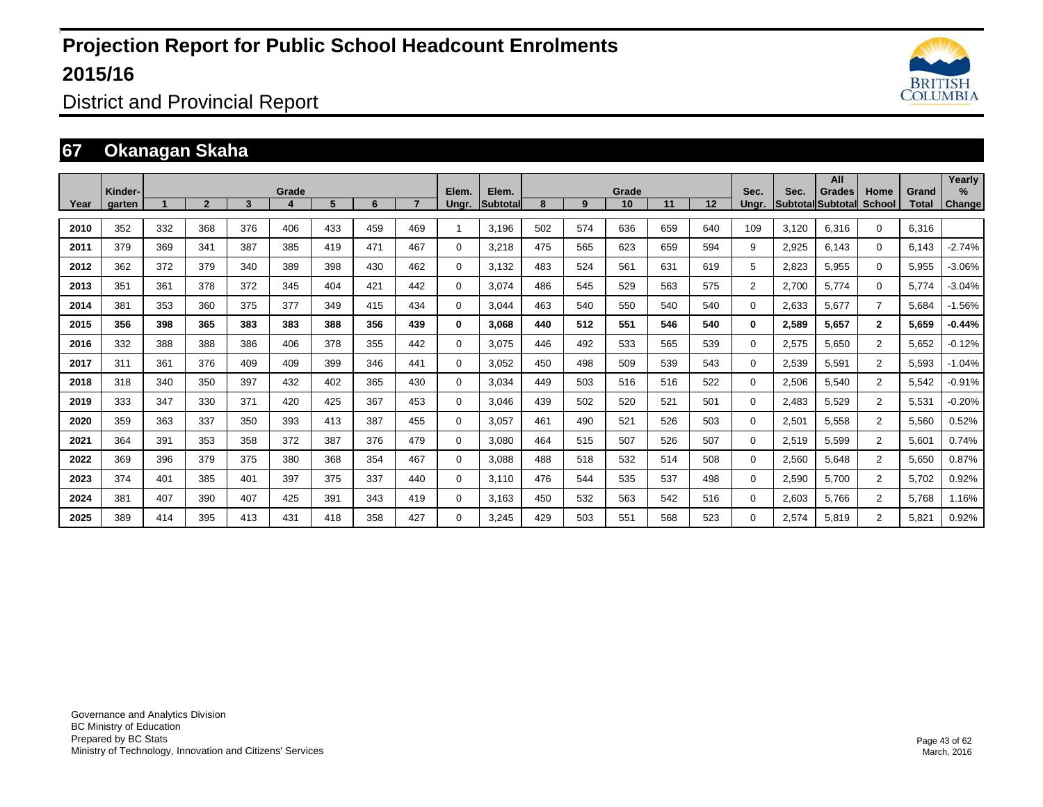

District and Provincial Report

### **67 Okanagan Skaha**

|      | Kinder- |     |                |     | Grade |     |     |     | Elem.        | Elem.           |     |     | Grade |     |                   | Sec.           | Sec.  | All<br>Grades     | Home           | Grand        | Yearly<br>$\%$ |
|------|---------|-----|----------------|-----|-------|-----|-----|-----|--------------|-----------------|-----|-----|-------|-----|-------------------|----------------|-------|-------------------|----------------|--------------|----------------|
| Year | aarten  |     | $\overline{2}$ | 3   |       | 5   | 6   |     | Unar.        | <b>Subtotal</b> | 8   | 9   | 10    | 11  | $12 \overline{ }$ | Unar.          |       | Subtotal Subtotal | <b>School</b>  | <b>Total</b> | <b>Change</b>  |
| 2010 | 352     | 332 | 368            | 376 | 406   | 433 | 459 | 469 |              | 3,196           | 502 | 574 | 636   | 659 | 640               | 109            | 3.120 | 6,316             | $\mathbf{0}$   | 6,316        |                |
| 2011 | 379     | 369 | 341            | 387 | 385   | 419 | 471 | 467 | $\Omega$     | 3,218           | 475 | 565 | 623   | 659 | 594               | 9              | 2,925 | 6,143             | $\Omega$       | 6,143        | $-2.74%$       |
| 2012 | 362     | 372 | 379            | 340 | 389   | 398 | 430 | 462 | $\Omega$     | 3.132           | 483 | 524 | 561   | 631 | 619               | 5              | 2,823 | 5,955             | $\mathbf{0}$   | 5,955        | $-3.06%$       |
| 2013 | 351     | 361 | 378            | 372 | 345   | 404 | 421 | 442 | $\Omega$     | 3.074           | 486 | 545 | 529   | 563 | 575               | $\overline{2}$ | 2,700 | 5.774             | $\Omega$       | 5,774        | $-3.04%$       |
| 2014 | 381     | 353 | 360            | 375 | 377   | 349 | 415 | 434 | $\Omega$     | 3,044           | 463 | 540 | 550   | 540 | 540               | $\Omega$       | 2,633 | 5,677             | $\overline{7}$ | 5,684        | $-1.56%$       |
| 2015 | 356     | 398 | 365            | 383 | 383   | 388 | 356 | 439 | $\mathbf{0}$ | 3,068           | 440 | 512 | 551   | 546 | 540               | 0              | 2,589 | 5,657             | $\mathbf{2}$   | 5,659        | $-0.44%$       |
| 2016 | 332     | 388 | 388            | 386 | 406   | 378 | 355 | 442 | $\Omega$     | 3,075           | 446 | 492 | 533   | 565 | 539               | $\mathbf 0$    | 2,575 | 5,650             | $\overline{2}$ | 5,652        | $-0.12%$       |
| 2017 | 311     | 361 | 376            | 409 | 409   | 399 | 346 | 441 | 0            | 3,052           | 450 | 498 | 509   | 539 | 543               | $\mathbf 0$    | 2,539 | 5,591             | $\overline{2}$ | 5,593        | $-1.04%$       |
| 2018 | 318     | 340 | 350            | 397 | 432   | 402 | 365 | 430 | 0            | 3.034           | 449 | 503 | 516   | 516 | 522               | $\mathbf 0$    | 2,506 | 5,540             | $\overline{2}$ | 5,542        | $-0.91%$       |
| 2019 | 333     | 347 | 330            | 371 | 420   | 425 | 367 | 453 | $\mathbf 0$  | 3,046           | 439 | 502 | 520   | 521 | 501               | $\mathbf 0$    | 2,483 | 5,529             | $\overline{2}$ | 5,531        | $-0.20%$       |
| 2020 | 359     | 363 | 337            | 350 | 393   | 413 | 387 | 455 | $\mathbf 0$  | 3,057           | 461 | 490 | 521   | 526 | 503               | $\mathbf{0}$   | 2,501 | 5,558             | 2              | 5,560        | 0.52%          |
| 2021 | 364     | 391 | 353            | 358 | 372   | 387 | 376 | 479 | $\mathbf 0$  | 3.080           | 464 | 515 | 507   | 526 | 507               | $\mathbf 0$    | 2,519 | 5,599             | $\overline{2}$ | 5,601        | 0.74%          |
| 2022 | 369     | 396 | 379            | 375 | 380   | 368 | 354 | 467 | $\mathbf 0$  | 3.088           | 488 | 518 | 532   | 514 | 508               | $\mathbf 0$    | 2,560 | 5,648             | $\overline{2}$ | 5,650        | 0.87%          |
| 2023 | 374     | 401 | 385            | 401 | 397   | 375 | 337 | 440 | $\mathbf 0$  | 3,110           | 476 | 544 | 535   | 537 | 498               | $\mathbf 0$    | 2,590 | 5,700             | $\overline{2}$ | 5,702        | 0.92%          |
| 2024 | 381     | 407 | 390            | 407 | 425   | 391 | 343 | 419 | $\mathbf 0$  | 3.163           | 450 | 532 | 563   | 542 | 516               | $\mathbf 0$    | 2,603 | 5,766             | $\overline{2}$ | 5,768        | 1.16%          |
| 2025 | 389     | 414 | 395            | 413 | 431   | 418 | 358 | 427 | $\Omega$     | 3,245           | 429 | 503 | 551   | 568 | 523               | 0              | 2,574 | 5,819             | $\overline{2}$ | 5,821        | 0.92%          |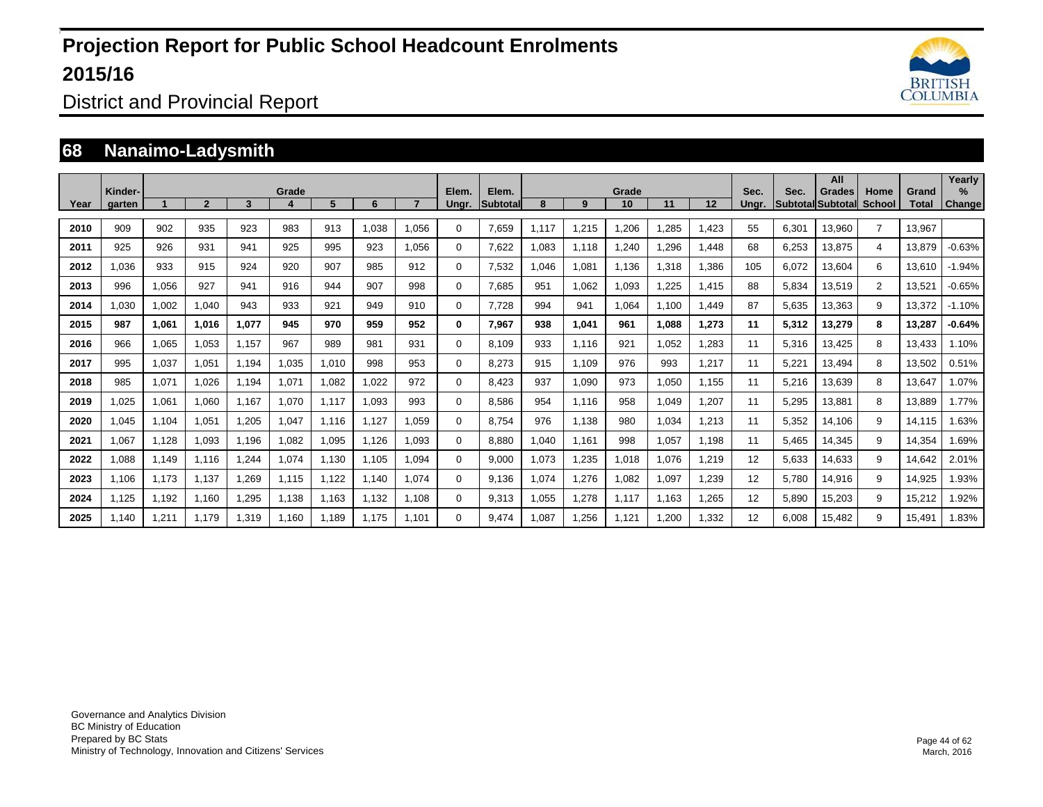

District and Provincial Report

#### **68 Nanaimo-Ladysmith**

| Year | Kinder-<br>garten |       | $\overline{2}$ | 3     | Grade | 5     | 6     |       | Elem.<br>Unar. | Elem.<br><b>Subtotal</b> | 8     | 9     | Grade<br>10 | 11    | 12    | Sec.<br>Unar. | Sec.  | All<br><b>Grades</b><br><b>Subtotal Subtotal</b> | Home<br>School | Grand<br>Total | Yearly<br>$\%$<br>Change |
|------|-------------------|-------|----------------|-------|-------|-------|-------|-------|----------------|--------------------------|-------|-------|-------------|-------|-------|---------------|-------|--------------------------------------------------|----------------|----------------|--------------------------|
| 2010 | 909               | 902   | 935            | 923   | 983   | 913   | 1,038 | 1,056 | $\Omega$       | 7,659                    | 1,117 | 1,215 | 1,206       | ,285  | 1,423 | 55            | 6,301 | 13,960                                           | $\overline{7}$ | 13,967         |                          |
| 2011 | 925               | 926   | 931            | 941   | 925   | 995   | 923   | 1,056 | $\Omega$       | 7,622                    | 1,083 | 1,118 | 1,240       | .296  | 1,448 | 68            | 6,253 | 13,875                                           | 4              | 13,879         | $-0.63%$                 |
| 2012 | 1,036             | 933   | 915            | 924   | 920   | 907   | 985   | 912   | 0              | 7,532                    | 1,046 | 1,081 | 1,136       | 1,318 | 1,386 | 105           | 6,072 | 13,604                                           | 6              | 13,610         | $-1.94%$                 |
| 2013 | 996               | 1,056 | 927            | 941   | 916   | 944   | 907   | 998   | 0              | 7,685                    | 951   | 1,062 | 1,093       | ,225  | 1,415 | 88            | 5,834 | 13,519                                           | $\overline{2}$ | 13,521         | $-0.65%$                 |
| 2014 | 1,030             | 1,002 | 1,040          | 943   | 933   | 921   | 949   | 910   | $\Omega$       | 7,728                    | 994   | 941   | 1,064       | 1,100 | 1,449 | 87            | 5,635 | 13,363                                           | 9              | 13,372         | $-1.10%$                 |
| 2015 | 987               | 1,061 | 1.016          | 1,077 | 945   | 970   | 959   | 952   | 0              | 7,967                    | 938   | 1,041 | 961         | 1,088 | 1,273 | 11            | 5,312 | 13,279                                           | 8              | 13,287         | $-0.64%$                 |
| 2016 | 966               | 1,065 | 1.053          | 1.157 | 967   | 989   | 981   | 931   | 0              | 8.109                    | 933   | 1,116 | 921         | 1,052 | 1,283 | 11            | 5,316 | 13,425                                           | 8              | 13.433         | 1.10%                    |
| 2017 | 995               | 1,037 | 1,051          | 1.194 | 1,035 | 1,010 | 998   | 953   | 0              | 8,273                    | 915   | 1,109 | 976         | 993   | 1,217 | 11            | 5,221 | 13,494                                           | 8              | 13,502         | 0.51%                    |
| 2018 | 985               | 1,071 | 1.026          | 1.194 | 1,071 | 1.082 | 1.022 | 972   | 0              | 8.423                    | 937   | 1,090 | 973         | 1,050 | 1,155 | 11            | 5,216 | 13,639                                           | 8              | 13,647         | 1.07%                    |
| 2019 | 1.025             | 1.061 | 1.060          | 1.167 | 1.070 | 1.117 | 1.093 | 993   | 0              | 8.586                    | 954   | 1.116 | 958         | 1.049 | 1,207 | 11            | 5,295 | 13.881                                           | 8              | 13.889         | 1.77%                    |
| 2020 | 1,045             | 1,104 | 1,051          | 1,205 | 1,047 | 1.116 | 1,127 | 1.059 | $\Omega$       | 8,754                    | 976   | 1,138 | 980         | 1,034 | 1,213 | 11            | 5,352 | 14,106                                           | 9              | 14,115         | 1.63%                    |
| 2021 | 1.067             | 1.128 | 1.093          | 1.196 | 1.082 | 1.095 | 1.126 | 1.093 | $\Omega$       | 8.880                    | 1,040 | 1.161 | 998         | 1.057 | 1.198 | 11            | 5.465 | 14,345                                           | 9              | 14,354         | 1.69%                    |
| 2022 | 1,088             | 1,149 | 1,116          | 1,244 | 1.074 | 1.130 | 1.105 | 1.094 | 0              | 9.000                    | 1,073 | 1.235 | 1.018       | 1.076 | 1,219 | 12            | 5.633 | 14,633                                           | 9              | 14.642         | 2.01%                    |
| 2023 | 1.106             | 1,173 | 1.137          | 1,269 | 1.115 | 1,122 | 1.140 | 1.074 | 0              | 9.136                    | 1,074 | 1,276 | 1,082       | 1,097 | 1,239 | 12            | 5.780 | 14,916                                           | 9              | 14,925         | 1.93%                    |
| 2024 | 1.125             | 1,192 | 1.160          | 1,295 | 1.138 | 1.163 | 1.132 | 1.108 | 0              | 9,313                    | 1.055 | 1.278 | 1.117       | 1.163 | 1.265 | 12            | 5.890 | 15,203                                           | 9              | 15,212         | 1.92%                    |
| 2025 | 1.140             | 1,211 | 1,179          | 1,319 | 1.160 | 1.189 | 1.175 | 1.101 | $\Omega$       | 9,474                    | 1,087 | 1,256 | 1,121       | ,200  | 1,332 | 12            | 6,008 | 15,482                                           | 9              | 15,491         | 1.83%                    |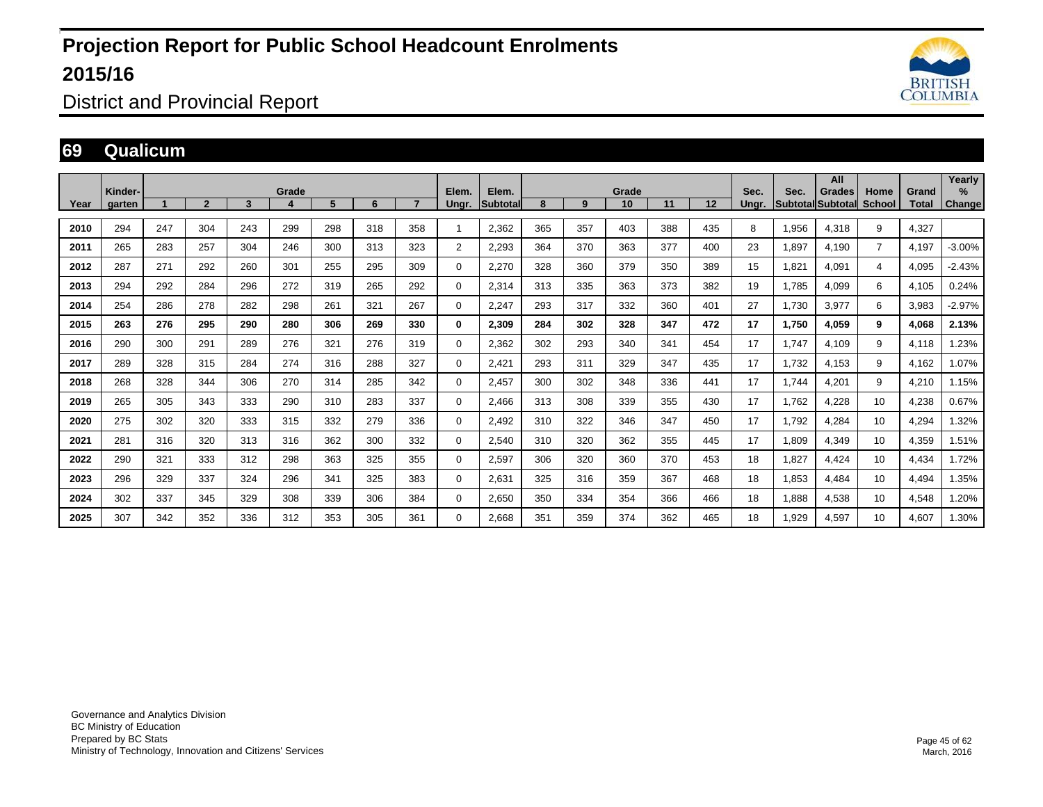

District and Provincial Report

#### **69 Qualicum**

|      | Kinder- |     |                |     | Grade |     |     |     | Elem.          | Elem.    |     |     | Grade |     |     | Sec.  | Sec.  | All<br><b>Grades</b>     | Home           | Grand | Yearly<br>$\%$ |
|------|---------|-----|----------------|-----|-------|-----|-----|-----|----------------|----------|-----|-----|-------|-----|-----|-------|-------|--------------------------|----------------|-------|----------------|
| Year | garten  |     | $\overline{2}$ | 3   |       | 5   | 6   |     | Ungr.          | Subtotal | 8   | 9   | 10    | 11  | 12  | Ungr. |       | <b>Subtotal Subtotal</b> | <b>School</b>  | Total | Change         |
| 2010 | 294     | 247 | 304            | 243 | 299   | 298 | 318 | 358 |                | 2,362    | 365 | 357 | 403   | 388 | 435 | 8     | 1,956 | 4,318                    | 9              | 4,327 |                |
| 2011 | 265     | 283 | 257            | 304 | 246   | 300 | 313 | 323 | $\overline{2}$ | 2,293    | 364 | 370 | 363   | 377 | 400 | 23    | 1,897 | 4,190                    | $\overline{7}$ | 4,197 | $-3.00%$       |
| 2012 | 287     | 271 | 292            | 260 | 301   | 255 | 295 | 309 | 0              | 2,270    | 328 | 360 | 379   | 350 | 389 | 15    | 1,821 | 4,091                    | $\overline{4}$ | 4,095 | $-2.43%$       |
| 2013 | 294     | 292 | 284            | 296 | 272   | 319 | 265 | 292 | $\mathbf 0$    | 2,314    | 313 | 335 | 363   | 373 | 382 | 19    | 1,785 | 4,099                    | 6              | 4,105 | 0.24%          |
| 2014 | 254     | 286 | 278            | 282 | 298   | 261 | 321 | 267 | $\mathbf 0$    | 2,247    | 293 | 317 | 332   | 360 | 401 | 27    | 1.730 | 3,977                    | 6              | 3,983 | $-2.97%$       |
| 2015 | 263     | 276 | 295            | 290 | 280   | 306 | 269 | 330 | 0              | 2,309    | 284 | 302 | 328   | 347 | 472 | 17    | 1.750 | 4,059                    | 9              | 4.068 | 2.13%          |
| 2016 | 290     | 300 | 291            | 289 | 276   | 321 | 276 | 319 | 0              | 2,362    | 302 | 293 | 340   | 341 | 454 | 17    | 1.747 | 4,109                    | 9              | 4,118 | 1.23%          |
| 2017 | 289     | 328 | 315            | 284 | 274   | 316 | 288 | 327 | 0              | 2,421    | 293 | 311 | 329   | 347 | 435 | 17    | 1,732 | 4,153                    | 9              | 4,162 | 1.07%          |
| 2018 | 268     | 328 | 344            | 306 | 270   | 314 | 285 | 342 | $\Omega$       | 2,457    | 300 | 302 | 348   | 336 | 441 | 17    | 1.744 | 4,201                    | 9              | 4,210 | 1.15%          |
| 2019 | 265     | 305 | 343            | 333 | 290   | 310 | 283 | 337 | $\mathbf 0$    | 2,466    | 313 | 308 | 339   | 355 | 430 | 17    | 1,762 | 4,228                    | 10             | 4,238 | 0.67%          |
| 2020 | 275     | 302 | 320            | 333 | 315   | 332 | 279 | 336 | $\mathbf 0$    | 2,492    | 310 | 322 | 346   | 347 | 450 | 17    | 1,792 | 4,284                    | 10             | 4,294 | 1.32%          |
| 2021 | 281     | 316 | 320            | 313 | 316   | 362 | 300 | 332 | $\Omega$       | 2,540    | 310 | 320 | 362   | 355 | 445 | 17    | 1,809 | 4,349                    | 10             | 4,359 | 1.51%          |
| 2022 | 290     | 321 | 333            | 312 | 298   | 363 | 325 | 355 | 0              | 2,597    | 306 | 320 | 360   | 370 | 453 | 18    | 1.827 | 4,424                    | 10             | 4,434 | 1.72%          |
| 2023 | 296     | 329 | 337            | 324 | 296   | 341 | 325 | 383 | 0              | 2,631    | 325 | 316 | 359   | 367 | 468 | 18    | 1,853 | 4,484                    | 10             | 4,494 | 1.35%          |
| 2024 | 302     | 337 | 345            | 329 | 308   | 339 | 306 | 384 | 0              | 2,650    | 350 | 334 | 354   | 366 | 466 | 18    | 1,888 | 4,538                    | 10             | 4,548 | 1.20%          |
| 2025 | 307     | 342 | 352            | 336 | 312   | 353 | 305 | 361 | $\mathbf 0$    | 2.668    | 351 | 359 | 374   | 362 | 465 | 18    | 1.929 | 4,597                    | 10             | 4,607 | 1.30%          |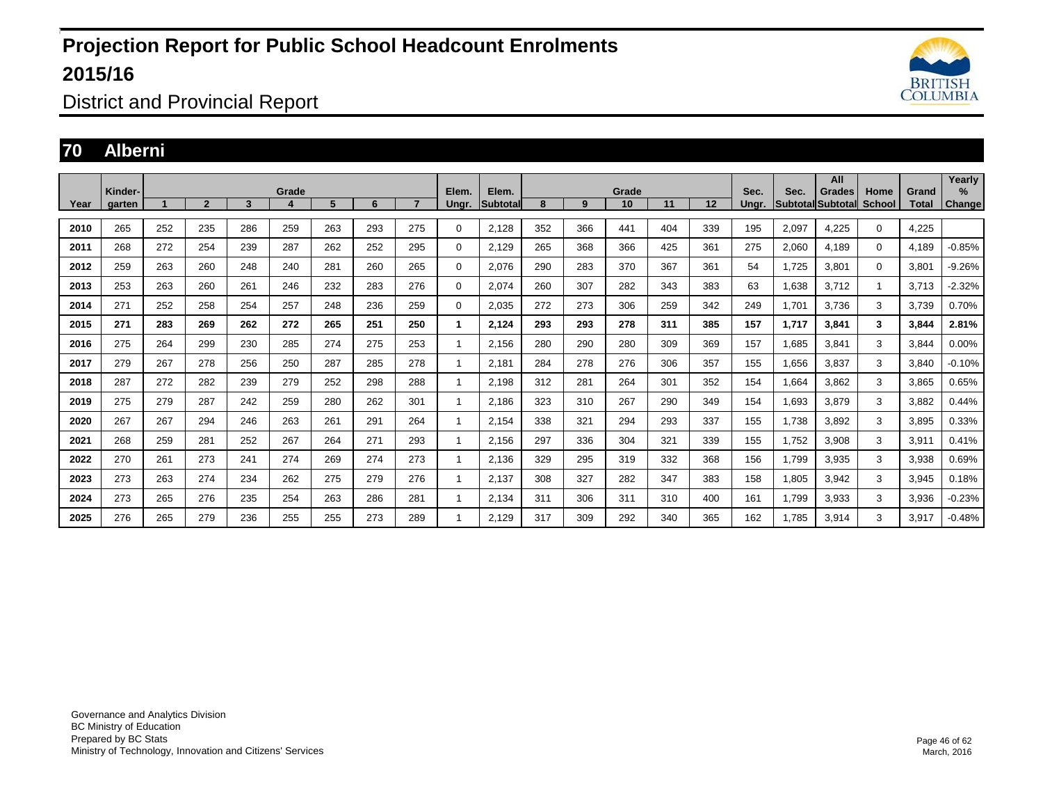

District and Provincial Report

#### **70 Alberni**

|      | Kinder- |     |                |     | Grade |     |     |     | Elem.          | Elem.           |     |     | Grade |     |     | Sec.  | Sec.  | All<br><b>Grades</b> | Home          | Grand | Yearly<br>$\%$ |
|------|---------|-----|----------------|-----|-------|-----|-----|-----|----------------|-----------------|-----|-----|-------|-----|-----|-------|-------|----------------------|---------------|-------|----------------|
| Year | garten  |     | $\overline{2}$ | 3   | 4     | 5   | 6   |     | Ungr.          | <b>Subtotal</b> | 8   | 9   | 10    | 11  | 12  | Ungr. |       | Subtotal Subtotal    | <b>School</b> | Total | Change         |
| 2010 | 265     | 252 | 235            | 286 | 259   | 263 | 293 | 275 | 0              | 2,128           | 352 | 366 | 441   | 404 | 339 | 195   | 2,097 | 4,225                | 0             | 4,225 |                |
| 2011 | 268     | 272 | 254            | 239 | 287   | 262 | 252 | 295 | 0              | 2,129           | 265 | 368 | 366   | 425 | 361 | 275   | 2,060 | 4,189                | $\Omega$      | 4,189 | $-0.85%$       |
| 2012 | 259     | 263 | 260            | 248 | 240   | 281 | 260 | 265 | 0              | 2.076           | 290 | 283 | 370   | 367 | 361 | 54    | 1.725 | 3,801                | 0             | 3,801 | $-9.26%$       |
| 2013 | 253     | 263 | 260            | 261 | 246   | 232 | 283 | 276 | 0              | 2,074           | 260 | 307 | 282   | 343 | 383 | 63    | 1,638 | 3,712                |               | 3,713 | $-2.32%$       |
| 2014 | 271     | 252 | 258            | 254 | 257   | 248 | 236 | 259 | 0              | 2,035           | 272 | 273 | 306   | 259 | 342 | 249   | 1.701 | 3,736                | 3             | 3,739 | 0.70%          |
| 2015 | 271     | 283 | 269            | 262 | 272   | 265 | 251 | 250 | $\mathbf{1}$   | 2,124           | 293 | 293 | 278   | 311 | 385 | 157   | 1,717 | 3,841                | 3             | 3,844 | 2.81%          |
| 2016 | 275     | 264 | 299            | 230 | 285   | 274 | 275 | 253 | 1              | 2,156           | 280 | 290 | 280   | 309 | 369 | 157   | 1,685 | 3,841                | 3             | 3,844 | 0.00%          |
| 2017 | 279     | 267 | 278            | 256 | 250   | 287 | 285 | 278 | 1              | 2,181           | 284 | 278 | 276   | 306 | 357 | 155   | 1,656 | 3,837                | 3             | 3,840 | $-0.10%$       |
| 2018 | 287     | 272 | 282            | 239 | 279   | 252 | 298 | 288 | 1              | 2,198           | 312 | 281 | 264   | 301 | 352 | 154   | 1,664 | 3,862                | 3             | 3,865 | 0.65%          |
| 2019 | 275     | 279 | 287            | 242 | 259   | 280 | 262 | 301 | 1              | 2,186           | 323 | 310 | 267   | 290 | 349 | 154   | 1,693 | 3,879                | 3             | 3,882 | 0.44%          |
| 2020 | 267     | 267 | 294            | 246 | 263   | 261 | 291 | 264 | -1             | 2,154           | 338 | 321 | 294   | 293 | 337 | 155   | 1,738 | 3,892                | 3             | 3,895 | 0.33%          |
| 2021 | 268     | 259 | 281            | 252 | 267   | 264 | 271 | 293 | $\overline{1}$ | 2,156           | 297 | 336 | 304   | 321 | 339 | 155   | 1,752 | 3,908                | 3             | 3,911 | 0.41%          |
| 2022 | 270     | 261 | 273            | 241 | 274   | 269 | 274 | 273 |                | 2,136           | 329 | 295 | 319   | 332 | 368 | 156   | 1,799 | 3,935                | 3             | 3,938 | 0.69%          |
| 2023 | 273     | 263 | 274            | 234 | 262   | 275 | 279 | 276 |                | 2,137           | 308 | 327 | 282   | 347 | 383 | 158   | 1,805 | 3,942                | 3             | 3,945 | 0.18%          |
| 2024 | 273     | 265 | 276            | 235 | 254   | 263 | 286 | 281 |                | 2,134           | 311 | 306 | 311   | 310 | 400 | 161   | 1,799 | 3,933                | 3             | 3,936 | $-0.23%$       |
| 2025 | 276     | 265 | 279            | 236 | 255   | 255 | 273 | 289 |                | 2,129           | 317 | 309 | 292   | 340 | 365 | 162   | 1.785 | 3,914                | 3             | 3,917 | $-0.48%$       |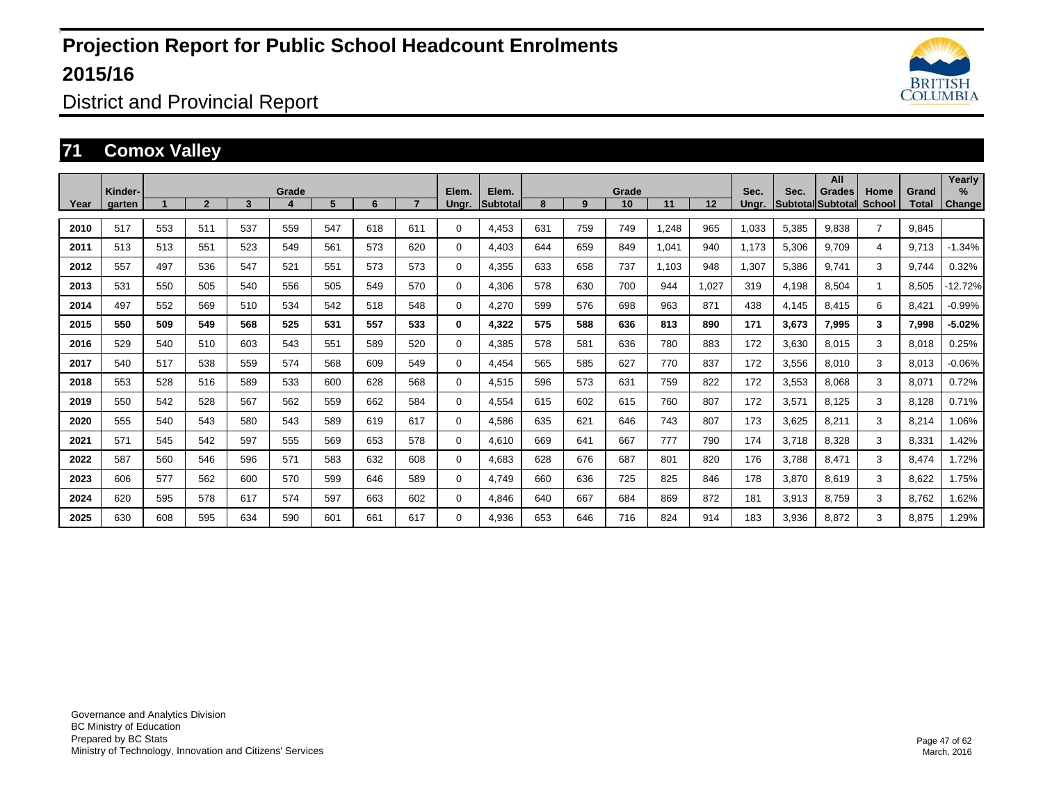

District and Provincial Report

#### **71 Comox Valley**

|      | Kinder- |     |                |     | Grade |     |     |     | Elem.       | Elem.    |     |     | Grade |       |       | Sec.  | Sec.  | All<br>Grades            | Home                 | Grand | Yearly<br>%   |
|------|---------|-----|----------------|-----|-------|-----|-----|-----|-------------|----------|-----|-----|-------|-------|-------|-------|-------|--------------------------|----------------------|-------|---------------|
| Year | garten  |     | $\overline{2}$ | 3   | 4     | 5   | 6   |     | Ungr.       | Subtotal | 8   | 9   | 10    | 11    | 12    | Ungr. |       | <b>Subtotal Subtotal</b> | <b>School</b>        | Total | <b>Change</b> |
| 2010 | 517     | 553 | 511            | 537 | 559   | 547 | 618 | 611 | $\Omega$    | 4,453    | 631 | 759 | 749   | .248  | 965   | 1,033 | 5,385 | 9,838                    | $\overline{7}$       | 9.845 |               |
| 2011 | 513     | 513 | 551            | 523 | 549   | 561 | 573 | 620 | 0           | 4.403    | 644 | 659 | 849   | 1,041 | 940   | 1.173 | 5,306 | 9.709                    | 4                    | 9.713 | $-1.34%$      |
| 2012 | 557     | 497 | 536            | 547 | 521   | 551 | 573 | 573 | 0           | 4,355    | 633 | 658 | 737   | 1,103 | 948   | 1,307 | 5,386 | 9,741                    | 3                    | 9,744 | 0.32%         |
| 2013 | 531     | 550 | 505            | 540 | 556   | 505 | 549 | 570 | 0           | 4,306    | 578 | 630 | 700   | 944   | 1,027 | 319   | 4,198 | 8,504                    | $\blacktriangleleft$ | 8,505 | $-12.72%$     |
| 2014 | 497     | 552 | 569            | 510 | 534   | 542 | 518 | 548 | 0           | 4,270    | 599 | 576 | 698   | 963   | 871   | 438   | 4,145 | 8,415                    | 6                    | 8,421 | $-0.99%$      |
| 2015 | 550     | 509 | 549            | 568 | 525   | 531 | 557 | 533 | $\bf{0}$    | 4,322    | 575 | 588 | 636   | 813   | 890   | 171   | 3,673 | 7,995                    | 3                    | 7,998 | $-5.02%$      |
| 2016 | 529     | 540 | 510            | 603 | 543   | 551 | 589 | 520 | $\mathbf 0$ | 4,385    | 578 | 581 | 636   | 780   | 883   | 172   | 3,630 | 8,015                    | 3                    | 8,018 | 0.25%         |
| 2017 | 540     | 517 | 538            | 559 | 574   | 568 | 609 | 549 | $\mathbf 0$ | 4,454    | 565 | 585 | 627   | 770   | 837   | 172   | 3,556 | 8,010                    | 3                    | 8,013 | $-0.06%$      |
| 2018 | 553     | 528 | 516            | 589 | 533   | 600 | 628 | 568 | 0           | 4,515    | 596 | 573 | 631   | 759   | 822   | 172   | 3,553 | 8,068                    | 3                    | 8,071 | 0.72%         |
| 2019 | 550     | 542 | 528            | 567 | 562   | 559 | 662 | 584 | $\mathbf 0$ | 4,554    | 615 | 602 | 615   | 760   | 807   | 172   | 3,571 | 8,125                    | 3                    | 8,128 | 0.71%         |
| 2020 | 555     | 540 | 543            | 580 | 543   | 589 | 619 | 617 | $\mathbf 0$ | 4,586    | 635 | 621 | 646   | 743   | 807   | 173   | 3,625 | 8,211                    | 3                    | 8,214 | 1.06%         |
| 2021 | 571     | 545 | 542            | 597 | 555   | 569 | 653 | 578 | 0           | 4,610    | 669 | 641 | 667   | 777   | 790   | 174   | 3,718 | 8,328                    | 3                    | 8,331 | 1.42%         |
| 2022 | 587     | 560 | 546            | 596 | 571   | 583 | 632 | 608 | 0           | 4,683    | 628 | 676 | 687   | 801   | 820   | 176   | 3,788 | 8,471                    | 3                    | 8,474 | 1.72%         |
| 2023 | 606     | 577 | 562            | 600 | 570   | 599 | 646 | 589 | 0           | 4,749    | 660 | 636 | 725   | 825   | 846   | 178   | 3,870 | 8,619                    | 3                    | 8,622 | 1.75%         |
| 2024 | 620     | 595 | 578            | 617 | 574   | 597 | 663 | 602 | 0           | 4.846    | 640 | 667 | 684   | 869   | 872   | 181   | 3,913 | 8,759                    | 3                    | 8,762 | 1.62%         |
| 2025 | 630     | 608 | 595            | 634 | 590   | 601 | 661 | 617 | 0           | 4,936    | 653 | 646 | 716   | 824   | 914   | 183   | 3,936 | 8,872                    | 3                    | 8,875 | 1.29%         |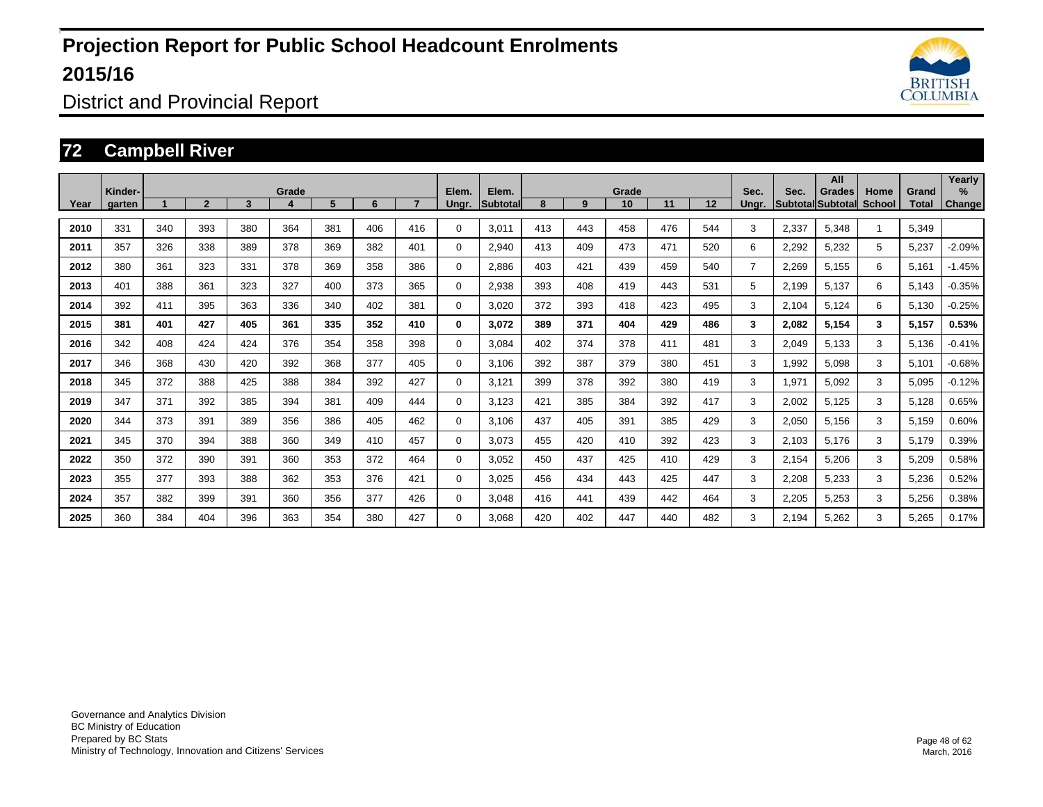

District and Provincial Report

#### **72 Campbell River**

|      | Kinder- |     |                |     | Grade |     |     |     | Elem.       | Elem.    |     |     | Grade |     |     | Sec.           | Sec.  | All<br>Grades            | Home          | Grand | Yearly<br>%   |
|------|---------|-----|----------------|-----|-------|-----|-----|-----|-------------|----------|-----|-----|-------|-----|-----|----------------|-------|--------------------------|---------------|-------|---------------|
| Year | garten  |     | $\overline{2}$ | 3   | 4     | 5   | 6   |     | Ungr.       | Subtotal | 8   | 9   | 10    | 11  | 12  | Unar.          |       | <b>Subtotal Subtotal</b> | <b>School</b> | Total | <b>Change</b> |
| 2010 | 331     | 340 | 393            | 380 | 364   | 381 | 406 | 416 | $\Omega$    | 3,011    | 413 | 443 | 458   | 476 | 544 | 3              | 2,337 | 5,348                    |               | 5,349 |               |
| 2011 | 357     | 326 | 338            | 389 | 378   | 369 | 382 | 401 | 0           | 2,940    | 413 | 409 | 473   | 471 | 520 | 6              | 2,292 | 5,232                    | 5             | 5,237 | $-2.09%$      |
| 2012 | 380     | 361 | 323            | 331 | 378   | 369 | 358 | 386 | 0           | 2,886    | 403 | 421 | 439   | 459 | 540 | $\overline{7}$ | 2,269 | 5,155                    | 6             | 5,161 | $-1.45%$      |
| 2013 | 401     | 388 | 361            | 323 | 327   | 400 | 373 | 365 | 0           | 2,938    | 393 | 408 | 419   | 443 | 531 | 5              | 2,199 | 5,137                    | 6             | 5,143 | $-0.35%$      |
| 2014 | 392     | 411 | 395            | 363 | 336   | 340 | 402 | 381 | $\Omega$    | 3,020    | 372 | 393 | 418   | 423 | 495 | 3              | 2,104 | 5,124                    | 6             | 5,130 | $-0.25%$      |
| 2015 | 381     | 401 | 427            | 405 | 361   | 335 | 352 | 410 | $\bf{0}$    | 3.072    | 389 | 371 | 404   | 429 | 486 | 3              | 2,082 | 5,154                    | 3             | 5,157 | 0.53%         |
| 2016 | 342     | 408 | 424            | 424 | 376   | 354 | 358 | 398 | $\mathbf 0$ | 3,084    | 402 | 374 | 378   | 411 | 481 | 3              | 2,049 | 5,133                    | 3             | 5,136 | $-0.41%$      |
| 2017 | 346     | 368 | 430            | 420 | 392   | 368 | 377 | 405 | $\mathbf 0$ | 3.106    | 392 | 387 | 379   | 380 | 451 | 3              | 1,992 | 5,098                    | 3             | 5,101 | $-0.68%$      |
| 2018 | 345     | 372 | 388            | 425 | 388   | 384 | 392 | 427 | 0           | 3,121    | 399 | 378 | 392   | 380 | 419 | 3              | 1,971 | 5,092                    | 3             | 5,095 | $-0.12%$      |
| 2019 | 347     | 371 | 392            | 385 | 394   | 381 | 409 | 444 | $\mathbf 0$ | 3.123    | 421 | 385 | 384   | 392 | 417 | 3              | 2,002 | 5,125                    | 3             | 5,128 | 0.65%         |
| 2020 | 344     | 373 | 391            | 389 | 356   | 386 | 405 | 462 | $\mathbf 0$ | 3,106    | 437 | 405 | 391   | 385 | 429 | 3              | 2,050 | 5,156                    | 3             | 5,159 | 0.60%         |
| 2021 | 345     | 370 | 394            | 388 | 360   | 349 | 410 | 457 | 0           | 3,073    | 455 | 420 | 410   | 392 | 423 | 3              | 2,103 | 5,176                    | 3             | 5,179 | 0.39%         |
| 2022 | 350     | 372 | 390            | 391 | 360   | 353 | 372 | 464 | 0           | 3,052    | 450 | 437 | 425   | 410 | 429 | 3              | 2,154 | 5,206                    | 3             | 5,209 | 0.58%         |
| 2023 | 355     | 377 | 393            | 388 | 362   | 353 | 376 | 421 | 0           | 3,025    | 456 | 434 | 443   | 425 | 447 | 3              | 2,208 | 5,233                    | 3             | 5,236 | 0.52%         |
| 2024 | 357     | 382 | 399            | 391 | 360   | 356 | 377 | 426 | 0           | 3.048    | 416 | 441 | 439   | 442 | 464 | 3              | 2,205 | 5,253                    | 3             | 5,256 | 0.38%         |
| 2025 | 360     | 384 | 404            | 396 | 363   | 354 | 380 | 427 | 0           | 3,068    | 420 | 402 | 447   | 440 | 482 | 3              | 2.194 | 5,262                    | 3             | 5,265 | 0.17%         |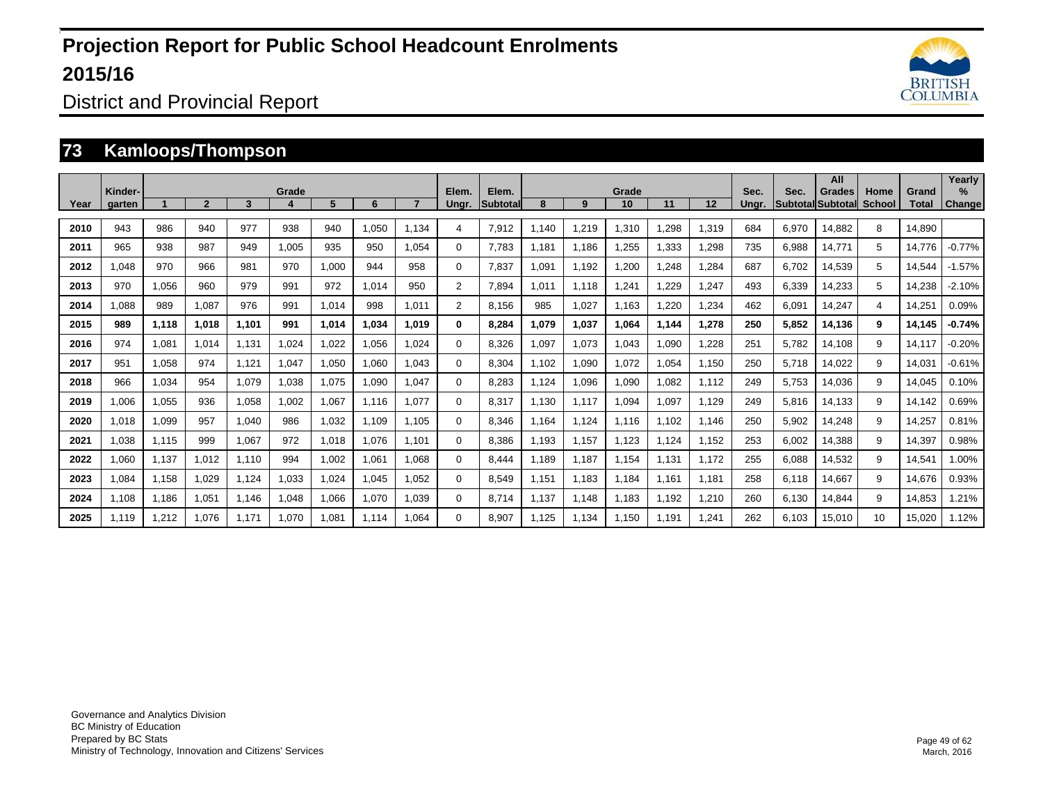

District and Provincial Report

#### **73 Kamloops/Thompson**

| Year | Kinder-<br>garten |       | $\mathbf{c}$ | 3     | Grade | 5     | 6     |       | Elem.<br>Unar. | Elem.<br><b>Subtotal</b> | 8     | 9     | Grade<br>10 | 11    | 12    | Sec.<br>Unar. | Sec.  | All<br>Grades<br><b>Subtotal Subtotal</b> | Home<br>School | Grand<br>Total | Yearly<br>%<br>Change |
|------|-------------------|-------|--------------|-------|-------|-------|-------|-------|----------------|--------------------------|-------|-------|-------------|-------|-------|---------------|-------|-------------------------------------------|----------------|----------------|-----------------------|
| 2010 | 943               | 986   | 940          | 977   | 938   | 940   | 1,050 | 1.134 | 4              | 7,912                    | 1,140 | 1,219 | 1,310       | 1,298 | 1,319 | 684           | 6,970 | 14,882                                    | 8              | 14,890         |                       |
| 2011 | 965               | 938   | 987          | 949   | 1,005 | 935   | 950   | 1,054 | $\Omega$       | 7,783                    | 1.181 | 1,186 | 1,255       | 1,333 | 1,298 | 735           | 6,988 | 14,771                                    | 5              | 14,776         | $-0.77%$              |
| 2012 | 1,048             | 970   | 966          | 981   | 970   | 1,000 | 944   | 958   | 0              | 7,837                    | 1.091 | 1,192 | 1,200       | 1,248 | 1,284 | 687           | 6,702 | 14,539                                    | 5              | 14,544         | $-1.57%$              |
| 2013 | 970               | 1,056 | 960          | 979   | 991   | 972   | 1,014 | 950   | $\overline{2}$ | 7,894                    | 1,011 | 1,118 | 1,241       | 1,229 | 1,247 | 493           | 6,339 | 14,233                                    | 5              | 14,238         | $-2.10%$              |
| 2014 | 1,088             | 989   | 1.087        | 976   | 991   | 1,014 | 998   | 1,011 | 2              | 8,156                    | 985   | 1,027 | 1,163       | 1.220 | 1,234 | 462           | 6,091 | 14,247                                    | $\overline{4}$ | 14,251         | 0.09%                 |
| 2015 | 989               | 1,118 | 1,018        | 1.101 | 991   | 1,014 | 1.034 | 1.019 | 0              | 8,284                    | 1,079 | 1,037 | 1.064       | 1.144 | 1,278 | 250           | 5,852 | 14,136                                    | 9              | 14,145         | $-0.74%$              |
| 2016 | 974               | 1,081 | 1.014        | 1.131 | 1.024 | 1.022 | 1.056 | 1.024 | 0              | 8.326                    | 1.097 | 1,073 | 1.043       | 1.090 | 1,228 | 251           | 5.782 | 14,108                                    | 9              | 14,117         | $-0.20%$              |
| 2017 | 951               | 1,058 | 974          | 1,121 | 1,047 | 1,050 | 1,060 | 1.043 | $\Omega$       | 8,304                    | 1.102 | 1,090 | 1,072       | 1,054 | 1,150 | 250           | 5,718 | 14,022                                    | 9              | 14,031         | $-0.61%$              |
| 2018 | 966               | 1.034 | 954          | 1,079 | 1,038 | 1,075 | 1.090 | 1,047 | 0              | 8,283                    | 1.124 | 1,096 | 1,090       | 1,082 | 1,112 | 249           | 5.753 | 14,036                                    | 9              | 14,045         | 0.10%                 |
| 2019 | 1.006             | 1,055 | 936          | 1.058 | 1.002 | 1,067 | 1.116 | 1.077 | 0              | 8.317                    | 1.130 | 1,117 | 1.094       | 1,097 | 1,129 | 249           | 5.816 | 14,133                                    | 9              | 14,142         | 0.69%                 |
| 2020 | 1,018             | 1,099 | 957          | 1,040 | 986   | 1,032 | 1,109 | 1.105 | 0              | 8,346                    | 1.164 | 1,124 | 1,116       | 1,102 | 1,146 | 250           | 5,902 | 14,248                                    | 9              | 14,257         | 0.81%                 |
| 2021 | 1.038             | 1,115 | 999          | 1.067 | 972   | 1.018 | 1.076 | 1.101 | 0              | 8.386                    | 1,193 | 1.157 | 1.123       | 1.124 | 1,152 | 253           | 6.002 | 14,388                                    | 9              | 14,397         | 0.98%                 |
| 2022 | 1,060             | 1,137 | 1,012        | 1.110 | 994   | 1.002 | 1.061 | 1.068 | 0              | 8.444                    | 1.189 | 1.187 | 1.154       | 1.131 | 1,172 | 255           | 6.088 | 14,532                                    | 9              | 14,541         | 1.00%                 |
| 2023 | 1.084             | 1,158 | 1.029        | 1,124 | 1.033 | 1,024 | 1.045 | 1.052 | 0              | 8,549                    | 1.151 | 1,183 | 1.184       | 1,161 | 1,181 | 258           | 6.118 | 14,667                                    | 9              | 14,676         | 0.93%                 |
| 2024 | 1.108             | 1,186 | 1.051        | 1.146 | 1,048 | 1,066 | 1.070 | 1.039 | 0              | 8.714                    | 1.137 | 1.148 | 1.183       | 1.192 | 1.210 | 260           | 6.130 | 14,844                                    | 9              | 14.853         | 1.21%                 |
| 2025 | 1.119             | 1,212 | 1,076        | 1.171 | 1,070 | 1,081 | 1,114 | 1.064 | $\Omega$       | 8,907                    | 1.125 | 1,134 | 1,150       | 1.191 | 1,241 | 262           | 6.103 | 15,010                                    | 10             | 15.020         | 1.12%                 |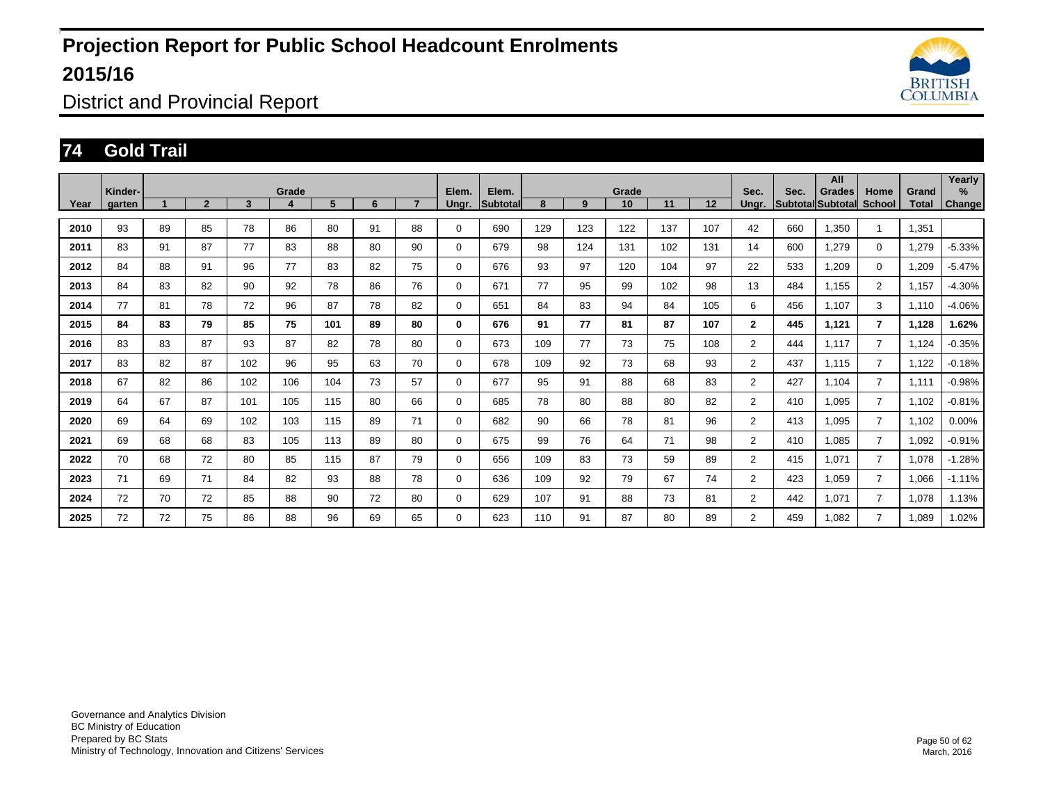

District and Provincial Report

### **74 Gold Trail**

|      | Kinder- |    |                |     | Grade |     |    |                | Elem.       | Elem.    |     |     | Grade |     |     | Sec.           | Sec. | All<br>Grades            | Home           | Grand | Yearly<br>% |
|------|---------|----|----------------|-----|-------|-----|----|----------------|-------------|----------|-----|-----|-------|-----|-----|----------------|------|--------------------------|----------------|-------|-------------|
| Year | garten  |    | $\overline{2}$ | 3   |       | 5   | 6  | $\overline{ }$ | Ungr.       | Subtotal | 8   | 9   | 10    | 11  | 12  | Unar.          |      | <b>Subtotal Subtotal</b> | <b>School</b>  | Total | Change      |
| 2010 | 93      | 89 | 85             | 78  | 86    | 80  | 91 | 88             | 0           | 690      | 129 | 123 | 122   | 137 | 107 | 42             | 660  | 1.350                    |                | 1.351 |             |
| 2011 | 83      | 91 | 87             | 77  | 83    | 88  | 80 | 90             | 0           | 679      | 98  | 124 | 131   | 102 | 131 | 14             | 600  | 1,279                    | $\mathbf 0$    | 1,279 | $-5.33%$    |
| 2012 | 84      | 88 | 91             | 96  | 77    | 83  | 82 | 75             | $\Omega$    | 676      | 93  | 97  | 120   | 104 | 97  | 22             | 533  | 1,209                    | $\Omega$       | 1,209 | $-5.47%$    |
| 2013 | 84      | 83 | 82             | 90  | 92    | 78  | 86 | 76             | 0           | 671      | 77  | 95  | 99    | 102 | 98  | 13             | 484  | 1.155                    | $\overline{2}$ | 1.157 | $-4.30%$    |
| 2014 | 77      | 81 | 78             | 72  | 96    | 87  | 78 | 82             | $\Omega$    | 651      | 84  | 83  | 94    | 84  | 105 | 6              | 456  | 1.107                    | 3              | 1,110 | $-4.06%$    |
| 2015 | 84      | 83 | 79             | 85  | 75    | 101 | 89 | 80             | 0           | 676      | 91  | 77  | 81    | 87  | 107 | $\mathbf{2}$   | 445  | 1.121                    | $\overline{7}$ | 1,128 | 1.62%       |
| 2016 | 83      | 83 | 87             | 93  | 87    | 82  | 78 | 80             | $\Omega$    | 673      | 109 | 77  | 73    | 75  | 108 | $\overline{2}$ | 444  | 1,117                    | $\overline{7}$ | 1,124 | $-0.35%$    |
| 2017 | 83      | 82 | 87             | 102 | 96    | 95  | 63 | 70             | $\Omega$    | 678      | 109 | 92  | 73    | 68  | 93  | $\overline{2}$ | 437  | 1,115                    | $\overline{7}$ | 1,122 | $-0.18%$    |
| 2018 | 67      | 82 | 86             | 102 | 106   | 104 | 73 | 57             | 0           | 677      | 95  | 91  | 88    | 68  | 83  | $\overline{2}$ | 427  | 1.104                    | $\overline{7}$ | 1,111 | $-0.98%$    |
| 2019 | 64      | 67 | 87             | 101 | 105   | 115 | 80 | 66             | $\Omega$    | 685      | 78  | 80  | 88    | 80  | 82  | $\overline{2}$ | 410  | 1,095                    | $\overline{7}$ | 1,102 | $-0.81%$    |
| 2020 | 69      | 64 | 69             | 102 | 103   | 115 | 89 | 71             | $\mathbf 0$ | 682      | 90  | 66  | 78    | 81  | 96  | $\overline{2}$ | 413  | 1,095                    | $\overline{7}$ | 1,102 | 0.00%       |
| 2021 | 69      | 68 | 68             | 83  | 105   | 113 | 89 | 80             | $\Omega$    | 675      | 99  | 76  | 64    | 71  | 98  | $\overline{2}$ | 410  | 1.085                    | $\overline{7}$ | 1,092 | $-0.91%$    |
| 2022 | 70      | 68 | 72             | 80  | 85    | 115 | 87 | 79             | $\Omega$    | 656      | 109 | 83  | 73    | 59  | 89  | $\overline{2}$ | 415  | 1,071                    | $\overline{7}$ | 1,078 | $-1.28%$    |
| 2023 | 71      | 69 | 71             | 84  | 82    | 93  | 88 | 78             | $\mathbf 0$ | 636      | 109 | 92  | 79    | 67  | 74  | $\overline{2}$ | 423  | 1.059                    | $\overline{7}$ | 1.066 | $-1.11%$    |
| 2024 | 72      | 70 | 72             | 85  | 88    | 90  | 72 | 80             | $\mathbf 0$ | 629      | 107 | 91  | 88    | 73  | 81  | $\overline{2}$ | 442  | 1,071                    | $\overline{7}$ | 1,078 | 1.13%       |
| 2025 | 72      | 72 | 75             | 86  | 88    | 96  | 69 | 65             | 0           | 623      | 110 | 91  | 87    | 80  | 89  | $\overline{2}$ | 459  | 1,082                    | $\overline{7}$ | 1,089 | 1.02%       |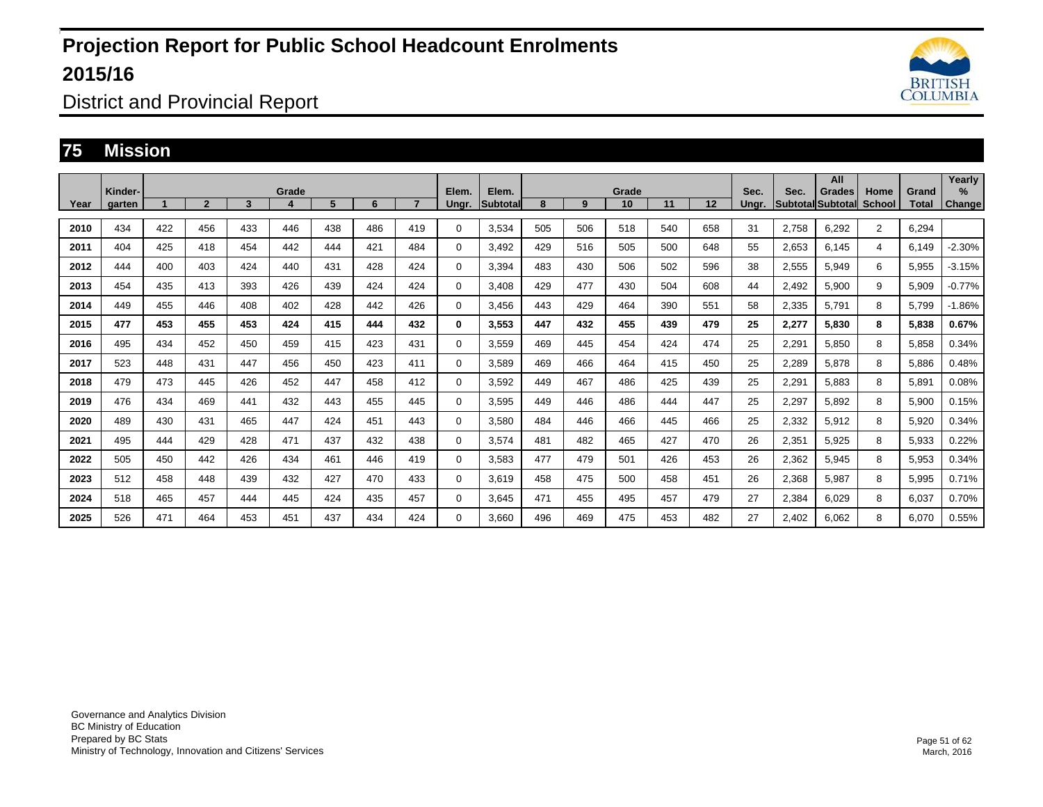

District and Provincial Report

#### **75 Mission**

|      | Kinder- |     |              |     | Grade |     |     |     | Elem.       | Elem.           |     |     | Grade |     |     | Sec.  | Sec.  | All<br>Grades            | Home           | Grand | Yearly<br>$\%$ |
|------|---------|-----|--------------|-----|-------|-----|-----|-----|-------------|-----------------|-----|-----|-------|-----|-----|-------|-------|--------------------------|----------------|-------|----------------|
| Year | aarten  |     | $\mathbf{2}$ | 3   | 4     | 5   | 6   |     | Unar.       | <b>Subtotal</b> | 8   | 9   | 10    | 11  | 12  | Unar. |       | <b>Subtotal Subtotal</b> | <b>School</b>  | Total | <b>Change</b>  |
| 2010 | 434     | 422 | 456          | 433 | 446   | 438 | 486 | 419 | 0           | 3,534           | 505 | 506 | 518   | 540 | 658 | 31    | 2,758 | 6,292                    | $\overline{2}$ | 6,294 |                |
| 2011 | 404     | 425 | 418          | 454 | 442   | 444 | 421 | 484 | 0           | 3.492           | 429 | 516 | 505   | 500 | 648 | 55    | 2,653 | 6,145                    | $\overline{4}$ | 6,149 | $-2.30%$       |
| 2012 | 444     | 400 | 403          | 424 | 440   | 431 | 428 | 424 | 0           | 3,394           | 483 | 430 | 506   | 502 | 596 | 38    | 2,555 | 5,949                    | 6              | 5,955 | $-3.15%$       |
| 2013 | 454     | 435 | 413          | 393 | 426   | 439 | 424 | 424 | $\mathbf 0$ | 3,408           | 429 | 477 | 430   | 504 | 608 | 44    | 2,492 | 5,900                    | 9              | 5,909 | $-0.77%$       |
| 2014 | 449     | 455 | 446          | 408 | 402   | 428 | 442 | 426 | $\mathbf 0$ | 3.456           | 443 | 429 | 464   | 390 | 551 | 58    | 2,335 | 5,791                    | 8              | 5,799 | $-1.86%$       |
| 2015 | 477     | 453 | 455          | 453 | 424   | 415 | 444 | 432 | 0           | 3,553           | 447 | 432 | 455   | 439 | 479 | 25    | 2,277 | 5,830                    | 8              | 5,838 | 0.67%          |
| 2016 | 495     | 434 | 452          | 450 | 459   | 415 | 423 | 431 | $\Omega$    | 3,559           | 469 | 445 | 454   | 424 | 474 | 25    | 2,291 | 5,850                    | 8              | 5,858 | 0.34%          |
| 2017 | 523     | 448 | 431          | 447 | 456   | 450 | 423 | 411 | $\mathbf 0$ | 3,589           | 469 | 466 | 464   | 415 | 450 | 25    | 2,289 | 5,878                    | 8              | 5,886 | 0.48%          |
| 2018 | 479     | 473 | 445          | 426 | 452   | 447 | 458 | 412 | 0           | 3,592           | 449 | 467 | 486   | 425 | 439 | 25    | 2,291 | 5,883                    | 8              | 5,891 | 0.08%          |
| 2019 | 476     | 434 | 469          | 441 | 432   | 443 | 455 | 445 | 0           | 3,595           | 449 | 446 | 486   | 444 | 447 | 25    | 2,297 | 5,892                    | 8              | 5,900 | 0.15%          |
| 2020 | 489     | 430 | 431          | 465 | 447   | 424 | 451 | 443 | $\mathbf 0$ | 3,580           | 484 | 446 | 466   | 445 | 466 | 25    | 2,332 | 5,912                    | 8              | 5,920 | 0.34%          |
| 2021 | 495     | 444 | 429          | 428 | 471   | 437 | 432 | 438 | 0           | 3,574           | 481 | 482 | 465   | 427 | 470 | 26    | 2,351 | 5,925                    | 8              | 5,933 | 0.22%          |
| 2022 | 505     | 450 | 442          | 426 | 434   | 461 | 446 | 419 | 0           | 3,583           | 477 | 479 | 501   | 426 | 453 | 26    | 2,362 | 5,945                    | 8              | 5,953 | 0.34%          |
| 2023 | 512     | 458 | 448          | 439 | 432   | 427 | 470 | 433 | 0           | 3,619           | 458 | 475 | 500   | 458 | 451 | 26    | 2,368 | 5,987                    | 8              | 5,995 | 0.71%          |
| 2024 | 518     | 465 | 457          | 444 | 445   | 424 | 435 | 457 | $\Omega$    | 3,645           | 471 | 455 | 495   | 457 | 479 | 27    | 2,384 | 6,029                    | 8              | 6,037 | 0.70%          |
| 2025 | 526     | 471 | 464          | 453 | 451   | 437 | 434 | 424 | 0           | 3.660           | 496 | 469 | 475   | 453 | 482 | 27    | 2,402 | 6,062                    | 8              | 6,070 | 0.55%          |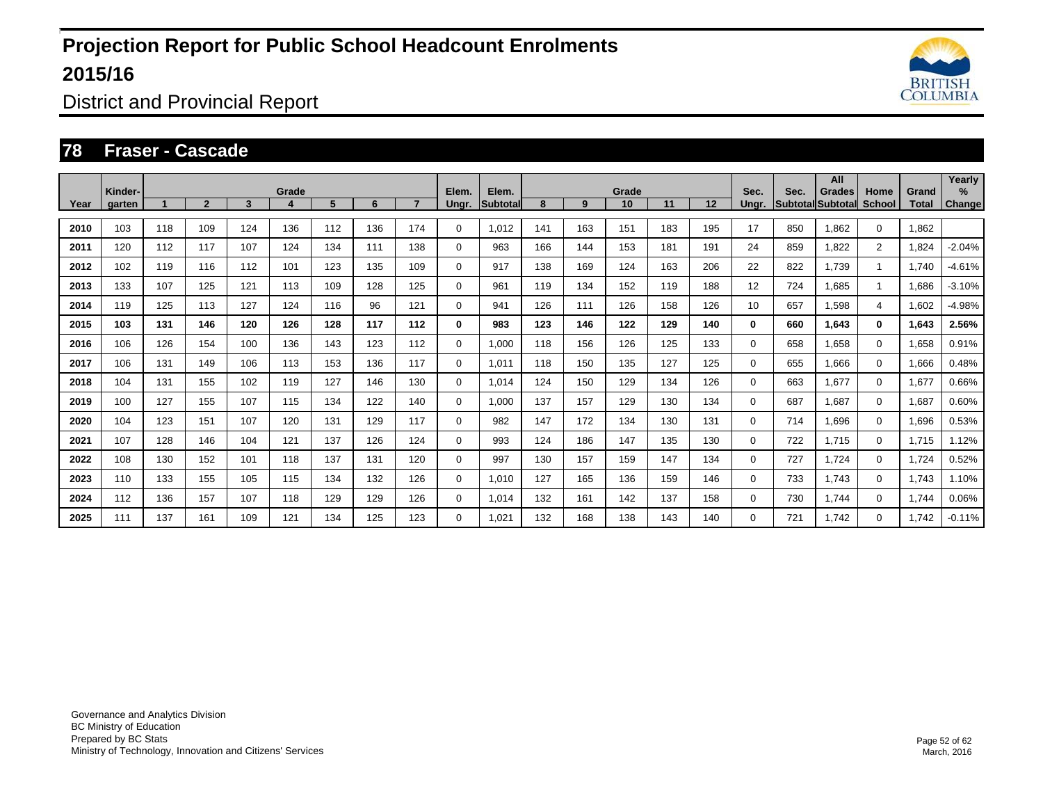

District and Provincial Report

#### **78 Fraser - Cascade**

|      | Kinder- |     |                |     | Grade |     |     |     | Elem.       | Elem.           |     |     | Grade |     |     | Sec.     | Sec. | All<br>Grades            | Home           | Grand | Yearly<br>% |
|------|---------|-----|----------------|-----|-------|-----|-----|-----|-------------|-----------------|-----|-----|-------|-----|-----|----------|------|--------------------------|----------------|-------|-------------|
| Year | garten  |     | $\overline{2}$ | 3   | 4     | 5   | 6   |     | Ungr.       | <b>Subtotal</b> | 8   | 9   | 10    | 11  | 12  | Unar.    |      | <b>Subtotal Subtotal</b> | <b>School</b>  | Total | Change      |
| 2010 | 103     | 118 | 109            | 124 | 136   | 112 | 136 | 174 | 0           | 1,012           | 141 | 163 | 151   | 183 | 195 | 17       | 850  | 1.862                    | $\Omega$       | 1,862 |             |
| 2011 | 120     | 112 | 117            | 107 | 124   | 134 | 111 | 138 | 0           | 963             | 166 | 144 | 153   | 181 | 191 | 24       | 859  | 1,822                    | $\overline{2}$ | 1,824 | $-2.04%$    |
| 2012 | 102     | 119 | 116            | 112 | 101   | 123 | 135 | 109 | 0           | 917             | 138 | 169 | 124   | 163 | 206 | 22       | 822  | 1.739                    | $\mathbf{1}$   | 1.740 | $-4.61%$    |
| 2013 | 133     | 107 | 125            | 121 | 113   | 109 | 128 | 125 | 0           | 961             | 119 | 134 | 152   | 119 | 188 | 12       | 724  | 1,685                    | $\mathbf{1}$   | 1,686 | $-3.10%$    |
| 2014 | 119     | 125 | 113            | 127 | 124   | 116 | 96  | 121 | 0           | 941             | 126 | 111 | 126   | 158 | 126 | 10       | 657  | 1.598                    | $\overline{4}$ | 1,602 | $-4.98%$    |
| 2015 | 103     | 131 | 146            | 120 | 126   | 128 | 117 | 112 | 0           | 983             | 123 | 146 | 122   | 129 | 140 | $\bf{0}$ | 660  | 1,643                    | $\mathbf 0$    | 1,643 | 2.56%       |
| 2016 | 106     | 126 | 154            | 100 | 136   | 143 | 123 | 112 | $\mathbf 0$ | 1,000           | 118 | 156 | 126   | 125 | 133 | $\Omega$ | 658  | 1,658                    | $\Omega$       | 1,658 | 0.91%       |
| 2017 | 106     | 131 | 149            | 106 | 113   | 153 | 136 | 117 | $\mathbf 0$ | 1.011           | 118 | 150 | 135   | 127 | 125 | $\Omega$ | 655  | 1,666                    | $\mathbf 0$    | 1,666 | 0.48%       |
| 2018 | 104     | 131 | 155            | 102 | 119   | 127 | 146 | 130 | $\mathbf 0$ | 1.014           | 124 | 150 | 129   | 134 | 126 | 0        | 663  | 1,677                    | $\mathbf 0$    | 1,677 | 0.66%       |
| 2019 | 100     | 127 | 155            | 107 | 115   | 134 | 122 | 140 | 0           | 1,000           | 137 | 157 | 129   | 130 | 134 | 0        | 687  | 1,687                    | $\mathbf 0$    | 1,687 | 0.60%       |
| 2020 | 104     | 123 | 151            | 107 | 120   | 131 | 129 | 117 | $\mathbf 0$ | 982             | 147 | 172 | 134   | 130 | 131 | 0        | 714  | 1,696                    | $\mathbf 0$    | 1,696 | 0.53%       |
| 2021 | 107     | 128 | 146            | 104 | 121   | 137 | 126 | 124 | 0           | 993             | 124 | 186 | 147   | 135 | 130 | 0        | 722  | 1,715                    | $\mathbf 0$    | 1,715 | 1.12%       |
| 2022 | 108     | 130 | 152            | 101 | 118   | 137 | 131 | 120 | $\mathbf 0$ | 997             | 130 | 157 | 159   | 147 | 134 | 0        | 727  | 1.724                    | $\mathbf 0$    | 1,724 | 0.52%       |
| 2023 | 110     | 133 | 155            | 105 | 115   | 134 | 132 | 126 | 0           | 1.010           | 127 | 165 | 136   | 159 | 146 | 0        | 733  | 1.743                    | $\mathbf 0$    | 1,743 | 1.10%       |
| 2024 | 112     | 136 | 157            | 107 | 118   | 129 | 129 | 126 | 0           | 1.014           | 132 | 161 | 142   | 137 | 158 | 0        | 730  | 1,744                    | $\mathbf 0$    | 1,744 | 0.06%       |
| 2025 | 111     | 137 | 161            | 109 | 121   | 134 | 125 | 123 | 0           | 1.021           | 132 | 168 | 138   | 143 | 140 | 0        | 721  | 1.742                    | $\mathbf 0$    | 1,742 | $-0.11%$    |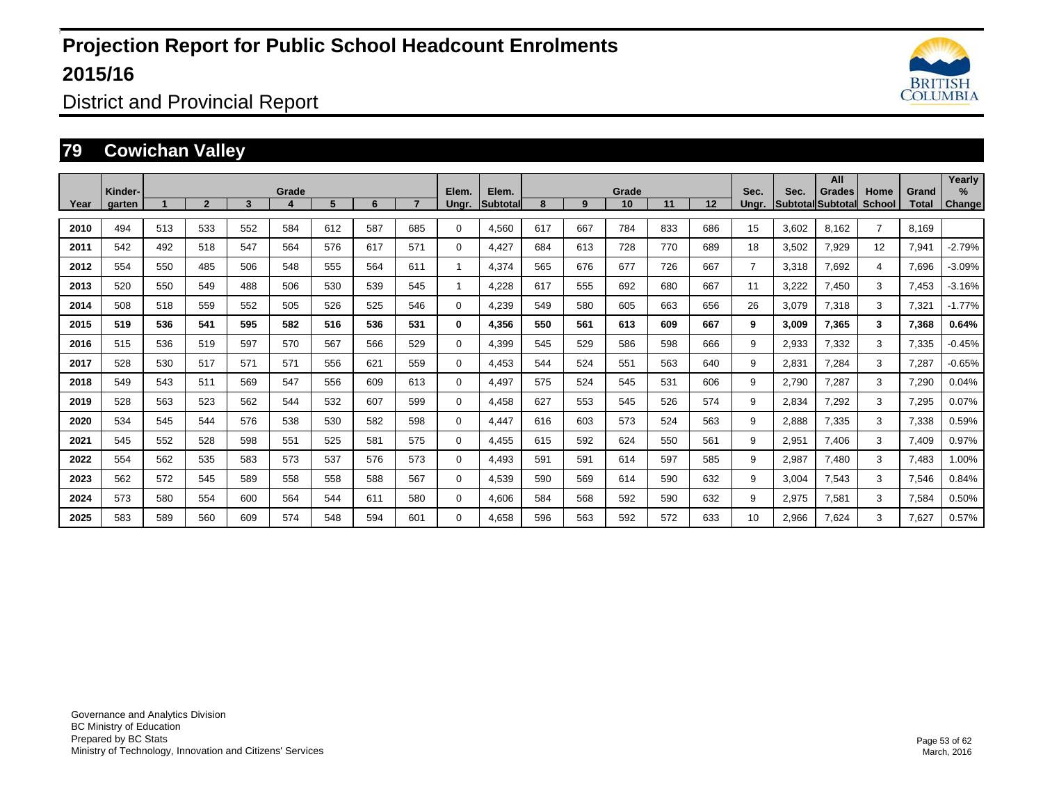

District and Provincial Report

### **79 Cowichan Valley**

|      | Kinder- |     |                |     | Grade |     |     |     | Elem.       | Elem.    |     |     | Grade |     |     | Sec.           | Sec.  | All<br>Grades             | Home           | Grand | Yearly<br>$\%$ |
|------|---------|-----|----------------|-----|-------|-----|-----|-----|-------------|----------|-----|-----|-------|-----|-----|----------------|-------|---------------------------|----------------|-------|----------------|
| Year | aarten  |     | $\overline{2}$ | 3   |       | 5   | 6   |     | Unar.       | Subtotal | 8   | 9   | 10    | 11  | 12  | Unar.          |       | <b>SubtotallSubtotall</b> | School         | Total | <b>Change</b>  |
| 2010 | 494     | 513 | 533            | 552 | 584   | 612 | 587 | 685 | 0           | 4,560    | 617 | 667 | 784   | 833 | 686 | 15             | 3,602 | 8,162                     | $\overline{7}$ | 8.169 |                |
| 2011 | 542     | 492 | 518            | 547 | 564   | 576 | 617 | 571 | 0           | 4,427    | 684 | 613 | 728   | 770 | 689 | 18             | 3,502 | 7,929                     | 12             | 7,941 | $-2.79%$       |
| 2012 | 554     | 550 | 485            | 506 | 548   | 555 | 564 | 611 |             | 4,374    | 565 | 676 | 677   | 726 | 667 | $\overline{7}$ | 3,318 | 7,692                     | $\overline{4}$ | 7,696 | $-3.09%$       |
| 2013 | 520     | 550 | 549            | 488 | 506   | 530 | 539 | 545 | 1           | 4.228    | 617 | 555 | 692   | 680 | 667 | 11             | 3,222 | 7.450                     | 3              | 7.453 | $-3.16%$       |
| 2014 | 508     | 518 | 559            | 552 | 505   | 526 | 525 | 546 | $\mathbf 0$ | 4,239    | 549 | 580 | 605   | 663 | 656 | 26             | 3,079 | 7,318                     | 3              | 7,321 | $-1.77%$       |
| 2015 | 519     | 536 | 541            | 595 | 582   | 516 | 536 | 531 | 0           | 4,356    | 550 | 561 | 613   | 609 | 667 | 9              | 3,009 | 7,365                     | 3              | 7,368 | 0.64%          |
| 2016 | 515     | 536 | 519            | 597 | 570   | 567 | 566 | 529 | 0           | 4,399    | 545 | 529 | 586   | 598 | 666 | 9              | 2,933 | 7,332                     | 3              | 7,335 | $-0.45%$       |
| 2017 | 528     | 530 | 517            | 571 | 571   | 556 | 621 | 559 | $\mathbf 0$ | 4,453    | 544 | 524 | 551   | 563 | 640 | 9              | 2,831 | 7,284                     | 3              | 7,287 | $-0.65%$       |
| 2018 | 549     | 543 | 511            | 569 | 547   | 556 | 609 | 613 | 0           | 4.497    | 575 | 524 | 545   | 531 | 606 | 9              | 2,790 | 7,287                     | 3              | 7,290 | 0.04%          |
| 2019 | 528     | 563 | 523            | 562 | 544   | 532 | 607 | 599 | 0           | 4,458    | 627 | 553 | 545   | 526 | 574 | 9              | 2,834 | 7,292                     | 3              | 7,295 | 0.07%          |
| 2020 | 534     | 545 | 544            | 576 | 538   | 530 | 582 | 598 | $\mathbf 0$ | 4,447    | 616 | 603 | 573   | 524 | 563 | 9              | 2,888 | 7,335                     | 3              | 7,338 | 0.59%          |
| 2021 | 545     | 552 | 528            | 598 | 551   | 525 | 581 | 575 | $\mathbf 0$ | 4,455    | 615 | 592 | 624   | 550 | 561 | 9              | 2,951 | 7.406                     | 3              | 7,409 | 0.97%          |
| 2022 | 554     | 562 | 535            | 583 | 573   | 537 | 576 | 573 | 0           | 4.493    | 591 | 591 | 614   | 597 | 585 | 9              | 2,987 | 7,480                     | 3              | 7,483 | 1.00%          |
| 2023 | 562     | 572 | 545            | 589 | 558   | 558 | 588 | 567 | 0           | 4,539    | 590 | 569 | 614   | 590 | 632 | 9              | 3,004 | 7,543                     | 3              | 7,546 | 0.84%          |
| 2024 | 573     | 580 | 554            | 600 | 564   | 544 | 611 | 580 | 0           | 4.606    | 584 | 568 | 592   | 590 | 632 | 9              | 2,975 | 7,581                     | 3              | 7,584 | 0.50%          |
| 2025 | 583     | 589 | 560            | 609 | 574   | 548 | 594 | 601 | 0           | 4,658    | 596 | 563 | 592   | 572 | 633 | 10             | 2,966 | 7,624                     | 3              | 7,627 | 0.57%          |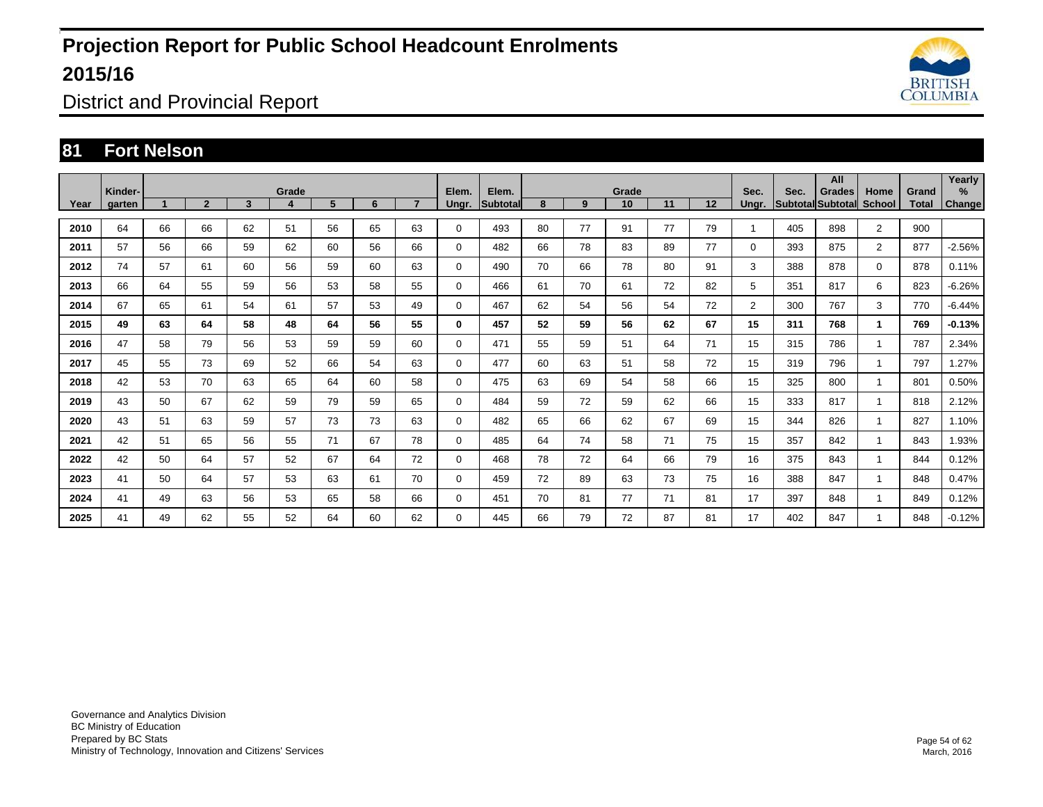

District and Provincial Report

### **81 Fort Nelson**

|      | Kinder- |    |              |    | Grade |    |    |    | Elem.       | Elem.           |    |    | Grade |    |    | Sec.           | Sec. | All<br>Grades             | Home           | Grand | Yearly<br>$\%$ |
|------|---------|----|--------------|----|-------|----|----|----|-------------|-----------------|----|----|-------|----|----|----------------|------|---------------------------|----------------|-------|----------------|
| Year | aarten  |    | $\mathbf{2}$ | 3  | 4     | 5  | 6  |    | Unar.       | <b>Subtotal</b> | 8  | 9  | 10    | 11 | 12 | Unar.          |      | SubtotallSubtotall School |                | Total | <b>Change</b>  |
| 2010 | 64      | 66 | 66           | 62 | 51    | 56 | 65 | 63 | $\mathbf 0$ | 493             | 80 | 77 | 91    | 77 | 79 |                | 405  | 898                       | $\overline{2}$ | 900   |                |
| 2011 | 57      | 56 | 66           | 59 | 62    | 60 | 56 | 66 | 0           | 482             | 66 | 78 | 83    | 89 | 77 | 0              | 393  | 875                       | $\overline{2}$ | 877   | $-2.56%$       |
| 2012 | 74      | 57 | 61           | 60 | 56    | 59 | 60 | 63 | $\mathbf 0$ | 490             | 70 | 66 | 78    | 80 | 91 | 3              | 388  | 878                       | $\Omega$       | 878   | 0.11%          |
| 2013 | 66      | 64 | 55           | 59 | 56    | 53 | 58 | 55 | $\mathbf 0$ | 466             | 61 | 70 | 61    | 72 | 82 | 5              | 351  | 817                       | 6              | 823   | $-6.26%$       |
| 2014 | 67      | 65 | 61           | 54 | 61    | 57 | 53 | 49 | $\mathbf 0$ | 467             | 62 | 54 | 56    | 54 | 72 | $\overline{2}$ | 300  | 767                       | 3              | 770   | $-6.44%$       |
| 2015 | 49      | 63 | 64           | 58 | 48    | 64 | 56 | 55 | 0           | 457             | 52 | 59 | 56    | 62 | 67 | 15             | 311  | 768                       | $\mathbf{1}$   | 769   | $-0.13%$       |
| 2016 | 47      | 58 | 79           | 56 | 53    | 59 | 59 | 60 | 0           | 471             | 55 | 59 | 51    | 64 | 71 | 15             | 315  | 786                       | $\mathbf{1}$   | 787   | 2.34%          |
| 2017 | 45      | 55 | 73           | 69 | 52    | 66 | 54 | 63 | $\mathbf 0$ | 477             | 60 | 63 | 51    | 58 | 72 | 15             | 319  | 796                       | $\mathbf 1$    | 797   | 1.27%          |
| 2018 | 42      | 53 | 70           | 63 | 65    | 64 | 60 | 58 | 0           | 475             | 63 | 69 | 54    | 58 | 66 | 15             | 325  | 800                       | $\mathbf 1$    | 801   | 0.50%          |
| 2019 | 43      | 50 | 67           | 62 | 59    | 79 | 59 | 65 | $\mathbf 0$ | 484             | 59 | 72 | 59    | 62 | 66 | 15             | 333  | 817                       |                | 818   | 2.12%          |
| 2020 | 43      | 51 | 63           | 59 | 57    | 73 | 73 | 63 | $\mathbf 0$ | 482             | 65 | 66 | 62    | 67 | 69 | 15             | 344  | 826                       |                | 827   | 1.10%          |
| 2021 | 42      | 51 | 65           | 56 | 55    | 71 | 67 | 78 | $\mathbf 0$ | 485             | 64 | 74 | 58    | 71 | 75 | 15             | 357  | 842                       | $\mathbf 1$    | 843   | 1.93%          |
| 2022 | 42      | 50 | 64           | 57 | 52    | 67 | 64 | 72 | $\mathbf 0$ | 468             | 78 | 72 | 64    | 66 | 79 | 16             | 375  | 843                       |                | 844   | 0.12%          |
| 2023 | 41      | 50 | 64           | 57 | 53    | 63 | 61 | 70 | $\mathbf 0$ | 459             | 72 | 89 | 63    | 73 | 75 | 16             | 388  | 847                       | $\mathbf{1}$   | 848   | 0.47%          |
| 2024 | 41      | 49 | 63           | 56 | 53    | 65 | 58 | 66 | $\mathbf 0$ | 451             | 70 | 81 | 77    | 71 | 81 | 17             | 397  | 848                       | -1             | 849   | 0.12%          |
| 2025 | 41      | 49 | 62           | 55 | 52    | 64 | 60 | 62 | $\mathbf 0$ | 445             | 66 | 79 | 72    | 87 | 81 | 17             | 402  | 847                       |                | 848   | $-0.12%$       |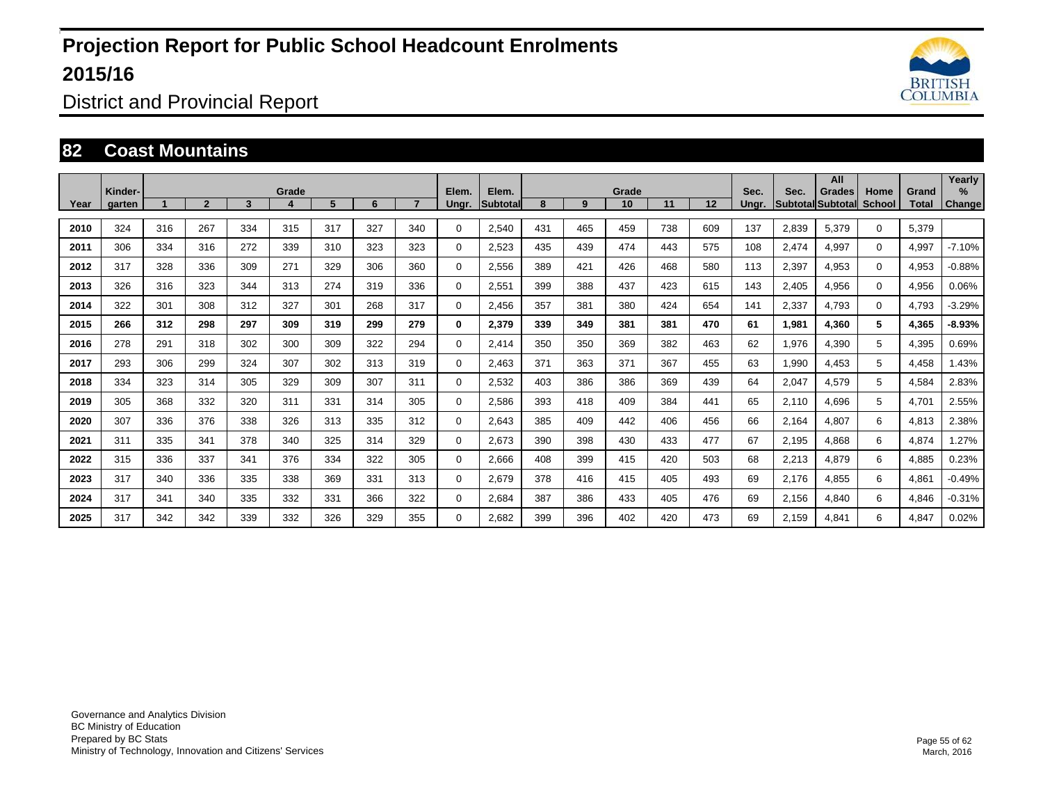

District and Provincial Report

#### **82 Coast Mountains**

|      | Kinder- |     |                |     | Grade |     |     |     | Elem.       | Elem.    |     |     | Grade |     |     | Sec.  | Sec.  | All<br>Grades             | Home        | Grand | Yearly<br>$\%$ |
|------|---------|-----|----------------|-----|-------|-----|-----|-----|-------------|----------|-----|-----|-------|-----|-----|-------|-------|---------------------------|-------------|-------|----------------|
| Year | aarten  |     | $\overline{2}$ | 3   |       | 5   | 6   |     | Unar.       | Subtotal | 8   | 9   | 10    | 11  | 12  | Unar. |       | <b>SubtotallSubtotall</b> | School      | Total | <b>Change</b>  |
| 2010 | 324     | 316 | 267            | 334 | 315   | 317 | 327 | 340 | 0           | 2,540    | 431 | 465 | 459   | 738 | 609 | 137   | 2,839 | 5,379                     | $\mathbf 0$ | 5,379 |                |
| 2011 | 306     | 334 | 316            | 272 | 339   | 310 | 323 | 323 | 0           | 2,523    | 435 | 439 | 474   | 443 | 575 | 108   | 2,474 | 4,997                     | $\Omega$    | 4,997 | $-7.10%$       |
| 2012 | 317     | 328 | 336            | 309 | 271   | 329 | 306 | 360 | $\mathbf 0$ | 2,556    | 389 | 421 | 426   | 468 | 580 | 113   | 2,397 | 4,953                     | $\mathbf 0$ | 4,953 | $-0.88%$       |
| 2013 | 326     | 316 | 323            | 344 | 313   | 274 | 319 | 336 | $\mathbf 0$ | 2,551    | 399 | 388 | 437   | 423 | 615 | 143   | 2,405 | 4,956                     | $\Omega$    | 4,956 | 0.06%          |
| 2014 | 322     | 301 | 308            | 312 | 327   | 301 | 268 | 317 | $\mathbf 0$ | 2,456    | 357 | 381 | 380   | 424 | 654 | 141   | 2,337 | 4,793                     | $\Omega$    | 4,793 | $-3.29%$       |
| 2015 | 266     | 312 | 298            | 297 | 309   | 319 | 299 | 279 | $\bf{0}$    | 2,379    | 339 | 349 | 381   | 381 | 470 | 61    | 1,981 | 4,360                     | 5           | 4,365 | $-8.93%$       |
| 2016 | 278     | 291 | 318            | 302 | 300   | 309 | 322 | 294 | 0           | 2,414    | 350 | 350 | 369   | 382 | 463 | 62    | 1,976 | 4,390                     | 5           | 4,395 | 0.69%          |
| 2017 | 293     | 306 | 299            | 324 | 307   | 302 | 313 | 319 | 0           | 2,463    | 371 | 363 | 371   | 367 | 455 | 63    | 1,990 | 4,453                     | 5           | 4,458 | 1.43%          |
| 2018 | 334     | 323 | 314            | 305 | 329   | 309 | 307 | 311 | 0           | 2,532    | 403 | 386 | 386   | 369 | 439 | 64    | 2,047 | 4,579                     | 5           | 4,584 | 2.83%          |
| 2019 | 305     | 368 | 332            | 320 | 311   | 331 | 314 | 305 | 0           | 2,586    | 393 | 418 | 409   | 384 | 441 | 65    | 2,110 | 4,696                     | 5           | 4,701 | 2.55%          |
| 2020 | 307     | 336 | 376            | 338 | 326   | 313 | 335 | 312 | $\mathbf 0$ | 2,643    | 385 | 409 | 442   | 406 | 456 | 66    | 2,164 | 4,807                     | 6           | 4,813 | 2.38%          |
| 2021 | 311     | 335 | 341            | 378 | 340   | 325 | 314 | 329 | $\mathbf 0$ | 2,673    | 390 | 398 | 430   | 433 | 477 | 67    | 2,195 | 4,868                     | 6           | 4,874 | 1.27%          |
| 2022 | 315     | 336 | 337            | 341 | 376   | 334 | 322 | 305 | 0           | 2.666    | 408 | 399 | 415   | 420 | 503 | 68    | 2,213 | 4,879                     | 6           | 4,885 | 0.23%          |
| 2023 | 317     | 340 | 336            | 335 | 338   | 369 | 331 | 313 | 0           | 2,679    | 378 | 416 | 415   | 405 | 493 | 69    | 2,176 | 4,855                     | 6           | 4,861 | $-0.49%$       |
| 2024 | 317     | 341 | 340            | 335 | 332   | 331 | 366 | 322 | 0           | 2.684    | 387 | 386 | 433   | 405 | 476 | 69    | 2,156 | 4,840                     | 6           | 4,846 | $-0.31%$       |
| 2025 | 317     | 342 | 342            | 339 | 332   | 326 | 329 | 355 | 0           | 2,682    | 399 | 396 | 402   | 420 | 473 | 69    | 2,159 | 4,841                     | 6           | 4,847 | 0.02%          |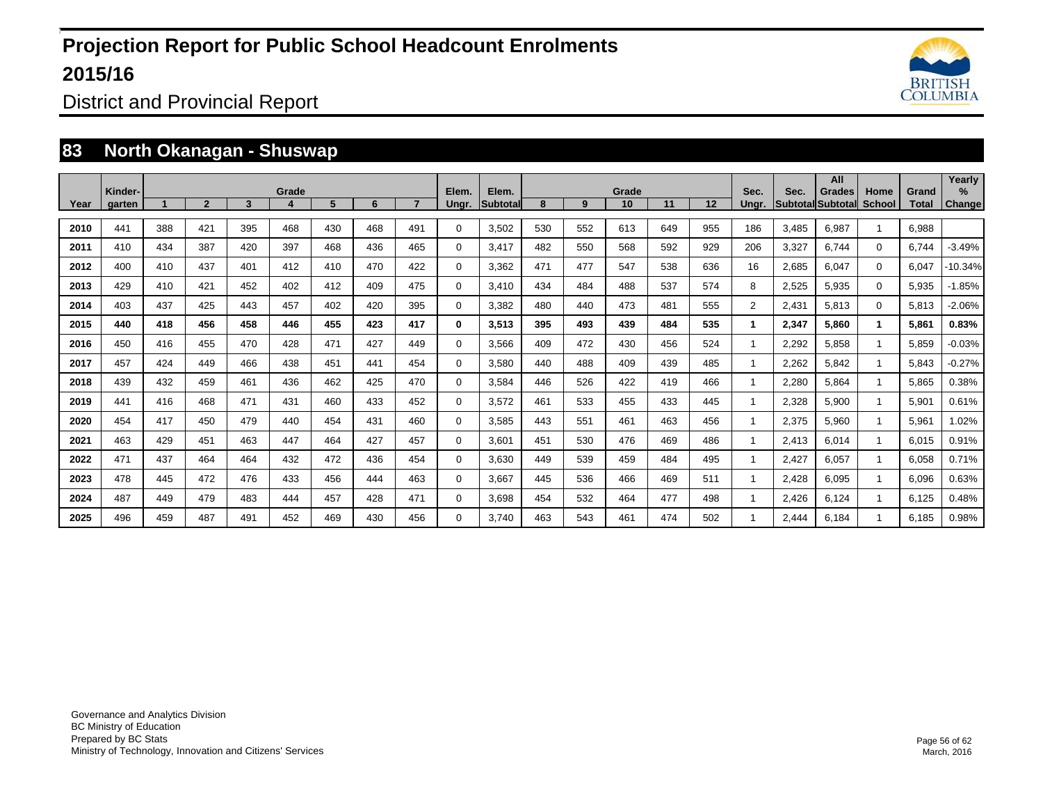

District and Provincial Report

#### **83 North Okanagan - Shuswap**

|      | Kinder- |     |                |     | Grade |     |     |                | Elem.       | Elem.           |     |     | Grade |     |     | Sec.           | Sec.  | All<br><b>Grades</b> | Home         | Grand | Yearly<br>% |
|------|---------|-----|----------------|-----|-------|-----|-----|----------------|-------------|-----------------|-----|-----|-------|-----|-----|----------------|-------|----------------------|--------------|-------|-------------|
| Year | aarten  |     | $\overline{2}$ | 3   |       | 5   | 6   | $\overline{ }$ | Ungr.       | <b>Subtotal</b> | 8   | 9   | 10    | 11  | 12  | Ungr.          |       | Subtotal Subtotal    | School       | Total | Change      |
| 2010 | 441     | 388 | 421            | 395 | 468   | 430 | 468 | 491            | 0           | 3,502           | 530 | 552 | 613   | 649 | 955 | 186            | 3,485 | 6,987                |              | 6,988 |             |
| 2011 | 410     | 434 | 387            | 420 | 397   | 468 | 436 | 465            | 0           | 3.417           | 482 | 550 | 568   | 592 | 929 | 206            | 3,327 | 6.744                | $\mathbf 0$  | 6,744 | $-3.49%$    |
| 2012 | 400     | 410 | 437            | 401 | 412   | 410 | 470 | 422            | 0           | 3.362           | 471 | 477 | 547   | 538 | 636 | 16             | 2,685 | 6,047                | $\mathbf 0$  | 6.047 | $-10.34%$   |
| 2013 | 429     | 410 | 421            | 452 | 402   | 412 | 409 | 475            | $\mathbf 0$ | 3.410           | 434 | 484 | 488   | 537 | 574 | 8              | 2,525 | 5,935                | $\mathbf 0$  | 5,935 | $-1.85%$    |
| 2014 | 403     | 437 | 425            | 443 | 457   | 402 | 420 | 395            | $\mathbf 0$ | 3,382           | 480 | 440 | 473   | 481 | 555 | $\overline{2}$ | 2,431 | 5,813                | $\mathbf 0$  | 5,813 | $-2.06%$    |
| 2015 | 440     | 418 | 456            | 458 | 446   | 455 | 423 | 417            | 0           | 3,513           | 395 | 493 | 439   | 484 | 535 | $\mathbf{1}$   | 2,347 | 5,860                | $\mathbf 1$  | 5.861 | 0.83%       |
| 2016 | 450     | 416 | 455            | 470 | 428   | 471 | 427 | 449            | 0           | 3,566           | 409 | 472 | 430   | 456 | 524 |                | 2,292 | 5,858                |              | 5.859 | $-0.03%$    |
| 2017 | 457     | 424 | 449            | 466 | 438   | 451 | 441 | 454            | 0           | 3.580           | 440 | 488 | 409   | 439 | 485 |                | 2,262 | 5,842                |              | 5.843 | $-0.27%$    |
| 2018 | 439     | 432 | 459            | 461 | 436   | 462 | 425 | 470            | 0           | 3.584           | 446 | 526 | 422   | 419 | 466 |                | 2,280 | 5,864                |              | 5.865 | 0.38%       |
| 2019 | 441     | 416 | 468            | 471 | 431   | 460 | 433 | 452            | 0           | 3,572           | 461 | 533 | 455   | 433 | 445 |                | 2,328 | 5,900                |              | 5,901 | 0.61%       |
| 2020 | 454     | 417 | 450            | 479 | 440   | 454 | 431 | 460            | $\mathbf 0$ | 3,585           | 443 | 551 | 461   | 463 | 456 |                | 2,375 | 5,960                |              | 5,961 | 1.02%       |
| 2021 | 463     | 429 | 451            | 463 | 447   | 464 | 427 | 457            | $\mathbf 0$ | 3,601           | 451 | 530 | 476   | 469 | 486 |                | 2,413 | 6,014                | $\mathbf{1}$ | 6,015 | 0.91%       |
| 2022 | 471     | 437 | 464            | 464 | 432   | 472 | 436 | 454            | 0           | 3,630           | 449 | 539 | 459   | 484 | 495 |                | 2,427 | 6,057                |              | 6,058 | 0.71%       |
| 2023 | 478     | 445 | 472            | 476 | 433   | 456 | 444 | 463            | 0           | 3.667           | 445 | 536 | 466   | 469 | 511 |                | 2,428 | 6,095                | $\mathbf{1}$ | 6,096 | 0.63%       |
| 2024 | 487     | 449 | 479            | 483 | 444   | 457 | 428 | 471            | $\mathbf 0$ | 3.698           | 454 | 532 | 464   | 477 | 498 |                | 2,426 | 6,124                |              | 6,125 | 0.48%       |
| 2025 | 496     | 459 | 487            | 491 | 452   | 469 | 430 | 456            | 0           | 3.740           | 463 | 543 | 461   | 474 | 502 |                | 2.444 | 6,184                |              | 6.185 | 0.98%       |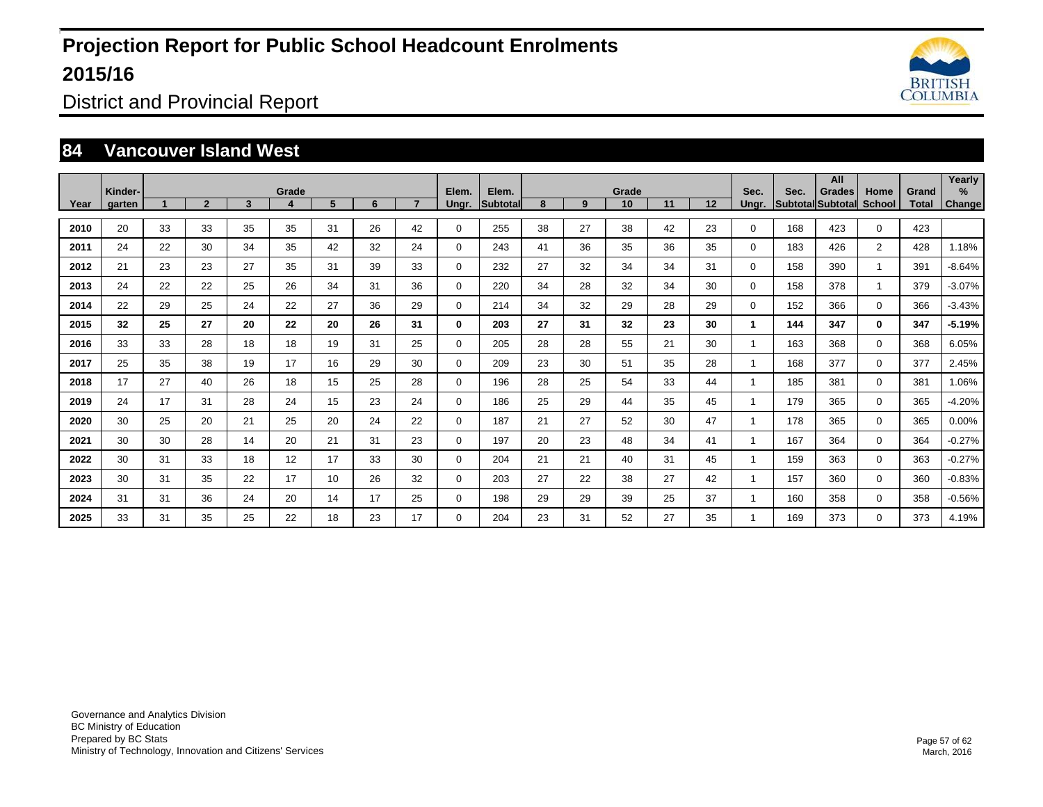

District and Provincial Report

#### **84 Vancouver Island West**

|      | Kinder- |    |              |    | Grade |    |    |    | Elem.       | Elem.           |    |    | Grade |    |    | Sec.     | Sec. | All<br><b>Grades</b>     | Home           | Grand        | Yearly<br>% |
|------|---------|----|--------------|----|-------|----|----|----|-------------|-----------------|----|----|-------|----|----|----------|------|--------------------------|----------------|--------------|-------------|
| Year | garten  |    | $\mathbf{2}$ | 3  |       | 5  | 6  |    | Unar.       | <b>Subtotal</b> | 8  | 9  | 10    | 11 | 12 | Unar.    |      | <b>Subtotal Subtotal</b> | <b>School</b>  | <b>Total</b> | Change      |
| 2010 | 20      | 33 | 33           | 35 | 35    | 31 | 26 | 42 | $\Omega$    | 255             | 38 | 27 | 38    | 42 | 23 | 0        | 168  | 423                      | $\Omega$       | 423          |             |
| 2011 | 24      | 22 | 30           | 34 | 35    | 42 | 32 | 24 | $\Omega$    | 243             | 41 | 36 | 35    | 36 | 35 | 0        | 183  | 426                      | $\overline{2}$ | 428          | 1.18%       |
| 2012 | 21      | 23 | 23           | 27 | 35    | 31 | 39 | 33 | $\Omega$    | 232             | 27 | 32 | 34    | 34 | 31 | $\Omega$ | 158  | 390                      | $\mathbf{1}$   | 391          | $-8.64%$    |
| 2013 | 24      | 22 | 22           | 25 | 26    | 34 | 31 | 36 | 0           | 220             | 34 | 28 | 32    | 34 | 30 | $\Omega$ | 158  | 378                      | $\mathbf{1}$   | 379          | $-3.07%$    |
| 2014 | 22      | 29 | 25           | 24 | 22    | 27 | 36 | 29 | $\mathbf 0$ | 214             | 34 | 32 | 29    | 28 | 29 | 0        | 152  | 366                      | $\mathbf{0}$   | 366          | $-3.43%$    |
| 2015 | 32      | 25 | 27           | 20 | 22    | 20 | 26 | 31 | 0           | 203             | 27 | 31 | 32    | 23 | 30 |          | 144  | 347                      | $\mathbf{0}$   | 347          | $-5.19%$    |
| 2016 | 33      | 33 | 28           | 18 | 18    | 19 | 31 | 25 | $\Omega$    | 205             | 28 | 28 | 55    | 21 | 30 |          | 163  | 368                      | $\Omega$       | 368          | 6.05%       |
| 2017 | 25      | 35 | 38           | 19 | 17    | 16 | 29 | 30 | 0           | 209             | 23 | 30 | 51    | 35 | 28 |          | 168  | 377                      | $\mathbf{0}$   | 377          | 2.45%       |
| 2018 | 17      | 27 | 40           | 26 | 18    | 15 | 25 | 28 | $\mathbf 0$ | 196             | 28 | 25 | 54    | 33 | 44 |          | 185  | 381                      | $\mathbf{0}$   | 381          | 1.06%       |
| 2019 | 24      | 17 | 31           | 28 | 24    | 15 | 23 | 24 | $\mathbf 0$ | 186             | 25 | 29 | 44    | 35 | 45 |          | 179  | 365                      | $\mathbf{0}$   | 365          | $-4.20%$    |
| 2020 | 30      | 25 | 20           | 21 | 25    | 20 | 24 | 22 | $\mathbf 0$ | 187             | 21 | 27 | 52    | 30 | 47 |          | 178  | 365                      | $\mathbf{0}$   | 365          | 0.00%       |
| 2021 | 30      | 30 | 28           | 14 | 20    | 21 | 31 | 23 | $\mathbf 0$ | 197             | 20 | 23 | 48    | 34 | 41 |          | 167  | 364                      | $\mathbf{0}$   | 364          | $-0.27%$    |
| 2022 | 30      | 31 | 33           | 18 | 12    | 17 | 33 | 30 | $\mathbf 0$ | 204             | 21 | 21 | 40    | 31 | 45 |          | 159  | 363                      | $\mathbf{0}$   | 363          | $-0.27%$    |
| 2023 | 30      | 31 | 35           | 22 | 17    | 10 | 26 | 32 | 0           | 203             | 27 | 22 | 38    | 27 | 42 |          | 157  | 360                      | $\Omega$       | 360          | $-0.83%$    |
| 2024 | 31      | 31 | 36           | 24 | 20    | 14 | 17 | 25 | $\mathbf 0$ | 198             | 29 | 29 | 39    | 25 | 37 |          | 160  | 358                      | 0              | 358          | $-0.56%$    |
| 2025 | 33      | 31 | 35           | 25 | 22    | 18 | 23 | 17 | $\mathbf 0$ | 204             | 23 | 31 | 52    | 27 | 35 |          | 169  | 373                      | $\mathbf 0$    | 373          | 4.19%       |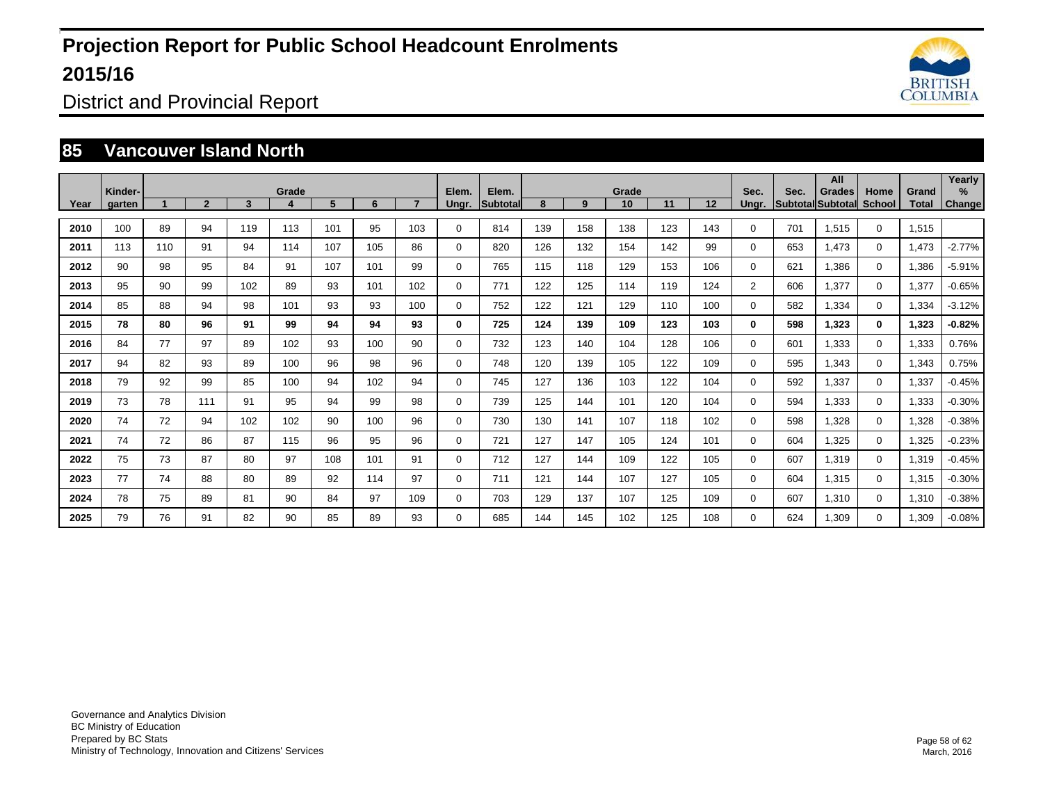

District and Provincial Report

#### **85 Vancouver Island North**

|      | Kinder- |     |                |     | Grade |     |     |     | Elem.       | Elem.           |     |     | Grade |     |     | Sec.           | Sec. | All<br><b>Grades</b>     | Home        | Grand | Yearly<br>$\%$ |
|------|---------|-----|----------------|-----|-------|-----|-----|-----|-------------|-----------------|-----|-----|-------|-----|-----|----------------|------|--------------------------|-------------|-------|----------------|
| Year | garten  |     | $\overline{2}$ | 3   | 4     | 5   | 6   |     | Unar.       | <b>Subtotal</b> | 8   | 9   | 10    | 11  | 12  | Unar.          |      | <b>Subtotal Subtotal</b> | School      | Total | Change         |
| 2010 | 100     | 89  | 94             | 119 | 113   | 101 | 95  | 103 | 0           | 814             | 139 | 158 | 138   | 123 | 143 | 0              | 701  | 1,515                    | $\mathbf 0$ | 1,515 |                |
| 2011 | 113     | 110 | 91             | 94  | 114   | 107 | 105 | 86  | 0           | 820             | 126 | 132 | 154   | 142 | 99  | $\Omega$       | 653  | 1,473                    | $\mathbf 0$ | 1,473 | $-2.77%$       |
| 2012 | 90      | 98  | 95             | 84  | 91    | 107 | 101 | 99  | $\mathbf 0$ | 765             | 115 | 118 | 129   | 153 | 106 | $\Omega$       | 621  | 1,386                    | $\mathbf 0$ | 1,386 | $-5.91%$       |
| 2013 | 95      | 90  | 99             | 102 | 89    | 93  | 101 | 102 | $\mathbf 0$ | 771             | 122 | 125 | 114   | 119 | 124 | $\overline{2}$ | 606  | 1,377                    | $\mathbf 0$ | 1,377 | $-0.65%$       |
| 2014 | 85      | 88  | 94             | 98  | 101   | 93  | 93  | 100 | $\Omega$    | 752             | 122 | 121 | 129   | 110 | 100 | $\Omega$       | 582  | 1,334                    | $\Omega$    | 1,334 | $-3.12%$       |
| 2015 | 78      | 80  | 96             | 91  | 99    | 94  | 94  | 93  | 0           | 725             | 124 | 139 | 109   | 123 | 103 | 0              | 598  | 1,323                    | $\mathbf 0$ | 1,323 | $-0.82%$       |
| 2016 | 84      | 77  | 97             | 89  | 102   | 93  | 100 | 90  | 0           | 732             | 123 | 140 | 104   | 128 | 106 | $\Omega$       | 601  | 1,333                    | $\Omega$    | 1,333 | 0.76%          |
| 2017 | 94      | 82  | 93             | 89  | 100   | 96  | 98  | 96  | $\mathbf 0$ | 748             | 120 | 139 | 105   | 122 | 109 | 0              | 595  | 1,343                    | $\mathbf 0$ | 1,343 | 0.75%          |
| 2018 | 79      | 92  | 99             | 85  | 100   | 94  | 102 | 94  | 0           | 745             | 127 | 136 | 103   | 122 | 104 | $\Omega$       | 592  | 1,337                    | $\mathbf 0$ | 1,337 | $-0.45%$       |
| 2019 | 73      | 78  | 111            | 91  | 95    | 94  | 99  | 98  | $\mathbf 0$ | 739             | 125 | 144 | 101   | 120 | 104 | 0              | 594  | 1,333                    | $\mathbf 0$ | 1,333 | $-0.30%$       |
| 2020 | 74      | 72  | 94             | 102 | 102   | 90  | 100 | 96  | $\mathbf 0$ | 730             | 130 | 141 | 107   | 118 | 102 | 0              | 598  | 1,328                    | $\mathbf 0$ | 1,328 | $-0.38%$       |
| 2021 | 74      | 72  | 86             | 87  | 115   | 96  | 95  | 96  | $\mathbf 0$ | 721             | 127 | 147 | 105   | 124 | 101 | $\Omega$       | 604  | 1,325                    | $\mathbf 0$ | 1,325 | $-0.23%$       |
| 2022 | 75      | 73  | 87             | 80  | 97    | 108 | 101 | 91  | $\mathbf 0$ | 712             | 127 | 144 | 109   | 122 | 105 | 0              | 607  | 1,319                    | $\mathbf 0$ | 1,319 | $-0.45%$       |
| 2023 | 77      | 74  | 88             | 80  | 89    | 92  | 114 | 97  | $\mathbf 0$ | 711             | 121 | 144 | 107   | 127 | 105 | 0              | 604  | 1,315                    | $\mathbf 0$ | 1,315 | $-0.30%$       |
| 2024 | 78      | 75  | 89             | 81  | 90    | 84  | 97  | 109 | $\mathbf 0$ | 703             | 129 | 137 | 107   | 125 | 109 | 0              | 607  | 1,310                    | $\mathbf 0$ | 1,310 | $-0.38%$       |
| 2025 | 79      | 76  | 91             | 82  | 90    | 85  | 89  | 93  | $\mathbf 0$ | 685             | 144 | 145 | 102   | 125 | 108 | 0              | 624  | 1,309                    | $\Omega$    | 1,309 | $-0.08%$       |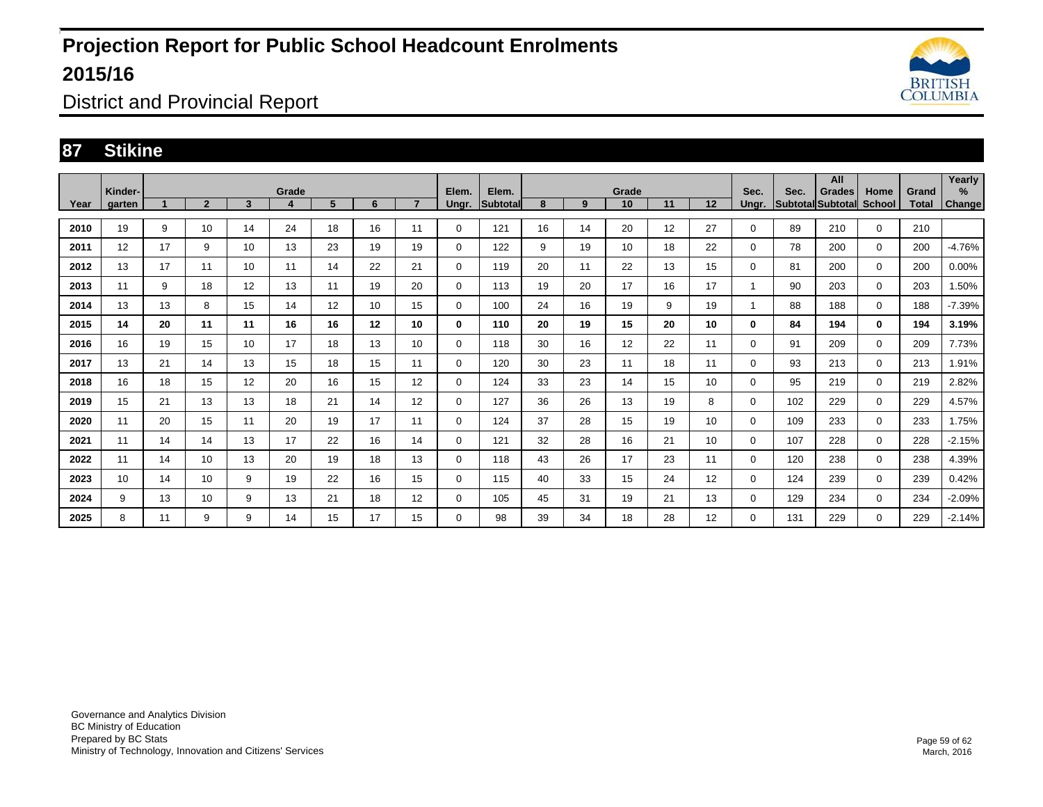

District and Provincial Report

#### **87 Stikine**

|      | Kinder- |    |                |    | Grade |    |    |                 | Elem.       | Elem.           |    |    | Grade |    |    | Sec.     | Sec. | All<br><b>Grades</b> | Home          | Grand | Yearly<br>% |
|------|---------|----|----------------|----|-------|----|----|-----------------|-------------|-----------------|----|----|-------|----|----|----------|------|----------------------|---------------|-------|-------------|
| Year | garten  |    | $\overline{2}$ | 3  | 4     | 5  | 6  |                 | Ungr.       | <b>Subtotal</b> | 8  | 9  | 10    | 11 | 12 | Ungr.    |      | Subtotal Subtotal    | <b>School</b> | Total | Change      |
| 2010 | 19      | 9  | 10             | 14 | 24    | 18 | 16 | 11              | 0           | 121             | 16 | 14 | 20    | 12 | 27 | 0        | 89   | 210                  | 0             | 210   |             |
| 2011 | 12      | 17 | 9              | 10 | 13    | 23 | 19 | 19              | 0           | 122             | 9  | 19 | 10    | 18 | 22 | 0        | 78   | 200                  | 0             | 200   | $-4.76%$    |
| 2012 | 13      | 17 | 11             | 10 | 11    | 14 | 22 | 21              | 0           | 119             | 20 | 11 | 22    | 13 | 15 | 0        | 81   | 200                  | 0             | 200   | 0.00%       |
| 2013 | 11      | 9  | 18             | 12 | 13    | 11 | 19 | 20              | 0           | 113             | 19 | 20 | 17    | 16 | 17 |          | 90   | 203                  | 0             | 203   | 1.50%       |
| 2014 | 13      | 13 | 8              | 15 | 14    | 12 | 10 | 15              | 0           | 100             | 24 | 16 | 19    | 9  | 19 |          | 88   | 188                  | 0             | 188   | $-7.39%$    |
| 2015 | 14      | 20 | 11             | 11 | 16    | 16 | 12 | 10              | 0           | 110             | 20 | 19 | 15    | 20 | 10 | 0        | 84   | 194                  | $\mathbf{0}$  | 194   | 3.19%       |
| 2016 | 16      | 19 | 15             | 10 | 17    | 18 | 13 | 10 <sup>1</sup> | $\mathbf 0$ | 118             | 30 | 16 | 12    | 22 | 11 | 0        | 91   | 209                  | $\mathbf 0$   | 209   | 7.73%       |
| 2017 | 13      | 21 | 14             | 13 | 15    | 18 | 15 | 11              | $\mathbf 0$ | 120             | 30 | 23 | 11    | 18 | 11 | 0        | 93   | 213                  | $\Omega$      | 213   | 1.91%       |
| 2018 | 16      | 18 | 15             | 12 | 20    | 16 | 15 | 12 <sup>2</sup> | $\mathbf 0$ | 124             | 33 | 23 | 14    | 15 | 10 | 0        | 95   | 219                  | $\mathbf 0$   | 219   | 2.82%       |
| 2019 | 15      | 21 | 13             | 13 | 18    | 21 | 14 | 12 <sup>2</sup> | 0           | 127             | 36 | 26 | 13    | 19 | 8  | 0        | 102  | 229                  | $\mathbf 0$   | 229   | 4.57%       |
| 2020 | 11      | 20 | 15             | 11 | 20    | 19 | 17 | 11              | $\mathbf 0$ | 124             | 37 | 28 | 15    | 19 | 10 | 0        | 109  | 233                  | $\mathbf 0$   | 233   | 1.75%       |
| 2021 | 11      | 14 | 14             | 13 | 17    | 22 | 16 | 14              | $\mathbf 0$ | 121             | 32 | 28 | 16    | 21 | 10 | 0        | 107  | 228                  | $\mathbf 0$   | 228   | $-2.15%$    |
| 2022 | 11      | 14 | 10             | 13 | 20    | 19 | 18 | 13              | 0           | 118             | 43 | 26 | 17    | 23 | 11 | 0        | 120  | 238                  | $\mathbf 0$   | 238   | 4.39%       |
| 2023 | 10      | 14 | 10             | 9  | 19    | 22 | 16 | 15              | $\mathbf 0$ | 115             | 40 | 33 | 15    | 24 | 12 | $\Omega$ | 124  | 239                  | $\mathbf 0$   | 239   | 0.42%       |
| 2024 | 9       | 13 | 10             | 9  | 13    | 21 | 18 | 12 <sup>2</sup> | $\mathbf 0$ | 105             | 45 | 31 | 19    | 21 | 13 | 0        | 129  | 234                  | $\mathbf 0$   | 234   | $-2.09%$    |
| 2025 | 8       | 11 | 9              | 9  | 14    | 15 | 17 | 15              | 0           | 98              | 39 | 34 | 18    | 28 | 12 | 0        | 131  | 229                  | $\mathbf 0$   | 229   | $-2.14%$    |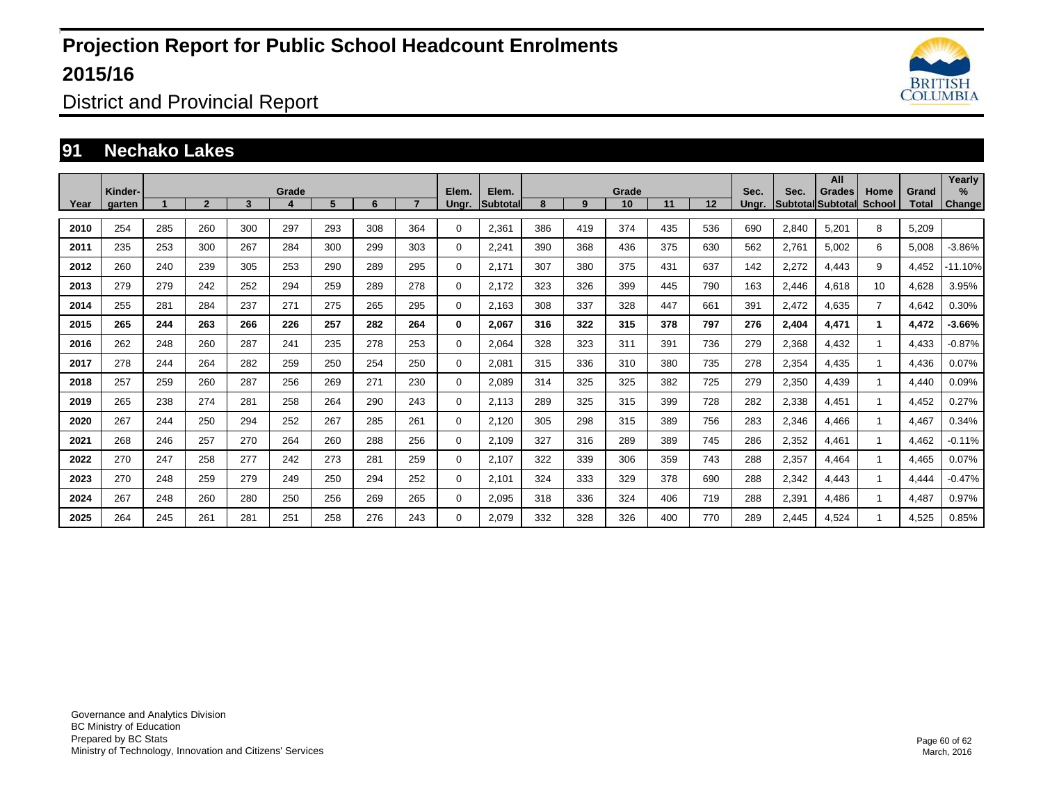

District and Provincial Report

#### **91 Nechako Lakes**

|      | Kinder- | Grade |                |     |     |     |     |     |             | Elem.           | Grade |     |     |     |     |               | Sec.  | All<br><b>Grades</b>             | Home           | Grand | Yearly<br>℅   |
|------|---------|-------|----------------|-----|-----|-----|-----|-----|-------------|-----------------|-------|-----|-----|-----|-----|---------------|-------|----------------------------------|----------------|-------|---------------|
| Year | garten  |       | $\overline{2}$ | 3   |     | 5   | 6   |     | Ungr.       | <b>Subtotal</b> | 8     | 9   | 10  | 11  | 12  | Sec.<br>Ungr. |       | <b>SubtotallSubtotall School</b> |                | Total | <b>Change</b> |
| 2010 | 254     | 285   | 260            | 300 | 297 | 293 | 308 | 364 | 0           | 2,361           | 386   | 419 | 374 | 435 | 536 | 690           | 2,840 | 5,201                            | 8              | 5,209 |               |
| 2011 | 235     | 253   | 300            | 267 | 284 | 300 | 299 | 303 | 0           | 2,241           | 390   | 368 | 436 | 375 | 630 | 562           | 2,761 | 5,002                            | 6              | 5,008 | $-3.86%$      |
| 2012 | 260     | 240   | 239            | 305 | 253 | 290 | 289 | 295 | 0           | 2,171           | 307   | 380 | 375 | 431 | 637 | 142           | 2,272 | 4,443                            | 9              | 4,452 | $-11.10%$     |
| 2013 | 279     | 279   | 242            | 252 | 294 | 259 | 289 | 278 | 0           | 2,172           | 323   | 326 | 399 | 445 | 790 | 163           | 2,446 | 4,618                            | 10             | 4,628 | 3.95%         |
| 2014 | 255     | 281   | 284            | 237 | 271 | 275 | 265 | 295 | 0           | 2,163           | 308   | 337 | 328 | 447 | 661 | 391           | 2,472 | 4,635                            | $\overline{7}$ | 4,642 | 0.30%         |
| 2015 | 265     | 244   | 263            | 266 | 226 | 257 | 282 | 264 | 0           | 2,067           | 316   | 322 | 315 | 378 | 797 | 276           | 2,404 | 4,471                            | $\mathbf 1$    | 4,472 | $-3.66%$      |
| 2016 | 262     | 248   | 260            | 287 | 241 | 235 | 278 | 253 | 0           | 2,064           | 328   | 323 | 311 | 391 | 736 | 279           | 2,368 | 4,432                            | $\mathbf{1}$   | 4,433 | $-0.87%$      |
| 2017 | 278     | 244   | 264            | 282 | 259 | 250 | 254 | 250 | 0           | 2,081           | 315   | 336 | 310 | 380 | 735 | 278           | 2,354 | 4,435                            | $\mathbf{1}$   | 4,436 | 0.07%         |
| 2018 | 257     | 259   | 260            | 287 | 256 | 269 | 271 | 230 | 0           | 2,089           | 314   | 325 | 325 | 382 | 725 | 279           | 2,350 | 4,439                            | $\mathbf{1}$   | 4,440 | 0.09%         |
| 2019 | 265     | 238   | 274            | 281 | 258 | 264 | 290 | 243 | 0           | 2.113           | 289   | 325 | 315 | 399 | 728 | 282           | 2,338 | 4,451                            | $\mathbf{1}$   | 4,452 | 0.27%         |
| 2020 | 267     | 244   | 250            | 294 | 252 | 267 | 285 | 261 | $\mathbf 0$ | 2,120           | 305   | 298 | 315 | 389 | 756 | 283           | 2,346 | 4,466                            | $\mathbf{1}$   | 4.467 | 0.34%         |
| 2021 | 268     | 246   | 257            | 270 | 264 | 260 | 288 | 256 | 0           | 2,109           | 327   | 316 | 289 | 389 | 745 | 286           | 2,352 | 4,461                            | $\mathbf{1}$   | 4,462 | $-0.11%$      |
| 2022 | 270     | 247   | 258            | 277 | 242 | 273 | 281 | 259 | 0           | 2,107           | 322   | 339 | 306 | 359 | 743 | 288           | 2,357 | 4,464                            | $\mathbf{1}$   | 4,465 | 0.07%         |
| 2023 | 270     | 248   | 259            | 279 | 249 | 250 | 294 | 252 | 0           | 2,101           | 324   | 333 | 329 | 378 | 690 | 288           | 2,342 | 4,443                            | 1              | 4,444 | $-0.47%$      |
| 2024 | 267     | 248   | 260            | 280 | 250 | 256 | 269 | 265 | 0           | 2,095           | 318   | 336 | 324 | 406 | 719 | 288           | 2,391 | 4,486                            | 1              | 4,487 | 0.97%         |
| 2025 | 264     | 245   | 261            | 281 | 251 | 258 | 276 | 243 | 0           | 2,079           | 332   | 328 | 326 | 400 | 770 | 289           | 2,445 | 4,524                            |                | 4,525 | 0.85%         |

Governance and Analytics Division BC Ministry of Education Prepared by BC Stats Ministry of Technology, Innovation and Citizens' Services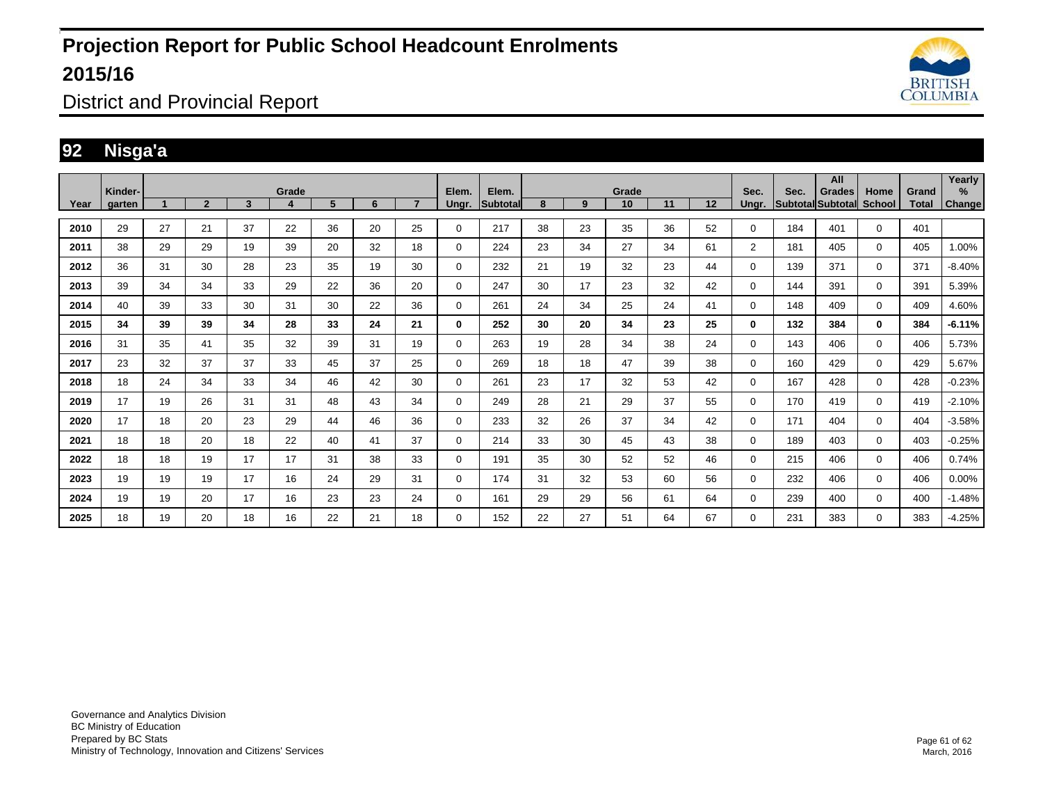

District and Provincial Report

#### **92 Nisga'a**

|      | Kinder- |    |                |    | Grade |    |    |                | Elem.        | Elem.    | Grade |    |    |    |    |                | Sec. | All<br><b>Grades</b>            | Home         | Grand | Yearly<br>%   |
|------|---------|----|----------------|----|-------|----|----|----------------|--------------|----------|-------|----|----|----|----|----------------|------|---------------------------------|--------------|-------|---------------|
| Year | garten  |    | $\overline{2}$ | 3  |       | 5  | 6  | $\overline{ }$ | Ungr.        | Subtotal | 8     | 9  | 10 | 11 | 12 | Unar.          |      | <b>Subtotal Subtotal School</b> |              | Total | <b>Change</b> |
| 2010 | 29      | 27 | 21             | 37 | 22    | 36 | 20 | 25             | $\Omega$     | 217      | 38    | 23 | 35 | 36 | 52 | 0              | 184  | 401                             | $\Omega$     | 401   |               |
| 2011 | 38      | 29 | 29             | 19 | 39    | 20 | 32 | 18             | $\Omega$     | 224      | 23    | 34 | 27 | 34 | 61 | $\overline{2}$ | 181  | 405                             | $\Omega$     | 405   | 1.00%         |
| 2012 | 36      | 31 | 30             | 28 | 23    | 35 | 19 | 30             | $\mathbf 0$  | 232      | 21    | 19 | 32 | 23 | 44 | 0              | 139  | 371                             | $\mathbf 0$  | 371   | $-8.40%$      |
| 2013 | 39      | 34 | 34             | 33 | 29    | 22 | 36 | 20             | $\mathbf 0$  | 247      | 30    | 17 | 23 | 32 | 42 | 0              | 144  | 391                             | $\mathbf 0$  | 391   | 5.39%         |
| 2014 | 40      | 39 | 33             | 30 | 31    | 30 | 22 | 36             | $\mathbf 0$  | 261      | 24    | 34 | 25 | 24 | 41 | 0              | 148  | 409                             | $\Omega$     | 409   | 4.60%         |
| 2015 | 34      | 39 | 39             | 34 | 28    | 33 | 24 | 21             | $\mathbf{0}$ | 252      | 30    | 20 | 34 | 23 | 25 | 0              | 132  | 384                             | $\mathbf{0}$ | 384   | $-6.11%$      |
| 2016 | 31      | 35 | 41             | 35 | 32    | 39 | 31 | 19             | $\mathbf 0$  | 263      | 19    | 28 | 34 | 38 | 24 | $\Omega$       | 143  | 406                             | $\Omega$     | 406   | 5.73%         |
| 2017 | 23      | 32 | 37             | 37 | 33    | 45 | 37 | 25             | $\mathbf 0$  | 269      | 18    | 18 | 47 | 39 | 38 | $\Omega$       | 160  | 429                             | $\Omega$     | 429   | 5.67%         |
| 2018 | 18      | 24 | 34             | 33 | 34    | 46 | 42 | 30             | $\mathbf 0$  | 261      | 23    | 17 | 32 | 53 | 42 | $\Omega$       | 167  | 428                             | $\Omega$     | 428   | $-0.23%$      |
| 2019 | 17      | 19 | 26             | 31 | 31    | 48 | 43 | 34             | $\Omega$     | 249      | 28    | 21 | 29 | 37 | 55 | 0              | 170  | 419                             | $\Omega$     | 419   | $-2.10%$      |
| 2020 | 17      | 18 | 20             | 23 | 29    | 44 | 46 | 36             | $\mathbf 0$  | 233      | 32    | 26 | 37 | 34 | 42 | 0              | 171  | 404                             | $\mathbf 0$  | 404   | $-3.58%$      |
| 2021 | 18      | 18 | 20             | 18 | 22    | 40 | 41 | 37             | $\mathbf 0$  | 214      | 33    | 30 | 45 | 43 | 38 | 0              | 189  | 403                             | $\Omega$     | 403   | $-0.25%$      |
| 2022 | 18      | 18 | 19             | 17 | 17    | 31 | 38 | 33             | $\mathbf 0$  | 191      | 35    | 30 | 52 | 52 | 46 | 0              | 215  | 406                             | $\Omega$     | 406   | 0.74%         |
| 2023 | 19      | 19 | 19             | 17 | 16    | 24 | 29 | 31             | $\mathbf 0$  | 174      | 31    | 32 | 53 | 60 | 56 | 0              | 232  | 406                             | $\Omega$     | 406   | 0.00%         |
| 2024 | 19      | 19 | 20             | 17 | 16    | 23 | 23 | 24             | $\mathbf 0$  | 161      | 29    | 29 | 56 | 61 | 64 | $\Omega$       | 239  | 400                             | $\Omega$     | 400   | $-1.48%$      |
| 2025 | 18      | 19 | 20             | 18 | 16    | 22 | 21 | 18             | $\Omega$     | 152      | 22    | 27 | 51 | 64 | 67 | 0              | 231  | 383                             | $\Omega$     | 383   | $-4.25%$      |